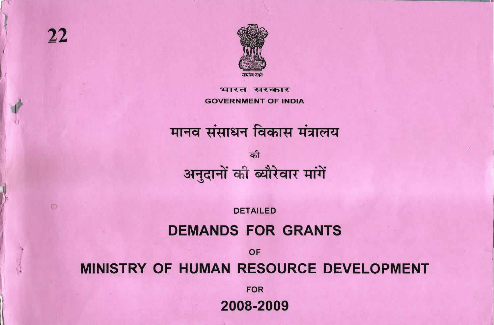$\circ$ 



भ्रा सरकार **GOVERNMENT OF INDIA** 

# मानव संसाधन विकास मंत्रालय को

अनुदानों की ब्यौरेवार मांगें

**DETAILED** 

# **DEMANDS FOR GRANTS**

OF

# MINISTRY OF HUMAN RESOURCE DEVELOPMENT

**FOR** 

2008-2009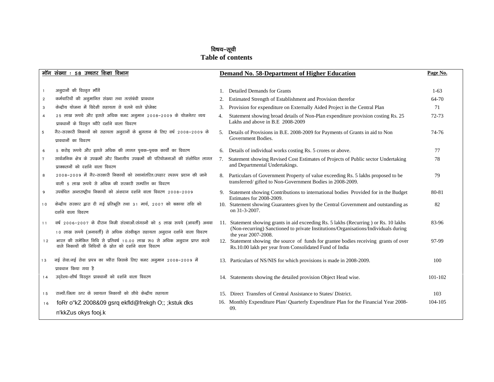### विषय–सूची

#### **Table of contents**

|                | मॉग संख्या : 58 उच्चतर शिक्षा विभाग                                                                                                        |    | <b>Demand No. 58-Department of Higher Education</b>                                                                                                                           | Page No. |
|----------------|--------------------------------------------------------------------------------------------------------------------------------------------|----|-------------------------------------------------------------------------------------------------------------------------------------------------------------------------------|----------|
|                |                                                                                                                                            |    |                                                                                                                                                                               |          |
| $\overline{1}$ | अनुदानों की विस्तृत माँगें                                                                                                                 |    | 1. Detailed Demands for Grants                                                                                                                                                | $1-63$   |
|                | कर्मचारियों की अनुमानित संख्या तथा तत्संबंधी प्रावधान<br>$\overline{2}$                                                                    | 2. | Estimated Strength of Establishment and Provision therefor                                                                                                                    | 64-70    |
|                | केन्द्रीय योजना में विदेशी सहायता से चलने वाले प्रोजेक्ट<br>3                                                                              | 3. | Provision for expenditure on Externally Aided Project in the Central Plan                                                                                                     | 71       |
| $\overline{4}$ | 25 लाख रूपये और इससे अधिक बजट अनुमान 2008-2009 के योजनेतर व्यय                                                                             | 4. | Statement showing broad details of Non-Plan expenditure provision costing Rs. 25                                                                                              | 72-73    |
|                | प्रावधानों के विस्तृत ब्यौरे दर्शाने वाला विवरण                                                                                            |    | Lakhs and above in B.E 2008-2009                                                                                                                                              |          |
| 5              | गैर-सरकारी निकायों को सहायता अनुदानों के भुगतान के लिए वर्ष 2008–2009 के                                                                   |    | 5. Details of Provisions in B.E. 2008-2009 for Payments of Grants in aid to Non                                                                                               | 74-76    |
|                | प्रावधानों का विवरण                                                                                                                        |    | Government Bodies.                                                                                                                                                            |          |
|                | 5 करोड़ रूपये और इससे अधिक की लागत पृथक–पृथक कार्यो का विवरण<br>6                                                                          |    | 6. Details of individual works costing Rs. 5 crores or above.                                                                                                                 | 77       |
| $\tau$         | सार्वजनिक क्षेत्र के उपकर्मो और विभागीय उपकर्मो की परियोजनाओं की संशोधित लागत                                                              | 7. | Statement showing Revised Cost Estimates of Projects of Public sector Undertaking                                                                                             | 78       |
|                | प्राक्कलनों को दर्शाने वाला विवरण                                                                                                          |    | and Departmental Undertakings.                                                                                                                                                |          |
| 8              | 2008–2009 में गैर-सरकारी निकायों को स्थानांतरित/उपहार स्परूप प्रदान की जाने                                                                | 8. | Particulars of Government Property of value exceeding Rs. 5 lakhs proposed to be                                                                                              | 79       |
|                | वाली ५ लाख रूपये से अधिक की सरकारी सम्पत्ति का विवरण                                                                                       |    | transferred/gifted to Non-Government Bodies in 2008-2009.                                                                                                                     |          |
|                | उपबंधित अन्तराष्ट्रीय निकायों को अंशदान दर्शाने वाला विवरण 2008-2009<br>9                                                                  |    | 9. Statement showing Contributions to international bodies Provided for in the Budget                                                                                         | 80-81    |
|                | केन्द्रीय सरकार द्वारा दी गई प्रतिभूति तथा 31 मार्च, 2007 को बकाया राशि को<br>10                                                           |    | Estimates for 2008-2009.<br>10. Statement showing Guarantees given by the Central Government and outstanding as                                                               | 82       |
|                | दर्शाने वाला विवरण                                                                                                                         |    | on 31-3-2007.                                                                                                                                                                 |          |
|                | वर्ष २००६–२००७ के दौरान निजी संस्थाओं/संगठनों को ५ लाख रूपये (आवर्ती) अथवा                                                                 |    |                                                                                                                                                                               | 83-96    |
|                | 11                                                                                                                                         |    | 11. Statement showing grants in aid exceeding Rs. 5 lakhs (Recurring ) or Rs. 10 lakhs<br>(Non-recurring) Sanctioned to private Institutions/Organisations/Individuals during |          |
|                | 10 लाख रूपये (अनावर्ती) से अधिक संस्वीकृत सहायता अनुदान दर्शाने वाला विवरण                                                                 |    | the year 2007-2008.                                                                                                                                                           |          |
|                | भारत की समेकित निधि से प्रतिवर्ष 10.00 लाख रू0 से अधिक अनुदान प्राप्त करने<br>12<br>वाले निकायों की निधियों के स्रोत को दर्शाने वाला विवरण |    | 12. Statement showing the source of funds for grantee bodies receiving grants of over<br>Rs.10.00 lakh per year from Consolidated Fund of India                               | 97-99    |
|                |                                                                                                                                            |    |                                                                                                                                                                               |          |
|                | नई सेवा/नई सेवा प्रपत्र का ब्यौरा जिसके लिए बजट अनुमान 2008-2009 में<br>13                                                                 |    | 13. Particulars of NS/NIS for which provisions is made in 2008-2009.                                                                                                          | 100      |
|                | प्रावधान किया गया है                                                                                                                       |    |                                                                                                                                                                               |          |
|                | उद्देश्य-शीर्ष विस्तृत प्रावधानों को दर्शाने वाला विवरण<br>14                                                                              |    | 14. Statements showing the detailed provision Object Head wise.                                                                                                               | 101-102  |
|                |                                                                                                                                            |    |                                                                                                                                                                               |          |
|                | राज्यों/जिला स्तर के स्वायत्त निकायों को सीधे केन्द्रीय सहायता<br>15                                                                       |    | 15. Direct Transfers of Central Assistance to States/District.                                                                                                                | 103      |
|                | foRr o"kZ 2008&09 gsrq ekfld@frekgh O;; ; kstuk dks<br>16                                                                                  |    | 16. Monthly Expenditure Plan/ Quarterly Expenditure Plan for the Financial Year 2008-                                                                                         | 104-105  |
|                | n'kkZus okys fooj.k                                                                                                                        |    | 09.                                                                                                                                                                           |          |
|                |                                                                                                                                            |    |                                                                                                                                                                               |          |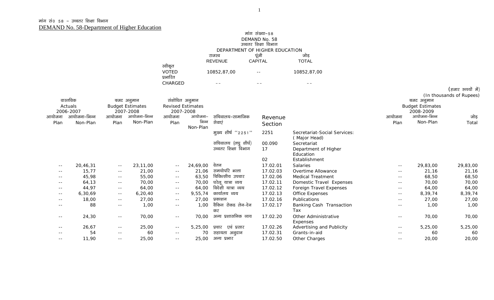|            |              |               |                         |                          |             |                              | मांग संख्या–58                 |                                            |               |                         |                                               |
|------------|--------------|---------------|-------------------------|--------------------------|-------------|------------------------------|--------------------------------|--------------------------------------------|---------------|-------------------------|-----------------------------------------------|
|            |              |               |                         |                          |             |                              | DEMAND No. 58                  |                                            |               |                         |                                               |
|            |              |               |                         |                          |             |                              | उच्चतर शिक्षा विभाग            |                                            |               |                         |                                               |
|            |              |               |                         |                          |             |                              | DEPARTMENT OF HIGHER EDUCATION |                                            |               |                         |                                               |
|            |              |               |                         |                          |             | राजस्व                       | पूंजी                          | जोड                                        |               |                         |                                               |
|            |              |               |                         |                          |             | <b>REVENUE</b>               | CAPITAL                        | <b>TOTAL</b>                               |               |                         |                                               |
|            |              |               |                         | स्वीकृत                  |             |                              |                                |                                            |               |                         |                                               |
|            |              |               |                         | <b>VOTED</b><br>प्रभारित |             | 10852,87,00                  | $\sim$ $-$                     | 10852,87,00                                |               |                         |                                               |
|            |              |               |                         | CHARGED                  |             | $- -$                        | $- -$                          | $- -$                                      |               |                         |                                               |
|            |              |               |                         |                          |             |                              |                                |                                            |               |                         | (हजार रुपयों में)<br>(In thousands of Rupees) |
|            | वास्तविक     | बजट अनुमान    |                         | संशोधित अनुमान           |             |                              |                                |                                            |               | बजट अनुमान              |                                               |
|            | Actuals      |               | <b>Budget Estimates</b> | <b>Revised Estimates</b> |             |                              |                                |                                            |               | <b>Budget Estimates</b> |                                               |
|            | 2006-2007    |               | 2007-2008               | 2007-2008                |             |                              |                                |                                            |               | 2008-2009               |                                               |
| आयोजना     | आयोजना–भिन्न | आयोजना        | आयोजना-भिन्न            | आयोजना                   | आयोजना–     | सचिवालय–सामाजिक              | Revenue                        |                                            | आयोजना        | आयोजना-भिन्न            | जोड़                                          |
| Plan       | Non-Plan     | Plan          | Non-Plan                | Plan                     | भिन्न       | सेवाएं                       | Section                        |                                            | Plan          | Non-Plan                | Total                                         |
|            |              |               |                         |                          | Non-Plan    |                              |                                |                                            |               |                         |                                               |
|            |              |               |                         |                          |             | मुख्य शीर्ष "2251"           | 2251                           | Secretariat-Social Services:               |               |                         |                                               |
|            |              |               |                         |                          |             |                              |                                | (Major Head)                               |               |                         |                                               |
|            |              |               |                         |                          |             | सचिवालय (लघु शीर्घ)          | 00.090                         | Secretariat                                |               |                         |                                               |
|            |              |               |                         |                          |             | उच्चतर शिक्षा विभाग          | 17                             | Department of Higher                       |               |                         |                                               |
|            |              |               |                         |                          |             |                              |                                | Education                                  |               |                         |                                               |
|            |              |               |                         |                          |             |                              | 02                             | Establishment                              |               |                         |                                               |
| $ -$       | 20,46,31     | $\sim$ $-$    | 23,11,00                | $\sim$ $-$               | 24,69,00    | वेतन                         | 17.02.01                       | Salaries                                   | $  \,$        | 29,83,00                | 29,83,00                                      |
|            | 15,77        | $\sim$ $-$    | 21,00                   | $\sim$ $-$               | 21,06       | समयोपरि भत्ता                | 17.02.03                       | Overtime Allowance                         | $- -$         | 21,16                   | 21,16                                         |
|            | 45,98        | $ -$          | 55,00                   | $ -$                     | 63,50       | चिकित्सीय उपचार              | 17.02.06                       | <b>Medical Treatment</b>                   | $- -$         | 68,50                   | 68,50                                         |
|            | 64,13        | $\sim$ $\sim$ | 70,00                   | $\sim$ $-$               | 70,00       | घरेलू यात्रा व्यय            | 17.02.11                       | Domestic Travel Expenses                   | $  \,$        | 70,00                   | 70,00                                         |
| --         | 44,97        | $\sim$ $-$    | 64,00                   | $\sim$ $\sim$            | 64,00       | विदेशी यात्रा व्यय           | 17.02.12                       | Foreign Travel Expenses                    | $\sim$ $\sim$ | 64,00                   | 64,00                                         |
| $- -$      | 6,30,69      | $\sim$ $\sim$ | 6, 20, 40               | $\sim$ $\sim$            | 9,55,74     | कार्यालय व्यय                | 17.02.13                       | Office Expenses                            | $- -$         | 8,39,74                 | 8,39,74                                       |
| --         | 18,00        | $  \,$        | 27,00                   | $ -$                     | 27,00       | प्रकाशन                      | 17.02.16                       | Publications                               | $- -$         | 27,00                   | 27,00                                         |
|            | 88           | $ -$          | 1,00                    | $ -$                     | 1,00        | वैकिंग रोकड लेन-देन          | 17.02.17                       | Banking Cash Transaction                   | --            | 1,00                    | 1,00                                          |
|            |              |               |                         |                          |             | कर                           |                                | Tax                                        |               |                         |                                               |
| $\sim$ $-$ | 24,30        | $\sim$ $-$    | 70,00                   | $\sim$ $-$               | 70,00       | अन्य प्रशासनिक व्यय          | 17.02.20                       | Other Administrative                       | $- -$         | 70,00                   | 70,00                                         |
|            | 26,67        |               | 25,00                   |                          | 5,25,00     | प्रचार एवं प्रसार            | 17.02.26                       | Expenses                                   |               | 5,25,00                 |                                               |
| $- -$      | 54           | $\sim$ $-$    | 60                      | $\sim$ $-$               |             |                              | 17.02.31                       | Advertising and Publicity<br>Grants-in-aid | $\sim$ $\sim$ |                         | 5,25,00                                       |
|            | 11,90        | $- -$         | 25,00                   | $ -$                     | 70<br>25,00 | सहायता अनुदान<br>अन्य प्रभार | 17.02.50                       |                                            | $- -$         | 60<br>20,00             | 60<br>20,00                                   |
|            |              | $- -$         |                         | $\sim$ $-$               |             |                              |                                | Other Charges                              | $- -$         |                         |                                               |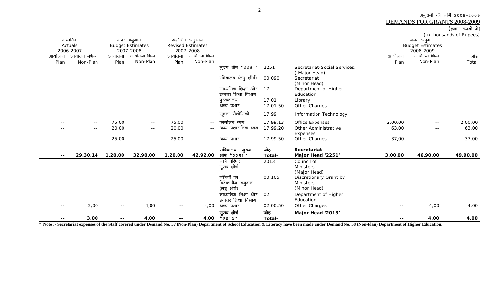DEMANDS FOR GRANTS 2008-2009

 $(\overline{\}$ हजार रुपयों में)

|                          |              |         |                         |         |                          |                       |          |                               |                          |                         | (In thousands of Rupees) |
|--------------------------|--------------|---------|-------------------------|---------|--------------------------|-----------------------|----------|-------------------------------|--------------------------|-------------------------|--------------------------|
|                          | वास्तविक     |         | बजट अनुमान              |         | संशोधित अनुमान           |                       |          |                               |                          | बजट अनुमान              |                          |
|                          | Actuals      |         | <b>Budget Estimates</b> |         | <b>Revised Estimates</b> |                       |          |                               |                          | <b>Budget Estimates</b> |                          |
|                          | 2006-2007    |         | 2007-2008               |         | 2007-2008                |                       |          |                               |                          | 2008-2009               |                          |
| आयोजना                   | आयोजना-भिन्न | आयोजना  | आयोजना-भिन्न            | आयोजना  | आयोजना-भिन्न             |                       |          |                               | आयोजना                   | आयोजना-भिन्न            | जोड़                     |
| Plan                     | Non-Plan     | Plan    | Non-Plan                | Plan    | Non-Plan                 |                       |          |                               | Plan                     | Non-Plan                | Total                    |
|                          |              |         |                         |         |                          | मुख्य शीर्ष "2251"    | 2251     | Secretariat-Social Services:  |                          |                         |                          |
|                          |              |         |                         |         |                          | र्सचेवालय (लघु शीर्ष) | 00.090   | (Major Head)<br>Secretariat   |                          |                         |                          |
|                          |              |         |                         |         |                          |                       |          | (Minor Head)                  |                          |                         |                          |
|                          |              |         |                         |         |                          | माध्यमिक शिक्षा और    | 17       | Department of Higher          |                          |                         |                          |
|                          |              |         |                         |         |                          | उच्चतर शिक्षा विभाग   |          | Education                     |                          |                         |                          |
|                          |              |         |                         |         |                          | पुरतकालय              | 17.01    | Library                       |                          |                         |                          |
| $- -$                    |              |         |                         | $ -$    | $\sim$ $-$               | अन्य प्रभार           | 17.01.50 | Other Charges                 |                          | $- -$                   |                          |
|                          |              |         |                         |         |                          | सूचना प्रौद्योगिकी    | 17.99    | <b>Information Technology</b> |                          |                         |                          |
|                          |              |         |                         |         |                          |                       |          |                               |                          |                         |                          |
| $ -$                     | $ -$         | 75,00   | $\sim$ $\sim$           | 75,00   | $ -$                     | कार्यालय व्यय         | 17.99.13 | Office Expenses               | 2,00,00                  | $ -$                    | 2,00,00                  |
|                          | $- -$        | 20,00   | $\sim$ $-$              | 20,00   | $- -$                    | अन्य प्रशासनिक व्यय   | 17.99.20 | Other Administrative          | 63,00                    | $\sim$ $-$              | 63,00                    |
|                          |              |         |                         |         |                          |                       |          | Expenses                      |                          |                         |                          |
| $- -$                    | $  \,$       | 25,00   | $- -$                   | 25,00   | $ -$                     | अन्य प्रभार           | 17.99.50 | Other Charges                 | 37,00                    | $\sim$ $-$              | 37,00                    |
|                          |              |         |                         |         |                          | सचिवालय मुख्य         | जोड़     | Secretariat                   |                          |                         |                          |
| $\overline{\phantom{a}}$ | 29,30,14     | 1,20,00 | 32,90,00                | 1,20,00 | 42,92,00                 | शीर्ष "2251"          | Total-   | Major Head '2251'             | 3,00,00                  | 46,90,00                | 49,90,00                 |
|                          |              |         |                         |         |                          | मंत्रि परिषद          | 2013     | Council of                    |                          |                         |                          |
|                          |              |         |                         |         |                          | मुख्य शीर्ष           |          | <b>Ministers</b>              |                          |                         |                          |
|                          |              |         |                         |         |                          |                       |          | (Major Head)                  |                          |                         |                          |
|                          |              |         |                         |         |                          | मंत्रियों का          | 00.105   | Discretionary Grant by        |                          |                         |                          |
|                          |              |         |                         |         |                          | विवेकाधीन अनुदान      |          | Ministers                     |                          |                         |                          |
|                          |              |         |                         |         |                          | (लघु शीर्ष)           |          | (Minor Head)                  |                          |                         |                          |
|                          |              |         |                         |         |                          | माध्यमिक शिक्षा और    | 02       | Department of Higher          |                          |                         |                          |
|                          |              |         |                         |         |                          | उच्चतर शिक्षा विभाग   |          | Education                     |                          |                         |                          |
| $- -$                    | 3,00         | $- -$   | 4,00                    | $ -$    | 4,00                     | अन्य प्रभार           | 02.00.50 | Other Charges                 | $ -$                     | 4,00                    | 4,00                     |
|                          |              |         |                         |         |                          | मुख्य शीर्ष           | जोड़     | Major Head '2013'             |                          |                         |                          |
| $- -$                    | 3,00         | --      | 4,00                    | --      | 4,00                     | "2013"                | Total-   |                               | $\overline{\phantom{m}}$ | 4,00                    | 4,00                     |

**\* Note :- Secretariat expenses of the Staff covered under Demand No. 57 (Non-Plan) Department of School Education & Literacy have been made under Demand No. 58 (Non-Plan) Department of Higher Education.**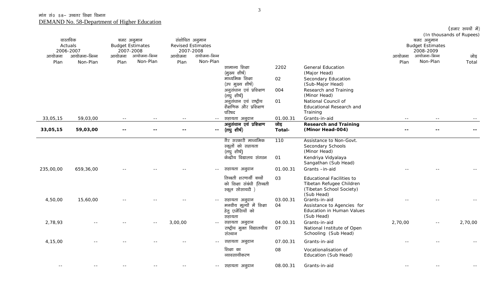|           |              |                         |               |         |                          |                                               |          |                                                         |         |                         | (हजार रुपयों में)<br>(In thousands of Rupees) |
|-----------|--------------|-------------------------|---------------|---------|--------------------------|-----------------------------------------------|----------|---------------------------------------------------------|---------|-------------------------|-----------------------------------------------|
|           | वास्तविक     | बजट अनुमान              |               |         | संशोधित अनुमान           |                                               |          |                                                         |         | बजट अनुमान              |                                               |
|           | Actuals      | <b>Budget Estimates</b> |               |         | <b>Revised Estimates</b> |                                               |          |                                                         |         | <b>Budget Estimates</b> |                                               |
|           | 2006-2007    | 2007-2008               |               |         | 2007-2008                |                                               |          |                                                         |         | 2008-2009               |                                               |
| आयोजना    | आयोजना-भिन्न | आयोजना                  | आयोजना-भिन्न  | आयोजना  | टायोजना–भिन्न            |                                               |          |                                                         | आयोजना  | आयोजना-भिन्न            | जोड़                                          |
| Plan      | Non-Plan     | Plan                    | Non-Plan      | Plan    | Non-Plan                 |                                               |          |                                                         | Plan    | Non-Plan                | Total                                         |
|           |              |                         |               |         |                          | सामान्य शिक्षा                                | 2202     | <b>General Education</b>                                |         |                         |                                               |
|           |              |                         |               |         |                          | (मुख्य शीर्ष)                                 |          | (Major Head)                                            |         |                         |                                               |
|           |              |                         |               |         |                          | माध्यमिक शिक्षा                               | 02       | Secondary Education                                     |         |                         |                                               |
|           |              |                         |               |         |                          | (उप मुख्य शीर्ष)<br>अनुसंधान एवं प्रशिक्षण    | 004      | (Sub-Major Head)<br>Research and Training               |         |                         |                                               |
|           |              |                         |               |         |                          | (लघु शीर्ष)                                   |          | (Minor Head)                                            |         |                         |                                               |
|           |              |                         |               |         |                          | अनुसंधान एवं राष्ट्रीय                        | 01       | National Council of                                     |         |                         |                                               |
|           |              |                         |               |         |                          | शैक्षणिक और प्रशिक्षण                         |          | Educational Research and                                |         |                         |                                               |
|           |              |                         |               |         |                          | परिषद                                         |          | Training                                                |         |                         |                                               |
| 33,05,15  | 59,03,00     | $\sim$ $-$              | $\sim$ $\sim$ | $ -$    | $\sim$ $\sim$            | सहायता अनुदान                                 | 01.00.31 | Grants-in-aid                                           | $ -$    | $ -$                    |                                               |
|           |              |                         |               |         |                          | अनुसंधान एवं प्रशिक्षण                        | जोड़     | <b>Research and Training</b>                            |         |                         |                                               |
| 33,05,15  | 59,03,00     |                         |               |         | $\overline{\phantom{a}}$ | (लघु शीर्ष)                                   | Total-   | (Minor Head-004)                                        |         |                         |                                               |
|           |              |                         |               |         |                          | गैर सरकारी माध्यमिक                           | 110      | Assistance to Non-Govt.                                 |         |                         |                                               |
|           |              |                         |               |         |                          | स्कूलों को सहायता                             |          | Secondary Schools                                       |         |                         |                                               |
|           |              |                         |               |         |                          | (लघुशीर्ष)                                    |          | (Minor Head)                                            |         |                         |                                               |
|           |              |                         |               |         |                          | केन्द्रीय विद्यालय संगठन                      | 01       | Kendriya Vidyalaya                                      |         |                         |                                               |
|           |              |                         |               |         |                          |                                               |          | Sangathan (Sub Head)                                    |         |                         |                                               |
| 235,00,00 | 659,36,00    |                         |               |         | $\sim$ $-$               | सहायता अनुदान                                 | 01.00.31 | Grants-in-aid                                           |         |                         |                                               |
|           |              |                         |               |         |                          | तिब्बती शरणार्थी बच्चों                       | 03       | <b>Educational Facilities to</b>                        |         |                         |                                               |
|           |              |                         |               |         |                          | को शिक्षा संबंधी (तिब्बती                     |          | Tibetan Refugee Children                                |         |                         |                                               |
|           |              |                         |               |         |                          | स्कूल सोसायटी )                               |          | (Tibetan School Society)                                |         |                         |                                               |
|           |              |                         |               |         |                          |                                               |          | (Sub Head)                                              |         |                         |                                               |
| 4,50,00   | 15,60,00     |                         |               |         |                          | सहायता अनुदान                                 | 03.00.31 | Grants-in-aid                                           |         |                         |                                               |
|           |              |                         |               |         |                          | मनवीय मूल्यों में शिक्षा<br>हेतु एजेंसियों को | 04       | Assistance to Agencies for<br>Education in Human Values |         |                         |                                               |
|           |              |                         |               |         |                          | सहायता                                        |          | (Sub Head)                                              |         |                         |                                               |
| 2,78,93   |              |                         | $ -$          | 3,00,00 | $\sim$ $-$               | सहायता अनुदान                                 | 04.00.31 | Grants-in-aid                                           | 2,70,00 | $\sim$ $-$              | 2,70,00                                       |
|           |              |                         |               |         |                          | राष्ट्रीय मुक्त विद्यालयीय                    | 07       | National Institute of Open                              |         |                         |                                               |
|           |              |                         |               |         |                          | संस्थान                                       |          | Schooling (Sub Head)                                    |         |                         |                                               |
| 4,15,00   |              |                         |               |         | $\sim$ $-$               | सहायता अनुदान                                 | 07.00.31 | Grants-in-aid                                           |         |                         |                                               |
|           |              |                         |               |         |                          | शिक्षा का                                     | 08       | Vocationalisation of                                    |         |                         |                                               |
|           |              |                         |               |         |                          | व्यावसायीकरण                                  |          | Education (Sub Head)                                    |         |                         |                                               |
|           |              |                         |               |         |                          |                                               |          |                                                         |         |                         |                                               |
| $- -$     |              |                         |               |         | $ -$                     | सहायता अनुदान                                 | 08.00.31 | Grants-in-aid                                           |         |                         |                                               |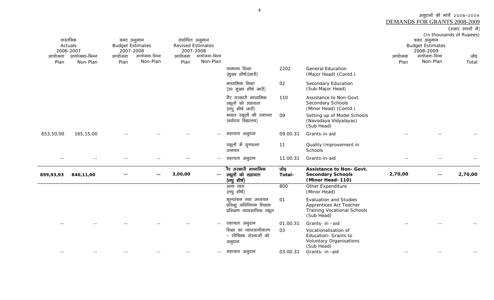| (हजार रुपयो में) |  |
|------------------|--|
|                  |  |

| (हजार रूपर्यो में)       |  |
|--------------------------|--|
| (In thousands of Rupees) |  |

| वास्तविक<br>बजट अनुमान<br>Actuals<br><b>Budget Estimates</b><br>2006-2007<br>2007-2008<br>आयोजना–भिन्न<br>आयोजना<br>आयोजना<br>Plan<br>Non-Plan<br>Plan |           | आयोजना-भिन्न<br>Non-Plan | आयोजना<br>Plan | संशोधित अनुमान<br><b>Revised Estimates</b><br>2007-2008<br>आयोजना-भिन्न<br>Non-Plan |               |                                                                                | आयोजना<br>Plan | बजट अनुमान<br><b>Budget Estimates</b><br>2008-2009<br>आयोजना-भिन्न<br>Non-Plan                               | (iii thousanus of Kupcos)<br>जोड़<br>Total |       |         |
|--------------------------------------------------------------------------------------------------------------------------------------------------------|-----------|--------------------------|----------------|-------------------------------------------------------------------------------------|---------------|--------------------------------------------------------------------------------|----------------|--------------------------------------------------------------------------------------------------------------|--------------------------------------------|-------|---------|
|                                                                                                                                                        |           |                          |                |                                                                                     |               | सामान्य शिक्षा<br>(मुख्य शीर्ष)(जारी)                                          | 2202           | <b>General Education</b><br>(Major Head) (Contd.)                                                            |                                            |       |         |
|                                                                                                                                                        |           |                          |                |                                                                                     |               | माध्यमिक शिक्षा<br>(उप मुख्य शीर्ष जारी)                                       | 02             | Secondary Education<br>(Sub-Major Head)                                                                      |                                            |       |         |
|                                                                                                                                                        |           |                          |                |                                                                                     |               | गैर सरकारी माध्यमिक<br>स्कूलों को सहायता<br>(लघुशीर्ष जारी)                    | 110            | Assistance to Non-Govt.<br>Secondary Schools<br>(Minor Head) (Contd.)                                        |                                            |       |         |
|                                                                                                                                                        |           |                          |                |                                                                                     |               | माडल स्कूलों की स्थापना<br>(नवोदय विद्यालय)                                    | 09             | Setting up of Model Schools<br>(Navodaya Vidyalayas)<br>(Sub Head)                                           |                                            |       |         |
| 653,50,00                                                                                                                                              | 165,15,00 |                          |                |                                                                                     | $-  \,$       | सहायता अनुदान                                                                  | 09.00.31       | Grants-in-aid                                                                                                |                                            |       |         |
|                                                                                                                                                        |           |                          |                |                                                                                     |               | स्कूलों में गुणवत्ता<br>उन्नयन                                                 | 11             | Quality Improvement in<br>Schools                                                                            |                                            |       |         |
|                                                                                                                                                        |           |                          |                |                                                                                     | $ -$          | सहायता अनुदान                                                                  | 11.00.31       | Grants-in-aid                                                                                                |                                            |       |         |
| 899,93,93                                                                                                                                              | 840,11,00 |                          |                | 3,00,00                                                                             | $\sim$ $\sim$ | ैर सरकारी माध्यमिक<br>स्कूलों को सहायता<br>(लघु शीर्ष)                         | जोड़<br>Total- | <b>Assistance to Non- Govt.</b><br><b>Secondary Schools</b><br>(Minor Head-110)                              | 2,70,00                                    | $- -$ | 2,70,00 |
|                                                                                                                                                        |           |                          |                |                                                                                     |               | अन्य व्यय<br>(लघु शीर्ष)                                                       | 800            | Other Expenditure<br>(Minor Head)                                                                            |                                            |       |         |
|                                                                                                                                                        |           |                          |                |                                                                                     |               | मूल्यांकन तथा अध्ययन<br>प्रशिक्षु अधिनियम शिक्षक<br>प्रशिक्षण व्यावसायिक स्कूल | 01             | <b>Evaluation and Studies</b><br>Apprentices Act Teacher<br><b>Training Vocational Schools</b><br>(Sub Head) |                                            |       |         |
|                                                                                                                                                        |           |                          |                |                                                                                     | $\sim$ $\sim$ | सहायता अनुदान                                                                  | 01.00.31       | Grants- in -aid                                                                                              |                                            |       |         |
|                                                                                                                                                        |           |                          |                |                                                                                     |               | शिक्षा का व्यावसायीकरण<br>- स्वैच्छिक संस्थाओं को<br>अनुदान                    | 03             | Vocationalisation of<br>Education- Grants to<br><b>Voluntary Organisations</b><br>(Sub Head)                 |                                            |       |         |
| --                                                                                                                                                     |           |                          |                |                                                                                     | $- -$         | सहायता अनुदान                                                                  | 03.00.31       | Grants- in -aid                                                                                              |                                            |       |         |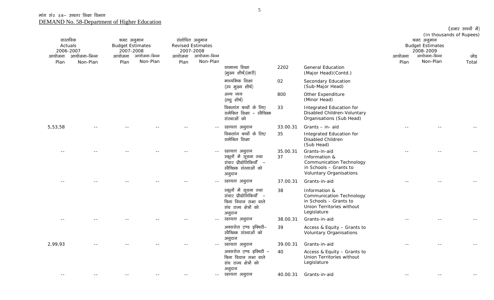|                                  |              |                                                    |                          |        |                                                         |                                                                                                             |                |                                                                                                                               |        |                                                    | (हजार रुपयों में)<br>(In thousands of Rupees) |
|----------------------------------|--------------|----------------------------------------------------|--------------------------|--------|---------------------------------------------------------|-------------------------------------------------------------------------------------------------------------|----------------|-------------------------------------------------------------------------------------------------------------------------------|--------|----------------------------------------------------|-----------------------------------------------|
| वास्तविक<br>Actuals<br>2006-2007 |              | बजट अनुमान<br><b>Budget Estimates</b><br>2007-2008 |                          |        | संशोधित अनुमान<br><b>Revised Estimates</b><br>2007-2008 |                                                                                                             |                |                                                                                                                               |        | बजट अनुमान<br><b>Budget Estimates</b><br>2008-2009 |                                               |
| आयोजना                           | आयोजना-भिन्न | आयोजना                                             | आयोजना-भिन्न<br>Non-Plan | आयोजना | आयोजना-भिन्न<br>Non-Plan                                |                                                                                                             |                |                                                                                                                               | आयोजना | आयोजना-भिन्न<br>Non-Plan                           | जोड़<br>Total                                 |
| Plan                             | Non-Plan     | Plan                                               |                          | Plan   |                                                         | सामान्य शिक्षा<br>(मुख्य शीर्ष)(जारी)                                                                       | 2202           | <b>General Education</b><br>(Major Head) (Contd.)                                                                             | Plan   |                                                    |                                               |
|                                  |              |                                                    |                          |        |                                                         | माध्यमिक शिक्षा<br>(उप मुख्य शीर्ष)                                                                         | 02             | Secondary Education<br>(Sub-Major Head)                                                                                       |        |                                                    |                                               |
|                                  |              |                                                    |                          |        |                                                         | अन्य व्यय<br>(लघुशीर्ष)                                                                                     | 800            | Other Expenditure<br>(Minor Head)                                                                                             |        |                                                    |                                               |
|                                  |              |                                                    |                          |        |                                                         | विकलांग बच्चों के लिए<br>समेकित शिक्षा – स्वैच्छिक<br>संस्थाओं को                                           | 33             | Integrated Education for<br>Disabled Children-Voluntary<br>Organisations (Sub Head)                                           |        |                                                    |                                               |
| 5,53,58                          |              |                                                    |                          |        | $\sim$ $-$                                              | स्हायता अनुदान                                                                                              | 33.00.31       | Grants - in- aid                                                                                                              |        |                                                    |                                               |
|                                  |              |                                                    |                          |        |                                                         | विकलांग बच्चों के लिए<br>समेकित शिक्षा                                                                      | 35             | Integrated Education for<br>Disabled Children<br>(Sub Head)                                                                   |        |                                                    |                                               |
|                                  |              |                                                    |                          |        |                                                         | स्हायता अनुदान<br>स्कूलों में सूचना तथा<br>संचार प्रौद्योगिकियाँ –<br>खेच्छिक संस्थाओं को<br>अनुदान         | 35.00.31<br>37 | Grants-in-aid<br>Information &<br><b>Communication Technology</b><br>in Schools - Grants to<br><b>Voluntary Organisations</b> |        |                                                    |                                               |
|                                  |              |                                                    |                          |        | $\sim$ $\sim$                                           | स्हायता अनुदान                                                                                              | 37.00.31       | Grants-in-aid                                                                                                                 |        |                                                    |                                               |
|                                  |              |                                                    |                          |        |                                                         | स्कूलों में सूचना तथा<br>संचार प्रौद्योगिकियाँ –<br>बिना विधान सभा वाले<br>संघ राज्य क्षेत्रों को<br>अनुदान | 38             | Information &<br>Communication Technology<br>in Schools - Grants to<br>Union Territories without<br>Legislature               |        |                                                    |                                               |
|                                  |              |                                                    |                          |        | $\sim$ $-$                                              | स्हायता अनुदान                                                                                              | 38.00.31       | Grants-in-aid                                                                                                                 |        |                                                    |                                               |
|                                  |              |                                                    |                          |        |                                                         | अक्ससेस एण्ड इक्विटी-<br>खेच्छिक संस्थाओं को<br>अनुदान                                                      | 39             | Access & Equity - Grants to<br><b>Voluntary Organisations</b>                                                                 |        |                                                    |                                               |
| 2,99,93                          |              |                                                    |                          |        | $\sim$ $-$                                              | स्हायता अनुदान                                                                                              | 39.00.31       | Grants-in-aid                                                                                                                 |        |                                                    |                                               |
|                                  |              |                                                    |                          |        |                                                         | अक्ससेस एण्ड इक्विटी -<br>बिना विधान सभा वाले<br>संघ राज्य क्षेत्रों को<br>अनुदान                           | 40             | Access & Equity - Grants to<br>Union Territories without<br>Legislature                                                       |        |                                                    |                                               |
| $ -$                             |              |                                                    |                          |        | $\sim$ $-$                                              | स्हायता अनूदान                                                                                              | 40.00.31       | Grants-in-aid                                                                                                                 |        |                                                    |                                               |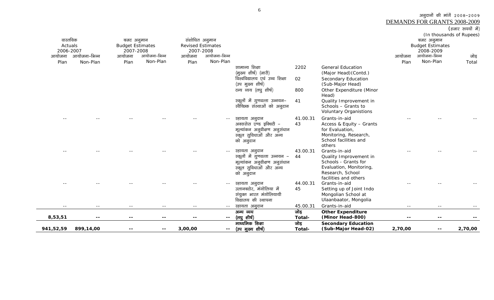(हजार रुपयों में) (In thousands of Rupees) वास्तविक Actuals 2006-2007 .<br>आयोजना आयोजना–भिन्न बजट अनुमान Budget Estimates 2007-2008 आयोजना–भिन्न संशोधित अनुमान Revised Estimates 2007-2008 .<br>आयोजना-भिन्न बजट अनुमान Budget Estimates 2008-2009 आयोजना-भिन्न Plan Non-Plan आयोजना PlanNon-Planआयोजना PlanNon-Plan आयोजना Plan Non-Plan जोड़ Total सामान्य शिक्षा (मुख्य शीर्ष) (जारी) 2202 General Education (Major Head)(Contd.) विश्वविद्यालय एवं उच्च शिक्षा (उप मुख्य शीर्ष)<br>टन्य व्यय (लघु शीर्ष) 02 Secondary Education (Sub-Major Head) 800 Other Expenditure (Minor Head) स्कूलों में गुणवत्ता उन्नयन-रवेच्छिक संस्थाओं को अनुदान 41 Quality Improvement in Schools – Grants to Voluntary Organistions -- -- -- -- -- -- Lgk;rk vuqnku 41.00.31 Grants-in-aid -- -- -- अक्ससेस एण्ड इक्विटी – मूल्यांकन अनूवीक्षण अनूसंधान स्कूल सुविधाओं और अन्य को अनुदान 43 Access & Equity – Grants for Evaluation, Monitoring, Research, School facilities and others -- -- -- -- -- -- Lgk;rk vuqnku 43.00.31 Grants-in-aid -- -- --  $\overline{\text{2}}$ स्कूलों में गुणवत्ता उन्नयन - 44  $\frac{c}{\pi}$ संकन अनुवीक्षण अनुसंधान स्कूल सुविधाओं और अन्य को अनुदान Quality Improvement in Schools - Grants for Evaluation, Monitoring, Research, School facilities and others -- -- -- -- -- -- Lgk;rk vuqnku 44.00.31 Grants-in-aid -- -- -- उलानबटोर, मंगोलिया में संयुक्त भारत मंगोलियायी विद्यालय की स्थापना 45 Setting up of Joint Indo Mongolian School at Ulaanbaator, Mongolia -- -- -- -- -- -- Lgk;rk vuqnku 45.00.31 Grants-in-aid -- -- -- **8,53,51 -- -- -- -- --**  अन्य व्यय (লঘু शीर्ष) जोड **Total-Other Expenditure (Minor Head-800) -- -- -- 941,52,59 899,14,00 -- -- 3,00,00 --**  माध्यमिक शिक्षा -- (उप मुख्य शीर्ष) जोड **Total-Secondary Education (Sub-Major Head-02) 2,70,00 -- 2,70,00** 

6

3ानुदानों की मांगें 2008-2009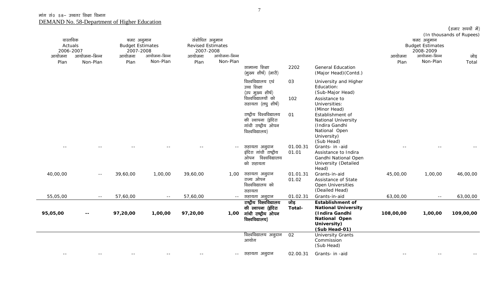| वास्तविक<br>Actuals<br>2006-2007<br>आयोजना-भिन्न<br>आयोजना |            | बजट अनुमान<br><b>Budget Estimates</b><br>2007-2008 | आयोजना-भिन्न | संशोधित अनुमान<br><b>Revised Estimates</b><br>2007-2008 | आयोजना-भिन्न |                                                                                             |                   |                                                                                                                                 | (In thousands of Rupees)<br>बजट अनुमान<br><b>Budget Estimates</b><br>2008-2009<br>आयोजना-भिन्न<br>आयोजना |          |               |  |
|------------------------------------------------------------|------------|----------------------------------------------------|--------------|---------------------------------------------------------|--------------|---------------------------------------------------------------------------------------------|-------------------|---------------------------------------------------------------------------------------------------------------------------------|----------------------------------------------------------------------------------------------------------|----------|---------------|--|
| Plan                                                       | Non-Plan   | आयोजना<br>Plan                                     | Non-Plan     | आयोजना<br>Plan                                          | Non-Plan     |                                                                                             |                   |                                                                                                                                 | Plan                                                                                                     | Non-Plan | जोड़<br>Total |  |
|                                                            |            |                                                    |              |                                                         |              | सामान्य शिक्षा<br>(मुख्य शीर्ष) (जारी)                                                      | 2202              | <b>General Education</b><br>(Major Head) (Contd.)                                                                               |                                                                                                          |          |               |  |
|                                                            |            |                                                    |              |                                                         |              | विश्वविद्यालय एवं<br>उच्च शिक्षा<br>(उप मुख्य शीर्ष)                                        | 03                | University and Higher<br>Education:<br>(Sub-Major Head)                                                                         |                                                                                                          |          |               |  |
|                                                            |            |                                                    |              |                                                         |              | विश्वविद्यालयों को<br>सहायता (लघु शीर्ष)                                                    | 102               | Assistance to<br>Universities:<br>(Minor Head)                                                                                  |                                                                                                          |          |               |  |
|                                                            |            |                                                    |              |                                                         |              | राष्ट्रीय विश्वविद्यालय<br>की स्थापना (इंदिरा<br>गांधी राष्ट्रीय ओपन<br>विश्वविद्यालय)      | 01                | Establishment of<br>National University<br>(Indira Gandhi<br>National Open<br>University)<br>(Sub Head)                         |                                                                                                          |          |               |  |
|                                                            |            |                                                    |              |                                                         | $- -$        | सहायता अनुदान<br>इंदिरा गांधी राष्ट्रीय<br>ओपन विश्वविद्यालय<br>को सहायता                   | 01.00.31<br>01.01 | Grants- in -aid<br>Assistance to Indira<br>Gandhi National Open<br><b>University (Detailed</b><br>Head)                         |                                                                                                          |          |               |  |
| 40,00,00                                                   | $ -$       | 39,60,00                                           | 1,00,00      | 39,60,00                                                |              | 1,00 सहायता अनुदान<br>राज्य ओपन<br>विश्वविद्यालय को<br>सहायता                               | 01.01.31<br>01.02 | Grants-in-aid<br>Assistance of State<br>Open Universities<br>(Deailed Head)                                                     | 45,00,00                                                                                                 | 1,00,00  | 46,00,00      |  |
| 55,05,00                                                   | $- -$      | 57,60,00                                           | $\sim$ $-$   | 57,60,00                                                | $  \,$       | सहायता अनुदान                                                                               | 01.02.31          | Grants-in-aid                                                                                                                   | 63,00,00                                                                                                 | $  \,$   | 63,00,00      |  |
| 95,05,00                                                   | --         | 97,20,00                                           | 1,00,00      | 97,20,00                                                |              | राष्ट्रीय विश्वविद्यालय<br>की स्थापना (इंदिरा<br>1,00 गांधी राष्ट्रीय ओपन<br>विश्वविद्यालय) | जोड़<br>Total-    | <b>Establishment of</b><br><b>National University</b><br>(Indira Gandhi<br><b>National Open</b><br>University)<br>(Sub Head-01) | 108,00,00                                                                                                | 1,00,00  | 109,00,00     |  |
|                                                            |            |                                                    |              |                                                         |              | विश्वविद्यालय अनुदान<br>आयोग                                                                | 02                | <b>University Grants</b><br>Commission<br>(Sub Head)                                                                            |                                                                                                          |          |               |  |
| $\sim$ $-$                                                 | $\sim$ $-$ | $- -$                                              | $\sim$ $-$   |                                                         |              | -- सहायता अनूदान                                                                            | 02.00.31          | Grants- in -aid                                                                                                                 | $- -$                                                                                                    | $- -$    |               |  |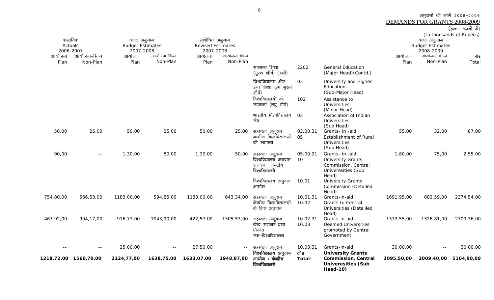(हजार रूपयों में) (In thousands of Rupees) वास्तविक Actuals 2006-2007 .<br>आयोजना–भिन्न बजट अनुमान Budget Estimates 2007-2008 .<br>आयोजना-भिन्न संशोधित अनुमान Revised Estimates 2007-2008 .<br>आयोजना-भिन्न बजट अनुमान Budget Estimates 2008-2009 .<br>आयोजना-भिन्न आयोजना Plan Non-Plan आयोजना PlanNon-Planआयोजना Plan Non-Planआयोजना Plan Non-Plan जोड Total सामान्य शिक्षा (मुख्य शीर्ष) (जारी) 2202 General Education (Major Head)(Contd.) विश्वविद्यालय और उच्च शिक्षा (उप मुख्य থীর্ড) 03 University and Higher Education: (Sub-Major Head) विश्वविद्यालयों को सहायता (लघू शीर्ष) 102 Assistance to Universities: (Minor Head) भारतीय विश्वविद्यालय संघ 03 Association of Indian Universities (Sub Head) 50,00 25,00 50,00 50,00 25,00 सहायता अनुदान 03.00.31 Grants- in -aid 55,00 32,00 87,00 ग्रामीण विश्वविद्यालयों की स्थापना 05 Establishment of Rural Universities (Sub Head) 90,00 -- 1,30,00 50,00 1,30,00 50,00 lgk;rk vuqnku 05.00.31 Grants- in -aid 1,80,00 75,00 2,55,00 विश्वविद्यालय अनुदान आयोग : केन्द्रीय विश्वविद्यालये 10 University Grants Commission, Central Univeresities (Sub Head) विश्वविद्यालय अनुदान आयोग 10.01 University Grants Commission (Detailed Head) 754,80,00 566,53,00 1183,00,00 594,85,00 1183,00,00 643,34,00 सहायता अनुदान 10.01.31 Grants-in-aid 1691,95,00 682,59,00 2374,54,00 केन्द्रीय विश्वविद्यालयों के लिए अनूदान 10.02 Grants to Central Universities (Detaiiled Head) 463,92,00 994,17,00 916,77,00 1043,90,00 422,57,00 1305,53,00 सहायता अनुदान 10.02.31 Grants-in-aid 1373,55,00 1326,81,00 2700,36,00 केन्द्र सरकार द्वारा पौद्धात सम–विश्वविद्यालय 10.03 Deemed Universities promoted by Central Government -- -- 25,00,00 -- 27,50,00 -- lgk;rk vuqnku 10.03.31 Grants-in-aid 30,00,00 -- 30,00,00 **1218,72,00 1560,70,00 2124,77,00 1638,75,00 1633,07,00 1948,87,00** विश्वविद्यालय अनुदान आयोग ः केन्द्रीय विश्वविद्यालये जोड़ **Total-University Grants Commission, Central Univeresities (Sub 3095,50,00 2009,40,00 5104,90,00** 

**Head-10)** 

8

3ानुदानों की मांगें 2008-2009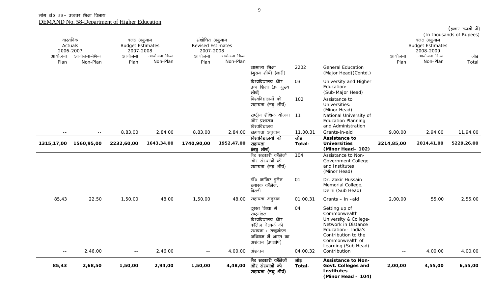| वास्तविक       |              | बजट अनुमान              |              | संशोधित अनुमान           |              |                                                                                                                                            |                |                                                                                                                                                                        |            | बजट अनुमान                | (In thousands of Rupees) |
|----------------|--------------|-------------------------|--------------|--------------------------|--------------|--------------------------------------------------------------------------------------------------------------------------------------------|----------------|------------------------------------------------------------------------------------------------------------------------------------------------------------------------|------------|---------------------------|--------------------------|
| Actuals        |              | <b>Budget Estimates</b> |              | <b>Revised Estimates</b> |              |                                                                                                                                            |                |                                                                                                                                                                        |            | <b>Budget Estimates</b>   |                          |
| 2006-2007      | आयोजना-भिन्न | 2007-2008               | आयोजना-भिन्न | 2007-2008                | आयोजना-भिन्न |                                                                                                                                            |                |                                                                                                                                                                        | आयोजना     | 2008-2009<br>आयोजना-भिन्न |                          |
| आयोजना<br>Plan | Non-Plan     | आयोजना<br>Plan          | Non-Plan     | आयोजना<br>Plan           | Non-Plan     |                                                                                                                                            |                |                                                                                                                                                                        | Plan       | Non-Plan                  | जोड़<br>Total            |
|                |              |                         |              |                          |              | सामान्य शिक्षा<br>(मुख्य शीर्ष) (जारी)                                                                                                     | 2202           | <b>General Education</b><br>(Major Head) (Contd.)                                                                                                                      |            |                           |                          |
|                |              |                         |              |                          |              | विश्वविद्यालय और<br>उच्च शिक्षा (उप मुख्य<br>शीर्ष)                                                                                        | 03             | University and Higher<br>Education:<br>(Sub-Major Head)                                                                                                                |            |                           |                          |
|                |              |                         |              |                          |              | विश्वविद्यालयों को<br>सहायता (लघु शीर्ष)                                                                                                   | 102            | Assistance to<br>Universities:<br>(Minor Head)                                                                                                                         |            |                           |                          |
|                |              |                         |              |                          |              | राष्ट्रीय शैक्षिक योजना 11<br>और प्रशासन<br>विश्वविद्यालय                                                                                  |                | National University of<br><b>Education Planning</b><br>and Administration                                                                                              |            |                           |                          |
| $ -$           | $\sim$ $-$   | 8,83,00                 | 2,84,00      | 8,83,00                  | 2,84,00      | सहायता अनुदान                                                                                                                              | 11.00.31       | Grants-in-aid                                                                                                                                                          | 9,00,00    | 2,94,00                   | 11,94,00                 |
| 1315,17,00     | 1560,95,00   | 2232,60,00              | 1643,34,00   | 1740,90,00               | 1952,47,00   | विश्वविद्यालयों को<br>सहायता<br>(लघुशीर्ष)                                                                                                 | जोड़<br>Total- | Assistance to<br><b>Universities</b><br>(Minor Head-102)                                                                                                               | 3214,85,00 | 2014,41,00                | 5229,26,00               |
|                |              |                         |              |                          |              | गैर सरकारी कॉलेजों<br>और संस्थाओं को<br>सहायता (लघु शीर्ष)                                                                                 | 104            | Assistance to Non-<br>Government College<br>and Institutes<br>(Minor Head)                                                                                             |            |                           |                          |
|                |              |                         |              |                          |              | डाँ० जाकिर हुसैन<br>स्मारक कॉलेज,<br>दिल्ली                                                                                                | 01             | Dr. Zakir Hussain<br>Memorial College,<br>Delhi (Sub Head)                                                                                                             |            |                           |                          |
| 85,43          | 22,50        | 1,50,00                 | 48,00        | 1,50,00                  | 48,00        | सहायता अनुदान                                                                                                                              | 01.00.31       | Grants - in -aid                                                                                                                                                       | 2,00,00    | 55,00                     | 2,55,00                  |
|                |              |                         |              |                          |              | दूरस्त शिक्षा में<br>राष्ट्रमंडल<br>विश्वविद्यालय और<br>कॉलेज नेटवर्क की<br>स्थापना : राष्ट्रमंडल<br>अधिगम में भारत का<br>अशंदान (उपशीर्ष) | 04             | Setting up of<br>Commonwealth<br>University & College-<br>Network in Distance<br>Education: - India's<br>Contribution to the<br>Commonwealth of<br>Learning (Sub Head) |            |                           |                          |
| $\sim$ $-$     | 2,46,00      | $\sim$ $-$              | 2,46,00      | $\sim$ $-$               | 4,00,00      | अंशदान                                                                                                                                     | 04.00.32       | Contribution                                                                                                                                                           | $\sim$ $-$ | 4,00,00                   | 4,00,00                  |
| 85,43          | 2,68,50      | 1,50,00                 | 2,94,00      | 1,50,00                  | 4,48,00      | गैर सरकारी कॉलेजों<br>और संस्थाओं को<br>सहायता (लघु शीर्ष)                                                                                 | जोड़<br>Total- | <b>Assistance to Non-</b><br>Govt. Colleges and<br><b>Institutes</b><br>(Minor Head - 104)                                                                             | 2,00,00    | 4,55,00                   | 6,55,00                  |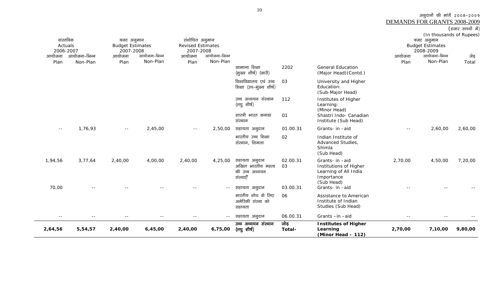| (हजार रूपयों में) |  |
|-------------------|--|
|                   |  |

| 2,64,56        | 5,54,57                  | 2,40,00                               | 6,45,00                  | 2,40,00                                    | 6,75,00                  | उच्च अध्ययन संस्थान<br>(लघु शीर्ष)                | जोड़<br>Total- | <b>Institutes of Higher</b><br>Learning<br>(Minor Head - 112)        | 2,70,00        | 7,10,00                               | 9,80,00       |
|----------------|--------------------------|---------------------------------------|--------------------------|--------------------------------------------|--------------------------|---------------------------------------------------|----------------|----------------------------------------------------------------------|----------------|---------------------------------------|---------------|
|                |                          |                                       |                          |                                            | $- -$                    | सहायता अनुदान                                     | 06.00.31       | Grants-in-aid                                                        |                |                                       |               |
|                |                          |                                       |                          |                                            |                          | भारतीय शोध के लिए<br>अमेरिकी संस्था को<br>सहायता  | 06             | Assistance to American<br>Institute of Indian<br>Studies (Sub Head)  |                |                                       |               |
| 70,00          |                          |                                       |                          |                                            | $- -$                    | की उच्च अध्ययन<br>संस्थाएँ<br>सहायता अनुदान       | 03.00.31       | Learning of All India<br>Importance<br>(Sub Head)<br>Grants- in -aid |                |                                       |               |
| 1,94,56        | 3,77,64                  | 2,40,00                               | 4,00,00                  | 2,40,00                                    | 4,25,00                  | सहायता अनुदान<br>अखिल भारतीय महत्व                | 02.00.31<br>03 | Grants- in -aid<br>Institutions of Higher                            | 2,70,00        | 4,50,00                               | 7,20,00       |
|                |                          |                                       |                          |                                            |                          | भारतीय उच्च शिक्षा<br>संस्थान, शिमला              | 02             | Indian Institute of<br>Advanced Studies,<br>Shimla<br>(Sub Head)     |                |                                       |               |
| $ -$           | 1,76,93                  | $- -$                                 | 2,45,00                  | $ -$                                       | 2,50,00                  | सहायता अनुदान                                     | 01.00.31       | Grants- in -aid                                                      | $- -$          | 2,60,00                               | 2,60,00       |
|                |                          |                                       |                          |                                            |                          | शास्त्री भारत कनाडा<br>संस्थान                    | 01             | (Minor Head)<br>Shastri Indo- Canadian<br>Institute (Sub Head)       |                |                                       |               |
|                |                          |                                       |                          |                                            |                          | उच्च अध्ययन संस्थान<br>(लघु शीर्ष)                | 112            | (Sub-Major Head)<br>Institutes of Higher<br>Learning:                |                |                                       |               |
|                |                          |                                       |                          |                                            |                          | विश्वविद्यालय एवं उच्च<br>शिक्षा (उप-मुख्य शीर्ष) | 03             | University and Higher<br>Education:                                  |                |                                       |               |
|                |                          |                                       |                          |                                            |                          | सामान्य शिक्षा<br>(मुख्य शीर्ष) (जारी)            | 2202           | <b>General Education</b><br>(Major Head) (Contd.)                    |                |                                       |               |
| आयोजना<br>Plan | आयोजना–भिन्न<br>Non-Plan | आयोजना<br>Plan                        | आयोजना-भिन्न<br>Non-Plan | आयोजना<br>Plan                             | आयोजना-भिन्न<br>Non-Plan |                                                   |                |                                                                      | आयोजना<br>Plan | आयोजना-भिन्न<br>Non-Plan              | जेड़<br>Total |
| 2006-2007      |                          | 2007-2008                             |                          | 2007-2008                                  |                          |                                                   |                |                                                                      |                | 2008-2009                             |               |
| Actuals        |                          | बजट अनुमान<br><b>Budget Estimates</b> |                          | संशोधित अनुमान<br><b>Revised Estimates</b> |                          |                                                   |                |                                                                      |                | बजट अनुमान<br><b>Budget Estimates</b> |               |
| वास्तविक       |                          |                                       |                          |                                            |                          |                                                   |                |                                                                      |                | (In thousands of Rupees)              |               |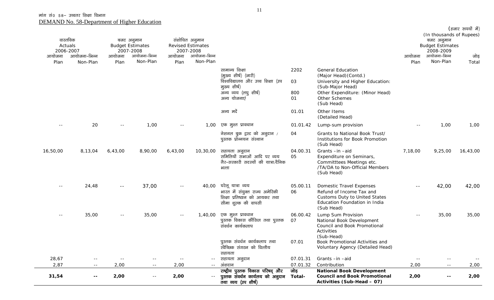| 31,54          | $\sim$ $\sim$<br>$\sim$ $-$                      | 2,00           | $\overline{a}$<br>$\sim$ $\sim$                                  | 2,00           |                                                                   | राष्ट्रीय पुस्तक विकास परिषद् और<br>पुस्तक संवर्धन कार्यलय को अनुदान<br>तथा व्यय (उप शीर्ष)                                         | 07.01.32<br>जोड़<br>Total- | <b>National Book Development</b><br><b>Council and Book Promotional</b><br>Activities (Sub-Head - 07)                                                                       | 2,00           | $ -$<br>$- -$                                                    | 2,00<br>2,00  |
|----------------|--------------------------------------------------|----------------|------------------------------------------------------------------|----------------|-------------------------------------------------------------------|-------------------------------------------------------------------------------------------------------------------------------------|----------------------------|-----------------------------------------------------------------------------------------------------------------------------------------------------------------------------|----------------|------------------------------------------------------------------|---------------|
| 28,67<br>2,87  | $\sim$ $-$                                       | 2,00           |                                                                  | 2,00           | $\sim$ $-$                                                        | सहायता अनुदान<br>अंशदान                                                                                                             | 07.01.31                   | Grants-in-aid<br>Contribution                                                                                                                                               | 2,00           | $ -$                                                             |               |
|                |                                                  |                |                                                                  |                |                                                                   | पुस्तक संवर्धन कार्यकलाप तथा<br>खेच्छिक संगठन को वित्तीय<br>सहायता                                                                  | 07.01                      | (Sub-Head)<br>Book Promotional Activities and<br>Voluntary Agency (Detailed Head)                                                                                           |                |                                                                  |               |
| $\sim$ $-$     | 35,00                                            | $\sim$ $-$     | 35,00                                                            | $\sim$ $-$     | 1,40,00                                                           | एक मुश्त प्रावधान<br>पुस्तक विकास कौंसिल तथा पुस्तक<br>संवर्धन कार्यकलाप                                                            | 06.00.42<br>07             | Lump Sum Provision<br>National Book Development<br>Council and Book Promotional<br>Activities                                                                               | $=$ $-$        | 35,00                                                            | 35,00         |
| $- -$          | 24,48                                            | $\sim$ $-$     | 37,00                                                            | $\sim$ $-$     | 40,00                                                             | घरेलू यात्रा व्यय<br>भारत में संयुक्त राज्य अमेरिकी<br>शिक्षा प्रतिष्ठान को आयकर तथा<br>सीमा शुल्क की वापसी                         | 05.00.11<br>06             | <b>Domestic Travel Expenses</b><br>Refund of Income Tax and<br><b>Customs Duty to United States</b><br>Education Foundation in India<br>(Sub Head)                          | $-$            | 42,00                                                            | 42,00         |
| 16,50,00       | 8,13,04                                          | 6,43,00        | 8,90,00                                                          | 6,43,00        | 10,30,00                                                          | सहायता अनुदान<br>समितियों सभाओं आदि पर व्यय<br>गैर-सरकारी सदस्यों की यात्रा/दैनिक<br>भत्ता                                          | 04.00.31<br>05             | Grants-in-aid<br>Expenditure on Seminars,<br>Committtees Meetings etc.<br>/TA/DA to Non-Official Members<br>(Sub Head)                                                      | 7,18,00        | 9,25,00                                                          | 16,43,00      |
|                |                                                  |                |                                                                  |                |                                                                   | नेशनल बुक ट्रस्ट को अनुदान /<br>पुस्तक प्रोन्नयन संस्थान                                                                            | 04                         | Grants to National Book Trust/<br>Institutions for Book Promotion<br>(Sub Head)                                                                                             |                |                                                                  |               |
| $- -$          | 20                                               | $- -$          | 1,00                                                             | $\sim$ $\sim$  | 1,00                                                              | एक मुश्त प्रावधान                                                                                                                   | 01.01.42                   | (Detailed Head)<br>Lump-sum provision                                                                                                                                       |                | 1,00                                                             | 1,00          |
|                |                                                  |                |                                                                  |                |                                                                   | अन्य मर्दे                                                                                                                          | 01.01                      | Other Items                                                                                                                                                                 |                |                                                                  |               |
|                |                                                  |                |                                                                  |                |                                                                   | सामान्य शिक्षा<br>(मुख्य शीर्ष) (जारी)<br>विश्वविद्यालय और उच्च शिक्षा (उप<br>मुख्य शीर्ष)<br>अन्य व्यय (लघु शीर्ष)<br>अन्य योजनाएं | 2202<br>03<br>800<br>01    | <b>General Education</b><br>(Major Head) (Contd.)<br>University and Higher Education:<br>(Sub-Major Head)<br>Other Expenditure: (Minor Head)<br>Other Schemes<br>(Sub Head) |                |                                                                  |               |
| आयोजना<br>Plan | Actuals<br>2006-2007<br>आयोजना–भिन्न<br>Non-Plan | आयोजना<br>Plan | <b>Budget Estimates</b><br>2007-2008<br>आयोजना–भिन्न<br>Non-Plan | आयोजना<br>Plan | <b>Revised Estimates</b><br>2007-2008<br>आयोजना-भिन्न<br>Non-Plan |                                                                                                                                     |                            |                                                                                                                                                                             | आयोजना<br>Plan | <b>Budget Estimates</b><br>2008-2009<br>आयोजना-भिन्न<br>Non-Plan | जोड़<br>Total |
|                | वास्तविक                                         |                | बजट अनुमान                                                       |                | संशोधित अनुमान                                                    |                                                                                                                                     |                            |                                                                                                                                                                             |                | (In thousands of Rupees)<br>बजट अनुमान                           |               |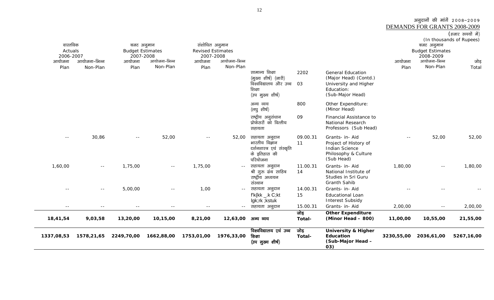### अनुदानों की मांगें २००८-२००९ DEMANDS FOR GRANTS 2008-2009<br>(हजार रुपयों में)

| वास्तविक<br>Actuals<br>2006-2007 |              | बजट अनुमान<br><b>Budget Estimates</b><br>2007-2008 |              | संशोधित अनुमान<br><b>Revised Estimates</b><br>2007-2008 |              |                                                                                               |                |                                                                                                              |            | बजट अनुमान<br><b>Budget Estimates</b><br>2008-2009 | (In thousands of Rupees) |
|----------------------------------|--------------|----------------------------------------------------|--------------|---------------------------------------------------------|--------------|-----------------------------------------------------------------------------------------------|----------------|--------------------------------------------------------------------------------------------------------------|------------|----------------------------------------------------|--------------------------|
| आयोजना                           | आयोजना–भिन्न | आयोजना                                             | आयोजना-भिन्न | आयोजना                                                  | आयोजना-भिन्न |                                                                                               |                |                                                                                                              | आयोजना     | आयोजना-भिन्न                                       | जोड़                     |
| Plan                             | Non-Plan     | Plan                                               | Non-Plan     | Plan                                                    | Non-Plan     |                                                                                               |                |                                                                                                              | Plan       | Non-Plan                                           | Total                    |
|                                  |              |                                                    |              |                                                         |              | सामान्य शिक्षा<br>(मुख्य शीर्ष) (जारी)<br>विश्वविद्यालय और उच्च<br>शिक्षा<br>(उप मुख्य शीर्ष) | 2202<br>03     | <b>General Education</b><br>(Major Head) (Contd.)<br>University and Higher<br>Education:<br>(Sub-Major Head) |            |                                                    |                          |
|                                  |              |                                                    |              |                                                         |              | अन्य व्यय<br>(लघु शीर्ष)                                                                      | 800            | Other Expenditure:<br>(Minor Head)                                                                           |            |                                                    |                          |
|                                  |              |                                                    |              |                                                         |              | राष्ट्रीय अनुसंधान<br>प्रोफेसरों को वित्तीय<br>सहायता                                         | 09             | Financial Assistance to<br><b>National Research</b><br>Professors (Sub Head)                                 |            |                                                    |                          |
| $  \,$                           | 30,86        | $  \,$                                             | 52,00        | $\sim$ $\sim$                                           | 52,00        | सहायता अनुदान<br>भारतीय विज्ञान<br>दर्शनशास्त्र एवं संस्कृति<br>के इतिहास की<br>परियोजना      | 09.00.31<br>11 | Grants- in- Aid<br>Project of History of<br><b>Indian Science</b><br>Philosophy & Culture<br>(Sub Head)      | $- -$      | 52,00                                              | 52,00                    |
| 1,60,00                          | $ -$         | 1,75,00                                            | $- -$        | 1,75,00                                                 |              | सहायता अनुदान<br>श्री गुरु ग्रंथ साहिब<br>राष्ट्रीय अध्ययन<br>संस्थान                         | 11.00.31<br>14 | Grants- in- Aid<br>National Institute of<br>Studies in Sri Guru<br><b>Granth Sahib</b>                       | 1,80,00    | $\sim$ $-$                                         | 1,80,00                  |
|                                  | $\sim$ $-$   | 5,00,00                                            | $- -$        | 1,00                                                    | $- -$        | सहायता अनुदान                                                                                 | 14.00.31       | Grants- in- Aid                                                                                              |            |                                                    |                          |
|                                  |              |                                                    |              |                                                         |              | $f'k\{kk \_.k C;kt$<br>lgk;rk ;kstuk                                                          | 15             | <b>Educational Loan</b><br><b>Interest Subsidy</b>                                                           |            |                                                    |                          |
| $ -$                             | $ -$         | $\equiv$ $\equiv$                                  | $\sim$ $-$   | $\sim$ $-$                                              |              | सहायता अनुदान                                                                                 | 15.00.31       | Grants- in- Aid                                                                                              | 2,00,00    | $\sim$ $-$                                         | 2,00,00                  |
| 18,41,54                         | 9,03,58      | 13,20,00                                           | 10,15,00     | 8,21,00                                                 | 12,63,00     | अन्य व्यय                                                                                     | जोड़<br>Total- | <b>Other Expenditure</b><br>(Minor Head - 800)                                                               | 11,00,00   | 10,55,00                                           | 21,55,00                 |
| 1337,08,53                       | 1578,21,65   | 2249,70,00                                         | 1662,88,00   | 1753,01,00                                              | 1976,33,00   | विश्वविद्यालय एवं उच्च<br>शिक्षा<br>(उप मुख्य शीर्ष)                                          | जोड़<br>Total- | <b>University &amp; Higher</b><br>Education<br>(Sub-Major Head -<br>03)                                      | 3230,55,00 | 2036,61,00                                         | 5267,16,00               |

12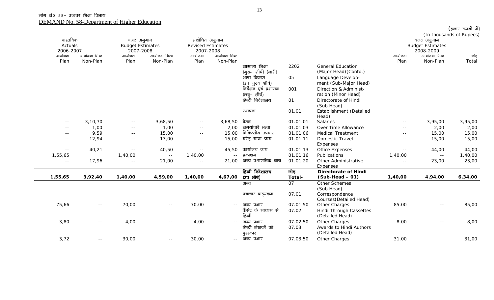| वास्तविक<br>Actuals<br>2006-2007 |               | बजट अनुमान<br><b>Budget Estimates</b><br>2007-2008 |               | संशोधित अनुमान<br><b>Revised Estimates</b><br>2007-2008 |              |                                             |                   |                                                             |               | बजट अनुमान<br><b>Budget Estimates</b><br>2008-2009 | (In thousands of Rupees) |
|----------------------------------|---------------|----------------------------------------------------|---------------|---------------------------------------------------------|--------------|---------------------------------------------|-------------------|-------------------------------------------------------------|---------------|----------------------------------------------------|--------------------------|
| आयोजना                           | आयोजना-भिन्न  | आयोजना                                             | आयोजना-भिन्न  | आयोजना                                                  | आयोजना-भिन्न |                                             |                   |                                                             | आयोजना        | आयोजना-भिन्न                                       | जोड़                     |
| Plan                             | Non-Plan      | Plan                                               | Non-Plan      | Plan                                                    | Non-Plan     | सामान्य शिक्षा<br>(मुख्य शीर्ष) (जारी)      | 2202              | <b>General Education</b><br>(Major Head) (Contd.)           | Plan          | Non-Plan                                           | Total                    |
|                                  |               |                                                    |               |                                                         |              | भाषा विकास<br>(उप मुख्य शीर्ष)              | 05                | Language Develop-<br>ment (Sub-Major Head)                  |               |                                                    |                          |
|                                  |               |                                                    |               |                                                         |              | निर्देशन एवं प्रशासन<br>(लघु– शीर्ष)        | 001               | Direction & Administ-<br>ration (Minor Head)                |               |                                                    |                          |
|                                  |               |                                                    |               |                                                         |              | हिन्दी निदेशालय                             | 01                | Directorate of Hindi<br>(Sub Head)                          |               |                                                    |                          |
|                                  |               |                                                    |               |                                                         |              | स्थापना                                     | 01.01             | Establishment (Detailed<br>Head)                            |               |                                                    |                          |
| $\sim$ $-$                       | 3, 10, 70     | $\sim$ $-$                                         | 3,68,50       | $\sim$ $-$                                              | 3,68,50      | वेतन                                        | 01.01.01          | Salaries                                                    | $  \,$        | 3,95,00                                            | 3,95,00                  |
| $\sim$ $-$                       | 1,00          | $\sim$ $-$                                         | 1,00          | $\sim$ $\sim$                                           | 2,00         | समयोपरि भत्ता                               | 01.01.03          | Over Time Allowance                                         | $\sim$ $\sim$ | 2,00                                               | 2,00                     |
| $\sim$ $\sim$                    | 9,59          | $\sim$ $\sim$                                      | 15,00         | $\sim$ $-$                                              | 15,00        | चिकित्सीय उपचार                             | 01.01.06          | <b>Medical Treatment</b>                                    | $\sim$ $\sim$ | 15,00                                              | 15,00                    |
| $\sim$ $-$                       | 12,94         | $\sim$ $\sim$                                      | 13,00         | $\sim$ $\sim$                                           | 15,00        | घरेलू यात्रा व्यय                           | 01.01.11          | Domestic Travel<br>Expenses                                 | $\sim$ $-$    | 15,00                                              | 15,00                    |
| $\sim$ $-$                       | 40,21         | $\sim$ $-$                                         | 40,50         | $-$                                                     | 45,50        | कार्यालय व्यय                               | 01.01.13          | Office Expenses                                             | $- -$         | 44,00                                              | 44,00                    |
| 1,55,65                          |               | 1,40,00                                            | $\sim$ $-$    | 1,40,00                                                 | $\sim$ $-$   | प्रकाशन                                     | 01.01.16          | Publications                                                | 1,40,00       | $\sim$ $\sim$                                      | 1,40,00                  |
| $- -$                            | 17,96         | $\sim$ $\sim$                                      | 21,00         | $\sim$ $\sim$                                           | 21,00        | अन्य प्रशासनिक व्यय                         | 01.01.20          | Other Administrative<br>Expenses                            | $\sim$ $\sim$ | 23,00                                              | 23,00                    |
|                                  |               |                                                    |               |                                                         |              | हिन्दी निदेशालय                             | जोड़              | <b>Directorate of Hindi</b>                                 |               |                                                    |                          |
| 1,55,65                          | 3,92,40       | 1,40,00                                            | 4,59,00       | 1,40,00                                                 | 4,67,00      | (उप शीर्ष)                                  | Total-            | $(Sub-Head - 01)$                                           | 1,40,00       | 4,94,00                                            | 6,34,00                  |
|                                  |               |                                                    |               |                                                         |              | अन्य                                        | 07                | Other Schemes<br>(Sub Head)                                 |               |                                                    |                          |
|                                  |               |                                                    |               |                                                         |              | पत्राचार पाठ्यकम                            | 07.01             | Correspondence<br>Courses (Detailed Head)                   |               |                                                    |                          |
| 75,66                            | $\sim$ $\sim$ | 70,00                                              | $\sim$ $\sim$ | 70,00                                                   | $- -$        | अन्य प्रभार<br>कैसेट के माध्यम से<br>हिन्दी | 07.01.50<br>07.02 | Other Charges<br>Hindi Through Cassettes<br>(Detailed Head) | 85,00         | $\sim$ $-$                                         | 85,00                    |
| 3,80                             | $\sim$ $-$    | 4,00                                               | $\sim$ $-$    | 4,00                                                    | $- -$        | अन्य प्रभार<br>हिन्दी लेखकों को<br>पुरस्कार | 07.02.50<br>07.03 | Other Charges<br>Awards to Hindi Authors<br>(Detailed Head) | 8,00          | $\sim$ $\sim$                                      | 8,00                     |
| 3,72                             | $- -$         | 30,00                                              | $- -$         | 30,00                                                   | $\sim$ $-$   | अन्य प्रभार                                 | 07.03.50          | Other Charges                                               | 31,00         |                                                    | 31,00                    |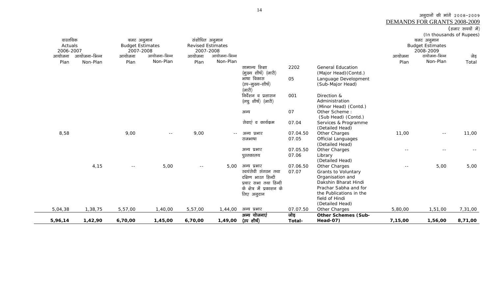DEMANDS FOR GRANTS 2008-2009

| (हजार रूपयों में) |  |
|-------------------|--|
|                   |  |

| वास्तविक             |              | बजट अनुमान                           |              | संशोधित अनुमान                        |              |                                                                                                                              |                   |                                                                                                                                                                           |         | (In thousands of Rupees)<br>बजट अनुमान |         |
|----------------------|--------------|--------------------------------------|--------------|---------------------------------------|--------------|------------------------------------------------------------------------------------------------------------------------------|-------------------|---------------------------------------------------------------------------------------------------------------------------------------------------------------------------|---------|----------------------------------------|---------|
| Actuals<br>2006-2007 |              | <b>Budget Estimates</b><br>2007-2008 |              | <b>Revised Estimates</b><br>2007-2008 |              |                                                                                                                              |                   |                                                                                                                                                                           |         | <b>Budget Estimates</b><br>2008-2009   |         |
| आयोजना               | आयोजना–भिन्न | आयोजना                               | आयोजना-भिन्न | आयोजना                                | आयोजना-भिन्न |                                                                                                                              |                   |                                                                                                                                                                           | आयोजना  | टायोजना-भिन्न                          | जेड़    |
| Plan                 | Non-Plan     | Plan                                 | Non-Plan     | Plan                                  | Non-Plan     |                                                                                                                              |                   |                                                                                                                                                                           | Plan    | Non-Plan                               | Total   |
|                      |              |                                      |              |                                       |              | सामान्य शिक्षा<br>(मुख्य शीर्ष) (जारी)                                                                                       | 2202              | <b>General Education</b><br>(Major Head) (Contd.)                                                                                                                         |         |                                        |         |
|                      |              |                                      |              |                                       |              | भाषा विकास<br>(उप–मुख्य–शीर्ष)<br>(जारी)                                                                                     | 05                | Language Development<br>(Sub-Major Head)                                                                                                                                  |         |                                        |         |
|                      |              |                                      |              |                                       |              | निर्देशन व प्रशासन<br>(लघु शीर्ष) (जारी)                                                                                     | 001               | Direction &<br>Administration<br>(Minor Head) (Contd.)                                                                                                                    |         |                                        |         |
|                      |              |                                      |              |                                       |              | अन्य                                                                                                                         | 07                | Other Scheme:<br>(Sub Head) (Contd.)                                                                                                                                      |         |                                        |         |
|                      |              |                                      |              |                                       |              | सेवाएं व कार्यक्रम                                                                                                           | 07.04             | Services & Programme<br>(Detailed Head)                                                                                                                                   |         |                                        |         |
| 8,58                 |              | 9,00                                 | $\sim$ $-$   | 9,00                                  | $  \,$       | अन्य प्रभार                                                                                                                  | 07.04.50          | Other Charges                                                                                                                                                             | 11,00   | $ -$                                   | 11,00   |
|                      |              |                                      |              |                                       |              | राजभाषा                                                                                                                      | 07.05             | <b>Official Languages</b><br>(Detailed Head)                                                                                                                              |         |                                        |         |
|                      |              |                                      |              |                                       |              | अन्य प्रभार                                                                                                                  | 07.05.50          | Other Charges                                                                                                                                                             | $ -$    |                                        |         |
|                      |              |                                      |              |                                       |              | पुस्तकालय                                                                                                                    | 07.06             | Library<br>(Detailed Head)                                                                                                                                                |         |                                        |         |
|                      | 4,15         |                                      | 5,00         | $- -$                                 | 5,00         | अन्य प्रभार<br>स्वयंसेवी संगठन तथा<br>दक्षिण भारत हिन्दी<br>प्रचार सभा तथा हिन्दी<br>के क्षेत्र में प्रकाशन के<br>लिए अनुदान | 07.06.50<br>07.07 | Other Charges<br>Grants to Voluntary<br>Organisation and<br>Dakshin Bharat Hindi<br>Prachar Sabha and for<br>the Publications in the<br>field of Hindi<br>(Detailed Head) | $- -$   | 5,00                                   | 5,00    |
| 5,04,38              | 1,38,75      | 5,57,00                              | 1,40,00      | 5,57,00                               | 1,44,00      | अन्य प्रभार                                                                                                                  | 07.07.50          | Other Charges                                                                                                                                                             | 5,80,00 | 1,51,00                                | 7,31,00 |
| 5,96,14              | 1,42,90      | 6,70,00                              | 1,45,00      | 6,70,00                               | 1,49,00      | अन्य योजनाएं<br>(उप शीर्ष)                                                                                                   | जोड़<br>Total-    | <b>Other Schemes (Sub-</b><br><b>Head-07)</b>                                                                                                                             | 7,15,00 | 1,56,00                                | 8,71,00 |

 $\sim$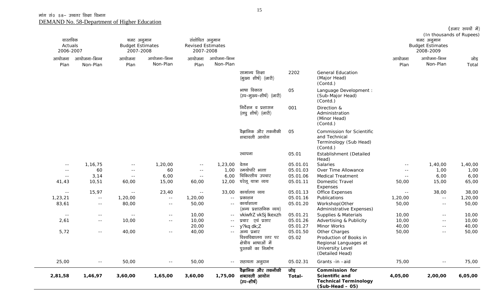|                                  |                          |                                                    |                          |                                                         |                          |                                                                      |                |                                                                                               |                | (In thousands of Rupees)                           | (हजार रुपयों में) |
|----------------------------------|--------------------------|----------------------------------------------------|--------------------------|---------------------------------------------------------|--------------------------|----------------------------------------------------------------------|----------------|-----------------------------------------------------------------------------------------------|----------------|----------------------------------------------------|-------------------|
| वास्तविक<br>Actuals<br>2006-2007 |                          | बजट अनुमान<br><b>Budget Estimates</b><br>2007-2008 |                          | संशोधित अनुमान<br><b>Revised Estimates</b><br>2007-2008 |                          |                                                                      |                |                                                                                               |                | बजट अनुमान<br><b>Budget Estimates</b><br>2008-2009 |                   |
| आयोजना<br>Plan                   | आयोजना-भिन्न<br>Non-Plan | आयोजना<br>Plan                                     | आयोजना-भिन्न<br>Non-Plan | आयोजना<br>Plan                                          | आयोजना-भिन्न<br>Non-Plan |                                                                      |                |                                                                                               | आयोजना<br>Plan | आयोजना-भिन्न<br>Non-Plan                           | जोड़<br>Total     |
|                                  |                          |                                                    |                          |                                                         |                          | सामान्य शिक्षा<br>(मुख्य शीर्ष) (जारी)                               | 2202           | <b>General Education</b><br>(Major Head)<br>(Contd.)                                          |                |                                                    |                   |
|                                  |                          |                                                    |                          |                                                         |                          | भाषा विकास<br>(उप–मुख्य–शीर्ष) (जारी)                                | 05             | Language Development :<br>(Sub-Major Head)<br>(Contd.)                                        |                |                                                    |                   |
|                                  |                          |                                                    |                          |                                                         |                          | निर्देशन व प्रशासन<br>(लघुशीर्ष) (जारी)                              | 001            | Direction &<br>Administration<br>(Minor Head)<br>(Contd.)                                     |                |                                                    |                   |
|                                  |                          |                                                    |                          |                                                         |                          | वैज्ञानिक और तकनीकी<br>शब्दावली आयोग                                 | 05             | <b>Commission for Scientific</b><br>and Technical<br>Terminology (Sub Head)<br>(Contd.)       |                |                                                    |                   |
|                                  |                          |                                                    |                          |                                                         |                          | स्थापना                                                              | 05.01          | Establishment (Detailed<br>Head)                                                              |                |                                                    |                   |
| $ -$                             | 1,16,75                  | $\sim$ $-$                                         | 1,20,00                  | $\sim$ $\sim$                                           | 1,23,00                  | वेतन                                                                 | 05.01.01       | Salaries                                                                                      | $- -$          | 1,40,00                                            | 1,40,00           |
| $\sim$ $-$                       | 60                       | $- -$                                              | 60                       | $\sim$ $\sim$                                           | 1,00                     | स्मयोपरि भत्ता                                                       | 05.01.03       | Over Time Allowance                                                                           | $- -$          | 1,00                                               | 1,00              |
| $\sim$ $\sim$                    | 3,14                     | $\sim$ $-$                                         | 6,00                     | $\sim$ $\sim$                                           | 6,00                     | चिकित्सीय उपचार                                                      | 05.01.06       | <b>Medical Treatment</b>                                                                      | $\sim$ $\sim$  | 6,00                                               | 6,00              |
| 41,43                            | 10,51                    | 60,00                                              | 15,00                    | 60,00                                                   | 12,00                    | घरेलू यात्रा व्यय                                                    | 05.01.11       | Domestic Travel<br>Expenses                                                                   | 50,00          | 15,00                                              | 65,00             |
| $\sim$ $-$                       | 15,97                    | $ -$                                               | 23,40                    | $\sim$ $\sim$                                           | 33,00                    | कार्यालय व्यय                                                        | 05.01.13       | Office Expenses                                                                               | $ -$           | 38,00                                              | 38,00             |
| 1,23,21                          | $\sim$ $-$               | 1,20,00                                            | $\sim$ $-$               | 1,20,00                                                 | $- -$                    | प्रकाशन                                                              | 05.01.16       | Publications                                                                                  | 1,20,00        | $\sim$ $-$                                         | 1,20,00           |
| 83,61                            | $\sim$ $-$               | 80,00                                              | $\sim$ $-$               | 50,00                                                   | $\sim$ $\sim$            | कार्याशाला<br>(अन्य प्रशासनिक व्यय)                                  | 05.01.20       | Workshop(Other<br>Administrative Expenses)                                                    | 50,00          | $\sim$ $-$                                         | 50,00             |
| $\sim$ $-$                       | $- -$                    | $\sim$ $-$                                         | $\sim$ $-$               | 10,00                                                   | $ -$                     | vkiwfrZ vkSj lkexzh                                                  | 05.01.21       | Supplies & Materials                                                                          | 10,00          | $\sim$ $-$                                         | 10,00             |
| 2,61                             | $- -$                    | 10,00                                              | $- -$                    | 10,00                                                   | $\sim$ $\sim$            | प्रचार एवं प्रसार                                                    | 05.01.26       | Advertising & Publicity                                                                       | 10,00          | $\sim$ $\sim$                                      | 10,00             |
|                                  |                          |                                                    |                          | 20,00                                                   | $\sim$ $\sim$            | y?kq dk;Z                                                            | 05.01.27       | Minor Works                                                                                   | 40,00          | $\sim$ $\sim$                                      | 40,00             |
| 5,72                             | $- -$                    | 40,00                                              | $\sim$ $-$               | 40,00                                                   | $\sim$ $-$               | अन्य प्रभार                                                          | 05.01.50       | Other Charges                                                                                 | 50,00          | $\sim$ $-$                                         | 50,00             |
|                                  |                          |                                                    |                          |                                                         |                          | विश्वविद्यालय स्तर पर<br>क्षेत्रीय भाषाओं में<br>पुस्तकों का निर्माण | 05.02          | Production of Books in<br>Regional Languages at<br><b>University Level</b><br>(Detailed Head) |                |                                                    |                   |
| 25,00                            | $\sim$ $-$               | 50,00                                              | $\sim$ $\sim$            | 50,00                                                   |                          | -- सहायता अनुदान                                                     | 05.02.31       | Grants -in-aid                                                                                | 75,00          | $\sim$ $-$                                         | 75,00             |
| 2,81,58                          | 1,46,97                  | 3,60,00                                            | 1,65,00                  | 3,60,00                                                 | 1,75,00                  | वैज्ञानिक और तकनीकी<br>शब्दावली आयोग<br>(उप–शीर्ष)                   | जोड़<br>Total- | Commission for<br>Scientific and<br><b>Technical Terminology</b><br>$(Sub-Head - 05)$         | 4,05,00        | 2,00,00                                            | 6,05,00           |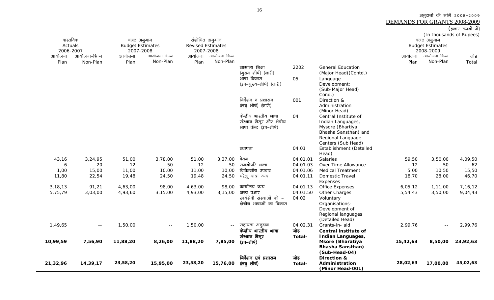(हजार रुपयों में) (In thousands of Rupees) वास्तविक Actuals 2006-2007 .<br>आयोजना-भिन्न बजट अनुमान Budget Estimates 2007-2008 .<br>आयोजना-भिन्न संशोधित अनुमान Revised Estimates 2007-2008 .<br>आयोजना-भिन्न बजट अनुमान Budget Estimates 2008-2009 आयोजना-भिन्न आयोजना Plan Non-Plan आयोजना PlanNon-Planआयोजना PlanNon-Plan आयोजना Plan Non-Plan जोड Total सामान्य शिक्षा (मुख्य शीर्ष) (जारी) 2202 General Education (Major Head)(Contd.) भाषा विकास (उप–मुख्य–शीर्ष) (जारी) 05 Language Development: (Sub-Major Head) Cond.) निर्देशन व प्रशासन (लघू शीर्ष) (जारी) 001 Direction & Administration (Minor Head) केन्द्रीय भारतीय भाषा संस्थान मैसूर और क्षेत्रीय भाषा केन्द (उप–शीर्ष) 04 Central Institute of Indian Languages, Mysore (Bhartiya Bhasha Sansthan) and Regional Language Centers (Sub Head) LFkkiuk 04.01 Establishment (Detailed Head) 43,16 3,24,95 51,00 3,78,00 51,00 3,37,00 osru 04.01.01 Salaries 59,50 3,50,00 4,09,50 6 20 1250 12 50 समयोपरि भत्ता 04.01.03 Over Time Allowance 12 50 62 1,00 15,00 11,00 11,00 10,00 चिकित्सीय उपचार 04.01.06 Medical Treatment 5,00 10,50 15,50 11,80 22,54 19,48 24,50 19,48 24,50 घरेलू यात्रा व्यय 04.01.11 Domestic Travel Expenses 18,70 28,00 46,70 3,18,13 91,21 4,63,00 98,00 4,63,00 98,00 dk;kZy; O;; 04.01.13 Office Expenses 6,05,12 1,11,00 7,16,12 5,75,79 3,03,00 4,93,60 3,15,00 4,93,00 3,15,00 अल्य प्रभार 04.01.50 Other Charges 5,54,43 3,50,00 9,04,43 स्वयंसेवी संस्थाओं को  $-$ क्षेत्रीय भाषाओं का विकास 04.02 Voluntary Organisations-Development of Regional languages (Detailed Head) 1,49,65 -- 1,50,00 -- 1,50,00 -- सहायता अनुदान 04.02.31 Grants-in- aid 2,99,76 **10,99,59 7,56,90 11,88,20 8,26,00 11,88,20 7,85,00**  केन्द्रीय भारतीय भाषा संस्थान मैसर (उप–शीर्ष) जोड **Total-Central institute of Indian Languages, Msore (Bharatiya 15,42,63 8,50,00 23,92,63** 

<u>निर्देशन एवं प्रशासन</u>

जोड़ **Total-**

(লঘু शीर्ष)

**21,32,96 14,39,17 23,58,20 15,95,00 23,58,20 15,76,00** 

**Bhasha Sansthan) (Sub-Head-04)** 

**Direction & Administration (Minor Head-001)**  3ानुदानों की मांगें 2008-2009

**28,02,63 17,00,00 45,02,63**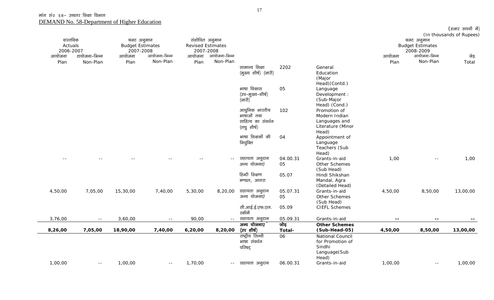| वास्तविक  |               |                                       |              | संशोधित अनुमान           |              |                       |          |                         |         |                                       | (In thousands of Rupees) |
|-----------|---------------|---------------------------------------|--------------|--------------------------|--------------|-----------------------|----------|-------------------------|---------|---------------------------------------|--------------------------|
| Actuals   |               | बजट अनुमान<br><b>Budget Estimates</b> |              | <b>Revised Estimates</b> |              |                       |          |                         |         | बजट अनुमान<br><b>Budget Estimates</b> |                          |
| 2006-2007 |               | 2007-2008                             |              | 2007-2008                |              |                       |          |                         |         | 2008-2009                             |                          |
| आयोजना    | टायोजना-भिन्न | आयोजना                                | आयोजना-भिन्न | आयोजना                   | आयोजना-भिन्न |                       |          |                         | आयोजना  | आयोजना-भिन्न                          | जेड़                     |
| Plan      | Non-Plan      | Plan                                  | Non-Plan     | Plan                     | Non-Plan     |                       |          |                         | Plan    | Non-Plan                              | Total                    |
|           |               |                                       |              |                          |              | सामान्य शिक्षा        | 2202     | General                 |         |                                       |                          |
|           |               |                                       |              |                          |              | (मुख्य शीर्ष) (जारी)  |          | Education               |         |                                       |                          |
|           |               |                                       |              |                          |              |                       |          | (Major                  |         |                                       |                          |
|           |               |                                       |              |                          |              |                       |          | Head)(Contd.)           |         |                                       |                          |
|           |               |                                       |              |                          |              | भाषा विकास            | 05       | Language                |         |                                       |                          |
|           |               |                                       |              |                          |              | (उप–मुख्य–शीर्ष)      |          | Development :           |         |                                       |                          |
|           |               |                                       |              |                          |              | $(\overline{3}$ जारी) |          | (Sub-Major              |         |                                       |                          |
|           |               |                                       |              |                          |              |                       |          | Head) (Cond.)           |         |                                       |                          |
|           |               |                                       |              |                          |              | आधुनिक भारतीय         | 102      | Promotion of            |         |                                       |                          |
|           |               |                                       |              |                          |              | भाषाओं तथा            |          | Modern Indian           |         |                                       |                          |
|           |               |                                       |              |                          |              | साहित्य का संवर्धन    |          | Languages and           |         |                                       |                          |
|           |               |                                       |              |                          |              | (लघु शीर्ष)           |          | Literature (Minor       |         |                                       |                          |
|           |               |                                       |              |                          |              | भाषा शिक्षकों की      | 04       | Head)<br>Appointment of |         |                                       |                          |
|           |               |                                       |              |                          |              | नियुक्ति              |          | Language                |         |                                       |                          |
|           |               |                                       |              |                          |              |                       |          | Teachers (Sub           |         |                                       |                          |
|           |               |                                       |              |                          |              |                       |          | Head)                   |         |                                       |                          |
|           |               |                                       |              |                          | $- -$        | सहायता अनुदान         | 04.00.31 | Grants-in-aid           | 1,00    | $\sim$ $-$                            | 1,00                     |
|           |               |                                       |              |                          |              | अन्य योजनाएं          | 05       | Other Schemes           |         |                                       |                          |
|           |               |                                       |              |                          |              |                       |          | (Sub Head)              |         |                                       |                          |
|           |               |                                       |              |                          |              | हिन्दी शिक्षण         | 05.07    | Hindi Shikshan          |         |                                       |                          |
|           |               |                                       |              |                          |              | मण्डल, आगरा           |          | Mandal, Agra            |         |                                       |                          |
|           |               |                                       |              |                          |              |                       |          | (Detailed Head)         |         |                                       |                          |
| 4,50,00   | 7,05,00       | 15,30,00                              | 7,40,00      | 5,30,00                  | 8,20,00      | सहायता अनुदान         | 05.07.31 | Grants-in-aid           | 4,50,00 | 8,50,00                               | 13,00,00                 |
|           |               |                                       |              |                          |              | अन्य योजनाएं          | 05       | Other Schemes           |         |                                       |                          |
|           |               |                                       |              |                          |              |                       |          | (Sub Head)              |         |                                       |                          |
|           |               |                                       |              |                          |              | सी.आई.ई.एफ.एल.        | 05.09    | <b>CIEFL Schemes</b>    |         |                                       |                          |
|           |               |                                       |              |                          |              | स्कीमें               |          |                         |         |                                       |                          |
| 3,76,00   | $\sim$ $-$    | 3,60,00                               | $ -$         | 90,00                    | $\sim$ $-$   | सहायता अनुदान         | 05.09.31 | Grants-in-aid           | $ -$    | $- -$                                 |                          |
|           |               |                                       |              |                          |              | अन्य योजनाए           | जोड़     | <b>Other Schemes</b>    |         |                                       |                          |
| 8,26,00   | 7,05,00       | 18,90,00                              | 7,40,00      | 6,20,00                  | 8,20,00      | (उप शीर्ष)            | Total-   | (Sub-Head-05)           | 4,50,00 | 8,50,00                               | 13,00,00                 |
|           |               |                                       |              |                          |              | राष्ट्रीय सिन्धी      | 06       | National Council        |         |                                       |                          |
|           |               |                                       |              |                          |              | भाषा संवर्धन          |          | for Promotion of        |         |                                       |                          |
|           |               |                                       |              |                          |              | परिषद्                |          | Sindhi                  |         |                                       |                          |
|           |               |                                       |              |                          |              |                       |          | Language(Sub            |         |                                       |                          |
|           |               |                                       |              |                          |              |                       |          | Head)                   |         |                                       |                          |
| 1,00,00   | $\sim$ $-$    | 1,00,00                               | $\sim$ $-$   | 1,70,00                  |              | -- सहायता अनुदान      | 06.00.31 | Grants-in-aid           | 1,00,00 | $\sim$ $-$                            | 1,00,00                  |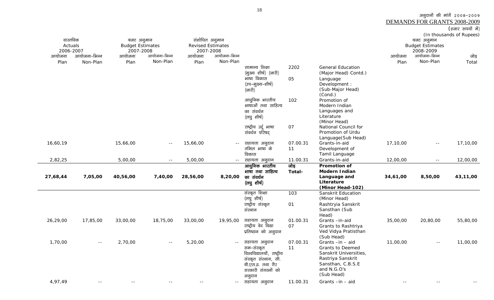| (हजार रूपयो में) |  |  |  |  |
|------------------|--|--|--|--|
|------------------|--|--|--|--|

|          |                           |                         |               |                          |              |                                                |          |                                             |          |                           | (In thousands of Rupees) |
|----------|---------------------------|-------------------------|---------------|--------------------------|--------------|------------------------------------------------|----------|---------------------------------------------|----------|---------------------------|--------------------------|
|          | वास्तविक                  | बजट अनुमान              |               | संशोधित अनुमान           |              |                                                |          |                                             |          | बजट अनुमान                |                          |
|          | Actuals                   | <b>Budget Estimates</b> |               | <b>Revised Estimates</b> |              |                                                |          |                                             |          | <b>Budget Estimates</b>   |                          |
|          | 2006-2007<br>आयोजना–भिन्न | 2007-2008               | आयोजना-भिन्न  | 2007-2008                | आयोजना-भिन्न |                                                |          |                                             |          | 2008-2009<br>आयोजना-भिन्न |                          |
| आयोजना   |                           | आयोजना                  | Non-Plan      | आयोजना                   | Non-Plan     |                                                |          |                                             | आयोजना   | Non-Plan                  | जोड़                     |
| Plan     | Non-Plan                  | Plan                    |               | Plan                     |              | सामान्य शिक्षा                                 |          | <b>General Education</b>                    | Plan     |                           | Total                    |
|          |                           |                         |               |                          |              | (मुख्य शीर्ष) (जारी)                           | 2202     | (Major Head) Contd.)                        |          |                           |                          |
|          |                           |                         |               |                          |              | भाषा विकास                                     |          |                                             |          |                           |                          |
|          |                           |                         |               |                          |              |                                                | 05       | Language                                    |          |                           |                          |
|          |                           |                         |               |                          |              | (उप–मुख्य–शीर्ष)<br>$(\overline{\text{unfl}})$ |          | Development :<br>(Sub-Major Head)           |          |                           |                          |
|          |                           |                         |               |                          |              |                                                |          | (Cond.)                                     |          |                           |                          |
|          |                           |                         |               |                          |              | आधुनिक भारतीय                                  | 102      | Promotion of                                |          |                           |                          |
|          |                           |                         |               |                          |              | भाषाओं तथा साहित्य                             |          | Modern Indian                               |          |                           |                          |
|          |                           |                         |               |                          |              | का संवर्धन                                     |          | Languages and                               |          |                           |                          |
|          |                           |                         |               |                          |              | (लघु शीर्ष)                                    |          | Literature                                  |          |                           |                          |
|          |                           |                         |               |                          |              |                                                |          | (Minor Head)                                |          |                           |                          |
|          |                           |                         |               |                          |              | राष्ट्रीय उर्दू भाषा                           | 07       | National Council for                        |          |                           |                          |
|          |                           |                         |               |                          |              | संवर्धन परिषद                                  |          | Promotion of Urdu                           |          |                           |                          |
|          |                           |                         |               |                          |              |                                                |          | Language(Sub Head)                          |          |                           |                          |
| 16,60,19 |                           | 15,66,00                | $\sim$ $-$    | 15,66,00                 |              | सहायता अनुदान                                  | 07.00.31 | Grants-in-aid                               | 17,10,00 | $\sim$ $\sim$             | 17,10,00                 |
|          |                           |                         |               |                          |              | तमिल भाषा के                                   | 11       | Development of                              |          |                           |                          |
|          |                           |                         |               |                          |              | विकास                                          |          | Tamil Language                              |          |                           |                          |
| 2,82,25  |                           | 5,00,00                 | $- -$         | 5,00,00                  | $\sim$ $-$   | सहायता अनुदान                                  | 11.00.31 | Grants-in-aid                               | 12,00,00 | $\sim$ $\sim$             | 12,00,00                 |
|          |                           |                         |               |                          |              | आधुनिक भारतीय                                  | जोड़     | <b>Promotion of</b>                         |          |                           |                          |
|          |                           |                         |               |                          |              | भाषा तथा साहित्य                               | Total-   | <b>Modern Indian</b>                        |          |                           |                          |
| 27,68,44 | 7,05,00                   | 40,56,00                | 7,40,00       | 28,56,00                 | 8,20,00      | का संवर्धन                                     |          | Language and                                | 34,61,00 | 8,50,00                   | 43,11,00                 |
|          |                           |                         |               |                          |              | (लघुशीर्ष)                                     |          | Literature                                  |          |                           |                          |
|          |                           |                         |               |                          |              |                                                |          | (Minor Head-102)                            |          |                           |                          |
|          |                           |                         |               |                          |              | संस्कृत शिक्षा                                 | 103      | Sanskrit Education                          |          |                           |                          |
|          |                           |                         |               |                          |              | (लघुशीर्ष)                                     |          | (Minor Head)                                |          |                           |                          |
|          |                           |                         |               |                          |              | राष्ट्रीय संस्कृत                              | 01       | Rashtryia Sanskrit                          |          |                           |                          |
|          |                           |                         |               |                          |              | संस्थान                                        |          | Sansthan (Sub                               |          |                           |                          |
| 26,29,00 |                           |                         |               | 33,00,00                 |              |                                                | 01.00.31 | Head)<br>Grants-in-aid                      |          | 20,80,00                  |                          |
|          | 17,85,00                  | 33,00,00                | 18,75,00      |                          | 19,95,00     | सहायता अनुदान<br>राष्ट्रीय वेद विद्या          | 07       |                                             | 35,00,00 |                           | 55,80,00                 |
|          |                           |                         |               |                          |              | प्रतिष्ठान को अनुदान                           |          | Grants to Rashtriya<br>Ved Vidya Pratisthan |          |                           |                          |
|          |                           |                         |               |                          |              |                                                |          | (Sub Head)                                  |          |                           |                          |
| 1,70,00  | $\sim$ $-$                | 2,70,00                 | $\sim$ $\sim$ | 5,20,00                  | $\sim$ $-$   | सहायता अनुदान                                  | 07.00.31 | Grants $-in - aid$                          | 11,00,00 | $\sim$ $-$                | 11,00,00                 |
|          |                           |                         |               |                          |              | सम–संस्कृत                                     | 11       | <b>Grants to Deemed</b>                     |          |                           |                          |
|          |                           |                         |               |                          |              | विश्वविद्यालयों, राष्ट्रीय                     |          | Sanskrit Universities,                      |          |                           |                          |
|          |                           |                         |               |                          |              | संस्कृत संस्थान, सी.                           |          | Rastriya Sanskrit                           |          |                           |                          |
|          |                           |                         |               |                          |              | बी.एस.इ. तथा गैर                               |          | Sansthan, C.B.S.E                           |          |                           |                          |
|          |                           |                         |               |                          |              | सरकारी संगठनों को                              |          | and N.G.O's                                 |          |                           |                          |
|          |                           |                         |               |                          |              | अनुदान                                         |          | (Sub Head)                                  |          |                           |                          |
| 4,97,49  | $\sim$ $-$                |                         |               |                          |              | -- सहायता अनुदान                               | 11.00.31 | Grants-in-aid                               |          | $\sim$ $\sim$             |                          |
|          |                           |                         |               |                          |              |                                                |          |                                             |          |                           |                          |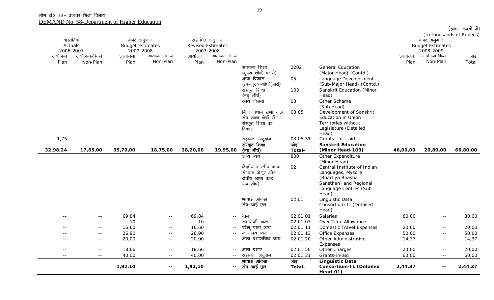|               | वास्तविक<br>बजट अनुमान             |           |                          |                          | संशोधित अनुमान |                                    |          |                                  |               | बजट अनुमान                 | (In thousands of Rupees) |
|---------------|------------------------------------|-----------|--------------------------|--------------------------|----------------|------------------------------------|----------|----------------------------------|---------------|----------------------------|--------------------------|
|               | <b>Budget Estimates</b><br>Actuals |           |                          | <b>Revised Estimates</b> |                |                                    |          |                                  |               | <b>Budget Estimates</b>    |                          |
| 2006-2007     |                                    | 2007-2008 |                          | 2007-2008                |                |                                    |          |                                  |               | 2008-2009                  |                          |
| टायोजना       | टायोजना-भिन्न                      | आयोजना    | आयोजना-भिन्न             | आयोजना                   | आयोजना-भिन्न   |                                    |          |                                  | आयोजना        | आयोजना–भिन्न               | जोड़                     |
| Plan          | Non-Plan                           | Plan      | Non-Plan                 | Plan                     | Non-Plan       |                                    |          |                                  | Plan          | Non-Plan                   | Total                    |
|               |                                    |           |                          |                          |                | सामान्य शिक्षा                     | 2202     | <b>General Education</b>         |               |                            |                          |
|               |                                    |           |                          |                          |                | (मुख्य शीर्ष) (जारी)               |          | (Major Head) (Contd.)            |               |                            |                          |
|               |                                    |           |                          |                          |                | भाषा विकास                         | 05       | Language Develop-ment :          |               |                            |                          |
|               |                                    |           |                          |                          |                | (उप–मुख्य–शीर्ष)(जारी)             |          | (Sub-Major Head) (Contd.)        |               |                            |                          |
|               |                                    |           |                          |                          |                | संस्कृत शिक्षा                     | 103      | Sanskrit Education (Minor        |               |                            |                          |
|               |                                    |           |                          |                          |                | (लघु शीर्ष)                        |          | Head)                            |               |                            |                          |
|               |                                    |           |                          |                          |                | टनय योजना                          | 03       | Other Scheme                     |               |                            |                          |
|               |                                    |           |                          |                          |                |                                    |          | (Sub Head)                       |               |                            |                          |
|               |                                    |           |                          |                          |                | बिना विधान सभा वाले                | 03.05    | Development of Sanskrit          |               |                            |                          |
|               |                                    |           |                          |                          |                | संघ राज्य क्षेत्रों में            |          | <b>Education in Union</b>        |               |                            |                          |
|               |                                    |           |                          |                          |                | संस्कृत शिक्षा का                  |          | Territories without              |               |                            |                          |
|               |                                    |           |                          |                          |                | विकास                              |          | Legislature (Detailed            |               |                            |                          |
| 1,75          |                                    |           |                          |                          | $\sim$ $\sim$  | सहायता अनुदान                      | 03.05.31 | Head)<br>Grants-in-aid           |               | $ -$                       |                          |
|               |                                    |           |                          |                          |                | संस्कृत शिक्षा                     | जोड़     | <b>Sanskrit Education</b>        |               |                            |                          |
| 32,98,24      | 17,85,00                           | 35,70,00  | 18,75,00                 | 38,20,00                 | 19,95,00       | (लघु शीर्ष)                        | Total-   | (Minor Head-103)                 | 46,00,00      | 20,80,00                   | 66,80,00                 |
|               |                                    |           |                          |                          |                | अन्य व्यय                          | 800      | Other Expenditure                |               |                            |                          |
|               |                                    |           |                          |                          |                |                                    |          | (Minor Head)                     |               |                            |                          |
|               |                                    |           |                          |                          |                | केन्द्रीय भारतीय भाषा              | 02       | Central Institute of Indian      |               |                            |                          |
|               |                                    |           |                          |                          |                | संस्थान मैसूर और                   |          | Languages, Mysore                |               |                            |                          |
|               |                                    |           |                          |                          |                | क्षेत्रीय भाषा केन्द               |          | (Bhartiya Bhasha                 |               |                            |                          |
|               |                                    |           |                          |                          |                | (उप–शीर्ष)                         |          | Sansthan) and Regional           |               |                            |                          |
|               |                                    |           |                          |                          |                |                                    |          | Language Centres (Sub            |               |                            |                          |
|               |                                    |           |                          |                          |                |                                    |          | Head)                            |               |                            |                          |
|               |                                    |           |                          |                          |                | भाषाई आंकड़ा                       | 02.01    | Linguistic Data                  |               |                            |                          |
|               |                                    |           |                          |                          |                | संघ-आई एल                          |          | Consortium-IL (Detailed          |               |                            |                          |
|               |                                    |           |                          |                          |                |                                    |          | Head)                            |               |                            |                          |
| $ -$          | $- -$                              | 69,84     | $\sim$ $-$               | 69,84                    | $\sim$ $\sim$  | द्रेतन<br>समयोपरि भत्ता            | 02.01.01 | Salaries                         | 80,00         | $\sim$ $-$                 | 80,00                    |
|               | $ -$                               | 10        | $\sim$ $-$               | 10                       | $\sim$ $\sim$  |                                    | 02.01.03 | Over Time Allowance              | $\sim$ $\sim$ | $\sim$ $-$                 | $\sim$ $-$               |
|               | $- -$                              | 16,60     | $\sim$ $-$               | 16,60                    | $\sim$ $\sim$  | घरेलू यात्रा व्यय<br>कार्यालय व्यय | 02.01.11 | <b>Domestic Travel Expenses</b>  | 20,00         | $\sim$ $\sim$              | 20,00                    |
|               | $\sim$ $\sim$                      | 26,90     | $\sim$ $\sim$            | 26,90                    | $  \,$         | अन्य प्रशासनिक व्यय                | 02.01.13 | Office Expenses                  | 50,00         | $\sim$ $\sim$              | 50,00                    |
| $ -$          | $- -$                              | 20,00     | $\sim$ $-$               | 20,00                    | $\sim$ $\sim$  |                                    | 02.01.20 | Other Administrative<br>Expenses | 14,37         | $\sim$ $-$                 | 14,37                    |
| $\sim$ $\sim$ | $\sim$ $-$                         | 18,66     | $\sim$ $\sim$            | 18,66                    | $  \,$         | अन्य प्रभार                        | 02.01.50 | Other Charges                    | 20,00         | $\sim$ $-$                 | 20,00                    |
| $\sim$ $\sim$ | $\sim$ $-$                         | 40,00     | $\sim$ $-$               | 40,00                    | $\sim$ $-$     | सहायता अनुदान                      | 02.01.31 | Grants-in-aid                    | 60,00         | $\sim$ $-$                 | 60,00                    |
|               |                                    |           |                          |                          |                | भाषाई आंकड़ा                       | जोड़     | <b>Linguistic Data</b>           |               |                            |                          |
|               |                                    | 1,92,10   | $\overline{\phantom{a}}$ | 1,92,10                  | $\sim$ $-$     | संघ–आई एल                          | Total-   | <b>Consortium-IL (Detailed</b>   | 2,44,37       | $\overline{\phantom{a}}$ . | 2,44,37                  |
|               |                                    |           |                          |                          |                |                                    |          | Head-01)                         |               |                            |                          |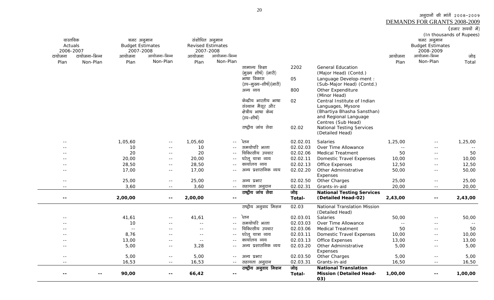<u>DEMANDS FOR GRANTS 2008-2009</u><br>(हजार रुपयों में)

| वास्तविक                 |               | बजट अनुमान              |                          | संशोधित अनुमान           |               |                                        |                |                                                               |            | बजट अनुमान              | (In thousands of Rupees) |
|--------------------------|---------------|-------------------------|--------------------------|--------------------------|---------------|----------------------------------------|----------------|---------------------------------------------------------------|------------|-------------------------|--------------------------|
| Actuals                  |               | <b>Budget Estimates</b> |                          | <b>Revised Estimates</b> |               |                                        |                |                                                               |            | <b>Budget Estimates</b> |                          |
| 2006-2007                |               | 2007-2008               |                          | 2007-2008                |               |                                        |                |                                                               |            | 2008-2009               |                          |
| टायोजना                  | टायोजना–भिन्न | आयोजना                  | आयोजना-भिन्न             | आयोजना                   | आयोजना–भिन्न  |                                        |                |                                                               | आयोजना     | आयोजना-भिन्न            | जोड़                     |
| Plan                     | Non-Plan      | Plan                    | Non-Plan                 | Plan                     | Non-Plan      |                                        |                |                                                               | Plan       | Non-Plan                | Total                    |
|                          |               |                         |                          |                          |               | सामान्य शिक्षा<br>(मुख्य शीर्ष) (जारी) | 2202           | <b>General Education</b><br>(Major Head) (Contd.)             |            |                         |                          |
|                          |               |                         |                          |                          |               | भाषा विकास                             | 05             | Language Develop-ment :                                       |            |                         |                          |
|                          |               |                         |                          |                          |               | (उप–मुख्य–शीर्ष)(जारी)                 |                | (Sub-Major Head) (Contd.)                                     |            |                         |                          |
|                          |               |                         |                          |                          |               | अन्य व्यय                              | 800            | Other Expenditure<br>(Minor Head)                             |            |                         |                          |
|                          |               |                         |                          |                          |               | केन्द्रीय भारतीय भाषा                  | 02             | Central Institute of Indian                                   |            |                         |                          |
|                          |               |                         |                          |                          |               | संस्थान मैसूर और                       |                | Languages, Mysore                                             |            |                         |                          |
|                          |               |                         |                          |                          |               | क्षेत्रीय भाषा केन्द                   |                | (Bhartiya Bhasha Sansthan)                                    |            |                         |                          |
|                          |               |                         |                          |                          |               | (उप–शीर्ष)                             |                | and Regional Language                                         |            |                         |                          |
|                          |               |                         |                          |                          |               | राष्ट्रीय जांच सेवा                    | 02.02          | Centres (Sub Head)<br><b>National Testing Services</b>        |            |                         |                          |
|                          |               |                         |                          |                          |               |                                        |                | (Detailed Head)                                               |            |                         |                          |
| $\sim$ $\sim$            |               | 1,05,60                 | $\sim$ $-$               | 1,05,60                  | $\sim$ $-$    | देतन                                   | 02.02.01       | Salaries                                                      | 1,25,00    | $\sim$ $-$              | 1,25,00                  |
|                          |               | 10                      | $- -$                    | 10                       | $\sim$ $\sim$ | समयोपरि भत्ता                          | 02.02.03       | Over Time Allowance                                           | $\sim$ $-$ | $ -$                    | $ -$                     |
|                          |               | 20                      | $\sim$ $\sim$            | 20                       |               | चिकित्सीय उपचार                        | 02.02.06       | <b>Medical Treatment</b>                                      | 50         | $\sim$ $-$              | 50                       |
| --                       |               | 20,00                   | $- -$                    | 20,00                    | $  \,$        | घरेलू यात्रा व्यय                      | 02.02.11       | <b>Domestic Travel Expenses</b>                               | 10,00      | $ -$                    | 10,00                    |
|                          |               | 28,50                   | $-$                      | 28,50                    |               | कार्यालय व्यय                          | 02.02.13       | <b>Office Expenses</b>                                        | 12,50      | $-$                     | 12,50                    |
| $ -$                     |               | 17,00                   | $\sim$ $-$               | 17,00                    | $\sim$        | अन्य प्रशासनिक व्यय                    | 02.02.20       | Other Administrative                                          | 50,00      | $\sim$ $-$              | 50,00                    |
|                          |               |                         |                          |                          |               |                                        |                | Expenses                                                      |            |                         |                          |
| $\sim$                   |               | 25,00                   | $\sim$ $-$               | 25,00                    | $- -$         | अन्य प्रभार                            | 02.02.50       | Other Charges                                                 | 25,00      | $\sim$ $\sim$           | 25,00                    |
| $ -$                     |               | 3,60                    | $\sim$ $-$               | 3,60                     | $\sim$ $-$    | सहायता अनुदान                          | 02.02.31       | Grants-in-aid                                                 | 20,00      | $\sim$ $\sim$           | 20,00                    |
|                          |               |                         |                          |                          |               | राष्ट्रीय जांच सेवा                    | जोड़           | <b>National Testing Services</b>                              |            |                         |                          |
| $\overline{\phantom{a}}$ |               | 2,00,00                 | $\overline{\phantom{m}}$ | 2,00,00                  | ۰.            |                                        | Total-         | (Detailed Head-02)                                            | 2,43,00    | $\sim$ $\sim$           | 2,43,00                  |
|                          |               |                         |                          |                          |               | राष्ट्रीय अनुवाद मिशन                  | 02.03          | National Translation Mission<br>(Detailed Head)               |            |                         |                          |
| $\sim$                   |               | 41,61                   | $-$                      | 41,61                    | $\sim$ $\sim$ | ेतन                                    | 02.03.01       | Salaries                                                      | 50,00      | $\sim$ $-$              | 50,00                    |
|                          |               | 10                      |                          | $\sim$                   |               | समयोपरि भत्ता                          | 02.03.03       | Over Time Allowance                                           |            | $- -$                   |                          |
|                          |               | $\sim$ $-$              |                          | $ -$                     |               | चिकित्सीय उपचार                        | 02.03.06       | <b>Medical Treatment</b>                                      | 50         | $\sim$ $-$              | 50                       |
|                          |               | 8,76                    | $- -$                    | $- -$                    | $\sim$ $-$    | घरेलू यात्रा व्यय                      | 02.03.11       | <b>Domestic Travel Expenses</b>                               | 10,00      | $\sim$ $-$              | 10,00                    |
|                          |               | 13,00                   | $ -$                     | $ -$                     | $-$           | कार्यालय व्यय                          | 02.03.13       | <b>Office Expenses</b>                                        | 13,00      | $\sim$ $-$              | 13,00                    |
| $ -$                     |               | 5,00                    | $- -$                    | 3,28                     |               | अन्य प्रशासनिक व्यय                    | 02.03.20       | Other Administrative                                          | 5,00       | $\sim$ $-$              | 5,00                     |
|                          |               |                         |                          |                          |               |                                        |                | Expenses                                                      |            |                         |                          |
| $\sim$                   |               | 5,00                    | $\sim$ $-$               | 5,00                     | $- -$         | अन्य प्रभार                            | 02.03.50       | Other Charges                                                 | 5,00       | $\sim$ $-$              | 5,00                     |
| $- -$                    |               | 16,53                   | $ -$                     | 16,53                    | $\sim$ $-$    | सहायता अनुदान                          | 02.03.31       | Grants-in-aid                                                 | 16,50      | $\sim$ $-$              | 16,50                    |
|                          |               | 90,00                   | $\overline{\phantom{m}}$ | 66,42                    | --            | राष्ट्रीय अनुवाद मिशन                  | जोड़<br>Total- | <b>National Translation</b><br><b>Mission (Detailed Head-</b> | 1,00,00    | --                      | 1,00,00                  |
|                          |               |                         |                          |                          |               |                                        |                | 03)                                                           |            |                         |                          |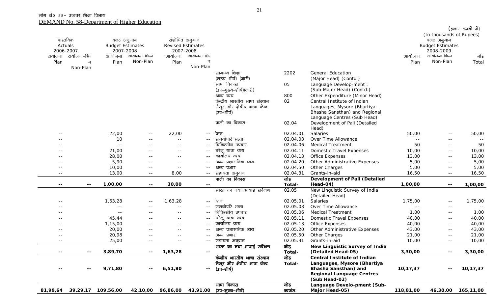|               | वास्तविक<br>Actuals | बजट अनुमान<br><b>Budget Estimates</b> |               |                    | संशोधित अनुमान<br><b>Revised Estimates</b> |                                |               |                                           |            | (In thousands of Rupees)<br>बजट अनुमान<br><b>Budget Estimates</b> | (हजार रुपयों में) |
|---------------|---------------------|---------------------------------------|---------------|--------------------|--------------------------------------------|--------------------------------|---------------|-------------------------------------------|------------|-------------------------------------------------------------------|-------------------|
|               | 2006-2007           | 2007-2008                             |               |                    | 2007-2008                                  |                                |               |                                           |            | 2008-2009                                                         |                   |
| टायोजना       | टायोजना–भिन्        | आयोजना                                | आयोजना-भिन्न  | आयोजना             | आयोजना-भिन्                                |                                |               |                                           | आयोजना     | आयोजना-भिन्न                                                      | जोड़              |
| Plan          | न                   | Plan                                  | Non-Plan      | Plan               | न                                          |                                |               |                                           | Plan       | Non-Plan                                                          | Total             |
|               | Non-Plan            |                                       |               |                    | Non-Plan                                   |                                |               |                                           |            |                                                                   |                   |
|               |                     |                                       |               |                    |                                            | सामान्य शिक्षा                 | 2202          | <b>General Education</b>                  |            |                                                                   |                   |
|               |                     |                                       |               |                    |                                            | (मुख्य शीर्ष) (जारी)           |               | (Major Head) (Contd.)                     |            |                                                                   |                   |
|               |                     |                                       |               |                    |                                            | भाषा विकास                     | 05            | Language Develop-ment :                   |            |                                                                   |                   |
|               |                     |                                       |               |                    |                                            | (उप–मुख्य–शीर्ष)(जारी)         |               | (Sub-Major Head) (Contd.)                 |            |                                                                   |                   |
|               |                     |                                       |               |                    |                                            | अन्य व्यय                      | 800           | Other Expenditure (Minor Head)            |            |                                                                   |                   |
|               |                     |                                       |               |                    |                                            | केन्द्रीय भारतीय भाषा संस्थान  | 02            | Central Institute of Indian               |            |                                                                   |                   |
|               |                     |                                       |               |                    |                                            | मैसूर और क्षेत्रीय भाषा केन्द  |               | Languages, Mysore (Bhartiya               |            |                                                                   |                   |
|               |                     |                                       |               |                    |                                            | (उप–शीर्ष)                     |               | Bhasha Sansthan) and Regional             |            |                                                                   |                   |
|               |                     |                                       |               |                    |                                            |                                |               | Language Centres (Sub Head)               |            |                                                                   |                   |
|               |                     |                                       |               |                    |                                            | पाली का विकास                  | 02.04         | Development of Pali (Detailed             |            |                                                                   |                   |
|               |                     |                                       |               |                    |                                            | ेतन                            | 02.04.01      | Head)                                     |            |                                                                   |                   |
|               |                     | 22,00<br>10                           | $ -$          | 22,00              |                                            | समयोपरि भत्ता                  | 02.04.03      | Salaries<br>Over Time Allowance           | 50,00      | $ -$                                                              | 50,00             |
|               |                     | $\sim$ $\sim$                         | $\sim$ $\sim$ | $ -$<br>$ -$       |                                            | चिकित्सीय उपचार                | 02.04.06      | <b>Medical Treatment</b>                  | $ -$<br>50 | $ -$<br>$ -$                                                      | 50                |
|               |                     | 21,00                                 |               | $\sim$ $\sim$      |                                            | घरेलू यात्रा व्यय              | 02.04.11      | <b>Domestic Travel Expenses</b>           | 10,00      |                                                                   | 10,00             |
|               |                     | 28,00                                 |               | $\sim$ $\sim$      |                                            | कार्यालय व्यय                  | 02.04.13      | Office Expenses                           | 13,00      | $- -$                                                             | 13,00             |
|               |                     |                                       | $- -$         |                    |                                            | अन्य प्रशासनिक व्यय            | 02.04.20      | Other Administrative Expenses             | 5,00       | $\sim$ $-$                                                        |                   |
|               |                     | 5,90<br>10,00                         | $- -$         |                    |                                            | अन्य प्रभार                    | 02.04.50      | Other Charges                             |            | $- -$                                                             | 5,00<br>5,00      |
| $\sim$ $\sim$ |                     | 13,00                                 | $ -$          | $\sim$ $-$<br>8,00 |                                            |                                | 02.04.31      | Grants-in-aid                             | 5,00       | $- -$                                                             |                   |
| $\sim$ $\sim$ |                     |                                       | $\sim$ $-$    |                    | $-  \sim$                                  | सहायता अनुदान<br>पाली का विकास | जोड़          |                                           | 16,50      | $\sim$ $-$                                                        | 16,50             |
| $- -$         | $\sim$ $-$          | 1,00,00                               | $\sim$ $-$    | 30,00              | $\sim$ $-$                                 |                                | Total-        | Development of Pali (Detailed<br>Head-04) | 1,00,00    | $\sim$ $-$                                                        | 1,00,00           |
|               |                     |                                       |               |                    |                                            | भारत का नया भाषाई सर्वेक्षण    | 02.05         | New Linguistic Survey of India            |            |                                                                   |                   |
|               |                     |                                       |               |                    |                                            |                                |               | (Detailed Head)                           |            |                                                                   |                   |
|               |                     | 1,63,28                               | $ -$          | 1,63,28            | $\sim$ $-$                                 | ेतन                            | 02.05.01      | Salaries                                  | 1,75,00    | $\sim$ $-$                                                        | 1,75,00           |
|               |                     | $ -$                                  | $\sim$ $\sim$ |                    | $- -$                                      | समयोपरि भत्ता                  | 02.05.03      | Over Time Allowance                       | $\sim$ $-$ | $\sim$ $-$                                                        | $\sim$ $-$        |
|               |                     | $\sim$ $-$                            |               | $\sim$ $-$         |                                            | चिकित्सीय उपचार                | 02.05.06      | <b>Medical Treatment</b>                  | 1,00       | $ -$                                                              | 1,00              |
|               |                     | 45,44                                 | $ -$          | $\sim$ $\sim$      | $- -$                                      | घरेलू यात्रा व्यय              | 02.05.11      | <b>Domestic Travel Expenses</b>           | 40,00      | $\sim$ $-$                                                        | 40,00             |
|               |                     | 1,15,00                               | $- -$         | $\sim$ $\sim$      |                                            | कार्यालय व्यय                  | 02.05.13      | Office Expenses                           | 40,00      | $\sim$ $-$                                                        | 40,00             |
|               |                     | 20,00                                 |               |                    |                                            | प्रशासनिक व्यय<br>अन्य         | 02.05.20      | Other Administrative Expenses             | 43,00      | $\sim$ $-$                                                        | 43,00             |
| $- -$         |                     | 20,98                                 |               |                    |                                            | अन्य प्रभार                    | 02.05.50      | Other Charges                             | 21,00      | $ -$                                                              | 21,00             |
| $- -$         |                     | 25,00                                 | $ -$          | $ -$               |                                            | -- सहायता अनुदान               | 02.05.31      | Grants-in-aid                             | 10,00      | $- -$                                                             | 10,00             |
|               |                     |                                       |               |                    |                                            | भारत का नया भाषाई सर्वेक्षण    | जोड़          | New Linguistic Survey of India            |            |                                                                   |                   |
| $- -$         | $\sim$ $\sim$       | 3,89,70                               | --            | 1,63,28            | $- -$                                      |                                | <b>Total-</b> | (Detailed Head-05)                        | 3,30,00    | $\sim$ $\sim$                                                     | 3,30,00           |
|               |                     |                                       |               |                    |                                            | केन्द्रीय भारतीय भाषा संस्थान  | जोड़          | <b>Central Institute of Indian</b>        |            |                                                                   |                   |
|               |                     |                                       |               |                    |                                            | मैसूर और क्षेत्रीय भाषा केन्द  | Total-        | Languages, Mysore (Bhartiya               |            |                                                                   |                   |
|               | $\sim$ $\sim$       | 9,71,80                               | $\sim$ $\sim$ | 6,51,80            | $\sim$ $-$                                 | (उप–शीर्ष)                     |               | Bhasha Sansthan) and                      | 10, 17, 37 | $\sim$ $-$                                                        | 10,17,37          |
|               |                     |                                       |               |                    |                                            |                                |               | <b>Regional Language Centres</b>          |            |                                                                   |                   |
|               |                     |                                       |               |                    |                                            |                                |               | (Sub Head-02)                             |            |                                                                   |                   |
|               |                     |                                       |               |                    |                                            | भाषा विकास                     | जोड़          | Language Develo-pment (Sub-               |            |                                                                   |                   |
| 81,99,64      |                     | 39,29,17 109,56,00                    | 42,10,00      | 96,86,00           | 43,91,00                                   | (उप–मुख्य–शीर्ष)               | ज्वजंस.       | Major Head-05)                            | 118,81,00  | 46,30,00                                                          | 165,11,00         |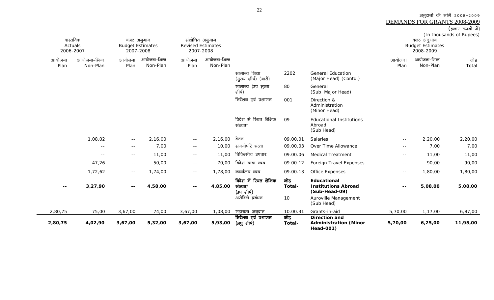| (हजार रूपयों में) |  |
|-------------------|--|
|                   |  |

| वास्तविक<br>2006-2007 | Actuals      | बजट अनुमान<br><b>Budget Estimates</b><br>2007-2008 |              |                          | संशोधित अनुमान<br><b>Revised Estimates</b><br>2007-2008 |                                                  |                |                                                                   |               | बजट अनुमान<br><b>Budget Estimates</b><br>2008-2009 | $\mu$ one can be<br>(In thousands of Rupees) |
|-----------------------|--------------|----------------------------------------------------|--------------|--------------------------|---------------------------------------------------------|--------------------------------------------------|----------------|-------------------------------------------------------------------|---------------|----------------------------------------------------|----------------------------------------------|
| आयोजना                | आयोजना-भिन्न | आयोजना                                             | आयोजना-भिन्न | आयोजना                   | आयोजना-भिन्न                                            |                                                  |                |                                                                   | आयोजना        | आयोजना-भिन्न                                       | जोड़                                         |
| Plan                  | Non-Plan     | Plan                                               | Non-Plan     | Plan                     | Non-Plan                                                | सामान्य शिक्षा<br>(मुख्य शीर्ष) (जारी)           | 2202           | <b>General Education</b><br>(Major Head) (Contd.)                 | Plan          | Non-Plan                                           | Total                                        |
|                       |              |                                                    |              |                          |                                                         | सामान्य (उप मुख्य<br>शीर्ष)                      | 80             | General<br>(Sub Major Head)                                       |               |                                                    |                                              |
|                       |              |                                                    |              |                          |                                                         | निर्देशन एवं प्रशासन                             | 001            | Direction &<br>Administration<br>(Minor Head)                     |               |                                                    |                                              |
|                       |              |                                                    |              |                          |                                                         | विदेश में रिथत शैक्षिक<br>संस्थाएं               | 09             | <b>Educational Institutions</b><br>Abroad<br>(Sub Head)           |               |                                                    |                                              |
|                       | 1,08,02      | $- -$                                              | 2,16,00      | $\sim$ $-$               | 2,16,00                                                 | वेतन                                             | 09.00.01       | Salaries                                                          | $\sim$ $-$    | 2,20,00                                            | 2,20,00                                      |
|                       | $-$          | $- -$                                              | 7,00         | $\sim$ $-$               | 10,00                                                   | समयोपरि भत्ता                                    | 09.00.03       | Over Time Allowance                                               | $- -$         | 7,00                                               | 7,00                                         |
|                       | $\sim$ $-$   | $- -$                                              | 11,00        | $\sim$ $-$               | 11,00                                                   | चिकित्सीय उपचार                                  | 09.00.06       | <b>Medical Treatment</b>                                          | $\sim$ $-$    | 11,00                                              | 11,00                                        |
|                       | 47,26        | $\sim$ $-$                                         | 50,00        | $\sim$ $-$               | 70,00                                                   | विदेश यात्रा व्यय                                | 09.00.12       | Foreign Travel Expenses                                           | $ -$          | 90,00                                              | 90,00                                        |
|                       | 1,72,62      | $- -$                                              | 1,74,00      | $- -$                    | 1,78,00                                                 | कार्यालय व्यय                                    | 09.00.13       | Office Expenses                                                   | $\sim$ $-$    | 1,80,00                                            | 1,80,00                                      |
| $\sim$ $-$            | 3,27,90      | $- -$                                              | 4,58,00      | $\overline{\phantom{a}}$ | 4,85,00                                                 | विदेश में स्थित शैक्षिक<br>संस्थाएं<br>(उपशीर्ष) | जोड़<br>Total- | Educational<br><b>Institutions Abroad</b><br>(Sub-Head-09)        | $\sim$ $\sim$ | 5,08,00                                            | 5,08,00                                      |
|                       |              |                                                    |              |                          |                                                         | अरोविले प्रबंधन                                  | 10             | Auroville Management<br>(Sub Head)                                |               |                                                    |                                              |
| 2,80,75               | 75,00        | 3,67,00                                            | 74,00        | 3,67,00                  | 1,08,00                                                 | सहायता अनुदान                                    | 10.00.31       | Grants-in-aid                                                     | 5,70,00       | 1,17,00                                            | 6,87,00                                      |
| 2,80,75               | 4,02,90      | 3,67,00                                            | 5,32,00      | 3,67,00                  | 5,93,00                                                 | निर्देशन एवं प्रशासन<br>(लघु शीर्ष)              | जोड़<br>Total- | <b>Direction and</b><br><b>Administration (Minor</b><br>Head-001) | 5,70,00       | 6,25,00                                            | 11,95,00                                     |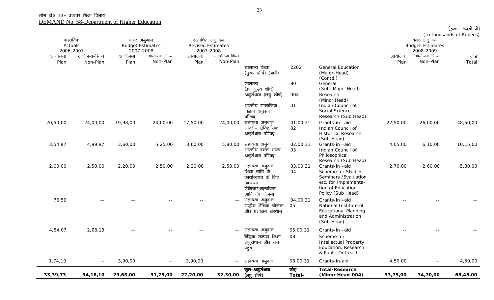$\sim$ 

| 33, 39, 73          | 34, 18, 10    | 29,68,00 | 31,75,00                  | 27,20,00 | 32,30,00                  | कुल–अनुसंधान<br>(लघु शीर्ष)                                                                          | जोड़<br>Total- | <b>Total-Research</b><br>(Minor Head-004)                                                                                      | 33,75,00 | 34,70,00                  | 68,45,00                 |
|---------------------|---------------|----------|---------------------------|----------|---------------------------|------------------------------------------------------------------------------------------------------|----------------|--------------------------------------------------------------------------------------------------------------------------------|----------|---------------------------|--------------------------|
| 1,74,10             | $\sim$ $-$    | 3,90,00  | $\sim$ $\sim$             | 3,90,00  | $-  \,$                   | सहायता अनुदान                                                                                        | 08.00.31       | Grants-in-aid                                                                                                                  | 4,50,00  | $\sim$ $-$                | 4,50,00                  |
|                     |               |          |                           |          |                           | बैद्धिक सम्पदा शिक्षा<br>अनुसंधान और जन<br>पहुंच                                                     | 08             | Scheme for<br><b>Intellectual Property</b><br>Education, Research<br>& Public Outreach                                         |          |                           |                          |
| 4,84,07             | 2,68,13       |          |                           |          | $  \,$                    | सहायता अनुदान                                                                                        | 05.00.31       | and Administration<br>(Sub Head)<br>Grants-in-aid                                                                              |          |                           |                          |
| 76,59               |               |          |                           |          |                           | सहायता अनुदान<br>राष्ट्रीय शैक्षिक योजना<br>और प्रशासन संस्थान                                       | 04.00.31<br>05 | Grants-in-aid<br>National Institute of<br>Educational Planning                                                                 |          |                           |                          |
| 2,00,00             | 2,50,00       | 2,20,00  | 2,50,00                   | 2,20,00  | 2,50,00                   | सहायता अनुदान<br>शिक्षा नीति के<br>कार्यान्वयन के लिए<br>अध्ययन<br>सेमिनार/मूल्यांकन<br>आदि की योजना | 03.00.31<br>04 | Grants-in-aid<br>Scheme for Studies<br>Seminars / Evaluation<br>etc. for Implementa-<br>tion of Education<br>Policy (Sub Head) | 2,70,00  | 2,60,00                   | 5,30,00                  |
| 3,54,97             | 4,99,97       | 3,60,00  | 5,25,00                   | 3,60,00  | 5,80,00                   | सहायता अनुदान<br>भारतीय दर्शन शास्त्र<br>अनुसंधान परिषद्                                             | 02.00.31<br>03 | Grants-in-aid<br>Indian Council of<br>Philosophical<br>Research (Sub Head)                                                     | 4,05,00  | 6, 10, 00                 | 10,15,00                 |
| 20,50,00            | 24,00,00      | 19,98,00 | 24,00,00                  | 17,50,00 | 24,00,00                  | सहायता अनुदान<br>भारतीय ऐतिहासिक<br>अनुसंधान परिषद्                                                  | 01.00.31<br>02 | Grants-in-aid<br>Indian Council of<br><b>Historical Research</b><br>(Sub Head)                                                 | 22,50,00 | 26,00,00                  | 48,50,00                 |
|                     |               |          |                           |          |                           | अनुसंधान (लघु शीर्ष)<br>भारतीय सामाजिक<br>विज्ञान अनुसंधान<br>परिषद्                                 | 004<br>01      | Research<br>(Minor Head)<br>Indian Council of<br>Social Science<br>Research (Sub Head)                                         |          |                           |                          |
|                     |               |          |                           |          |                           | सामान्य<br>(उप मुख्य शीर्ष)                                                                          | 80             | (Contd.)<br>General<br>(Sub Major Head)                                                                                        |          |                           |                          |
|                     |               |          |                           |          |                           | सामान्य शिक्षा<br>(मुख्य शीर्ष) (जारी)                                                               | 2202           | <b>General Education</b><br>(Major-Head)                                                                                       |          |                           |                          |
| Plan                | Non-Plan      | Plan     | Non-Plan                  | Plan     | Non-Plan                  |                                                                                                      |                |                                                                                                                                | Plan     | Non-Plan                  | Total                    |
| 2006-2007<br>आयोजना | टायोजना-भिन्न | आयोजना   | 2007-2008<br>आयोजना-भिन्न | आयोजना   | 2007-2008<br>आयोजना-भिन्न |                                                                                                      |                |                                                                                                                                | आयोजना   | 2008-2009<br>आयोजना-भिन्न | जोड़                     |
| Actuals             |               |          | <b>Budget Estimates</b>   |          | <b>Revised Estimates</b>  |                                                                                                      |                |                                                                                                                                |          | <b>Budget Estimates</b>   |                          |
| वास्तविक            |               |          | बजट अनुमान                |          | संशोधित अनुमान            |                                                                                                      |                |                                                                                                                                |          | बजट अनुमान                | (In thousands of Rupees) |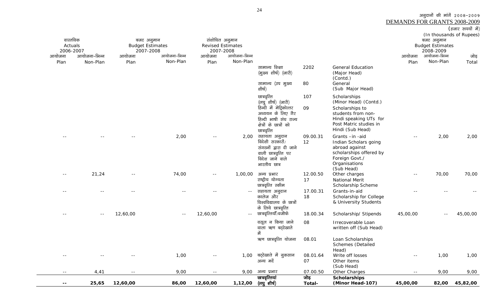| $- -$      | 25,65                     | 12,60,00                | 86,00        | 12,60,00                 | 1,12,00       | (लघु शीर्ष)                                                                          | Total-           | (Minor Head-107)                                                                           | 45,00,00                            | 82,00                                  | 45,82,00          |
|------------|---------------------------|-------------------------|--------------|--------------------------|---------------|--------------------------------------------------------------------------------------|------------------|--------------------------------------------------------------------------------------------|-------------------------------------|----------------------------------------|-------------------|
| $\sim$ $-$ | 4,41                      | $ -$                    | 9,00         | $- -$                    | 9,00          | अन्य प्रभार<br>छात्रवृत्तियां                                                        | 07.00.50<br>जोड़ | Other Charges<br><b>Scholarships</b>                                                       | $\sim$ $-$                          | 9,00                                   | 9,00              |
| $ -$       | --                        | $\sim$ $-$              | 1,00         |                          |               | 1,00 बट्टेखाते में नुकसान<br>अन्य मर्दे                                              | 08.01.64<br>07   | Write off losses<br>Other items<br>(Sub Head)                                              | $\sim$ $-$                          | 1,00                                   | 1,00              |
|            |                           |                         |              |                          |               | ऋण छात्रवृत्ति योजना                                                                 | 08.01            | Loan Scholarships<br><b>Schemes</b> (Detailed<br>Head)                                     |                                     |                                        |                   |
|            |                           |                         |              |                          |               | वसूल न किया जाने<br>वाला ऋण बट्टेखाते<br>में                                         | 08               | Irrecoverable Loan<br>written off (Sub Head)                                               |                                     |                                        |                   |
|            | $- -$                     | 12,60,00                | $ -$         | 12,60,00                 | $\sim$ $\sim$ | छात्रवृत्तियॉॅं/वजीफे                                                                | 18.00.34         | Scholarship/ Stipends                                                                      | 45,00,00                            | $ -$                                   | 45,00,00          |
|            |                           |                         |              |                          |               | कालेज और<br>विश्वविद्यालय के छात्रों<br>के लिये छात्रवृत्ति                          | 18               | Scholarship for College<br>& University Students                                           |                                     |                                        |                   |
|            |                           |                         |              |                          | $\sim$ $-$    | सहायता अनुदान                                                                        | 17.00.31         | Grants-in-aid                                                                              |                                     |                                        |                   |
|            |                           |                         |              |                          |               | राष्ट्रीय योग्यता<br>छात्रवृत्ति स्कीम                                               | 17               | National Merit<br>Scholarship Scheme                                                       |                                     |                                        |                   |
| $- -$      | 21,24                     | $ -$                    | 74,00        | $\sim$ $-$               | 1,00,00       | विदेश जाने वाले<br>भारतीय छात्र<br>अन्य प्रभार                                       | 12.00.50         | Foreign Govt./<br>Organisations<br>(Sub Head)<br>Other charges                             | $\sim$ $\sim$                       | 70,00                                  | 70,00             |
|            |                           |                         | 2,00         |                          | 2,00          | सहायता अनुदान<br>विदेशी सरकारों/<br>संगठनों द्वारा दी जाने<br>वाली छात्रवृत्ति पर    | 09.00.31<br>12   | Grants-in-aid<br>Indian Scholars going<br>abroad against<br>scholarships offered by        | $\sim$ $-$                          | 2,00                                   | 2,00              |
|            |                           |                         |              |                          |               | अध्ययन के लिए गैर<br>हिन्दी भाषी संघ राज्य<br>क्षेत्रों के छात्रों को<br>छात्रवृत्ति |                  | students from non-<br>Hindi speaking UTs for<br>Post Matric studies in<br>Hindi (Sub Head) |                                     |                                        |                   |
|            |                           |                         |              |                          |               | छात्रवृत्ति<br>(लघु शीर्ष) (जारी)<br>हिन्दी में मेट्रिकोत्तर                         | 09               | Scholarships<br>(Minor Head) (Contd.)<br>Scholarships to                                   |                                     |                                        |                   |
|            |                           |                         |              |                          |               | सामान्य (उप मुख्य<br>शीर्ष)                                                          | 107              | (Sub Major Head)                                                                           |                                     |                                        |                   |
|            |                           |                         |              |                          |               | (मुख्य शीर्ष) (जारी)                                                                 | 2202<br>80       | (Major Head)<br>(Contd.)<br>General                                                        |                                     |                                        |                   |
| Plan       | Non-Plan                  | Plan                    | Non-Plan     | Plan                     | Non-Plan      | सामान्य शिक्षा                                                                       |                  | <b>General Education</b>                                                                   | Plan                                | Non-Plan                               | Total             |
| आयोजना     | 2006-2007<br>आयोजना-भिन्न | 2007-2008<br>आयोजना     | आयोजना-भिन्न | 2007-2008<br>आयोजना      | आयोजना-भिन्न  |                                                                                      |                  |                                                                                            | आयोजना                              | 2008-2009<br>आयोजना-भिन्न              | जोड़              |
|            | Actuals                   | <b>Budget Estimates</b> |              | <b>Revised Estimates</b> |               |                                                                                      |                  |                                                                                            |                                     | <b>Budget Estimates</b>                |                   |
|            | वास्तविक                  | बजट अनुमान              |              | संशोधित अनुमान           |               |                                                                                      |                  |                                                                                            |                                     | (In thousands of Rupees)<br>बजट अनुमान |                   |
|            |                           |                         |              |                          |               |                                                                                      |                  |                                                                                            |                                     |                                        | (हजार रुपयों में) |
|            |                           |                         |              |                          |               |                                                                                      |                  |                                                                                            | <b>DEMANDS FOR GRANTS 2008-2009</b> |                                        |                   |

अनुदानों की मांगें २००८-२००९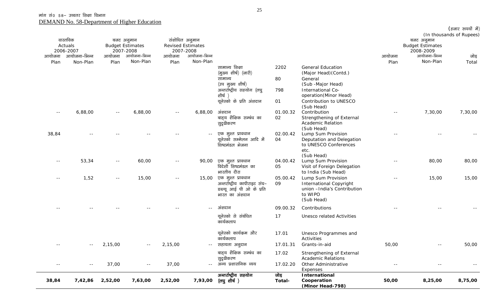|               |                                  |                                                    |                          |                                                         |                          |                                                                                                                                            |                         |                                                                                                                                                           |        |                                                    | (हजार रुपयों में)        |
|---------------|----------------------------------|----------------------------------------------------|--------------------------|---------------------------------------------------------|--------------------------|--------------------------------------------------------------------------------------------------------------------------------------------|-------------------------|-----------------------------------------------------------------------------------------------------------------------------------------------------------|--------|----------------------------------------------------|--------------------------|
|               | वास्तविक<br>Actuals<br>2006-2007 | बजट अनुमान<br><b>Budget Estimates</b><br>2007-2008 |                          | संशोधित अनुमान<br><b>Revised Estimates</b><br>2007-2008 |                          |                                                                                                                                            |                         |                                                                                                                                                           |        | बजट अनुमान<br><b>Budget Estimates</b><br>2008-2009 | (In thousands of Rupees) |
| आयोजना        | आयोजना–भिन्न                     | आयोजना                                             | आयोजना-भिन्न<br>Non-Plan | आयोजना                                                  | आयोजना–भिन्न<br>Non-Plan |                                                                                                                                            |                         |                                                                                                                                                           | आयोजना | आयोजना-भिन्न<br>Non-Plan                           | जोड़                     |
| Plan          | Non-Plan                         | Plan                                               |                          | Plan                                                    |                          | सामान्य शिक्षा<br>(मुख्य शीर्ष) (जारी)<br>सामान्य<br>(उप मुख्य शीर्ष)<br>अन्तर्राष्ट्रीय सहयोग (लघु<br>शीर्ष )<br>यूनेस्को के प्रति अंशदान | 2202<br>80<br>798<br>01 | <b>General Education</b><br>(Major Head) (Contd.)<br>General<br>(Sub -Major Head)<br>International Co-<br>operation(Minor Head)<br>Contribution to UNESCO | Plan   |                                                    | Total                    |
| $ -$          | 6,88,00                          | $\sim$ $-$                                         | 6,88,00                  | $ -$                                                    | 6,88,00                  | अंशदान<br>बाह्य शैक्षिक सम्बंध का<br>सुदृढीकरण                                                                                             | 01.00.32<br>02          | (Sub Head)<br>Contribution<br>Strengthening of External<br><b>Academic Relation</b><br>(Sub Head)                                                         |        | 7,30,00                                            | 7,30,00                  |
| 38,84         |                                  |                                                    |                          |                                                         |                          | एक मुश्त प्रावधान<br>यूनेस्को सम्मेलन आदि में<br>शिष्टमंडल भेजना                                                                           | 02.00.42<br>04          | Lump Sum Provision<br>Deputation and Delegation<br>to UNESCO Conferences<br>etc.<br>(Sub Head)                                                            |        |                                                    |                          |
| $- -$         | 53,34                            | $\sim$ $-$                                         | 60,00                    | $\sim$ $-$                                              | 90,00                    | एक मुश्त प्रावधान<br>विदेशी शिष्टमंडल का<br>भारतीय दौरा                                                                                    | 04.00.42<br>05          | Lump Sum Provision<br>Visit of Foreign Delegation<br>to India (Sub Head)                                                                                  |        | 80,00                                              | 80,00                    |
|               | 1,52                             | $ -$                                               | 15,00                    | $\sim$ $-$                                              | 15,00                    | एक मुश्त प्रावधान<br>अन्तर्राष्ट्रीय कापीराइट संघ–<br>डब्ल्यू आई पी ओ के प्रति<br>भारत का अंशदान                                           | 05.00.42<br>09          | Lump Sum Provision<br><b>International Copyright</b><br>union -India's Contribution<br>to WIPO<br>(Sub Head)                                              |        | 15,00                                              | 15,00                    |
|               |                                  |                                                    |                          |                                                         | $-$                      | अंशदान                                                                                                                                     | 09.00.32                | Contributions                                                                                                                                             |        |                                                    |                          |
|               |                                  |                                                    |                          |                                                         |                          | यूनेस्को से संबंधित<br>कार्यकलाप                                                                                                           | 17                      | <b>Unesco related Activities</b>                                                                                                                          |        |                                                    |                          |
|               |                                  |                                                    |                          |                                                         |                          | यूनेस्को कार्यक्रम और<br>कार्यकलाप                                                                                                         | 17.01                   | Unesco Programmes and<br>Activities                                                                                                                       |        |                                                    |                          |
|               |                                  | 2,15,00                                            |                          | 2,15,00                                                 |                          | सहायता अनुदान                                                                                                                              |                         | 17.01.31 Grants-in-aid                                                                                                                                    | 50,00  |                                                    | 50,00                    |
|               |                                  | 37,00                                              |                          | 37,00                                                   |                          | बाहय शैक्षिक सम्बंध का<br>सुदृढीकरण<br>अन्य प्रशासनिक व्यय                                                                                 | 17.02<br>17.02.20       | Strengthening of External<br><b>Academic Relations</b><br>Other Administrative                                                                            |        |                                                    |                          |
| $\sim$ $\sim$ | $\sim$ $-$                       |                                                    | $- -$                    |                                                         | $  \,$                   |                                                                                                                                            |                         | Expenses                                                                                                                                                  | $ -$   | $ -$                                               | $ -$                     |
| 38,84         | 7,42,86                          | 2,52,00                                            | 7,63,00                  | 2,52,00                                                 | 7,93,00                  | अन्तर्राष्ट्रीय सहयोग<br>(लघु शीर्ष )                                                                                                      | जोड़<br>Total-          | International<br>Cooperation<br>(Minor Head-798)                                                                                                          | 50,00  | 8,25,00                                            | 8,75,00                  |

25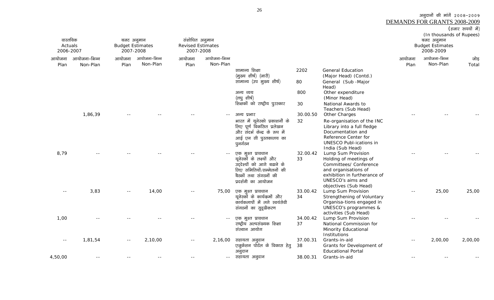|                                  |               |        |                                                    |                                                         |              |                                                                                                                                                         |                |                                                                                                                                                                              |        | DEMANDS FOR GRANTS 2008-2009                                                   |                   |
|----------------------------------|---------------|--------|----------------------------------------------------|---------------------------------------------------------|--------------|---------------------------------------------------------------------------------------------------------------------------------------------------------|----------------|------------------------------------------------------------------------------------------------------------------------------------------------------------------------------|--------|--------------------------------------------------------------------------------|-------------------|
|                                  |               |        |                                                    |                                                         |              |                                                                                                                                                         |                |                                                                                                                                                                              |        |                                                                                | (हजार रुपयों में) |
| वास्तविक<br>Actuals<br>2006-2007 |               |        | बजट अनुमान<br><b>Budget Estimates</b><br>2007-2008 | संशोधित अनुमान<br><b>Revised Estimates</b><br>2007-2008 |              |                                                                                                                                                         |                |                                                                                                                                                                              |        | (In thousands of Rupees)<br>बजट अनुमान<br><b>Budget Estimates</b><br>2008-2009 |                   |
| आयोजना                           | आयोजना–भिन्न  | आयोजना | आयोजना-भिन्न                                       | आयोजना                                                  | आयोजना-भिन्न |                                                                                                                                                         |                |                                                                                                                                                                              | आयोजना | आयोजना-भिन्न                                                                   | जोड़              |
| Plan                             | Non-Plan      | Plan   | Non-Plan                                           | Plan                                                    | Non-Plan     |                                                                                                                                                         |                |                                                                                                                                                                              | Plan   | Non-Plan                                                                       | Total             |
|                                  |               |        |                                                    |                                                         |              | सामान्य शिक्षा<br>(मुख्य शीर्ष) (जारी)                                                                                                                  | 2202           | <b>General Education</b><br>(Major Head) (Contd.)                                                                                                                            |        |                                                                                |                   |
|                                  |               |        |                                                    |                                                         |              | सामान्य (उप मुख्य शीर्ष)                                                                                                                                | 80             | General (Sub-Major<br>Head)                                                                                                                                                  |        |                                                                                |                   |
|                                  |               |        |                                                    |                                                         |              | अन्य व्यय<br>(लघुशीर्ष)                                                                                                                                 | 800            | Other expenditure<br>(Minor Head)                                                                                                                                            |        |                                                                                |                   |
|                                  |               |        |                                                    |                                                         |              | शिक्षकों को राष्ट्रीय पुरस्कार                                                                                                                          | 30             | National Awards to<br>Teachers (Sub Head)                                                                                                                                    |        |                                                                                |                   |
|                                  | 1,86,39       |        |                                                    |                                                         |              | अन्य प्रभार                                                                                                                                             | 30.00.50       | Other Charges                                                                                                                                                                |        |                                                                                |                   |
|                                  |               |        |                                                    |                                                         |              | भारत में यूनेस्को प्रकाशनों के<br>लिए पूर्ण विकसित प्रलेखन<br>और संदर्भ केन्द्र के रूप में<br>आई एन सी पुस्तकालय का<br>पुनर्गठन                         | 32             | Re-organisation of the INC<br>Library into a full fledge<br>Documentation and<br>Reference Center for<br><b>UNESCO Publ-ications in</b><br>India (Sub Head)                  |        |                                                                                |                   |
| 8,79                             |               |        |                                                    |                                                         | $\sim$ $-$   | एक मुश्त प्रावधान<br>यूनेस्कों के लक्ष्यों और<br>उद्देश्यों को आगे बढाने के<br>लिए समितियों/सम्मेलनों की<br>बैठकों तथा संगठनों की<br>प्रदर्शनी का आयोजन | 32.00.42<br>33 | Lump Sum Provision<br>Holding of meetings of<br>Committees/ Conference<br>and organisations of<br>exhibition in furtherance of<br>UNESCO's aims and<br>objectives (Sub Head) |        |                                                                                |                   |
|                                  | 3,83          |        | 14,00                                              |                                                         | 75,00        | एक मुश्त प्रावधान<br>यूनेस्कों के कार्यक्रमों और<br>कार्यकलापों में लगे स्वयंसेवी<br>संगठनों का सुदृढीकरण                                               | 33.00.42<br>34 | Lump Sum Provision<br>Strengthening of Voluntary<br>Organisa-tions engaged in<br>UNESCO's programmes &<br>activities (Sub Head)                                              |        | 25,00                                                                          | 25,00             |
| 1,00                             |               |        |                                                    |                                                         | $\sim$ $-$   | एक मुश्त प्रावधान<br>राष्ट्रीय अल्पसंख्यक शिक्षा<br>संस्थान आयोग                                                                                        | 34.00.42<br>37 | Lump Sum Provision<br>National Commission for<br>Minority Educational<br>Institutions                                                                                        |        |                                                                                |                   |
| $ -$                             | 1,81,54       |        | 2,10,00                                            |                                                         | 2,16,00      | सहायता अनुदान<br>एजुकेशन पोर्टल के विकास हेतु<br>अनुदान                                                                                                 | 37.00.31<br>38 | Grants-in-aid<br>Grants for Development of<br><b>Educational Portal</b>                                                                                                      |        | 2,00,00                                                                        | 2,00,00           |
| 4,50,00                          | $\sim$ $\sim$ |        |                                                    |                                                         | $  \,$       | सहायता अनुदान                                                                                                                                           | 38.00.31       | Grants-in-aid                                                                                                                                                                | $ -$   |                                                                                |                   |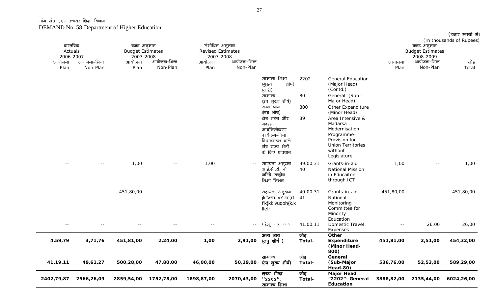|                                  |                           |                                                    |                          |                                                         |                          |                                                                                                                                                                                                                                               |                         |                                                                                                                                                                                                                                                  |                |                                                    | (हजार रुपयों में)<br>(In thousands of Rupees) |
|----------------------------------|---------------------------|----------------------------------------------------|--------------------------|---------------------------------------------------------|--------------------------|-----------------------------------------------------------------------------------------------------------------------------------------------------------------------------------------------------------------------------------------------|-------------------------|--------------------------------------------------------------------------------------------------------------------------------------------------------------------------------------------------------------------------------------------------|----------------|----------------------------------------------------|-----------------------------------------------|
| वास्तविक<br>Actuals<br>2006-2007 |                           | बजट अनुमान<br><b>Budget Estimates</b><br>2007-2008 |                          | संशोधित अनुमान<br><b>Revised Estimates</b><br>2007-2008 |                          |                                                                                                                                                                                                                                               |                         |                                                                                                                                                                                                                                                  |                | बजट अनुमान<br><b>Budget Estimates</b><br>2008-2009 |                                               |
| आयोजना<br>Plan                   | टायोजना-भिन्न<br>Non-Plan | आयोजना<br>Plan                                     | आयोजना-भिन्न<br>Non-Plan | आयोजना<br>Plan                                          | आयोजना-भिन्न<br>Non-Plan |                                                                                                                                                                                                                                               |                         |                                                                                                                                                                                                                                                  | आयोजना<br>Plan | आयोजना-भिन्न<br>Non-Plan                           | जोड़<br>Total                                 |
|                                  |                           |                                                    |                          |                                                         |                          | सामान्य शिक्षा<br>शीर्ष)<br>(मुख्य<br>$(\overline{1}$ जारी)<br>सामान्य<br>(उप मुख्य शीर्ष)<br>अन्य व्यय<br>(लघु शीर्ष)<br>क्षेत्र गहन और<br>मदरसा<br>आधुनिकीकरण<br>कार्यक्रम-बिना<br>विधानमंडल वाले<br>संघ राज्य क्षेत्रों<br>के लिए प्रावधान | 2202<br>80<br>800<br>39 | <b>General Education</b><br>(Major Head)<br>(Contd.)<br>General (Sub -<br>Major Head)<br>Other Expenditure<br>(Minor Head)<br>Area Intensive &<br>Madarsa<br>Modernisation<br>Programme-<br>Provision for<br><b>Union Territories</b><br>without |                |                                                    |                                               |
|                                  | $-1$                      | 1,00                                               | $\sim$ $-$               | 1,00                                                    |                          | --    सहायता  अनुदान<br>अाई.सी.टी.  के<br>जरिये राष्ट्रीय<br>शिक्षा मिशन                                                                                                                                                                      | 39.00.31<br>40          | Legislature<br>Grants-in-aid<br>National Mission<br>in Educaiton<br>through ICT                                                                                                                                                                  | 1,00           | $\sim$ $-$                                         | 1,00                                          |
| $- -$                            | $- -$                     | 451,80,00                                          | $\sim$ $\sim$            |                                                         | $\sim$ $-$               | सहायता अनुदान<br>jk"V <sup>a</sup> h; vYila[;d 41<br>f'k{kk vuqoh{k.k<br>Ifefr                                                                                                                                                                | 40.00.31                | Grants-in-aid<br>National<br>Monitoring<br>Committee for<br>Minority                                                                                                                                                                             | 451,80,00      | $\sim$ $-$                                         | 451,80,00                                     |
| $\sim$ $-$                       | $\sim$ $\sim$             | $\sim$ $-$                                         | $- -$                    | $\sim$ $-$                                              |                          | -- घरेलू यात्रा व्यय                                                                                                                                                                                                                          | 41.00.11                | Education<br>Domestic Travel<br>Expenses                                                                                                                                                                                                         | $\sim$ $-$     | 26,00                                              | 26,00                                         |
| 4,59,79                          | 3,71,76                   | 451,81,00                                          | 2,24,00                  | 1,00                                                    | 2,91,00                  | अन्य व्यय<br>(लघुशीर्ष)                                                                                                                                                                                                                       | जोड़<br>Total-          | Other<br><b>Expenditure</b><br>(Minor Head-<br>800)                                                                                                                                                                                              | 451,81,00      | 2,51,00                                            | 454,32,00                                     |
| 41, 19, 11                       | 49,61,27                  | 500,28,00                                          | 47,80,00                 | 46,00,00                                                | 50,19,00                 | सामान्य<br>(उप मुख्य शीर्ष)                                                                                                                                                                                                                   | जोड़<br>Total-          | General<br>(Sub-Major<br>Head-80)                                                                                                                                                                                                                | 536,76,00      | 52,53,00                                           | 589,29,00                                     |
| 2402,79,87                       | 2566,26,09                | 2859,54,00                                         | 1752,78,00               | 1898,87,00                                              | 2070,43,00               | मुख्य शीष्त्र<br>$"2202"$ .<br>सामान्य शिक्षा                                                                                                                                                                                                 | जोड़<br>Total-          | <b>Major Head</b><br>"2202" - General<br>Education                                                                                                                                                                                               | 3888,82,00     | 2135,44,00                                         | 6024,26,00                                    |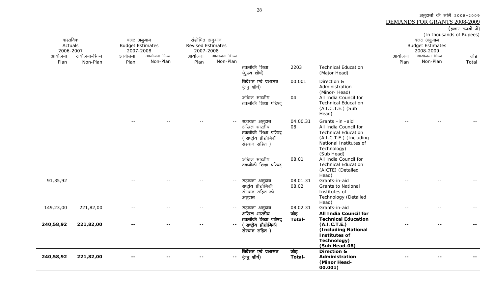|           |               |                         |              |                          |                          |                                         |               |                                            |        |                          | (हजार रुपयों में) |
|-----------|---------------|-------------------------|--------------|--------------------------|--------------------------|-----------------------------------------|---------------|--------------------------------------------|--------|--------------------------|-------------------|
|           |               |                         |              |                          |                          |                                         |               |                                            |        | (In thousands of Rupees) |                   |
| वास्तविक  |               | बजट अनुमान              |              | संशोधित अनुमान           |                          |                                         |               |                                            |        | बजट अनुमान               |                   |
| Actuals   |               | <b>Budget Estimates</b> |              | <b>Revised Estimates</b> |                          |                                         |               |                                            |        | <b>Budget Estimates</b>  |                   |
| 2006-2007 |               | 2007-2008               |              | 2007-2008                |                          |                                         |               |                                            |        | 2008-2009                |                   |
| आयोजना    | टायोजना-भिन्न | आयोजना                  | आयोजना–भिन्न | आयोजना                   | आयोजना-भिन्न             |                                         |               |                                            | आयोजना | आयोजना-भिन्न             | जोड़              |
| Plan      | Non-Plan      | Plan                    | Non-Plan     | Plan                     | Non-Plan                 |                                         |               |                                            | Plan   | Non-Plan                 | Total             |
|           |               |                         |              |                          |                          | तकनीकी शिक्षा                           | 2203          | <b>Technical Education</b>                 |        |                          |                   |
|           |               |                         |              |                          |                          | (मुख्य शीर्ष)                           |               | (Major Head)                               |        |                          |                   |
|           |               |                         |              |                          |                          | निर्देशन एवं प्रशासन                    | 00.001        | Direction &                                |        |                          |                   |
|           |               |                         |              |                          |                          | (लघु शीर्ष)                             |               | Administration                             |        |                          |                   |
|           |               |                         |              |                          |                          |                                         |               | (Minor-Head)                               |        |                          |                   |
|           |               |                         |              |                          |                          | अखिल भारतीय                             | 04            | All India Council for                      |        |                          |                   |
|           |               |                         |              |                          |                          | तकनीकी शिक्षा परिषद्                    |               | <b>Technical Education</b>                 |        |                          |                   |
|           |               |                         |              |                          |                          |                                         |               | (A.I.C.T.E.) (Sub                          |        |                          |                   |
|           |               |                         |              |                          |                          |                                         |               | Head)                                      |        |                          |                   |
|           |               | $\sim$ $\sim$           |              |                          | $\sim$ $-$               | सहायता अनुदान                           | 04.00.31      | Grants-in-aid                              |        |                          |                   |
|           |               |                         |              |                          |                          | अखिल भारतीय                             | 08            | All India Council for                      |        |                          |                   |
|           |               |                         |              |                          |                          | तकनीकी शिक्षा परिषद्                    |               | <b>Technical Education</b>                 |        |                          |                   |
|           |               |                         |              |                          |                          | राष्ट्रीय प्रौद्योगिकी                  |               | (A.I.C.T.E.) (Including                    |        |                          |                   |
|           |               |                         |              |                          |                          | संस्थान सहित )                          |               | National Institutes of                     |        |                          |                   |
|           |               |                         |              |                          |                          |                                         |               | Technology)                                |        |                          |                   |
|           |               |                         |              |                          |                          |                                         |               | (Sub Head)                                 |        |                          |                   |
|           |               |                         |              |                          |                          | अखिल भारतीय                             | 08.01         | All India Council for                      |        |                          |                   |
|           |               |                         |              |                          |                          | तकनीकी शिक्षा परिषद्                    |               | <b>Technical Education</b>                 |        |                          |                   |
|           |               |                         |              |                          |                          |                                         |               | (AICTE) (Detailed                          |        |                          |                   |
|           |               |                         |              |                          |                          |                                         |               | Head)                                      |        |                          |                   |
| 91,35,92  |               |                         |              |                          |                          | सहायता अनुदान<br>राष्ट्रीय प्रौद्योगिकी | 08.01.31      | Grants-in-aid                              |        |                          |                   |
|           |               |                         |              |                          |                          | संस्थान सहित को                         | 08.02         | <b>Grants to National</b><br>Institutes of |        |                          |                   |
|           |               |                         |              |                          |                          |                                         |               | Technology (Detailed                       |        |                          |                   |
|           |               |                         |              |                          |                          | अनुदान                                  |               | Head)                                      |        |                          |                   |
| 149,23,00 | 221,82,00     | $  \,$                  | $\sim$ $-$   | $\sim$ $-$               | $ -$                     | सहायता अनुदान                           | 08.02.31      | Grants-in-aid                              | $- -$  | $  \,$                   |                   |
|           |               |                         |              |                          |                          | अखिल भारतीय                             | जोड़          | All India Council for                      |        |                          |                   |
|           |               |                         |              |                          |                          | तकनीकी शिक्षा परिषद्                    | Total-        | <b>Technical Education</b>                 |        |                          |                   |
| 240,58,92 | 221,82,00     |                         |              |                          | $\overline{\phantom{a}}$ | राष्ट्रीय प्रौद्योगिकी                  |               | (A.I.C.T.E.)                               |        |                          |                   |
|           |               |                         |              |                          |                          | संस्थान सहित )                          |               | (Including National                        |        |                          |                   |
|           |               |                         |              |                          |                          |                                         |               | Institutes of                              |        |                          |                   |
|           |               |                         |              |                          |                          |                                         |               | Technology)                                |        |                          |                   |
|           |               |                         |              |                          |                          |                                         |               | (Sub Head-08)                              |        |                          |                   |
|           |               |                         |              |                          |                          | निर्देशन एवं प्रशासन                    | जोड़          | Direction &                                |        |                          |                   |
| 240,58,92 | 221,82,00     |                         |              |                          | $- -$                    | (লঘু शीर्ष)                             | <b>Total-</b> | Administration                             |        |                          |                   |

-- (লঘু शीर्ष)

**Total-**

**(Minor Head-00.001)** 

**240,58,92 221,82,00 -- -- -- --** 

28

अनुदानों की मांगें २००८-२००९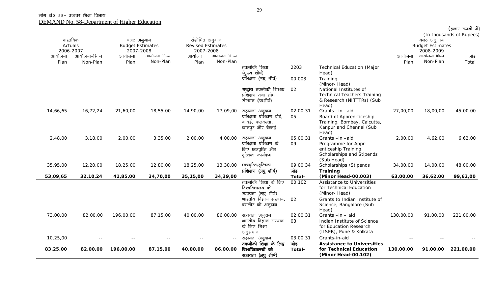| वास्तविक  |               | बजट अनुमान              |              | संशोधित अनुमान           |              |                                     |          |                                                        |           | बजट अनुमान              | (In thousands of Rupees) |
|-----------|---------------|-------------------------|--------------|--------------------------|--------------|-------------------------------------|----------|--------------------------------------------------------|-----------|-------------------------|--------------------------|
| Actuals   |               | <b>Budget Estimates</b> |              | <b>Revised Estimates</b> |              |                                     |          |                                                        |           | <b>Budget Estimates</b> |                          |
| 2006-2007 |               | 2007-2008               |              | 2007-2008                |              |                                     |          |                                                        |           | 2008-2009               |                          |
| आयोजना    | आयोजना-भिन्न  | आयोजना                  | आयोजना-भिन्न | आयोजना                   | आयोजना-भिन्न |                                     |          |                                                        | आयोजना    | आयोजना-भिन्न            | जोड़                     |
| Plan      | Non-Plan      | Plan                    | Non-Plan     | Plan                     | Non-Plan     |                                     |          |                                                        | Plan      | Non-Plan                | Total                    |
|           |               |                         |              |                          |              | तकनीकी शिक्षा                       | 2203     | <b>Technical Education (Major</b>                      |           |                         |                          |
|           |               |                         |              |                          |              | (मुख्य शीर्ष)                       |          | Head)                                                  |           |                         |                          |
|           |               |                         |              |                          |              | प्रशिक्षण (लघु शीर्ष)               | 00.003   | Training<br>(Minor-Head)                               |           |                         |                          |
|           |               |                         |              |                          |              | राष्ट्रीय तकनीकी शिक्षक             | 02       | National Institutes of                                 |           |                         |                          |
|           |               |                         |              |                          |              | प्रशिक्षण तथा शोध                   |          | <b>Technical Teachers Training</b>                     |           |                         |                          |
|           |               |                         |              |                          |              | संस्थान (उपशीर्ष)                   |          | & Research (NITTTRs) (Sub                              |           |                         |                          |
|           |               |                         |              |                          |              |                                     |          | Head)                                                  |           |                         |                          |
| 14,66,65  | 16,72,24      | 21,60,00                | 18,55,00     | 14,90,00                 | 17,09,00     | सहायता अनुदान                       | 02.00.31 | Grants -in -aid                                        | 27,00,00  | 18,00,00                | 45,00,00                 |
|           |               |                         |              |                          |              | प्रशिक्षुता प्रशिक्षण बोर्ड,        | 05       | Board of Appren-ticeship                               |           |                         |                          |
|           |               |                         |              |                          |              | बम्बई, कलकत्ता,<br>कानपुर और चेन्नई |          | Training, Bombay, Calcutta,<br>Kanpur and Chennai (Sub |           |                         |                          |
|           |               |                         |              |                          |              |                                     |          | Head)                                                  |           |                         |                          |
| 2,48,00   | 3,18,00       | 2,00,00                 | 3,35,00      | 2,00,00                  | 4,00,00      | सहायता अनुदान                       | 05.00.31 | Grants-in-aid                                          | 2,00,00   | 4,62,00                 | 6,62,00                  |
|           |               |                         |              |                          |              | प्रशिक्षुता प्रशिक्षण के            | 09       | Programme for Appr-                                    |           |                         |                          |
|           |               |                         |              |                          |              | लिए छात्रवृत्ति और                  |          | enticeship Training                                    |           |                         |                          |
|           |               |                         |              |                          |              | वृत्तिका कार्यक्रम                  |          | Scholarships and Stipends                              |           |                         |                          |
| 35,95,00  | 12,20,00      | 18,25,00                | 12,80,00     | 18,25,00                 | 13,30,00     | छात्रवृत्ति/वृत्तिका                | 09.00.34 | (Sub Head)                                             | 34,00,00  | 14,00,00                | 48,00,00                 |
|           |               |                         |              |                          |              | प्रशिक्षण (लघु शीर्ष)               | जोड़     | Scholarships / Stipends<br>Training                    |           |                         |                          |
| 53,09,65  | 32,10,24      | 41,85,00                | 34,70,00     | 35,15,00                 | 34,39,00     |                                     | Total-   | (Minor Head-00.003)                                    | 63,00,00  | 36,62,00                | 99,62,00                 |
|           |               |                         |              |                          |              | तकनीकी शिक्षा के लिए                | 00.102   | Assistance to Universities                             |           |                         |                          |
|           |               |                         |              |                          |              | विश्वविद्यालय को                    |          | for Technical Education                                |           |                         |                          |
|           |               |                         |              |                          |              | सहायता (लघु शीर्ष)                  |          | (Minor-Head)                                           |           |                         |                          |
|           |               |                         |              |                          |              | भारतीय विज्ञान संस्थान,             | 02       | Grants to Indian Institute of                          |           |                         |                          |
|           |               |                         |              |                          |              | बंगलौर को अनुदान                    |          | Science, Bangalore (Sub                                |           |                         |                          |
| 73,00,00  | 82,00,00      | 196,00,00               | 87,15,00     | 40,00,00                 | 86,00,00     | सहायता अनुदान                       | 02.00.31 | Head)<br>Grants-in-aid                                 | 130,00,00 | 91,00,00                | 221,00,00                |
|           |               |                         |              |                          |              | भारतीय विज्ञान संस्थान              | 03       | Indian Institute of Science                            |           |                         |                          |
|           |               |                         |              |                          |              | के लिए शिक्षा                       |          | for Education Research                                 |           |                         |                          |
|           |               |                         |              |                          |              | अनुसंधान                            |          | (IISER), Pune & Kolkata                                |           |                         |                          |
| 10,25,00  | $\frac{1}{2}$ | $ -$                    | $- -$        | $ -$                     | $\sim$ $-$   | सहायता अनुदान                       | 03.00.31 | Grants-in-aid                                          | --        |                         |                          |
|           |               |                         |              |                          |              | तकनीकी शिक्षा के लिए                | जोड़     | <b>Assistance to Universities</b>                      |           |                         |                          |
| 83,25,00  | 82,00,00      | 196,00,00               | 87,15,00     | 40,00,00                 | 86,00,00     | विश्वविद्यालयों को                  | Total-   | for Technical Education                                | 130,00,00 | 91,00,00                | 221,00,00                |
|           |               |                         |              |                          |              | सहायता (लघु शीर्ष)                  |          | (Minor Head-00.102)                                    |           |                         |                          |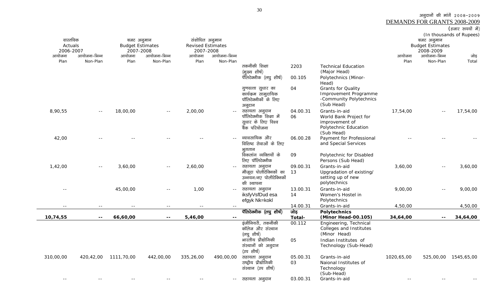<u>DEMANDS FOR GRANTS 2008-2009</u><br>(हजार रुपयों में)

| वास्तविक<br>Actuals<br>2006-2007 |              | बजट अनुमान<br><b>Budget Estimates</b><br>2007-2008 |              | संशोधित अनुमान<br><b>Revised Estimates</b><br>2007-2008 |              |                                                                                                                               |                      |                                                                                                                                  |            | बजट अनुमान<br><b>Budget Estimates</b><br>2008-2009 | (In thousands of Rupees) |
|----------------------------------|--------------|----------------------------------------------------|--------------|---------------------------------------------------------|--------------|-------------------------------------------------------------------------------------------------------------------------------|----------------------|----------------------------------------------------------------------------------------------------------------------------------|------------|----------------------------------------------------|--------------------------|
| आयोजना                           | आयोजना-भिन्न | आयोजना                                             | आयोजना-भिन्न | आयोजना                                                  | आयोजना-भिन्न |                                                                                                                               |                      |                                                                                                                                  | आयोजना     | आयोजना-भिन्न                                       | जोड़                     |
| Plan                             | Non-Plan     | Plan                                               | Non-Plan     | Plan                                                    | Non-Plan     | तकनीकी शिक्षा<br>(मुख्य शीर्ष)<br>पॅलिटेक्नीक (लघु शीर्ष)                                                                     | 2203<br>00.105       | <b>Technical Education</b><br>(Major Head)<br>Polytechnics (Minor-<br>Head)                                                      | Plan       | Non-Plan                                           | Total                    |
|                                  |              |                                                    |              |                                                         |              | गुणवत्ता सुधार का<br>कार्यक्रम सामुदायिक<br>पॉलिटेक्नीकों के लिए<br>अनुदान                                                    | 04                   | <b>Grants for Quality</b><br>Improvement Programme<br>-Community Polytechnics<br>(Sub Head)                                      |            |                                                    |                          |
| 8,90,55                          |              | 18,00,00                                           |              | 2,00,00                                                 |              | सहायता अनुदान<br>पॉलिटेक्नीक शिक्षा में<br>सूधार के लिए विश्व<br>बैंक परियोजना                                                | 04.00.31<br>06       | Grants-in-aid<br>World Bank Project for<br>improvement of<br>Polytechnic Education<br>(Sub Head)                                 | 17,54,00   | $\sim$ $-$                                         | 17,54,00                 |
| 42,00                            |              |                                                    |              |                                                         |              | व्यावसायिक और<br>विशिष्ट सेवाओं के लिए<br>भुगतान                                                                              | 06.00.28             | Payment for Professional<br>and Special Services                                                                                 |            |                                                    |                          |
| 1,42,00                          | $ -$         | 3,60,00                                            | $- -$        | 2,60,00                                                 |              | विकलांग व्यक्तियों के<br>लिए पॉलिटेक्नीक<br>सहायता अनुदान<br>मौजूदा पोलीटेक्निकों का<br>उन्नयन/नए पोलीटेक्निकों<br>की स्थापना | 09<br>09.00.31<br>13 | Polytechnic for Disabled<br>Persons (Sub Head)<br>Grants-in-aid<br>Upgradation of existing/<br>setting up of new<br>polytechnics | 3,60,00    | $-$                                                | 3,60,00                  |
| $ -$                             |              | 45,00,00                                           | $-$          | 1,00                                                    | $\sim$ $-$   | सहायता अनुदान<br>iksfyVsfDud esa<br>efgyk Nk=kokl                                                                             | 13.00.31<br>14       | Grants-in-aid<br>Women's Hostel in<br>Polytechnics                                                                               | 9,00,00    | $-$                                                | 9,00,00                  |
|                                  |              |                                                    | $- -$        |                                                         | $\sim$ $-$   |                                                                                                                               | 14.00.31             | Grants-in-aid                                                                                                                    | 4,50,00    |                                                    | 4,50,00                  |
| 10,74,55                         |              | 66,60,00                                           | $- -$        | 5,46,00                                                 | $\mathbf{u}$ | पॅलिटेक्नीक (लघु शीर्ष)                                                                                                       | जोड़<br>Total-       | <b>Polytechnics</b><br>(Minor Head-00.105)                                                                                       | 34,64,00   | $-$                                                | 34,64,00                 |
|                                  |              |                                                    |              |                                                         |              | इंजीनियरी, तकनीकी<br>कॉलेज और संस्थान<br>(लघुशीर्ष)                                                                           | 00.112               | Engineering, Technical<br>Colleges and Institutes<br>(Minor Head)                                                                |            |                                                    |                          |
|                                  |              |                                                    |              |                                                         |              | भारतीय प्रौद्योगिकी<br>संस्थानों को अनुदान<br>(उप शीर्ष)                                                                      | 05                   | Indian Institutes of<br>Technology (Sub-Head)                                                                                    |            |                                                    |                          |
| 310,00,00                        | 420,42,00    | 1111,70,00                                         | 442,00,00    | 335,26,00                                               | 490,00,00    | सहायता अनुदान<br>राष्ट्रीय प्रौद्योगिकी<br>संस्थान (उप शीर्ष)                                                                 | 05.00.31<br>03       | Grants-in-aid<br>Naional Institutes of<br>Technology<br>(Sub-Head)                                                               | 1020,65,00 | 525,00,00                                          | 1545,65,00               |
|                                  |              |                                                    |              |                                                         | $- -$        | सहायता अनुदान                                                                                                                 | 03.00.31             | Grants-in-aid                                                                                                                    |            |                                                    |                          |

 $\sim$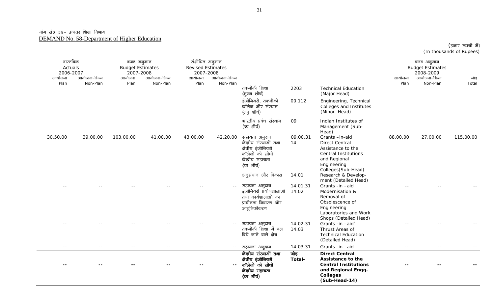$($ हजार रुपयों में) (In thousands of Rupees)

| वास्तविक<br>Actuals<br>2006-2007<br>आयोजना<br>Plan | आयोजना-भिन्न<br>Non-Plan | बजट अनुमान<br><b>Budget Estimates</b><br>2007-2008<br>आयोजना<br>Plan | आयोजना-भिन्न<br>Non-Plan | संशोधित अनुमान<br><b>Revised Estimates</b><br>2007-2008<br>आयोजना<br>Plan | आयोजना–भिन्न<br>Non-Plan |                                                                                                                    |                   |                                                                                                                                                  | आयोजना<br>Plan | बजट अनुमान<br><b>Budget Estimates</b><br>2008-2009<br>आयोजना-भिन्न<br>Non-Plan | जोड़<br>Total |
|----------------------------------------------------|--------------------------|----------------------------------------------------------------------|--------------------------|---------------------------------------------------------------------------|--------------------------|--------------------------------------------------------------------------------------------------------------------|-------------------|--------------------------------------------------------------------------------------------------------------------------------------------------|----------------|--------------------------------------------------------------------------------|---------------|
|                                                    |                          |                                                                      |                          |                                                                           |                          | तकनीकी शिक्षा<br>(मुख्य शीर्ष)                                                                                     | 2203              | <b>Technical Education</b><br>(Major Head)                                                                                                       |                |                                                                                |               |
|                                                    |                          |                                                                      |                          |                                                                           |                          | इंजीनियरी, तकनीकी<br>कॉलेज और संस्थान<br>(लघुशीर्ष)                                                                | 00.112            | Engineering, Technical<br>Colleges and Institutes<br>(Minor Head)                                                                                |                |                                                                                |               |
|                                                    |                          |                                                                      |                          |                                                                           |                          | भारतीय प्रबंध संस्थान<br>(उप शीर्ष)                                                                                | 09                | Indian Institutes of<br>Management (Sub-<br>Head)                                                                                                |                |                                                                                |               |
| 30,50,00                                           | 39,00,00                 | 103,00,00                                                            | 41,00,00                 | 43,00,00                                                                  | 42,20,00                 | सहायता अनुदान<br>केन्द्रीय संस्थाओं तथा<br>क्षेत्रीय इंजीनियरी<br>कॉलेजों को सीधी<br>केन्द्रीय सहायता<br>(उपशीर्ष) | 09.00.31<br>14    | Grants-in-aid<br><b>Direct Central</b><br>Assistance to the<br><b>Central Institutions</b><br>and Regional<br>Engineering<br>Colleges (Sub-Head) | 88,00,00       | 27,00,00                                                                       | 115,00,00     |
|                                                    |                          |                                                                      |                          |                                                                           |                          | अनुसंधान और विकास                                                                                                  | 14.01             | Research & Develop-<br>ment (Detailed Head)                                                                                                      |                |                                                                                |               |
|                                                    |                          |                                                                      |                          |                                                                           | $\sim$ $-$               | सहायता अनुदान<br>इंजीनियरी प्रयोगशालाओं<br>तथा कार्यशालाओं का<br>प्राचीनता निवारण और<br>आधुनिकीकरण                 | 14.01.31<br>14.02 | Grants -in -aid<br>Modernisation &<br>Removal of<br>Obsolescence of<br>Engineering<br>Laboratories and Work<br>Shops (Detailed Head)             | $\sim$ $\sim$  |                                                                                |               |
|                                                    |                          |                                                                      |                          |                                                                           |                          | सहायता अनुदान<br>तकनीकी शिक्षा में बल<br>दिये जाने वाले क्षेत्र                                                    | 14.02.31<br>14.03 | Grants -in -aid`<br>Thrust Areas of<br><b>Technical Education</b><br>(Detailed Head)                                                             |                |                                                                                |               |
| $\sim$ $-$                                         | $\sim$ $-$               | $-$                                                                  | $\sim$ $-$               | $  \,$                                                                    | $\sim$ $\sim$            | सहायता अनुदान                                                                                                      | 14.03.31          | Grants -in -aid                                                                                                                                  | $ -$           | $ -$                                                                           |               |
|                                                    |                          |                                                                      |                          |                                                                           | $\overline{\phantom{a}}$ | केन्द्रीय संस्थाओं तथा<br>क्षेत्रीय इंजीनियरी<br>कॉलेजों को सीधी<br>केन्द्रीय सहायता<br>(उप शीर्ष)                 | जोड़<br>Total-    | <b>Direct Central</b><br>Assistance to the<br><b>Central Institutions</b><br>and Regional Engg.<br><b>Colleges</b><br>(Sub-Head-14)              |                |                                                                                |               |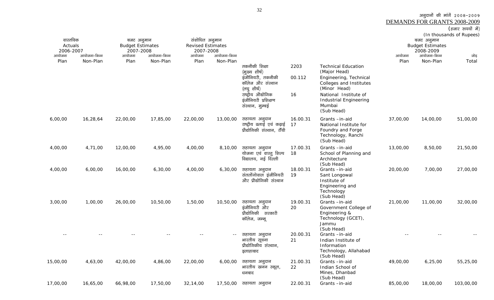DEMANDS FOR GRANTS 2008-2009

### $\overline{\text{(6-1)}$  कपयों में)

(In thousands of Rupees)

| वास्तविक<br>Actuals |              | बजट अनुमान<br><b>Budget Estimates</b> |              | संशोधित अनुमान<br><b>Revised Estimates</b> |              |                                                                          |                |                                                                                                      |          | बजट अनुमान<br><b>Budget Estimates</b> | (iii thousands of Kapcos) |
|---------------------|--------------|---------------------------------------|--------------|--------------------------------------------|--------------|--------------------------------------------------------------------------|----------------|------------------------------------------------------------------------------------------------------|----------|---------------------------------------|---------------------------|
| 2006-2007<br>आयोजना | आयोजना-भिन्न | 2007-2008<br>आयोजना                   | आयोजना-भिन्न | 2007-2008<br>आयोजना                        | आयोजना-भिन्न |                                                                          |                |                                                                                                      | आयोजना   | 2008-2009<br>आयोजना-भिन्न             | जोड़                      |
| Plan                | Non-Plan     | Plan                                  | Non-Plan     | Plan                                       | Non-Plan     | तकनीकी शिक्षा                                                            | 2203           | <b>Technical Education</b>                                                                           | Plan     | Non-Plan                              | Total                     |
|                     |              |                                       |              |                                            |              | (मुख्य शीर्ष)<br>इंजीनियरी, तकनीकी<br>कॉलेज और संस्थान<br>(लघुशीर्ष)     | 00.112         | (Major Head)<br>Engineering, Technical<br>Colleges and Institutes<br>(Minor Head)                    |          |                                       |                           |
|                     |              |                                       |              |                                            |              | राष्ट्रीय औद्योगिक<br>इंजीनियरी प्रशिक्षण<br>संस्थान, मुम्बई             | 16             | National Institute of<br>Industrial Engineering<br>Mumbai<br>(Sub Head)                              |          |                                       |                           |
| 6,00,00             | 16,28,64     | 22,00,00                              | 17,85,00     | 22,00,00                                   | 13,00,00     | सहायता अनुदान<br>राष्ट्रीय ढलाई एवं कढ़ाई<br>प्रौद्योगिकी संस्थान, राँची | 16.00.31<br>17 | Grants-in-aid<br>National Institute for<br>Foundry and Forge<br>Technology, Ranchi<br>(Sub Head)     | 37,00,00 | 14,00,00                              | 51,00,00                  |
| 4,00,00             | 4,71,00      | 12,00,00                              | 4,95,00      | 4,00,00                                    | 8,10,00      | सहायता अनुदान<br>योजना एवं वास्तू शिल्प<br>विद्यालय, नई दिल्ली           | 17.00.31<br>18 | Grants-in-aid<br>School of Planning and<br>Architecture<br>(Sub Head)                                | 13,00,00 | 8,50,00                               | 21,50,00                  |
| 4,00,00             | 6,00,00      | 16,00,00                              | 6,30,00      | 4,00,00                                    | 6,30,00      | सहायता अनुदान<br>संतलोंगोवाल इंजीनियरी<br>और प्रौद्योगिकी संस्थान        | 18.00.31<br>19 | Grants-in-aid<br>Sant Longowal<br>Institute of<br>Engineering and<br>Technology<br>(Sub Head)        | 20,00,00 | 7,00,00                               | 27,00,00                  |
| 3,00,00             | 1,00,00      | 26,00,00                              | 10,50,00     | 1,50,00                                    | 10,50,00     | सहायता अनुदान<br>इंजीनियरी और<br>प्रौद्योगिकी सरकारी<br>कॉलेज, जम्मू     | 19.00.31<br>20 | Grants-in-aid<br>Government College of<br>Engineering &<br>Technology (GCET),<br>Jammu<br>(Sub Head) | 21,00,00 | 11,00,00                              | 32,00,00                  |
|                     |              |                                       |              |                                            | $\sim$ $-$   | सहायता अनुदान<br>भारतीय सूचना<br>प्रौद्योगिकीय संस्थान,<br>इलाहाबाद      | 20.00.31<br>21 | Grants -in-aid<br>Indian Institute of<br>Information<br>Technology, Allahabad<br>(Sub Head)          |          |                                       |                           |
| 15,00,00            | 4,63,00      | 42,00,00                              | 4,86,00      | 22,00,00                                   | 6,00,00      | सहायता अनुदान<br>भारतीय खनन स्कूल,<br>धनबाद                              | 21.00.31<br>22 | Grants-in-aid<br>Indian School of<br>Mines, Dhanbad<br>(Sub Head)                                    | 49,00,00 | 6, 25, 00                             | 55,25,00                  |
| 17,00,00            | 16,65,00     | 66,98,00                              | 17,50,00     | 32,14,00                                   |              | 17,50,00 सहायता अनुदान                                                   | 22.00.31       | Grants-in-aid                                                                                        | 85,00,00 | 18,00,00                              | 103,00,00                 |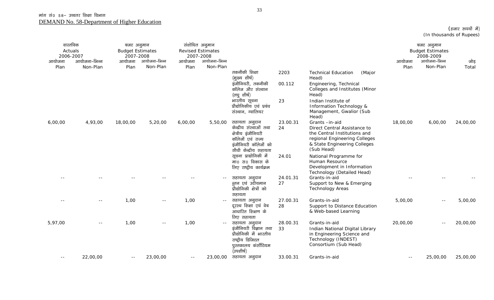$($ हजार रुपयों में) (In thousands of Rupees)

| वास्तविक<br>Actuals<br>2006-2007<br>आयोजना<br>Plan | आयोजना-भिन्न<br>Non-Plan | बजट अनुमान<br><b>Budget Estimates</b><br>2007-2008<br>आयोजना<br>Plan | आयोजना-भिन्न<br>Non-Plan | संशोधित अनुमान<br>2007-2008<br>आयोजना<br>Plan | <b>Revised Estimates</b><br>आयोजना-भिन्न<br>Non-Plan |                                                                                                                                                        |                      |                                                                                                                                                                                                            | आयोजना<br>Plan | बजट अनुमान<br><b>Budget Estimates</b><br>2008-2009<br>आयोजना-भिन्न<br>Non-Plan | जोड़<br>Total |
|----------------------------------------------------|--------------------------|----------------------------------------------------------------------|--------------------------|-----------------------------------------------|------------------------------------------------------|--------------------------------------------------------------------------------------------------------------------------------------------------------|----------------------|------------------------------------------------------------------------------------------------------------------------------------------------------------------------------------------------------------|----------------|--------------------------------------------------------------------------------|---------------|
|                                                    |                          |                                                                      |                          |                                               |                                                      | तकनीकी शिक्षा<br>(मुख्य शीर्ष)<br>इंजीनियरी, तकनीकी<br>कॉलेज और संस्थान<br>(लघुशीर्ष)<br>भारतीय सूचना<br>प्रौद्योगिकीय एवं प्रबंध<br>संस्थान, ग्वालियर | 2203<br>00.112<br>23 | <b>Technical Education</b><br>(Major<br>Head)<br>Engineering, Technical<br>Colleges and Institutes (Minor<br>Head)<br>Indian Institute of<br>Information Technology &<br>Management, Gwalior (Sub<br>Head) |                |                                                                                |               |
| 6,00,00                                            | 4,93,00                  | 18,00,00                                                             | 5,20,00                  | 6,00,00                                       | 5,50,00                                              | सहायता अनुदान<br>केन्द्रीय संस्थाओं तथा<br>क्षेत्रीय इंजीनियरी<br>कॉलेजों एवं राज्य<br>इंजीनियरी कॉलेजों को<br>सीधी केन्द्रीय सहायता                   | 23.00.31<br>24       | Grants-in-aid<br>Direct Central Assistance to<br>the Central Institutions and<br>regional Engineering Colleges<br>& State Engineering Colleges<br>(Sub Head)                                               | 18,00,00       | 6,00,00                                                                        | 24,00,00      |
|                                                    |                          |                                                                      |                          |                                               |                                                      | सूचना प्राद्योगिकी में<br>मा0 स0 विकास के<br>लिए राष्ट्रीय कार्यक्रम                                                                                   | 24.01                | National Programme for<br>Human Resource<br>Development in Information<br>Technology (Detailed Head)                                                                                                       |                |                                                                                |               |
|                                                    |                          |                                                                      |                          |                                               |                                                      | सहायता अनुदान<br>न्तून एवं उदीयमान<br>प्रौद्योगिकी क्षेत्रों को<br>सहायता                                                                              | 24.01.31<br>27       | Grants-in-aid<br>Support to New & Emerging<br><b>Technology Areas</b>                                                                                                                                      |                |                                                                                |               |
|                                                    | $-1$                     | 1,00                                                                 | $ -$                     | 1,00                                          |                                                      | सहायता अनुदान<br>दूरस्थ शिक्षा एवं वेब<br>आधारित शिक्षण के<br>लिए सहायता                                                                               | 27.00.31<br>28       | Grants-in-aid<br>Support to Distance Education<br>& Web-based Learning                                                                                                                                     | 5,00,00        | $\sim$ $-$                                                                     | 5,00,00       |
| 5,97,00                                            | $ -$                     | 1,00                                                                 | $ -$                     | 1,00                                          | $- -$                                                | सहायता अनुदान<br>इंजीनियरी विज्ञान तथा<br>प्रौद्योगिकी में भारतीय<br>राष्ट्रीय डिजिटल<br>पुस्तकालय कंर्सोटियम<br>(उपशीर्ष)                             | 28.00.31<br>33       | Grants-in-aid<br>Indian National Digital Library<br>in Engineering Science and<br>Technology (INDEST)<br>Consortium (Sub Head)                                                                             | 20,00,00       | $\sim$ $-$                                                                     | 20,00,00      |
| $- -$                                              | 22,00,00                 | $ -$                                                                 | 23,00,00                 | $- -$                                         |                                                      | 23,00,00 सहायता अनुदान                                                                                                                                 | 33.00.31             | Grants-in-aid                                                                                                                                                                                              | $- -$          | 25,00,00                                                                       | 25,00,00      |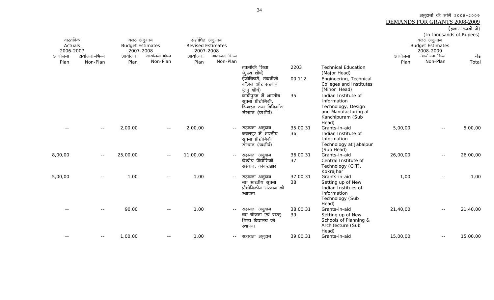| ਰਗਦ | ust Ja<br>ı<br>- 17<br>٠ |  |
|-----|--------------------------|--|
|     |                          |  |

| वास्तविक<br>Actuals<br>2006-2007 |               | बजट अनुमान<br><b>Budget Estimates</b><br>2007-2008 |              | संशोधित अनुमान<br><b>Revised Estimates</b><br>2007-2008 |              |                                                                                          |                |                                                                                                                 | बजट अनुमान<br><b>Budget Estimates</b> | (In thousands of Rupees)  |          |
|----------------------------------|---------------|----------------------------------------------------|--------------|---------------------------------------------------------|--------------|------------------------------------------------------------------------------------------|----------------|-----------------------------------------------------------------------------------------------------------------|---------------------------------------|---------------------------|----------|
| आयोजना                           | टायोजना-भिन्न | आयोजना                                             | आयोजना-भिन्न | आयोजना                                                  | आयोजना-भिन्न |                                                                                          |                |                                                                                                                 | आयोजना                                | 2008-2009<br>आयोजना-भिन्न | जेड़     |
| Plan                             | Non-Plan      | Plan                                               | Non-Plan     | Plan                                                    | Non-Plan     |                                                                                          |                |                                                                                                                 | Plan                                  | Non-Plan                  | Total    |
|                                  |               |                                                    |              |                                                         |              | तकनीकी शिक्षा<br>(मुख्य शीर्ष)<br>इंजीनियरी, तकनीकी<br>कॉलेज और संस्थान<br>(लघु शीर्ष)   | 2203<br>00.112 | <b>Technical Education</b><br>(Major Head)<br>Engineering, Technical<br>Colleges and Institutes<br>(Minor Head) |                                       |                           |          |
|                                  |               |                                                    |              |                                                         |              | कांचीपुरम में भारतीय<br>सूचना प्रौद्योगिकी,<br>डिजाइन तथा विनिर्माण<br>संस्थान (उपशीर्ष) | 35             | Indian Institute of<br>Information<br>Technology, Design<br>and Manufacturing at<br>Kanchipuram (Sub<br>Head)   |                                       |                           |          |
|                                  | $\sim$ $-$    | 2,00,00                                            | $\sim$ $-$   | 2,00,00                                                 |              | सहायता अनुदान<br>जबलपुर में भारतीय<br>सूचना प्रौद्योगिकी<br>संस्थान (उपशीर्ष)            | 35.00.31<br>36 | Grants-in-aid<br>Indian Institute of<br>Information<br>Technology at Jabalpur<br>(Sub Head)                     | 5,00,00                               | $- -$                     | 5,00,00  |
| 8,00,00                          | $\sim$ $-$    | 25,00,00                                           | $ -$         | 11,00,00                                                | $ -$         | सहायता अनुदान<br>केन्द्रीय प्रौद्योगिकी<br>संस्थान, कोकराझार                             | 36.00.31<br>37 | Grants-in-aid<br>Central Institute of<br>Technology (CIT),<br>Kokrajhar                                         | 26,00,00                              | $- -$                     | 26,00,00 |
| 5,00,00                          | $- -$         | 1,00                                               | $\sim$ $-$   | 1,00                                                    | $\sim$ $-$   | सहायता अनुदान<br>नए भारतीय सूचना<br>प्रौद्योगिकीय संस्थान की<br>स्थापना                  | 37.00.31<br>38 | Grants-in-aid<br>Setting up of New<br>Indian Institues of<br>Information<br>Technology (Sub<br>Head)            | 1,00                                  | $\sim$ $-$                | 1,00     |
|                                  |               | 90,00                                              | $\sim$ $-$   | 1,00                                                    | $ -$         | सहायता अनुदान<br>नए योजना एवं वास्तु<br>शिल्प विद्यालय की<br>स्थापना                     | 38.00.31<br>39 | Grants-in-aid<br>Setting up of New<br>Schools of Planning &<br>Architecture (Sub<br>Head)                       | 21,40,00                              | $\sim$ $-$                | 21,40,00 |
| $- -$                            | $- -$         | 1,00,00                                            | $- -$        | 1,00                                                    | $- -$        | सहायता अनूदान                                                                            | 39.00.31       | Grants-in-aid                                                                                                   | 15,00,00                              | $ -$                      | 15,00,00 |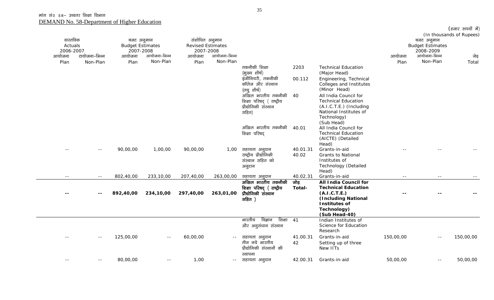|           |               |                         |               |                          |               |                             |          |                                     |           |                           | (हजार रुपयों में)        |
|-----------|---------------|-------------------------|---------------|--------------------------|---------------|-----------------------------|----------|-------------------------------------|-----------|---------------------------|--------------------------|
|           |               |                         |               |                          |               |                             |          |                                     |           |                           | (In thousands of Rupees) |
| वास्तविक  |               | बजट अनुमान              |               | संशोधित अनुमान           |               |                             |          |                                     |           | बजट अनुमान                |                          |
| Actuals   |               | <b>Budget Estimates</b> |               | <b>Revised Estimates</b> |               |                             |          |                                     |           | <b>Budget Estimates</b>   |                          |
| 2006-2007 | टायोजना–भिन्न | 2007-2008               | आयोजना-भिन्न  | 2007-2008                | आयोजना-भिन्न  |                             |          |                                     |           | 2008-2009<br>आयोजना-भिन्न |                          |
| आयोजना    |               | आयोजना                  |               | आयोजना                   |               |                             |          |                                     | आयोजना    |                           | जेड़                     |
| Plan      | Non-Plan      | Plan                    | Non-Plan      | Plan                     | Non-Plan      |                             |          |                                     | Plan      | Non-Plan                  | Total                    |
|           |               |                         |               |                          |               | तकनीकी शिक्षा               | 2203     | <b>Technical Education</b>          |           |                           |                          |
|           |               |                         |               |                          |               | (मुख्य शीर्ष)               |          | (Major Head)                        |           |                           |                          |
|           |               |                         |               |                          |               | इंजीनियरी, तकनीकी           | 00.112   | Engineering, Technical              |           |                           |                          |
|           |               |                         |               |                          |               | कॉलेज और संस्थान            |          | Colleges and Institutes             |           |                           |                          |
|           |               |                         |               |                          |               | (लघु शीर्ष)                 |          | (Minor Head)                        |           |                           |                          |
|           |               |                         |               |                          |               | अखिल भारतीय तकनीकी          | 40       | All India Council for               |           |                           |                          |
|           |               |                         |               |                          |               | शिक्षा परिषद् (राष्ट्रीय    |          | <b>Technical Education</b>          |           |                           |                          |
|           |               |                         |               |                          |               | प्रौद्योगिकी संस्थान        |          | $(A.I.C.T.E.)$ (Including           |           |                           |                          |
|           |               |                         |               |                          |               | सहित)                       |          | National Institutes of              |           |                           |                          |
|           |               |                         |               |                          |               |                             |          | Technology)                         |           |                           |                          |
|           |               |                         |               |                          |               | अखिल भारतीय तकनीकी          | 40.01    | (Sub Head)<br>All India Council for |           |                           |                          |
|           |               |                         |               |                          |               | शिक्षा परिषद                |          | <b>Technical Education</b>          |           |                           |                          |
|           |               |                         |               |                          |               |                             |          | (AICTE) (Detailed                   |           |                           |                          |
|           |               |                         |               |                          |               |                             |          | Head)                               |           |                           |                          |
|           | $- -$         | 90,00,00                | 1,00,00       | 90,00,00                 | 1,00          | सहायता अनुदान               | 40.01.31 | Grants-in-aid                       |           |                           |                          |
|           |               |                         |               |                          |               | राष्ट्रीय प्रौद्योगिकी      | 40.02    | <b>Grants to National</b>           |           |                           |                          |
|           |               |                         |               |                          |               | संस्थान सहित को             |          | Institutes of                       |           |                           |                          |
|           |               |                         |               |                          |               | अनुदान                      |          | <b>Technology (Detailed</b>         |           |                           |                          |
|           |               |                         |               |                          |               |                             |          | Head)                               |           |                           |                          |
|           | $\sim$ $-$    | 802,40,00               | 233,10,00     | 207,40,00                | 263,00,00     | सहायता अनुदान               | 40.02.31 | Grants-in-aid                       | $ -$      | $- -$                     |                          |
|           |               |                         |               |                          |               | अखिल भारतीय तकनीकी          | जोड़     | All India Council for               |           |                           |                          |
|           |               |                         |               |                          |               | शिक्षा परिषद् (राष्ट्रीय    | Total-   | <b>Technical Education</b>          |           |                           |                          |
|           |               | 892,40,00               | 234,10,00     | 297,40,00                | 263,01,00     | प्रौद्योगिकी संस्थान        |          | (A.I.C.T.E.)                        |           |                           |                          |
|           |               |                         |               |                          |               | सहित )                      |          | (Including National                 |           |                           |                          |
|           |               |                         |               |                          |               |                             |          | <b>Institutes of</b>                |           |                           |                          |
|           |               |                         |               |                          |               |                             |          | Technology)                         |           |                           |                          |
|           |               |                         |               |                          |               |                             |          | (Sub Head-40)                       |           |                           |                          |
|           |               |                         |               |                          |               | भारतीय विज्ञान<br>शिक्षा 41 |          | Indian Institutes of                |           |                           |                          |
|           |               |                         |               |                          |               | और अनुसंधान संस्थान         |          | Science for Education               |           |                           |                          |
|           |               |                         |               |                          |               |                             |          | Research                            |           |                           |                          |
|           | $ -$          | 125,00,00               | $\sim$ $-$    | 60,00,00                 | $\sim$ $\sim$ | सहायता अनुदान               | 41.00.31 | Grants-in-aid                       | 150,00,00 |                           | 150,00,00                |
|           |               |                         |               |                          |               | तीन नये भारतीय              | 42       | Setting up of three                 |           |                           |                          |
|           |               |                         |               |                          |               | प्रौद्योगिकी संस्थानों की   |          | New IITs                            |           |                           |                          |
|           |               |                         |               |                          |               | स्थापना                     |          |                                     |           |                           |                          |
| $- -$     | $- -$         | 80,00,00                | $\sim$ $\sim$ | 1,00                     | $\sim$ $-$    | सहायता अनुदान               | 42.00.31 | Grants-in-aid                       | 50,00,00  | $\sim$ $-$                | 50,00,00                 |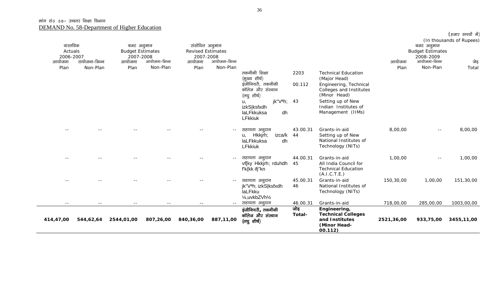| वास्तविक<br>Actuals |               | बजट अनुमान<br><b>Budget Estimates</b> |              | संशोधित अनुमान<br><b>Revised Estimates</b> |              |                                                                                                                                                                     |                |                                                                                                                                                                                   |            | बजट अनुमान<br><b>Budget Estimates</b> | (In thousands of Rupees) |
|---------------------|---------------|---------------------------------------|--------------|--------------------------------------------|--------------|---------------------------------------------------------------------------------------------------------------------------------------------------------------------|----------------|-----------------------------------------------------------------------------------------------------------------------------------------------------------------------------------|------------|---------------------------------------|--------------------------|
| 2006-2007<br>आयोजना | टायोजना-भिन्न | 2007-2008<br>आयोजना                   | आयोजना-भिन्न | 2007-2008<br>आयोजना                        | आयोजना-भिन्न |                                                                                                                                                                     |                |                                                                                                                                                                                   | आयोजना     | 2008-2009<br>आयोजना-भिन्न             |                          |
| Plan                | Non-Plan      | Plan                                  | Non-Plan     | Plan                                       | Non-Plan     |                                                                                                                                                                     |                |                                                                                                                                                                                   | Plan       | Non-Plan                              | जेड़<br>Total            |
|                     |               |                                       |              |                                            |              | तकनीकी शिक्षा<br>(मुख्य शीर्ष)<br>इंजीनियरी, तकनीकी<br>कॉलेज और संस्थान<br>(लघु शीर्ष)<br>jk" $Vah$ ; 43<br>u,<br>izkS ksfxdh<br>laLFkkuksa<br>dh<br><b>LFkkiuk</b> | 2203<br>00.112 | <b>Technical Education</b><br>(Major Head)<br>Engineering, Technical<br>Colleges and Institutes<br>(Minor Head)<br>Setting up of New<br>Indian Institutes of<br>Management (IIMs) |            |                                       |                          |
|                     |               |                                       |              |                                            |              | सहायता अनुदान<br>Hkkjrh;<br>izca/k 44<br>u.<br>laLFkkuksa<br>dh<br><b>LFkkiuk</b>                                                                                   | 43.00.31       | Grants-in-aid<br>Setting up of New<br>National Institutes of<br>Technology (NITs)                                                                                                 | 8,00,00    | $- -$                                 | 8,00,00                  |
|                     |               |                                       |              |                                            |              | सहायता अनुदान<br>vf[ky Hkkjrh; rduhdh<br>f'k{kk ifj"kn                                                                                                              | 44.00.31<br>45 | Grants-in-aid<br>All India Council for<br><b>Technical Education</b><br>(A.I.C.T.E.)                                                                                              | 1,00,00    | $  \,$                                | 1,00,00                  |
|                     |               |                                       |              |                                            | $- -$        | सहायता अनुदान<br>jk"Vªh; izkS ksfxdh<br>laLFkku<br>1/ <sub>4</sub> , uvkbZVh <sup>1</sup> / <sub>2</sub>                                                            | 45.00.31<br>46 | Grants-in-aid<br>National Institutes of<br>Technology (NITs)                                                                                                                      | 150,30,00  | 1,00,00                               | 151,30,00                |
| $- -$               | $- -$         | $- -$                                 | $- -$        | $- -$                                      | $- -$        | सहायता अनुदान                                                                                                                                                       | 46.00.31       | Grants-in-aid                                                                                                                                                                     | 718,00,00  | 285,00,00                             | 1003,00,00               |
| 414,47,00           | 544,62,64     | 2544,01,00                            | 807,26,00    | 840,36,00                                  | 887,11,00    | इंजीनियरी, तकनीकी<br>कॉलेज और संस्थान<br>(লঘু शीर्ष)                                                                                                                | जोड़<br>Total- | Engineering,<br><b>Technical Colleges</b><br>and Institutes<br>(Minor Head-<br>00.112)                                                                                            | 2521,36,00 | 933,75,00                             | 3455,11,00               |

 $($ हजार रुपयों में $)$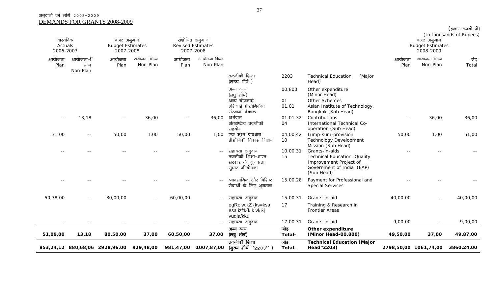#### अनुदानों की मांगें २००८-२००९ DEMANDS FOR GRANTS 2008-2009

| वास्तविक<br>Actuals<br>2006-2007 |                              | बजट अनुमान<br><b>Budget Estimates</b><br>2007-2008 |                           |                | संशोधित अनुमान<br><b>Revised Estimates</b><br>2007-2008 |                                                                                     |                       |                                                                                                                           |                       | बजट अनुमान<br><b>Budget Estimates</b><br>2008-2009 | (In thousands of Rupees) |
|----------------------------------|------------------------------|----------------------------------------------------|---------------------------|----------------|---------------------------------------------------------|-------------------------------------------------------------------------------------|-----------------------|---------------------------------------------------------------------------------------------------------------------------|-----------------------|----------------------------------------------------|--------------------------|
| आयोजना<br>Plan                   | आयोजना–ि<br>भन्न<br>Non-Plan | आयोजना<br>Plan                                     | टायोजना-भिन्न<br>Non-Plan | आयोजना<br>Plan | आयोजना-भिन्न<br>Non-Plan                                |                                                                                     |                       |                                                                                                                           | आयोजना<br>Plan        | आयोजना-भिन्न<br>Non-Plan                           | जेड़<br>Total            |
|                                  |                              |                                                    |                           |                |                                                         | तकनीकी शिक्षा<br>(मुख्य शीर्ष)                                                      | 2203                  | <b>Technical Education</b><br>(Major<br>Head)                                                                             |                       |                                                    |                          |
|                                  |                              |                                                    |                           |                |                                                         | अन्य व्यय<br>(लघु शीर्ष)<br>अन्य योजनाएं<br>एशियाई प्रौद्योगिकीय<br>संस्थान, बैंकाक | 00.800<br>01<br>01.01 | Other expenditure<br>(Minor Head)<br>Other Schemes<br>Asian Institute of Technology,<br>Bangkok (Sub Head)                |                       |                                                    |                          |
| $- -$                            | 13,18                        | $\sim$ $-$                                         | 36,00                     | $\sim$ $\sim$  | 36,00                                                   | अशंदान<br>अंतर्राष्टीय तकनीकी<br>सहयोग                                              | 01.01.32<br>04        | Contributions<br>International Technical Co-<br>operation (Sub Head)                                                      | $ -$                  | 36,00                                              | 36,00                    |
| 31,00                            | $  \,$                       | 50,00                                              | 1,00                      | 50,00          | 1,00                                                    | एक मुश्त प्रावधान<br>प्रौद्योगिकी विकास मिशन                                        | 04.00.42<br>10        | Lump-sum-provision<br><b>Technology Development</b><br>Mission (Sub Head)                                                 | 50,00                 | 1,00                                               | 51,00                    |
|                                  |                              |                                                    |                           |                | $  \,$                                                  | सहायता अनुदान<br>तकनीकी शिक्षा-भारत<br>सरकार की गुणवत्ता<br>सूधार परियोजना          | 10.00.31<br>15        | Grants-in-aids<br><b>Technical Education Quality</b><br>Improvement Project of<br>Government of India (EAP)<br>(Sub Head) |                       |                                                    |                          |
|                                  |                              |                                                    |                           |                |                                                         | व्यावसायिक और विशिष्ट<br>सेवाओं के लिए भुगतान                                       | 15.00.28              | Payment for Professional and<br><b>Special Services</b>                                                                   |                       |                                                    |                          |
| 50,78,00                         | $  \,$                       | 80,00,00                                           | $- -$                     | 60,00,00       | $- -$                                                   | सहायता अनुदान                                                                       | 15.00.31              | Grants-in-aid                                                                                                             | 40,00,00              | $- -$                                              | 40,00,00                 |
|                                  |                              |                                                    |                           |                |                                                         | egRoiw.kZ {ks=ksa<br>esa izf'k{k.k vkSj<br>vuqla/kku                                | 17                    | Training & Research in<br><b>Frontier Areas</b>                                                                           |                       |                                                    |                          |
| $\sim$ $-$                       | $\sim$ $\sim$                | $\sim$ $-$                                         | $- -$                     | $\sim$ $-$     | $-  \,$                                                 | सहायता अनुदान                                                                       | 17.00.31              | Grants-in-aid                                                                                                             | 9,00,00               | $\sim$ $-$                                         | 9,00,00                  |
| 51,09,00                         | 13,18                        | 80,50,00                                           | 37,00                     | 60,50,00       | 37,00                                                   | अन्य व्यय<br>(लघु शीर्ष)                                                            | जोड़<br>Total-        | Other expenditure<br>(Minor Head-00.800)                                                                                  | 49,50,00              | 37,00                                              | 49,87,00                 |
|                                  |                              | 853,24,12 880,68,06 2928,96,00 929,48,00           |                           | 981,47,00      | 1007,87,00                                              | तकनीकी शिक्षा<br>(मुख्य शीर्ष ''2203'')                                             | जोड़<br>Total-        | <b>Technical Education (Major</b><br>Head"2203)                                                                           | 2798,50,00 1061,74,00 |                                                    | 3860,24,00               |

 $($ हजार रुपयों में $)$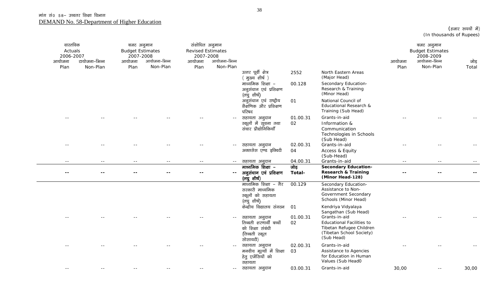| वास्तविक<br>Actuals<br>2006-2007<br>आयोजना<br>Plan | टायोजना-भिन्न<br>Non-Plan | बजट अनुमान<br><b>Budget Estimates</b><br>2007-2008<br>आयोजना<br>Plan | आयोजना-भिन्न<br>Non-Plan | संशोधित अनुमान<br><b>Revised Estimates</b><br>2007-2008<br>आयोजना<br>Plan | आयोजना–भिन्न<br>Non-Plan |                                                                                            |                |                                                                                                                         | आयोजना<br>Plan | बजट अनुमान<br><b>Budget Estimates</b><br>2008-2009<br>आयोजना-भिन्न<br>Non-Plan | जोड़<br>Total |
|----------------------------------------------------|---------------------------|----------------------------------------------------------------------|--------------------------|---------------------------------------------------------------------------|--------------------------|--------------------------------------------------------------------------------------------|----------------|-------------------------------------------------------------------------------------------------------------------------|----------------|--------------------------------------------------------------------------------|---------------|
|                                                    |                           |                                                                      |                          |                                                                           |                          | उत्तर पूर्वी क्षेत्र<br>मुख्य शीर्ष )                                                      | 2552           | North Eastern Areas<br>(Major Head)                                                                                     |                |                                                                                |               |
|                                                    |                           |                                                                      |                          |                                                                           |                          | माध्यमिक शिक्षा –<br>अनुसंधान एवं प्रशिक्षण<br>(लघु शीर्ष)                                 | 00.128         | Secondary Education-<br>Research & Training<br>(Minor Head)                                                             |                |                                                                                |               |
|                                                    |                           |                                                                      |                          |                                                                           |                          | अनुसंधान एवं राष्ट्रीय<br>शैक्षणिक और प्रशिक्षण<br>परिषद                                   | 01             | National Council of<br>Educational Research &<br>Training (Sub Head)                                                    |                |                                                                                |               |
|                                                    |                           |                                                                      |                          |                                                                           | $\sim$ $\sim$            | सहायता अनुदान<br>स्कूलों में सूचना तथा<br>संचार प्रौद्योगिकियाँ                            | 01.00.31<br>02 | Grants-in-aid<br>Information &<br>Communication<br>Technologies in Schools<br>(Sub Head)                                |                |                                                                                |               |
|                                                    |                           |                                                                      |                          |                                                                           | $\sim$ $-$               | सहायता अनुदान<br>अक्ससेस एण्ड इक्विटी                                                      | 02.00.31<br>04 | Grants-in-aid<br>Access & Equity                                                                                        |                |                                                                                |               |
|                                                    |                           |                                                                      |                          |                                                                           |                          |                                                                                            |                | (Sub-Head)                                                                                                              |                |                                                                                |               |
| $ -$                                               | $ -$                      | $ -$                                                                 | $ -$                     | $ -$                                                                      | $\sim$ $-$               | सहायता अनुदान                                                                              | 04.00.31       | Grants-in-aid                                                                                                           | $- -$          | $ -$                                                                           |               |
| $ -$                                               |                           |                                                                      |                          |                                                                           | $\sim$ $\sim$            | माध्यमिक शिक्षा –<br>अनुसंधान एवं प्रशिक्षण<br>(लघुशीर्ष)                                  | जोड़<br>Total- | <b>Secondary Education-</b><br><b>Research &amp; Training</b><br>(Minor Head-128)                                       |                |                                                                                |               |
|                                                    |                           |                                                                      |                          |                                                                           |                          | माध्यमिक शिक्षा – गैर<br>सरकारी माध्यमिक<br>स्कूलों को सहायता<br>(लघुशीर्ष)                | 00.129         | Secondary Education-<br>Assistance to Non-<br>Government Secondary<br>Schools (Minor Head)                              |                |                                                                                |               |
|                                                    |                           |                                                                      |                          |                                                                           |                          | केन्द्रीय विद्यालय संगठन                                                                   | 01             | Kendriya Vidyalaya<br>Sangathan (Sub Head)                                                                              |                |                                                                                |               |
|                                                    |                           |                                                                      |                          |                                                                           |                          | सहायता अनुदान<br>तिब्बती शरणार्थी बच्चों<br>को शिक्षा संबंधी<br>(तिब्बती स्कूल<br>सोसायटी) | 01.00.31<br>02 | Grants-in-aid<br><b>Educational Facilities to</b><br>Tibetan Refugee Children<br>(Tibetan School Society)<br>(Sub Head) |                |                                                                                |               |
|                                                    |                           |                                                                      |                          |                                                                           | $\sim$ $-$               | सहायता अनुदान<br>मनवीय मूल्यों में शिक्षा<br>हेतु एजेंसियों को<br>सहायता                   | 02.00.31<br>03 | Grants-in-aid<br>Assistance to Agencies<br>for Education in Human<br>Values (Sub Head0                                  |                |                                                                                |               |
| $\sim$ $-$                                         |                           |                                                                      |                          |                                                                           | $  \,$                   | सहायता अनुदान                                                                              | 03.00.31       | Grants-in-aid                                                                                                           | 30,00          | $\sim$ $\sim$                                                                  | 30,00         |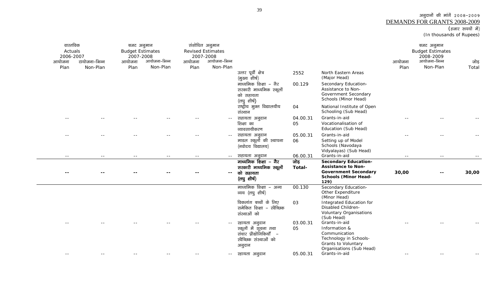## अनुदानों की मांगें २००८-२००९ <u>DEMANDS FOR GRANTS 2008-2009</u><br>(हजार रुपयों में)

(In thousands of Rupees)

| वास्तविक<br>Actuals<br>2006-2007<br>आयोजना<br>Plan | टायोजना–भिन्न<br>Non-Plan | बजट अनुमान<br><b>Budget Estimates</b><br>2007-2008<br>आयोजना<br>Plan | आयोजना-भिन्न<br>Non-Plan | आयोजना<br>Plan | संशोधित अनुमान<br><b>Revised Estimates</b><br>2007-2008<br>आयोजना-भिन्न<br>Non-Plan |                                                                                                     |                |                                                                                                                                | आयोजना<br>Plan | बजट अनुमान<br><b>Budget Estimates</b><br>2008-2009<br>आयोजना-भिन्न<br>Non-Plan | जोड़<br>Total |
|----------------------------------------------------|---------------------------|----------------------------------------------------------------------|--------------------------|----------------|-------------------------------------------------------------------------------------|-----------------------------------------------------------------------------------------------------|----------------|--------------------------------------------------------------------------------------------------------------------------------|----------------|--------------------------------------------------------------------------------|---------------|
|                                                    |                           |                                                                      |                          |                |                                                                                     | उत्तर पूर्वी क्षेत्र<br>(मुख्य शीर्ष)                                                               | 2552           | North Eastern Areas<br>(Major Head)                                                                                            |                |                                                                                |               |
|                                                    |                           |                                                                      |                          |                |                                                                                     | माध्यमिक शिक्षा – गैर<br>सरकारी माध्यमिक स्कूलों<br>को सहायता<br>(लघु शीर्ष)                        | 00.129         | Secondary Education-<br>Assistance to Non-<br>Government Secondary<br>Schools (Minor Head)                                     |                |                                                                                |               |
|                                                    |                           |                                                                      |                          |                |                                                                                     | राष्ट्रीय मुक्त विद्यालयीय<br>संस्थान                                                               | 04             | National Institute of Open<br>Schooling (Sub Head)                                                                             |                |                                                                                |               |
|                                                    |                           |                                                                      |                          |                | $ -$                                                                                | सहायता अनुदान<br>शिक्षा का<br>व्यावसायीकरण                                                          | 04.00.31<br>05 | Grants-in-aid<br>Vocationalisation of<br>Education (Sub Head)                                                                  |                |                                                                                |               |
|                                                    |                           |                                                                      |                          |                |                                                                                     | सहायता अनुदान<br>माडल स्कूलों की स्थापना<br>(नवोदय विद्यालय)                                        | 05.00.31<br>06 | Grants-in-aid<br>Setting up of Model<br>Schools (Navodaya<br>Vidyalayas) (Sub Head)                                            |                |                                                                                |               |
| $\sim$ $-$                                         | $\sim$ $-$                | $- -$                                                                | $\sim$ $-$               | $\sim$ $\sim$  | $\sim$ $-$                                                                          | सहायता अनुदान                                                                                       | 06.00.31       | Grants-in-aid                                                                                                                  | $\sim$ $\sim$  | $\sim$ $-$                                                                     |               |
|                                                    |                           |                                                                      |                          |                | $\overline{\phantom{a}}$                                                            | माध्यमिक शिक्षा – गैर<br>सरकारी माध्यमिक स्कूलों<br>को सहायता<br>(लघु शीर्ष)                        | जोड़<br>Total- | <b>Secondary Education-</b><br><b>Assistance to Non-</b><br><b>Government Secondary</b><br><b>Schools (Minor Head-</b><br>129) | 30,00          |                                                                                | 30,00         |
|                                                    |                           |                                                                      |                          |                |                                                                                     | माध्यमिक शिक्षा – अन्य<br>व्यय (लघु शीर्ष)                                                          | 00.130         | Secondary Education-<br>Other Expenditure<br>(Minor Head)                                                                      |                |                                                                                |               |
|                                                    |                           |                                                                      |                          |                |                                                                                     | विकलांग बच्चों के लिए<br>समेकित शिक्षा – स्वैच्छिक<br>संस्थाओं को                                   | 03             | Integrated Education for<br>Disabled Children-<br><b>Voluntary Organisations</b><br>(Sub Head)                                 |                |                                                                                |               |
|                                                    |                           |                                                                      |                          |                |                                                                                     | स्हायता अनुदान<br>स्कूलों में सूचना तथा<br>संचार प्रौद्योगिकियाँ –<br>खेच्छिक संस्थाओं को<br>अनुदान | 03.00.31<br>05 | Grants-in-aid<br>Information &<br>Communication<br>Technology in Schools-<br>Grants to Voluntary                               |                |                                                                                |               |
| $- -$                                              |                           |                                                                      |                          |                | $  \,$                                                                              | स्हायता अनुदान                                                                                      | 05.00.31       | Organisations (Sub Head)<br>Grants-in-aid                                                                                      |                |                                                                                |               |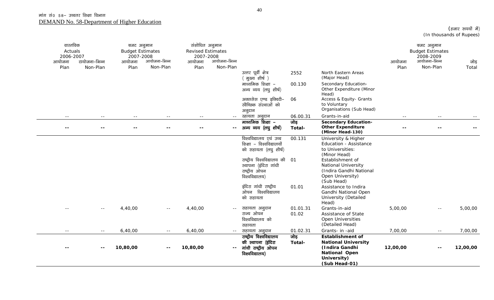| वास्तविक<br>Actuals<br>2006-2007<br>आयोजना<br>Plan | टायोजना-भिन्न<br>Non-Plan | बजट अनुमान<br><b>Budget Estimates</b><br>2007-2008<br>आयोजना<br>Plan | आयोजना-भिन्न<br>Non-Plan | संशोधित अनुमान<br><b>Revised Estimates</b><br>2007-2008<br>आयोजना<br>Plan | आयोजना-भिन्न<br>Non-Plan | उत्तर पूर्वी क्षेत्र<br>ं मुख्य शीर्ष )<br>माध्यमिक शिक्षा –<br>अन्य व्यय (लघु शीर्ष)                                                                                                              | 2552<br>00.130    | North Eastern Areas<br>(Major Head)<br>Secondary Education-<br>Other Expenditure (Minor                                                                                                                                  | आयोजना<br>Plan | बजट अनुमान<br><b>Budget Estimates</b><br>2008-2009<br>आयोजना-भिन्न<br>Non-Plan | जोड़<br>Total |
|----------------------------------------------------|---------------------------|----------------------------------------------------------------------|--------------------------|---------------------------------------------------------------------------|--------------------------|----------------------------------------------------------------------------------------------------------------------------------------------------------------------------------------------------|-------------------|--------------------------------------------------------------------------------------------------------------------------------------------------------------------------------------------------------------------------|----------------|--------------------------------------------------------------------------------|---------------|
|                                                    |                           |                                                                      |                          |                                                                           |                          | अक्ससेस एण्ड इक्विटी-<br>खेच्छिक संस्थाओं को<br>अनुदान                                                                                                                                             | 06                | Head)<br>Access & Equity- Grants<br>to Voluntary<br>Organisations (Sub Head)                                                                                                                                             |                |                                                                                |               |
| $\sim$ $\sim$                                      | $  \,$                    | $\sim$ $-$                                                           | $- -$                    | $ -$                                                                      | $\sim$ $-$               | स्हायता अनुदान                                                                                                                                                                                     | 06.00.31          | Grants-in-aid                                                                                                                                                                                                            | $\sim$ $\sim$  | $- -$                                                                          |               |
| $- -$                                              | $- -$                     | $ -$                                                                 |                          |                                                                           | --                       | माध्यमिक शिक्षा –<br>अन्य व्यय (लघु शीर्ष)                                                                                                                                                         | जोड़<br>Total-    | <b>Secondary Education-</b><br><b>Other Expenditure</b><br>(Minor Head-130)                                                                                                                                              |                |                                                                                |               |
|                                                    |                           |                                                                      |                          |                                                                           |                          | विश्वविद्यालय एवं उच्च<br>शिक्षा – विश्वविद्यालयों<br>को सहायता (लघु शीर्ष)<br>राष्ट्रीय विश्वविद्यालय की 01<br>स्थापना (इंदिरा गांधी<br>राष्ट्रीय ओपन<br>विश्वविद्यालय)<br>इंदिरा गांधी राष्ट्रीय | 00.131<br>01.01   | University & Higher<br>Education - Assistance<br>to Universities:<br>(Minor Head)<br>Establishment of<br><b>National University</b><br>(Indira Gandhi National<br>Open University)<br>(Sub Head)<br>Assistance to Indira |                |                                                                                |               |
|                                                    |                           |                                                                      |                          |                                                                           |                          | ओपन विश्वविद्यालय<br>को सहायता                                                                                                                                                                     |                   | Gandhi National Open<br>University (Detailed<br>Head)                                                                                                                                                                    |                |                                                                                |               |
|                                                    | $- -$                     | 4,40,00                                                              | $\sim$ $-$               | 4,40,00                                                                   | $- -$                    | सहायता अनुदान<br>राज्य ओपन<br>विश्वविद्यालय को<br>सहायता                                                                                                                                           | 01.01.31<br>01.02 | Grants-in-aid<br>Assistance of State<br>Open Universities<br>(Detailed Head)                                                                                                                                             | 5,00,00        | $\sim$ $-$                                                                     | 5,00,00       |
| $ -$                                               | $- -$                     | 6,40,00                                                              | $\sim$ $-$               | 6,40,00                                                                   | $  \,$                   | सहायता अनुदान                                                                                                                                                                                      | 01.02.31          | Grants- in -aid                                                                                                                                                                                                          | 7,00,00        | $\sim$ $-$                                                                     | 7,00,00       |
|                                                    |                           | 10,80,00                                                             |                          | 10,80,00                                                                  | н.                       | राष्ट्रीय विश्वविद्यालय<br>की स्थापना (इंदिरा<br>गांधी राष्ट्रीय ओपन<br>विश्वविद्यालय)                                                                                                             | जोड़<br>Total-    | <b>Establishment of</b><br><b>National University</b><br>(Indira Gandhi<br><b>National Open</b><br>University)<br>(Sub Head-01)                                                                                          | 12,00,00       | $- -$                                                                          | 12,00,00      |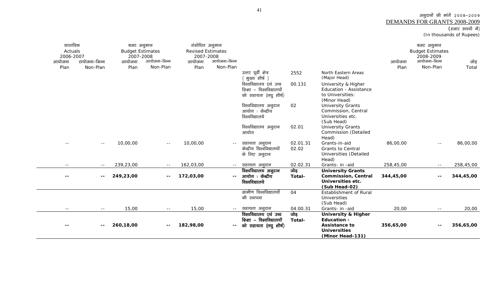## अनुदानों की मांगें २००८-२००९ <u>DEMANDS FOR GRANTS 2008-2009</u><br>(हजार रुपयों में)

(In thousands of Rupees)

| वास्तविक<br>Actuals<br>2006-2007<br>टायोजना–भिन्न<br>आयोजना | बजट अनुमान<br><b>Budget Estimates</b><br>2007-2008<br>आयोजना-भिन्न<br>आयोजना | संशोधित अनुमान<br><b>Revised Estimates</b><br>2007-2008<br>आयोजना-भिन्न |                |                                                                                              |                | बजट अनुमान<br><b>Budget Estimates</b><br>2008-2009<br>आयोजना-भिन्न |               |
|-------------------------------------------------------------|------------------------------------------------------------------------------|-------------------------------------------------------------------------|----------------|----------------------------------------------------------------------------------------------|----------------|--------------------------------------------------------------------|---------------|
| आयोजना<br>Plan<br>Non-Plan                                  | Non-Plan<br>Plan                                                             | Non-Plan<br>Plan                                                        |                |                                                                                              | आयोजना<br>Plan | Non-Plan                                                           | जोड़<br>Total |
|                                                             |                                                                              | उत्तर पूर्वी क्षेत्र<br>मुख्य शीर्ष )                                   | 2552           | North Eastern Areas<br>(Major Head)                                                          |                |                                                                    |               |
|                                                             |                                                                              | विश्वविद्यालय एवं उच्च<br>शिक्षा - विश्वविद्यालयों                      | 00.131         | University & Higher<br><b>Education - Assistance</b>                                         |                |                                                                    |               |
|                                                             |                                                                              | को सहायता (लघु शीर्ष)                                                   |                | to Universities:<br>(Minor Head)                                                             |                |                                                                    |               |
|                                                             |                                                                              | विश्वविद्यालय अनुदान<br>आयोग : केन्द्रीय<br>विश्वविद्यालये              | 02             | <b>University Grants</b><br>Commission, Central<br>Universities etc.                         |                |                                                                    |               |
|                                                             |                                                                              | विश्वविद्यालय अनुदान<br>आयोग                                            | 02.01          | (Sub Head)<br><b>University Grants</b><br>Commission (Detailed                               |                |                                                                    |               |
| 10,00,00<br>$- -$                                           | 10,00,00<br>$ -$                                                             | सहायता अनुदान<br>$\sim$ $-$                                             | 02.01.31       | Head)<br>Grants-in-aid                                                                       | 86,00,00       | $- -$                                                              | 86,00,00      |
|                                                             |                                                                              | केन्द्रीय विश्वविद्यालयों<br>के लिए अनुदान                              | 02.02          | <b>Grants to Central</b><br>Universities (Detailed<br>Head)                                  |                |                                                                    |               |
| 239,23,00                                                   | 162,03,00                                                                    | सहायता अनुदान<br>$  \,$                                                 | 02.02.31       | Grants- in -aid                                                                              | 258,45,00      |                                                                    | 258,45,00     |
| 249,23,00<br>$- -$                                          | 172,03,00<br>$- -$                                                           | विश्वविद्यालय अनुदान<br>आयोग ः केन्द्रीय<br>$- -$<br>विश्वविद्यालये     | जोड़<br>Total- | <b>University Grants</b><br><b>Commission, Central</b><br>Universities etc.<br>(Sub Head-02) | 344,45,00      | --                                                                 | 344,45,00     |
|                                                             |                                                                              | ग्रामीण विश्वविद्यालयों<br>की स्थापना                                   | 04             | Establishment of Rural<br><b>Universities</b><br>(Sub Head)                                  |                |                                                                    |               |
| $- -$<br>$\sim$ $-$                                         | 15,00<br>$  \,$                                                              | 15,00<br>-- सहायता अनुदान                                               | 04.00.31       | Grants- in -aid                                                                              | 20,00          | $  \,$                                                             | 20,00         |
|                                                             |                                                                              | विश्वविद्यालय एवं उच्च                                                  | जोड़           | <b>University &amp; Higher</b>                                                               |                |                                                                    |               |
| 260,18,00<br>$- -$                                          | 182,98,00<br>$- -$                                                           | शिक्षा – विश्वविद्यालयों<br>को सहायता (लघु शीर्ष)<br>--                 | Total-         | <b>Education -</b><br>Assistance to<br><b>Universities</b><br>(Minor Head-131)               | 356,65,00      | --                                                                 | 356,65,00     |

era<br>Heriotzak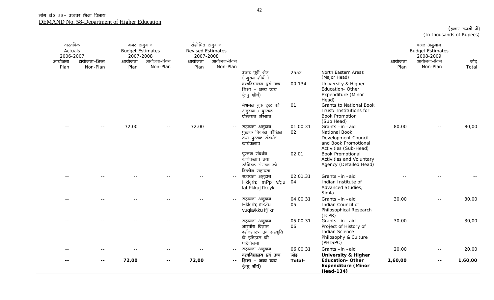| वास्तविक<br>Actuals<br>2006-2007<br>आयोजना<br>Plan | टायोजना–भिन्न<br>Non-Plan | बजट अनुमान<br><b>Budget Estimates</b><br>2007-2008<br>आयोजना<br>Plan | आयोजना-भिन्न<br>Non-Plan | संशोधित अनुमान<br><b>Revised Estimates</b><br>2007-2008<br>आयोजना<br>Plan | आयोजना-भिन्न<br>Non-Plan |                                                                                          |                |                                                                                                        | आयोजना<br>Plan | बजट अनुमान<br><b>Budget Estimates</b><br>2008-2009<br>आयोजना-भिन्न<br>Non-Plan | जोड़<br>Total |
|----------------------------------------------------|---------------------------|----------------------------------------------------------------------|--------------------------|---------------------------------------------------------------------------|--------------------------|------------------------------------------------------------------------------------------|----------------|--------------------------------------------------------------------------------------------------------|----------------|--------------------------------------------------------------------------------|---------------|
|                                                    |                           |                                                                      |                          |                                                                           |                          | उत्तर पूर्वी क्षेत्र<br>( मुख्य शीर्ष )                                                  | 2552           | North Eastern Areas<br>(Major Head)                                                                    |                |                                                                                |               |
|                                                    |                           |                                                                      |                          |                                                                           |                          | वश्वविद्यालय एवं उच्च<br>शिक्षा - अन्य व्यय<br>(लघु शीर्ष)                               | 00.134         | University & Higher<br>Education-Other<br>Expenditure (Minor<br>Head)                                  |                |                                                                                |               |
|                                                    |                           |                                                                      |                          |                                                                           |                          | नेशनल बुक ट्रस्ट को<br>अनुदान / पुस्तक<br>प्रोन्नयन संस्थान                              | 01             | <b>Grants to National Book</b><br>Trust/ Institutions for<br><b>Book Promotion</b><br>(Sub Head)       |                |                                                                                |               |
|                                                    | $\sim$ $-$                | 72,00                                                                |                          | 72,00                                                                     | $ -$                     | सहायता अनुदान<br>पुस्तक विकास कौंसिल<br>तथा पुस्तक संवर्धन<br>कार्यकलाप                  | 01.00.31<br>02 | Grants-in-aid<br>National Book<br>Development Council<br>and Book Promotional<br>Activities (Sub-Head) | 80,00          |                                                                                | 80,00         |
|                                                    |                           |                                                                      |                          |                                                                           |                          | पुस्तक संवर्धन<br>कार्यकलाप तथा<br>स्वैच्छिक संगठन को<br>वित्तीय सहायता                  | 02.01          | <b>Book Promotional</b><br>Activities and Voluntary<br>Agency (Detailed Head)                          |                |                                                                                |               |
|                                                    |                           |                                                                      |                          |                                                                           |                          | सहायता अनुदान<br>Hkkjrh; mPp v/;;u<br>laLFkku] f'keyk                                    | 02.01.31<br>04 | Grants-in-aid<br>Indian Institute of<br>Advanced Studies,<br>Simla                                     |                |                                                                                |               |
|                                                    |                           |                                                                      |                          |                                                                           |                          | सहायता अनुदान<br>Hkkirh; n'kZu<br>vuqla/kku ifj"kn                                       | 04.00.31<br>05 | Grants-in-aid<br>Indian Council of<br>Philosophical Research<br>(ICPR)                                 | 30,00          | $\sim$ $-$                                                                     | 30,00         |
|                                                    |                           |                                                                      |                          |                                                                           | $ -$                     | सहायता अनुदान<br>भारतीय विज्ञान<br>दर्शनशास्त्र एवं संस्कृति<br>के इतिहास की<br>परियोजना | 05.00.31<br>06 | Grants-in-aid<br>Project of History of<br><b>Indian Science</b><br>Philosophy & Culture<br>(PHISPC)    | 30,00          | $ -$                                                                           | 30,00         |
| $\sim$ $\sim$                                      | $\sim$ $-$                |                                                                      | $ -$                     | $=$ $-$                                                                   | $\sim$ $\sim$            | सहायता अनुदान                                                                            | 06.00.31       | Grants-in-aid                                                                                          | 20,00          | $\sim$ $-$                                                                     | 20,00         |
|                                                    | $\sim$ $\sim$             | 72,00                                                                | $\sim$ $\sim$            | 72,00                                                                     | $\mathbf{u}$             | वश्वविद्यालय एवं उच्च<br>शिक्षा - अन्य व्यय<br>(लघु शीर्ष)                               | जोड़<br>Total- | University & Higher<br><b>Education-Other</b><br><b>Expenditure (Minor</b><br><b>Head-134)</b>         | 1,60,00        | $\sim$ $\sim$                                                                  | 1,60,00       |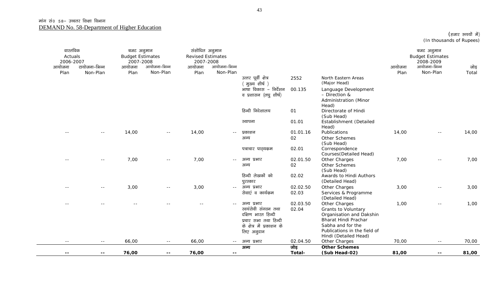| वास्तविक<br>Actuals<br>2006-2007<br>आयोजना | टायोजना-भिन्न | बजट अनुमान<br><b>Budget Estimates</b><br>2007-2008<br>आयोजना | आयोजना–भिन्न  | संशोधित अनुमान<br><b>Revised Estimates</b><br>2007-2008<br>आयोजना | आयोजना-भिन्न |                                             |                |                                                  | आयोजना | बजट अनुमान<br><b>Budget Estimates</b><br>2008-2009<br>आयोजना-भिन्न | जोड़  |
|--------------------------------------------|---------------|--------------------------------------------------------------|---------------|-------------------------------------------------------------------|--------------|---------------------------------------------|----------------|--------------------------------------------------|--------|--------------------------------------------------------------------|-------|
| Plan                                       | Non-Plan      | Plan                                                         | Non-Plan      | Plan                                                              | Non-Plan     |                                             |                |                                                  | Plan   | Non-Plan                                                           | Total |
|                                            |               |                                                              |               |                                                                   |              | उत्तर पूर्वी क्षेत्र<br>( मुख्य शीर्ष )     | 2552           | North Eastern Areas<br>(Major Head)              |        |                                                                    |       |
|                                            |               |                                                              |               |                                                                   |              | भाषा विकास – निर्देशन                       | 00.135         | Language Development                             |        |                                                                    |       |
|                                            |               |                                                              |               |                                                                   |              | व प्रशासन (लघु शीर्ष)                       |                | - Direction &                                    |        |                                                                    |       |
|                                            |               |                                                              |               |                                                                   |              |                                             |                | Administration (Minor                            |        |                                                                    |       |
|                                            |               |                                                              |               |                                                                   |              |                                             |                | Head)                                            |        |                                                                    |       |
|                                            |               |                                                              |               |                                                                   |              | हिन्दी निदेशालय                             | 01             | Directorate of Hindi                             |        |                                                                    |       |
|                                            |               |                                                              |               |                                                                   |              | स्थापना                                     | 01.01          | (Sub Head)<br>Establishment (Detailed            |        |                                                                    |       |
|                                            |               |                                                              |               |                                                                   |              |                                             |                | Head)                                            |        |                                                                    |       |
|                                            | $ -$          | 14,00                                                        | $  \,$        | 14,00                                                             | $- -$        | प्रकाशन                                     | 01.01.16       | Publications                                     | 14,00  | $ -$                                                               | 14,00 |
|                                            |               |                                                              |               |                                                                   |              | अन्य                                        | 02             | Other Schemes                                    |        |                                                                    |       |
|                                            |               |                                                              |               |                                                                   |              |                                             |                | (Sub Head)                                       |        |                                                                    |       |
|                                            |               |                                                              |               |                                                                   |              | पत्राचार पाठ्यक्रम                          | 02.01          | Correspondence<br>Courses (Detailed Head)        |        |                                                                    |       |
| $ -$                                       | $\sim$ $-$    | 7,00                                                         | $\sim$ $-$    | 7,00                                                              | $-$          | अन्य प्रभार                                 | 02.01.50       | Other Charges                                    | 7,00   | $\sim$ $-$                                                         | 7,00  |
|                                            |               |                                                              |               |                                                                   |              | अन्य                                        | 02             | Other Schemes                                    |        |                                                                    |       |
|                                            |               |                                                              |               |                                                                   |              |                                             |                | (Sub Head)                                       |        |                                                                    |       |
|                                            |               |                                                              |               |                                                                   |              | हिन्दी लेखकों को                            | 02.02          | Awards to Hindi Authors<br>(Detailed Head)       |        |                                                                    |       |
|                                            | $\sim$ $\sim$ | 3,00                                                         | $  \,$        | 3,00                                                              | $\sim$ $-$   | पुरस्कार<br>अन्य प्रभार                     | 02.02.50       | Other Charges                                    | 3,00   |                                                                    | 3,00  |
|                                            |               |                                                              |               |                                                                   |              | सेवाएं व कार्यक्रम                          | 02.03          | Services & Programme                             |        |                                                                    |       |
|                                            |               |                                                              |               |                                                                   |              |                                             |                | (Detailed Head)                                  |        |                                                                    |       |
|                                            |               |                                                              |               |                                                                   | $ -$         | अन्य प्रभार                                 | 02.03.50       | Other Charges                                    | 1,00   |                                                                    | 1,00  |
|                                            |               |                                                              |               |                                                                   |              | स्वयंसेवी संगठन तथा                         | 02.04          | Grants to Voluntary                              |        |                                                                    |       |
|                                            |               |                                                              |               |                                                                   |              | दक्षिण भारत हिन्दी<br>प्रचार सभा तथा हिन्दी |                | Organisation and Dakshin<br>Bharat Hindi Prachar |        |                                                                    |       |
|                                            |               |                                                              |               |                                                                   |              | के क्षेत्र में प्रकाशन के                   |                | Sabha and for the                                |        |                                                                    |       |
|                                            |               |                                                              |               |                                                                   |              | लिए अनुदान                                  |                | Publications in the field of                     |        |                                                                    |       |
|                                            |               |                                                              |               |                                                                   |              |                                             |                | Hindi (Detailed Head)                            |        |                                                                    |       |
| $\sim$ $-$                                 | $- -$         | 66,00                                                        | $\sim$ $\sim$ | 66,00                                                             | $\sim$ $-$   | अन्य प्रभार                                 | 02.04.50       | Other Charges                                    | 70,00  | $\sim$ $\sim$                                                      | 70,00 |
| $- -$                                      | $\sim$ $-$    | 76,00                                                        | $- -$         | 76,00                                                             | $- -$        | अन्य                                        | जोड़<br>Total- | <b>Other Schemes</b><br>(Sub Head-02)            | 81,00  | $- -$                                                              | 81,00 |
|                                            |               |                                                              |               |                                                                   |              |                                             |                |                                                  |        |                                                                    |       |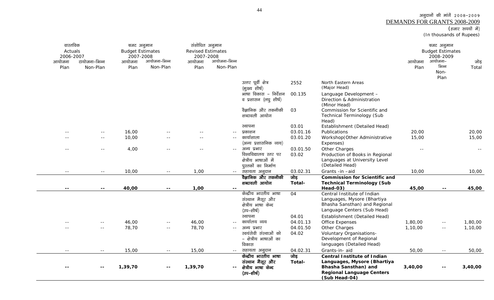अनुदानों की मांगें २००८-२००९ <u>DEMANDS FOR GRANTS 2008-2009</u><br>(हजार रुपयों में)

(In thousands of Rupees)

| वास्तविक<br>Actuals<br>2006-2007<br>आयोजना<br>Plan | टायोजना-भिन्न<br>Non-Plan | बजट अनुमान<br><b>Budget Estimates</b><br>2007-2008<br>आयोजना<br>Plan | आयोजना–भिन्न<br>Non-Plan | संशोधित अनुमान<br><b>Revised Estimates</b><br>2007-2008<br>आयोजना<br>Plan | आयोजना–भिन्न<br>Non-Plan |                                                                                 |                |                                                                                                                                                | आयोजना<br>Plan | बजट अनुमान<br><b>Budget Estimates</b><br>2008-2009<br>आयोजना–<br>भिन्न<br>Non-<br>Plan | जोड़<br>Total |
|----------------------------------------------------|---------------------------|----------------------------------------------------------------------|--------------------------|---------------------------------------------------------------------------|--------------------------|---------------------------------------------------------------------------------|----------------|------------------------------------------------------------------------------------------------------------------------------------------------|----------------|----------------------------------------------------------------------------------------|---------------|
|                                                    |                           |                                                                      |                          |                                                                           |                          | उत्तर पूर्वी क्षेत्र                                                            | 2552           | North Eastern Areas                                                                                                                            |                |                                                                                        |               |
|                                                    |                           |                                                                      |                          |                                                                           |                          | (मुख्य शीर्ष)                                                                   |                | (Major Head)                                                                                                                                   |                |                                                                                        |               |
|                                                    |                           |                                                                      |                          |                                                                           |                          | भाषा विकास – निर्देशन<br>व प्रशासन (लघु शीर्ष)                                  | 00.135         | Language Development -<br>Direction & Administration<br>(Minor Head)                                                                           |                |                                                                                        |               |
|                                                    |                           |                                                                      |                          |                                                                           |                          | वैज्ञानिक और तकनीकी<br>शब्दावली आयोग                                            | 03             | Commission for Scientific and<br>Technical Terminology (Sub                                                                                    |                |                                                                                        |               |
|                                                    |                           |                                                                      |                          |                                                                           |                          |                                                                                 | 03.01          | Head)                                                                                                                                          |                |                                                                                        |               |
|                                                    |                           |                                                                      |                          |                                                                           |                          | स्थापना                                                                         | 03.01.16       | Establishment (Detailed Head)                                                                                                                  |                |                                                                                        |               |
|                                                    | $\sim$ $-$                | 16,00<br>10,00                                                       |                          |                                                                           | $-$                      | प्रकाशन<br>कार्याशाला                                                           | 03.01.20       | Publications                                                                                                                                   | 20,00<br>15,00 |                                                                                        | 20,00         |
|                                                    | $\sim$ $\sim$             |                                                                      |                          | $\sim$ $\sim$                                                             | $-$                      | (अन्य प्रशासनिक व्यय)                                                           |                | Workshop(Other Administrative<br>Expenses)                                                                                                     |                |                                                                                        | 15,00         |
|                                                    | $- -$                     | 4,00                                                                 |                          | $ -$                                                                      | $\sim$ $\sim$            | अन्य प्रभार                                                                     | 03.01.50       | Other Charges                                                                                                                                  | $\sim$ $\sim$  |                                                                                        |               |
|                                                    |                           |                                                                      |                          |                                                                           |                          | विश्वविद्यालय स्तर पर                                                           | 03.02          | Production of Books in Regional                                                                                                                |                |                                                                                        |               |
|                                                    |                           |                                                                      |                          |                                                                           |                          | क्षेत्रीय भाषाओं में                                                            |                | Languages at University Level                                                                                                                  |                |                                                                                        |               |
|                                                    |                           |                                                                      |                          |                                                                           |                          | पुस्तकों का निर्माण                                                             |                | (Detailed Head)                                                                                                                                |                |                                                                                        |               |
| $\sim$ $\sim$                                      | $\sim$                    | 10,00                                                                | $\sim$ $\sim$            | 1,00                                                                      | $\sim$ $\sim$            | सहायता अनुदान                                                                   | 03.02.31       | Grants -in -aid                                                                                                                                | 10,00          |                                                                                        | 10,00         |
|                                                    |                           |                                                                      |                          |                                                                           |                          | वैज्ञानिक और तकनीकी                                                             | जोड़           | <b>Commission for Scientific and</b>                                                                                                           |                |                                                                                        |               |
|                                                    |                           |                                                                      |                          |                                                                           |                          | शब्दावली आयोग                                                                   | Total-         | <b>Technical Terminology (Sub</b>                                                                                                              |                |                                                                                        |               |
| $- -$                                              | $- -$                     | 40,00                                                                | $\sim$ $\sim$            | 1,00                                                                      | $\sim$ $\sim$            |                                                                                 |                | Head-03)                                                                                                                                       | 45,00          | $\sim$ $\sim$                                                                          | 45,00         |
|                                                    |                           |                                                                      |                          |                                                                           |                          | केन्द्रीय भारतीय भाषा<br>संस्थान मैसूर और<br>क्षेत्रीय भाषा केन्द<br>(उप–शीर्ष) | 04             | Central Institute of Indian<br>Languages, Mysore (Bhartiya<br>Bhasha Sansthan) and Regional<br>Language Centers (Sub Head)                     |                |                                                                                        |               |
|                                                    |                           |                                                                      |                          |                                                                           |                          | स्थापना                                                                         | 04.01          | Establishment (Detailed Head)                                                                                                                  |                |                                                                                        |               |
|                                                    | $\sim$ $\sim$             | 46,00                                                                | $\sim$ $\sim$            | 46,00                                                                     |                          | कार्यालय व्यय                                                                   | 04.01.13       | Office Expenses                                                                                                                                | 1,80,00        | $\sim$ $-$                                                                             | 1,80,00       |
|                                                    |                           | 78,70                                                                | $\sim$ $\sim$            | 78,70                                                                     | $-$                      | अन्य प्रभार                                                                     | 04.01.50       | Other Charges                                                                                                                                  | 1,10,00        | $\sim$ $\sim$                                                                          | 1,10,00       |
|                                                    |                           |                                                                      |                          |                                                                           |                          | स्वयंसेवी संस्थाओं को<br>- क्षेत्रीय भाषाओं का<br>विकास                         | 04.02          | Voluntary Organisations-<br>Development of Regional<br>languages (Detailed Head)                                                               |                |                                                                                        |               |
| $\sim$                                             | $ -$                      | 15,00                                                                | $\sim$ $\sim$            | 15,00                                                                     | $\sim$ $\sim$            | सहायता अनुदान                                                                   | 04.02.31       | Grants-in- aid                                                                                                                                 | 50,00          | $\sim$ $\sim$                                                                          | 50,00         |
|                                                    |                           | 1,39,70                                                              | $- -$                    | 1,39,70                                                                   | $\overline{\phantom{a}}$ | केन्द्रीय भारतीय भाषा<br>संस्थान मैसूर और<br>क्षेत्रीय भाषा केन्द<br>(उप–शीर्ष) | जोड़<br>Total- | <b>Central Institute of Indian</b><br>Languages, Mysore (Bhartiya<br>Bhasha Sansthan) and<br><b>Regional Language Centers</b><br>(Sub Head-04) | 3,40,00        | $- -$                                                                                  | 3,40,00       |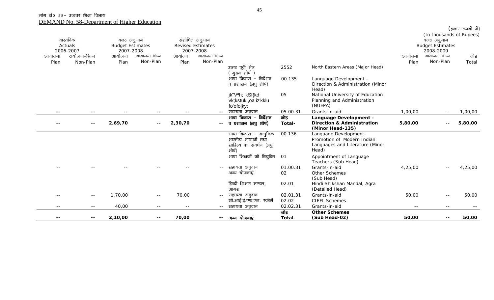|                          |               |                         |              |         |                          |                                       |          |                                                           |         |                                        | (हजार रुपयों में) |
|--------------------------|---------------|-------------------------|--------------|---------|--------------------------|---------------------------------------|----------|-----------------------------------------------------------|---------|----------------------------------------|-------------------|
|                          | वास्तविक      | बजट अनुमान              |              |         | संशोधित अनुमान           |                                       |          |                                                           |         | (In thousands of Rupees)<br>बजट अनुमान |                   |
|                          | Actuals       | <b>Budget Estimates</b> |              |         | <b>Revised Estimates</b> |                                       |          |                                                           |         | <b>Budget Estimates</b>                |                   |
|                          | 2006-2007     | 2007-2008               |              |         | 2007-2008                |                                       |          |                                                           |         | 2008-2009                              |                   |
| आयोजना                   | टायोजना-भिन्न | आयोजना                  | आयोजना-भिन्न | आयोजना  | आयोजना-भिन्न             |                                       |          |                                                           | आयोजना  | आयोजना-भिन्न                           | जोड़              |
| Plan                     | Non-Plan      | Plan                    | Non-Plan     | Plan    | Non-Plan                 |                                       |          |                                                           | Plan    | Non-Plan                               | Total             |
|                          |               |                         |              |         |                          | उत्तर पूर्वी क्षेत्र<br>मुख्य शीर्ष ) | 2552     | North Eastern Areas (Major Head)                          |         |                                        |                   |
|                          |               |                         |              |         |                          | भाषा विकास – निर्देशन                 | 00.135   | Language Development -                                    |         |                                        |                   |
|                          |               |                         |              |         |                          | व प्रशासन (लघु शीर्ष)                 |          | Direction & Administration (Minor<br>Head)                |         |                                        |                   |
|                          |               |                         |              |         |                          | jk"Vªh; 'kSf{kd                       | 05       | National University of Education                          |         |                                        |                   |
|                          |               |                         |              |         |                          | vk;kstuk ,oa iz'kklu                  |          | Planning and Administration                               |         |                                        |                   |
|                          |               |                         |              |         |                          | fo'ofo ky;                            |          | (NUEPA)                                                   |         |                                        |                   |
| $\sim$ $\sim$            |               |                         |              |         |                          | -- सहायता अनूदान                      | 05.00.31 | Grants-in-aid                                             | 1,00,00 | $ -$                                   | 1,00,00           |
|                          |               |                         |              |         |                          | भाषा विकास – निर्देशन                 | जोड़     | Language Development -                                    |         |                                        |                   |
| $\overline{\phantom{m}}$ | --            | 2,69,70                 | $\sim$ $-$   | 2,30,70 |                          | -- व प्रशासन (लघु शीर्ष)              | Total-   | <b>Direction &amp; Administration</b><br>(Minor Head-135) | 5,80,00 |                                        | 5,80,00           |
|                          |               |                         |              |         |                          | भाषा विकास – आधुनिक                   | 00.136   | Language Development-                                     |         |                                        |                   |
|                          |               |                         |              |         |                          | भारतीय भाषाओं तथा                     |          | Promotion of Modern Indian                                |         |                                        |                   |
|                          |               |                         |              |         |                          | साहित्य का संवर्धन (लघू<br>शीर्ष)     |          | Languages and Literature (Minor<br>Head)                  |         |                                        |                   |
|                          |               |                         |              |         |                          | भाषा शिक्षकों की नियुक्ति             | 01       | Appointment of Language<br>Teachers (Sub Head)            |         |                                        |                   |
|                          |               |                         |              |         | $- -$                    | सहायता अनुदान                         | 01.00.31 | Grants-in-aid                                             | 4,25,00 |                                        | 4,25,00           |
|                          |               |                         |              |         |                          | अन्य योजनाएं                          | 02       | Other Schemes                                             |         |                                        |                   |
|                          |               |                         |              |         |                          |                                       |          | (Sub Head)                                                |         |                                        |                   |
|                          |               |                         |              |         |                          | हिन्दी शिक्षण मण्डल,                  | 02.01    | Hindi Shikshan Mandal, Agra                               |         |                                        |                   |
|                          |               |                         |              |         |                          | आगरा                                  |          | (Detailed Head)                                           |         |                                        |                   |
| $\sim$ $\sim$            | $\sim$ $-$    | 1,70,00                 | $\sim$ $-$   | 70,00   | $\sim$ $-$               | सहायता अनुदान                         | 02.01.31 | Grants-in-aid                                             | 50,00   |                                        | 50,00             |
|                          |               |                         |              |         |                          | सी.आई.ई.एफ.एल. स्कीमें                | 02.02    | <b>CIEFL Schemes</b>                                      |         |                                        |                   |
| $- -$                    | $- -$         | 40,00                   | $ -$         | $ -$    | $\sim$ $\sim$            | सहायता अनूदान                         | 02.02.31 | Grants-in-aid                                             | $  \,$  | $\sim$ $-$                             |                   |
|                          |               |                         |              |         |                          |                                       | जोड़     | <b>Other Schemes</b>                                      |         |                                        |                   |
| $\overline{\phantom{a}}$ | $- -$         | 2,10,00                 | $- -$        | 70,00   | $- -$                    | अन्य योजनाएं                          | Total-   | (Sub Head-02)                                             | 50,00   | $- -$                                  | 50,00             |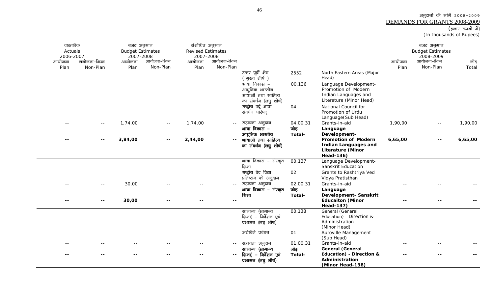## अनुदानों की मांगें २००८-२००९ <u>DEMANDS FOR GRANTS 2008-2009</u><br>(हजार रुपयों में)

(In thousands of Rupees)

| आयोजना<br>Plan           | वास्तविक<br>Actuals<br>2006-2007<br>टायोजना–भिन्न<br>Non-Plan | बजट अनुमान<br><b>Budget Estimates</b><br>2007-2008<br>आयोजना<br>Plan | आयोजना–भिन्न<br>Non-Plan | संशोधित अनुमान<br><b>Revised Estimates</b><br>2007-2008<br>आयोजना<br>Plan | आयोजना–भिन्न<br>Non-Plan | उत्तर पूर्वी क्षेत्र<br>ं मुख्य शीर्ष )<br>भाषा विकास –<br>आधुनिक भारतीय<br>भाषाओं तथा साहित्य<br>का संवर्धन (लघु शीर्ष)<br>राष्ट्रीय उर्दू भाषा | 2552<br>00.136<br>04 | North Eastern Areas (Major<br>Head)<br>Language Development-<br>Promotion of Modern<br>Indian Languages and<br>Literature (Minor Head)<br>National Council for | आयोजना<br>Plan | बजट अनुमान<br><b>Budget Estimates</b><br>2008-2009<br>आयोजना-भिन्न<br>Non-Plan | जोड़<br>Total |
|--------------------------|---------------------------------------------------------------|----------------------------------------------------------------------|--------------------------|---------------------------------------------------------------------------|--------------------------|--------------------------------------------------------------------------------------------------------------------------------------------------|----------------------|----------------------------------------------------------------------------------------------------------------------------------------------------------------|----------------|--------------------------------------------------------------------------------|---------------|
|                          |                                                               |                                                                      |                          |                                                                           |                          | संवर्धन परिषद्                                                                                                                                   |                      | Promotion of Urdu<br>Language(Sub Head)                                                                                                                        |                |                                                                                |               |
| $- -$                    | $\sim$ $\sim$                                                 | 1,74,00                                                              | $\sim$ $\sim$            | 1,74,00                                                                   | $\sim$ $\sim$            | सहायता अनुदान                                                                                                                                    | 04.00.31             | Grants-in-aid                                                                                                                                                  | 1,90,00        | $\sim$ $\sim$                                                                  | 1,90,00       |
|                          | $ -$                                                          | 3,84,00                                                              | $\sim$ $\sim$            | 2,44,00                                                                   | $\overline{\phantom{a}}$ | माषा विकास –<br>आधुनिक भारतीय<br>भाषाओं तथा साहित्य<br>का संवर्धन (लघु शीर्ष)                                                                    | जोड़<br>Total-       | Language<br>Development-<br><b>Promotion of Modern</b><br><b>Indian Languages and</b><br><b>Literature (Minor</b><br><b>Head-136)</b>                          | 6,65,00        | $\sim$ $\sim$                                                                  | 6,65,00       |
|                          |                                                               |                                                                      |                          |                                                                           |                          | भाषा विकास – संस्कृत<br>शिक्षा<br>राष्ट्रीय वेद विद्या<br>प्रतिष्ठान को अनुदान                                                                   | 00.137<br>02         | Language Development-<br>Sanskrit Education<br>Grants to Rashtriya Ved<br>Vidya Pratisthan                                                                     |                |                                                                                |               |
| $- -$                    | $\sim$ $\sim$                                                 | 30,00                                                                |                          |                                                                           | $\sim$ $-$               | सहायता अनुदान                                                                                                                                    | 02.00.31             | Grants-in-aid                                                                                                                                                  | $\sim$ $\sim$  | $\sim$ $\sim$                                                                  |               |
| $\overline{\phantom{a}}$ | $\sim$ $\sim$                                                 | 30,00                                                                |                          |                                                                           | $\overline{\phantom{a}}$ | भाषा विकास – संस्कृत<br>शिक्षा                                                                                                                   | जोड<br>Total-        | Language<br>Development- Sanskrit<br><b>Educaiton (Minor</b><br><b>Head-137)</b>                                                                               |                |                                                                                |               |
|                          |                                                               |                                                                      |                          |                                                                           |                          | सामान्य (सामान्य<br>शिक्षा) - निर्देशन एवं<br>प्रशासन (लघु शीर्ष)<br>अरोविले प्रबंधन                                                             | 00.138<br>01         | General (General<br>Education) - Direction &<br>Administration<br>(Minor Head)<br>Auroville Management<br>(Sub Head)                                           |                |                                                                                |               |
| $\sim$ $\sim$            | $\sim$ $\sim$                                                 | $\sim$ $\sim$                                                        | $\sim$ $\sim$            | $\sim$ $\sim$                                                             | $\sim$ $-$               | सहायता अनुदान                                                                                                                                    | 01.00.31             | Grants-in-aid                                                                                                                                                  | $\sim$ $-$     | $\sim$ $\sim$                                                                  |               |
| $- -$                    |                                                               |                                                                      |                          |                                                                           | $\overline{\phantom{a}}$ | सामान्य (सामान्य<br>शिक्षा) – निर्देशन एवं<br>प्रशासन (लघु शीर्ष)                                                                                | जोड़<br>Total-       | <b>General (General</b><br>Education) - Direction &<br>Administration<br>(Minor Head-138)                                                                      |                |                                                                                |               |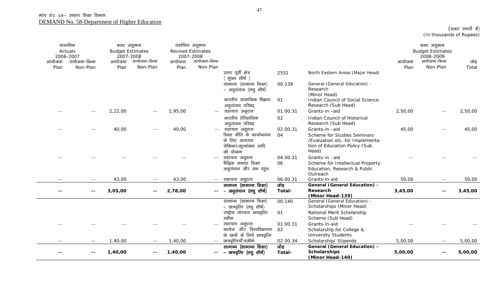| आयोजना | वास्तविक<br>Actuals<br>2006-2007<br>टायोजना–भिन्न | बजट अनुमान<br><b>Budget Estimates</b><br>2007-2008<br>आयोजना | आयोजना-भिन्न             | आयोजना  | संशोधित अनुमान<br><b>Revised Estimates</b><br>2007-2008<br>आयोजना-भिन्न |                                                       |                |                                                                            | आयोजना  | बजट अनुमान<br><b>Budget Estimates</b><br>2008-2009<br>आयोजना-भिन्न | जोड़    |
|--------|---------------------------------------------------|--------------------------------------------------------------|--------------------------|---------|-------------------------------------------------------------------------|-------------------------------------------------------|----------------|----------------------------------------------------------------------------|---------|--------------------------------------------------------------------|---------|
|        | Non-Plan                                          |                                                              | Non-Plan                 | Plan    | Non-Plan                                                                |                                                       |                |                                                                            | Plan    | Non-Plan                                                           |         |
| Plan   |                                                   | Plan                                                         |                          |         |                                                                         | उत्तर पूर्वी क्षेत्र<br>(मुख्य शीर्ष)                 | 2552           | North Eastern Areas (Major Head)                                           |         |                                                                    | Total   |
|        |                                                   |                                                              |                          |         |                                                                         | सामान्य (सामान्य शिक्षा)<br>– अनुसंधान (लघु शीर्ष)    | 00.139         | General (General Education) -<br>Research<br>(Minor Head)                  |         |                                                                    |         |
|        |                                                   |                                                              |                          |         |                                                                         | भारतीय सामाजिक विज्ञान<br>अनुसंधान परिषद              | 01             | Indian Council of Social Science<br>Research (Sub Head)                    |         |                                                                    |         |
|        |                                                   | 2,22,00                                                      |                          | 1,95,00 | $\sim$ $-$                                                              | सहायता अनुदान                                         | 01.00.31       | Grants-in-aid                                                              | 2,50,00 |                                                                    | 2,50,00 |
|        |                                                   |                                                              |                          |         |                                                                         | भारतीय ऐतिहासिक<br>अनुसंधान परिषद्                    | 02             | Indian Council of Historical<br>Research (Sub Head)                        |         |                                                                    |         |
|        |                                                   | 40,00                                                        |                          | 40,00   | $\sim$ $-$                                                              | सहायता अनुदान<br>शिक्षा नीति के कार्यान्वयन           | 02.00.31<br>04 | Grants-in-aid<br>Scheme for Studies Seminars                               | 45,00   |                                                                    | 45,00   |
|        |                                                   |                                                              |                          |         |                                                                         | के लिए अध्ययन<br>सेमिनार/मूल्यांकन आदि<br>की योजना    |                | /Evaluation etc. for Implementa-<br>tion of Education Policy (Sub<br>Head) |         |                                                                    |         |
|        |                                                   |                                                              |                          |         |                                                                         | सहायता अनुदान                                         | 04.00.31       | Grants-in-aid                                                              |         |                                                                    |         |
|        |                                                   |                                                              |                          |         |                                                                         | बैद्धिक सम्पदा शिक्षा                                 | 06             | Scheme for Intellectual Property                                           |         |                                                                    |         |
|        |                                                   |                                                              |                          |         |                                                                         | अनूसंधान और जन पहुंच                                  |                | Education, Research & Public                                               |         |                                                                    |         |
|        |                                                   |                                                              |                          |         |                                                                         |                                                       |                | Outreach                                                                   |         |                                                                    |         |
| $-$    | $- -$                                             | 43,00                                                        | $\sim$ $-$               | 43,00   | $\sim$ $-$                                                              | सहायता अनुदान                                         | 06.00.31       | Grants-in-aid                                                              | 50,00   |                                                                    | 50,00   |
|        |                                                   |                                                              |                          |         |                                                                         | सामान्य (सामान्य शिक्षा)                              | जोड़           | <b>General (General Education) -</b>                                       |         |                                                                    |         |
|        | $- -$                                             | 3,05,00                                                      | $\overline{\phantom{m}}$ | 2,78,00 |                                                                         | – अनुसंधान (लघु शीर्ष)                                | Total-         | Research<br>(Minor Head-139)                                               | 3,45,00 |                                                                    | 3,45,00 |
|        |                                                   |                                                              |                          |         |                                                                         | सामान्य (सामान्य शिक्षा)                              | 00.140         | General (General Education) -                                              |         |                                                                    |         |
|        |                                                   |                                                              |                          |         |                                                                         | – छात्रवृत्ति (लघु शीर्ष)                             |                | Scholarships (Minor Head)                                                  |         |                                                                    |         |
|        |                                                   |                                                              |                          |         |                                                                         | राष्ट्रीय योग्यता छात्रवृत्ति                         | 01             | National Merit Scholarship                                                 |         |                                                                    |         |
|        |                                                   |                                                              |                          |         |                                                                         | स्कीम                                                 |                | Scheme (Sub Head)                                                          |         |                                                                    |         |
|        |                                                   |                                                              |                          |         |                                                                         | सहायता अनुदान                                         | 01.00.31       | Grants-in-aid                                                              |         |                                                                    |         |
|        |                                                   |                                                              |                          |         |                                                                         | कालेज और विश्वविद्यालय                                | 02             | Scholarship for College &                                                  |         |                                                                    |         |
|        |                                                   |                                                              |                          |         |                                                                         | के छात्रों के लिये छात्रवृत्ति                        |                | <b>University Students</b>                                                 |         |                                                                    |         |
| $- -$  | $- -$                                             | 1,40,00                                                      | $  \,$                   | 1,40,00 | $\sim$ $-$                                                              | छात्रवृत्तियॉॅं/वजीफे                                 | 02.00.34       | Scholarship/ Stipends                                                      | 5,00,00 | $\sim$ $-$                                                         | 5,00,00 |
|        |                                                   | 1,40,00                                                      |                          | 1,40,00 | $- -$                                                                   | सामान्य (सामान्य शिक्षा)<br>– छात्रवृत्ति (लघु शीर्ष) | जोड़<br>Total- | General (General Education) -<br><b>Scholarships</b><br>(Minor Head-140)   | 5,00,00 | $\sim$ $\sim$                                                      | 5,00,00 |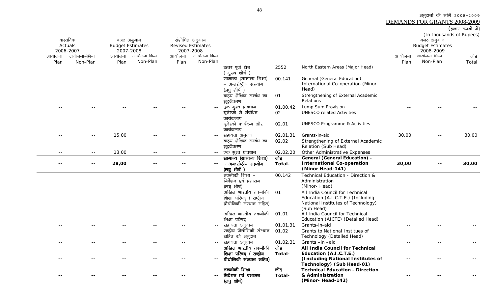अनुदानों की मांगें २००८-२००९

DEMANDS FOR GRANTS 2008-2009

|  | (हजार रुपयों में) |  |
|--|-------------------|--|
|--|-------------------|--|

|        | वास्तविक      | बजट अनुमान              |              |        | संशोधित अनुमान           |                                                                    |                |                                                                                               |        | (In thousands of Rupees)<br>बजट अनुमान |       |
|--------|---------------|-------------------------|--------------|--------|--------------------------|--------------------------------------------------------------------|----------------|-----------------------------------------------------------------------------------------------|--------|----------------------------------------|-------|
|        | Actuals       | <b>Budget Estimates</b> |              |        | <b>Revised Estimates</b> |                                                                    |                |                                                                                               |        | <b>Budget Estimates</b>                |       |
|        | 2006-2007     | 2007-2008               |              |        | 2007-2008                |                                                                    |                |                                                                                               |        | 2008-2009                              |       |
| आयोजना | टायोजना–भिन्न | आयोजना                  | आयोजना–भिन्न | आयोजना | आयोजना-भिन्न             |                                                                    |                |                                                                                               | आयोजना | आयोजना-भिन्न                           | जोड़  |
| Plan   | Non-Plan      | Plan                    | Non-Plan     | Plan   | Non-Plan                 |                                                                    |                |                                                                                               | Plan   | Non-Plan                               | Total |
|        |               |                         |              |        |                          | उत्तर पूर्वी क्षेत्र<br>(मुख्य शीर्ष)                              | 2552           | North Eastern Areas (Major Head)                                                              |        |                                        |       |
|        |               |                         |              |        |                          | सामान्य (सामान्य शिक्षा)<br>– अन्तर्राष्ट्रीय सहयोग<br>(लघु शीर्ष) | 00.141         | General (General Education) -<br>International Co-operation (Minor<br>Head)                   |        |                                        |       |
|        |               |                         |              |        |                          | बाह्य शैक्षिक सम्बंध का<br>सुदृढीकरण                               | 01             | Strengthening of External Academic<br>Relations                                               |        |                                        |       |
|        |               |                         |              |        |                          | एक मुश्त प्रावधान<br>यूनेस्को से संबंधित                           | 01.00.42<br>02 | Lump Sum Provision<br><b>UNESCO related Activities</b>                                        |        |                                        |       |
|        |               |                         |              |        |                          | कार्यकलाप<br>यूनेस्को कार्यक्रम और                                 | 02.01          | <b>UNESCO Programme &amp; Activities</b>                                                      |        |                                        |       |
|        |               |                         |              |        |                          | कार्यकलाप                                                          |                |                                                                                               |        |                                        |       |
|        |               | 15,00                   |              |        | $- -$                    | सहायता अनुदान                                                      | 02.01.31       | Grants-in-aid                                                                                 | 30,00  |                                        | 30,00 |
|        |               |                         |              |        |                          | बाहय शैक्षिक सम्बंध का<br>सुदृढीकरण                                | 02.02          | Strengthening of External Academic<br>Relation (Sub Head)                                     |        |                                        |       |
|        | $- -$         | 13,00                   |              | $- -$  | $\sim$ $-$               | एक मुश्त प्रावधान                                                  | 02.02.20       | Other Administrative Expenses                                                                 |        |                                        |       |
|        |               | 28,00                   |              |        | $- -$                    | सामान्य (सामान्य शिक्षा)<br>– अन्तर्राष्ट्रीय सहयोग<br>(लघु शीर्ष  | जोड़<br>Total- | <b>General (General Education) -</b><br><b>International Co-operation</b><br>(Minor Head-141) | 30,00  |                                        | 30,00 |
|        |               |                         |              |        |                          | तकनीकी शिक्षा –                                                    | 00.142         | Technical Education - Direction &                                                             |        |                                        |       |
|        |               |                         |              |        |                          | निर्देशन एवं प्रशासन                                               |                | Administration                                                                                |        |                                        |       |
|        |               |                         |              |        |                          | (लघु शीर्ष)                                                        |                | (Minor-Head)                                                                                  |        |                                        |       |
|        |               |                         |              |        |                          | अखिल भारतीय तकनीकी                                                 | O <sub>1</sub> | All India Council for Technical                                                               |        |                                        |       |
|        |               |                         |              |        |                          | शिक्षा परिषद (राष्ट्रीय                                            |                | Education (A.I.C.T.E.) (Including                                                             |        |                                        |       |
|        |               |                         |              |        |                          | प्रौद्योगिकी संस्थान सहित)                                         |                | National Institutes of Technology)<br>(Sub Head)                                              |        |                                        |       |
|        |               |                         |              |        |                          | अखिल भारतीय तकनीकी<br>शिक्षा परिषद                                 | 01.01          | All India Council for Technical<br>Education (AICTE) (Detailed Head)                          |        |                                        |       |
|        |               |                         |              |        |                          | सहायता अनुदान                                                      | 01.01.31       | Grants-in-aid                                                                                 |        |                                        |       |
|        |               |                         |              |        |                          | राष्ट्रीय प्रौद्योगिकी संस्थान                                     | 01.02          | Grants to National Institues of                                                               |        |                                        |       |
|        |               |                         |              |        |                          | सहित को अनुदान                                                     |                | Technology (Detailed Head)                                                                    |        |                                        |       |
|        |               |                         |              |        | $\sim$ $\sim$            | सहायता अनूदान                                                      | 01.02.31       | Grants-in-aid                                                                                 |        |                                        |       |
|        |               |                         |              |        |                          | अखिल भारतीय तकनीकी                                                 | जोड़           | All India Council for Technical                                                               |        |                                        |       |
|        |               |                         |              |        |                          | शिक्षा परिषद् (राष्ट्रीय                                           | Total-         | Education (A.I.C.T.E.)                                                                        |        |                                        |       |
|        |               |                         |              |        |                          | प्रौद्योगिकी संस्थान सहित)                                         |                | (Including National Institutes of<br>Technology) (Sub Head-01)                                |        |                                        |       |
|        |               |                         |              |        |                          | तकनीकी शिक्षा –                                                    | जोड़           | <b>Technical Education - Direction</b>                                                        |        |                                        |       |
|        |               |                         |              |        |                          | निर्देशन एवं प्रशासन<br>$($ लघु शीर्ष)                             | Total-         | & Administration<br>(Minor-Head-142)                                                          |        |                                        |       |
|        |               |                         |              |        |                          |                                                                    |                |                                                                                               |        |                                        |       |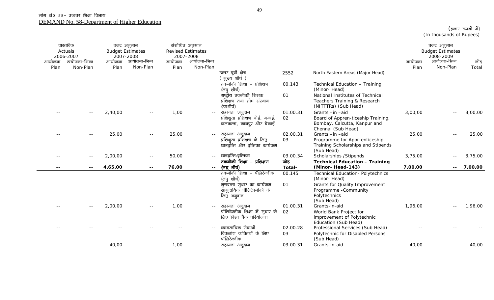|        | वास्तविक<br>Actuals<br>2006-2007 |         | बजट अनुमान<br><b>Budget Estimates</b><br>2007-2008 | संशोधित अनुमान<br>2007-2008 | <b>Revised Estimates</b> |                                                            |          |                                                    |         | बजट अनुमान<br><b>Budget Estimates</b><br>2008-2009 |         |
|--------|----------------------------------|---------|----------------------------------------------------|-----------------------------|--------------------------|------------------------------------------------------------|----------|----------------------------------------------------|---------|----------------------------------------------------|---------|
| आयोजना | टायोजना–भिन्न                    | आयोजना  | आयोजना-भिन्न                                       | आयोजना                      | आयोजना-भिन्न             |                                                            |          |                                                    | आयोजना  | आयोजना-भिन्न                                       | जोड़    |
| Plan   | Non-Plan                         | Plan    | Non-Plan                                           | Plan                        | Non-Plan                 |                                                            |          |                                                    | Plan    | Non-Plan                                           | Total   |
|        |                                  |         |                                                    |                             |                          | उत्तर पूर्वी क्षेत्र<br>मुख्य शीर्ष )                      | 2552     | North Eastern Areas (Major Head)                   |         |                                                    |         |
|        |                                  |         |                                                    |                             |                          | तकनीकी शिक्षा - प्रशिक्षण<br>(लघु शीर्ष)                   | 00.143   | Technical Education - Training<br>(Minor-Head)     |         |                                                    |         |
|        |                                  |         |                                                    |                             |                          | राष्ट्रीय तकनीकी शिक्षक                                    | 01       | National Institutes of Technical                   |         |                                                    |         |
|        |                                  |         |                                                    |                             |                          | प्रशिक्षण तथा शोध संस्थान                                  |          | Teachers Training & Research                       |         |                                                    |         |
|        |                                  |         |                                                    |                             |                          | (उपशीर्ष)                                                  |          | (NITTTRs) (Sub Head)                               |         |                                                    |         |
|        | $\sim$ $-$                       | 2,40,00 | $\sim$ $\sim$                                      | 1,00                        | $\sim$ $-$               | सहायता अनुदान                                              | 01.00.31 | Grants-in-aid                                      | 3,00,00 |                                                    | 3,00,00 |
|        |                                  |         |                                                    |                             |                          | प्रशिक्षुता प्रशिक्षण बोर्ड, बम्बई,                        | 02       | Board of Appren-ticeship Training,                 |         |                                                    |         |
|        |                                  |         |                                                    |                             |                          | कलकत्ता, कानपुर और चेन्नई                                  |          | Bombay, Calcutta, Kanpur and                       |         |                                                    |         |
|        |                                  |         |                                                    |                             |                          |                                                            |          | Chennai (Sub Head)                                 |         |                                                    |         |
|        |                                  | 25,00   |                                                    | 25,00                       | $\sim$ $\sim$            | सहायता अनुदान                                              | 02.00.31 | Grants-in-aid                                      | 25,00   |                                                    | 25,00   |
|        |                                  |         |                                                    |                             |                          | प्रशिक्षुता प्रशिक्षण के लिए                               | 03       | Programme for Appr-enticeship                      |         |                                                    |         |
|        |                                  |         |                                                    |                             |                          | छात्रवृत्ति और वृत्तिका कार्यक्रम                          |          | Training Scholarships and Stipends<br>(Sub Head)   |         |                                                    |         |
|        | $- -$                            | 2,00,00 | $ -$                                               | 50,00                       | $- -$                    | छात्रवृत्ति/वृत्तिका                                       | 03.00.34 | Scholarships / Stipends                            | 3,75,00 | $- -$                                              | 3,75,00 |
|        |                                  |         |                                                    |                             |                          | तकनीकी शिक्षा – प्रशिक्षण                                  | जोड़     | <b>Technical Education - Training</b>              |         |                                                    |         |
| $- -$  | $- -$                            | 4,65,00 | $\overline{\phantom{a}}$                           | 76,00                       | $\sim$ $\sim$            | (लघुशीर्ष)                                                 | Total-   | (Minor-Head-143)                                   | 7,00,00 | $- -$                                              | 7,00,00 |
|        |                                  |         |                                                    |                             |                          | तकनीकी शिक्षा – पॅलिटेक्नीक                                | 00.145   | <b>Technical Education- Polytechnics</b>           |         |                                                    |         |
|        |                                  |         |                                                    |                             |                          | (लघु शीर्ष)                                                |          | (Minor-Head)                                       |         |                                                    |         |
|        |                                  |         |                                                    |                             |                          | गुणवत्ता सुधार का कार्यक्रम                                | 01       | Grants for Quality Improvement                     |         |                                                    |         |
|        |                                  |         |                                                    |                             |                          | सामुदायिक पॉलिटेक्नीकों के                                 |          | Programme - Community                              |         |                                                    |         |
|        |                                  |         |                                                    |                             |                          | लिए अनुदान                                                 |          | Polytechnics                                       |         |                                                    |         |
|        |                                  |         |                                                    |                             |                          |                                                            |          | (Sub Head)                                         |         |                                                    |         |
|        | $- -$                            | 2,00,00 | $ -$                                               | 1,00                        | $- -$                    | सहायता अनुदान                                              | 01.00.31 | Grants-in-aid                                      | 1,96,00 |                                                    | 1,96,00 |
|        |                                  |         |                                                    |                             |                          | पॉलिटेक्नीक शिक्षा में सुधार के<br>लिए विश्व बैंक परियोजना | 02       | World Bank Project for                             |         |                                                    |         |
|        |                                  |         |                                                    |                             |                          |                                                            |          | improvement of Polytechnic<br>Education (Sub Head) |         |                                                    |         |
|        |                                  |         |                                                    |                             |                          | व्यावसायिक सेवाओं                                          | 02.00.28 | Professional Services (Sub Head)                   |         |                                                    |         |
|        |                                  |         |                                                    |                             |                          | विकलांग व्यक्तियों के लिए                                  | 03       | Polytechnic for Disabled Persons                   |         |                                                    |         |
|        |                                  |         |                                                    |                             |                          | पॉलिटेक्नीक                                                |          | (Sub Head)                                         |         |                                                    |         |
| $- -$  | $- -$                            | 40,00   | $ -$                                               | 1,00                        | $  \,$                   | सहायता अनूदान                                              | 03.00.31 | Grants-in-aid                                      | 40,00   | $- -$                                              | 40,00   |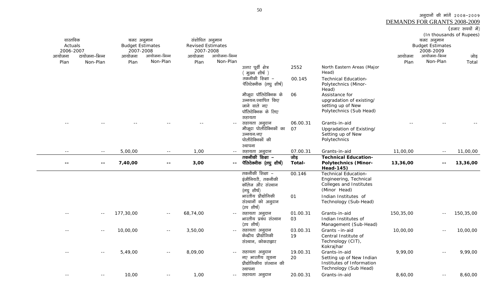DEMANDS FOR GRANTS 2008-2009(हजार रूपयों में) (In thousands of Rupees) .<br>टायोजना–भिन्न बजट अनुमान Budget Estimates 2007-2008 .<br>आयोजना-भिन्न संशोधित अनुमान Revised Estimates 2007-2008 .<br>आयोजना-भिन्न बजट अनुमान Budget Estimates 2008-2009 .<br>आयोजना-भिन्न Non-Plan आयोजना PlanNon-Plan आयोजना PlanNon-Plan आयोजना Plan Non-Plan जोड़ Total उत्तर पूर्वी क्षेत्र ( मुख्य<sup>ें</sup>शीर्ष ) 2552 North Eastern Areas (Major Head) ्<br>तकनीकी शिक्षा – पॅलिटेक्नीक (लघु शीर्ष) 00.145 Technical Education-Polytechnics (Minor-Head) मौजूदा पॉलिटेक्निक के उन्नयन/स्थापित किए जाने वाले नए पॉलिटेक्निक के लिए सहायता 06 Assistance for upgradation of existing/ setting up of New Polytechnics (Sub Head) -- -- -- -- -- -- lgk;rk vuqnku 06.00.31 Grants-in-aid -- -- -- .<br>मौजूदा पोलीटेक्निकों का उन्नयन/नए पोलीटेक्निकों की स्थापना 07 Upgradation of Existing/ Setting up of New Polytechnics -- -- 5,00,00 -- 1,00 -- lgk;rk vuqnku 07.00.31 Grants-in-aid 11,00,00 -- 11,00,00 <u>सहायता अनु</u>दान<br>———————————————————— जोड़

| --    | $- -$             | 7,40,00   | $- -$ | 3,00     | $- -$ | तकनीकी शिक्षा –<br>पॅलिटेक्नीक (लघु शीर्ष)                              | जाड<br>Total-  | Technical Education-<br><b>Polytechnics (Minor-</b><br>Head-145)                                 | 13,36,00  | $- -$         | 13,36,00  |
|-------|-------------------|-----------|-------|----------|-------|-------------------------------------------------------------------------|----------------|--------------------------------------------------------------------------------------------------|-----------|---------------|-----------|
|       |                   |           |       |          |       | तकनीकी शिक्षा –<br>इंजीनियरी, तकनीकी<br>कॉलेज और संस्थान<br>(लघु शीर्ष) | 00.146         | <b>Technical Education-</b><br>Engineering, Technical<br>Colleges and Institutes<br>(Minor Head) |           |               |           |
|       |                   |           |       |          |       | भारतीय प्रौद्योगिकी<br>संस्थानों को अनुदान<br>(उप शीर्ष)                | 01             | Indian Institutes of<br>Technology (Sub-Head)                                                    |           |               |           |
| $- -$ | $\qquad \qquad -$ | 177,30,00 | $ -$  | 68,74,00 | $- -$ | सहायता अनुदान<br>भारतीय प्रबंध संस्थान<br>(उप शीर्ष)                    | 01.00.31<br>03 | Grants-in-aid<br>Indian Institutes of<br>Management (Sub-Head)                                   | 150,35,00 | $ -$          | 150,35,00 |
| $- -$ | $- -$             | 10,00,00  | $ -$  | 3,50,00  | $- -$ | सहायता अनुदान<br>केन्द्रीय प्रौद्योगिकी<br>संस्थान, कोकराझार            | 03.00.31<br>19 | Grants-in-aid<br>Central Institute of<br>Technology (CIT),<br>Kokrajhar                          | 10,00,00  | $\sim$ $\sim$ | 10,00,00  |
|       | $- -$             | 5,49,00   | $ -$  | 8,09,00  | $- -$ | सहायता अनुदान<br>नए भारतीय सूचना<br>प्रौद्योगिकीय संस्थान की<br>स्थापना | 19.00.31<br>20 | Grants-in-aid<br>Setting up of New Indian<br>Institutes of Information<br>Technology (Sub Head)  | 9,99,00   | $\sim$ $-$    | 9,99,00   |
|       | $- -$             | 10,00     | $- -$ | 1,00     | $- -$ | सहायता अनूदान                                                           | 20.00.31       | Grants-in-aid                                                                                    | 8,60,00   | $ -$          | 8,60,00   |

50

वास्तविक Actuals 2006-2007

आयोजना Plan अनुदानों की मांगें 2008-2009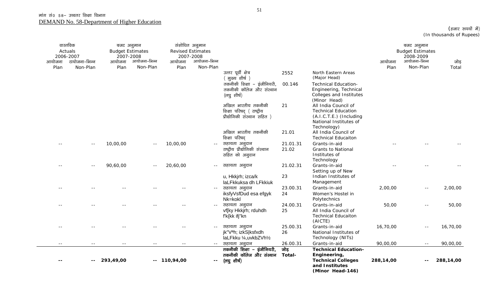| आयोजना<br>Plan | वास्तविक<br>Actuals<br>2006-2007<br>टायोजना-भिन्न<br>Non-Plan | बजट अनुमान<br><b>Budget Estimates</b><br>2007-2008<br>आयोजना<br>Plan | आयोजना-भिन्न<br>Non-Plan | आयोजना<br>Plan | संशोधित अनुमान<br><b>Revised Estimates</b><br>2007-2008<br>आयोजना-भिन्न<br>Non-Plan |                                                                               |                |                                                                                                                        | आयोजना<br>Plan | बजट अनुमान<br><b>Budget Estimates</b><br>2008-2009<br>आयोजना-भिन्न<br>Non-Plan | जोड़<br>Total |
|----------------|---------------------------------------------------------------|----------------------------------------------------------------------|--------------------------|----------------|-------------------------------------------------------------------------------------|-------------------------------------------------------------------------------|----------------|------------------------------------------------------------------------------------------------------------------------|----------------|--------------------------------------------------------------------------------|---------------|
|                |                                                               |                                                                      |                          |                |                                                                                     | उत्तर पूर्वी क्षेत्र<br>( मुख्य शीर्ष )<br>तकनीकी शिक्षा – इंजीनियरी,         | 2552<br>00.146 | North Eastern Areas<br>(Major Head)<br><b>Technical Education-</b>                                                     |                |                                                                                |               |
|                |                                                               |                                                                      |                          |                |                                                                                     | तकनीकी कॉलेज और संस्थान<br>(लघुशीर्ष)                                         |                | Engineering, Technical<br>Colleges and Institutes<br>(Minor Head)                                                      |                |                                                                                |               |
|                |                                                               |                                                                      |                          |                |                                                                                     | अखिल भारतीय तकनीकी<br>शिक्षा परिषद् (राष्ट्रीय<br>प्रौद्योगिकी संस्थान सहित ) | 21             | All India Council of<br><b>Technical Education</b><br>(A.I.C.T.E.) (Including<br>National Institutes of<br>Technology) |                |                                                                                |               |
|                |                                                               |                                                                      |                          |                |                                                                                     | अखिल भारतीय तकनीकी<br>शिक्षा परिषद                                            | 21.01          | All India Council of<br><b>Technical Educaiton</b>                                                                     |                |                                                                                |               |
|                |                                                               | 10,00,00                                                             | $- -$                    | 10,00,00       |                                                                                     | सहायता अनुदान                                                                 | 21.01.31       | Grants-in-aid                                                                                                          |                |                                                                                |               |
|                |                                                               |                                                                      |                          |                |                                                                                     | राष्ट्रीय प्रौद्योगिकी संस्थान<br>सहित को अनुदान                              | 21.02          | <b>Grants to National</b><br>Institutes of<br>Technology                                                               |                |                                                                                |               |
|                |                                                               | 90,60,00                                                             | $- -$                    | 20,60,00       | $\sim$ $-$                                                                          | सहायता अनुदान                                                                 | 21.02.31       | Grants-in-aid<br>Setting up of New                                                                                     |                |                                                                                |               |
|                |                                                               |                                                                      |                          |                |                                                                                     | u, Hkkirh; izca/k<br>laLFkkuksa dh LFkkiuk                                    | 23             | Indian Institutes of<br>Management                                                                                     |                |                                                                                |               |
|                |                                                               |                                                                      |                          |                |                                                                                     | सहायता अनुदान<br>iksfyVsfDud esa efgyk<br>Nk=kokl                             | 23.00.31<br>24 | Grants-in-aid<br>Women's Hostel in<br>Polytechnics                                                                     | 2,00,00        | $\sim$ $-$                                                                     | 2,00,00       |
|                |                                                               |                                                                      |                          |                | $\sim$ $-$                                                                          | सहायता अनुदान<br>vf[ky Hkkjrh; rduhdh<br>f'k{kk ifj"kn                        | 24.00.31<br>25 | Grants-in-aid<br>All India Council of<br><b>Technical Educaiton</b><br>(AICTE)                                         | 50,00          | $\sim$ $\sim$                                                                  | 50,00         |
| $-1$           |                                                               |                                                                      |                          |                | $\sim$ $-$                                                                          | सहायता अनुदान<br>jk"Vªh; izkS ksfxdh<br>laLFkku 1/4, uvkbZVh1/2               | 25.00.31<br>26 | Grants-in-aid<br>National Institutes of<br>Technology (NITs)                                                           | 16,70,00       | $\sim$ $-$                                                                     | 16,70,00      |
| $ -$           |                                                               | $ -$                                                                 |                          |                | $\sim$ $-$                                                                          | सहायता अनुदान                                                                 | 26.00.31       | Grants-in-aid                                                                                                          | 90,00,00       | $\sim$ $\sim$                                                                  | 90,00,00      |
|                |                                                               | 293,49,00                                                            |                          | $-110,94,00$   | $\overline{\phantom{a}}$                                                            | तकनीकी शिक्षा – इंजीनियरी,<br>तकनीकी कॉलेज और संस्थान<br>(लघुशीर्ष)           | जोड़<br>Total- | <b>Technical Education-</b><br>Engineering,<br><b>Technical Colleges</b><br>and Institutes<br>(Minor Head-146)         | 288,14,00      |                                                                                | 288,14,00     |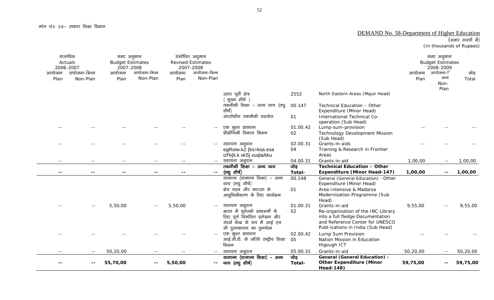#### DEMAND No. 58-Department of Higher Education

### (हजार रूपयों में)

(In thousands of Rupees)

| आयोजना<br>Plan | वास्तविक<br>Actuals<br>2006-2007<br>टायोजना–भिन्न<br>Non-Plan | बजट अनुमान<br><b>Budget Estimates</b><br>2007-2008<br>आयोजना<br>Plan | आयोजना-भिन्न<br>Non-Plan | आयोजना<br>Plan | संशोधित अनुमान<br><b>Revised Estimates</b><br>2007-2008<br>आयोजना-भिन्न<br>Non-Plan |                                                                                                                                               |                |                                                                                                                                                                 | आयोजना<br>Plan | बजट अनुमान<br><b>Budget Estimates</b><br>2008-2009<br>आयोजना–ि<br>भन्न<br>Non- | जोड़<br>Total |
|----------------|---------------------------------------------------------------|----------------------------------------------------------------------|--------------------------|----------------|-------------------------------------------------------------------------------------|-----------------------------------------------------------------------------------------------------------------------------------------------|----------------|-----------------------------------------------------------------------------------------------------------------------------------------------------------------|----------------|--------------------------------------------------------------------------------|---------------|
|                |                                                               |                                                                      |                          |                |                                                                                     | उत्तर पूर्वी क्षेत्र<br>( मुख्य शीर्ष )                                                                                                       | 2552           | North Eastern Areas (Major Head)                                                                                                                                |                | Plan                                                                           |               |
|                |                                                               |                                                                      |                          |                |                                                                                     | तकनीकी शिक्षा – अन्य व्यय (लघु<br>शीर्ष)                                                                                                      | 00.147         | Technical Education - Other<br>Expenditure (Minor Head)                                                                                                         |                |                                                                                |               |
|                |                                                               |                                                                      |                          |                |                                                                                     | अंतर्राष्टीय तकनीकी सहयोग                                                                                                                     | 01             | International Technical Co-<br>operation (Sub Head)                                                                                                             |                |                                                                                |               |
|                |                                                               |                                                                      |                          |                |                                                                                     | एक मुश्त प्रावधान<br>प्रौद्योगिकी विकास मिशन                                                                                                  | 01.00.42<br>02 | Lump-sum-provision<br><b>Technology Development Mission</b><br>(Sub Head)                                                                                       |                |                                                                                |               |
|                |                                                               |                                                                      |                          |                |                                                                                     | सहायता अनुदान<br>egRoiw.kZ {ks=ksa esa                                                                                                        | 02.00.31<br>04 | Grants-in-aids<br>Training & Research in Frontier<br>Areas                                                                                                      |                |                                                                                |               |
| $- -$          |                                                               |                                                                      | $- -$                    | $- -$          | $\sim$ $-$                                                                          | izf'k{k.k vkSj vuqla/kku<br>सहायता अनुदान                                                                                                     | 04.00.31       | Grants-in-aid                                                                                                                                                   | 1,00,00        | $ -$                                                                           | 1,00,00       |
|                |                                                               |                                                                      |                          |                | $\sim$ $\sim$                                                                       | तकनीकी शिक्षा – अन्य व्यय<br>(लघु शीर्ष)                                                                                                      | जोड़<br>Total- | <b>Technical Education - Other</b><br><b>Expenditure (Minor Head-147)</b>                                                                                       | 1,00,00        |                                                                                | 1,00,00       |
|                |                                                               |                                                                      |                          |                |                                                                                     | सामान्य (सामान्य शिक्षा) – अन्य<br>व्यय (लघु शीर्ष)<br>क्षेत्र गहन और मदरसा के<br>आधुनिकीकरण के लिए कार्यक्रम                                 | 00.148<br>01   | General (General Education) - Other<br>Expenditure (Minor Head)<br>Area Intensive & Madarsa<br>Modernisation Programme (Sub<br>Head)                            |                |                                                                                |               |
|                |                                                               | 5,50,00                                                              |                          | 5,50,00        | $\sim$ $-$                                                                          | सहायता अनुदान<br>भारत में यूनेस्को प्रकाशनों के<br>लिए पूर्ण विकसित प्रलेखन और<br>संदर्भ केन्द्र के रूप में आई एन<br>सी पुस्तकालय का पुनर्गठन | 01.00.31<br>02 | Grants-in-aid<br>Re-organisation of the INC Library<br>into a full fledge Documentation<br>and Reference Center for UNESCO<br>Publ-ications in India (Sub Head) | 9,55,00        |                                                                                | 9,55,00       |
|                |                                                               |                                                                      |                          |                |                                                                                     | एक मुश्त प्रावधान<br>आई.सी.टी. के जरिये राष्ट्रीय शिक्षा<br>मिशन                                                                              | 02.00.42<br>05 | Lump Sum Provision<br>Nation Mission in Education<br>thgough ICT                                                                                                |                |                                                                                |               |
|                | $- -$                                                         | 50,20,00                                                             | $- -$                    | --             | $- -$                                                                               | सहायता अनुदान                                                                                                                                 | 05.00.31       | Grants-in-aid                                                                                                                                                   | 50,20,00       | $- -$                                                                          | 50,20,00      |
|                |                                                               | 55,70,00                                                             | $- -$                    | 5,50,00        | $- -$                                                                               | सामान्य (सामान्य शिक्षा) – अन्य<br>व्यय (लघु शीर्ष)                                                                                           | जोड़<br>Total- | <b>General (General Education) -</b><br><b>Other Expenditure (Minor</b><br><b>Head-148)</b>                                                                     | 59,75,00       |                                                                                | 59,75,00      |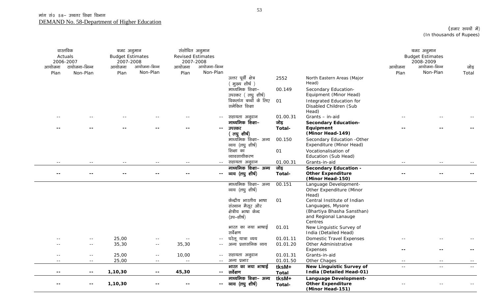| आयोजना<br>Plan           | वास्तविक<br>Actuals<br>2006-2007<br>टायोजना–भिन्न<br>Non-Plan | बजट अनुमान<br><b>Budget Estimates</b><br>2007-2008<br>आयोजना<br>Plan | आयोजना-भिन्न<br>Non-Plan       | संशोधित अनुमान<br>आयोजना<br>Plan | <b>Revised Estimates</b><br>2007-2008<br>आयोजना-भिन्न<br>Non-Plan |                                             |                      |                                                                              | आयोजना<br>Plan    | बजट अनुमान<br><b>Budget Estimates</b><br>2008-2009<br>आयोजना-भिन्न<br>Non-Plan | जोड़<br>Total |
|--------------------------|---------------------------------------------------------------|----------------------------------------------------------------------|--------------------------------|----------------------------------|-------------------------------------------------------------------|---------------------------------------------|----------------------|------------------------------------------------------------------------------|-------------------|--------------------------------------------------------------------------------|---------------|
|                          |                                                               |                                                                      |                                |                                  |                                                                   | उत्तर पूर्वी क्षेत्र<br>(मुख्य शीर्ष)       | 2552                 | North Eastern Areas (Major<br>Head)                                          |                   |                                                                                |               |
|                          |                                                               |                                                                      |                                |                                  |                                                                   | माध्यमिक शिक्षा–                            | 00.149               | Secondary Education-                                                         |                   |                                                                                |               |
|                          |                                                               |                                                                      |                                |                                  |                                                                   | उपस्कर (लघु शीर्ष)<br>विकलांग बच्चों के लिए | 01                   | Equipment (Minor Head)<br>Integrated Education for                           |                   |                                                                                |               |
|                          |                                                               |                                                                      |                                |                                  |                                                                   | समेकित शिक्षा                               |                      | Disabled Children (Sub<br>Head)                                              |                   |                                                                                |               |
|                          |                                                               |                                                                      |                                |                                  |                                                                   | सहायता अनुदान                               | 01.00.31             | Grants - in-aid                                                              |                   |                                                                                |               |
|                          |                                                               |                                                                      |                                |                                  |                                                                   | माध्यमिक शिक्षा-                            | जोड़                 | <b>Secondary Education-</b>                                                  |                   |                                                                                |               |
|                          |                                                               |                                                                      |                                |                                  | $\overline{\phantom{a}}$                                          | उपस्कर                                      | Total-               | Equipment<br>(Minor Head-149)                                                |                   |                                                                                |               |
|                          |                                                               |                                                                      |                                |                                  |                                                                   | (लघुशीर्ष)<br>माध्यमिक शिक्षा– अन्य         | 00.150               | Secondary Education - Other                                                  |                   |                                                                                |               |
|                          |                                                               |                                                                      |                                |                                  |                                                                   | व्यय (लघु शीर्ष)                            |                      | Expenditure (Minor Head)                                                     |                   |                                                                                |               |
|                          |                                                               |                                                                      |                                |                                  |                                                                   | शिक्षा का                                   | 01                   | Vocationalisation of                                                         |                   |                                                                                |               |
|                          |                                                               |                                                                      |                                |                                  |                                                                   | व्यावसायीकरण                                |                      | Education (Sub Head)                                                         |                   |                                                                                |               |
| $ -$                     | $\frac{1}{2}$                                                 | $\frac{1}{2}$                                                        | $ -$                           | $ -$                             | $\sim$ $-$                                                        | सहायता अनुदान                               | 01.00.31             | Grants-in-aid                                                                | $\sim$ $-$        | $\sim$ $\sim$                                                                  |               |
|                          |                                                               |                                                                      |                                |                                  |                                                                   | माध्यमिक शिक्षा– अन्य                       | जोड़                 | <b>Secondary Education -</b>                                                 |                   |                                                                                |               |
| $\overline{\phantom{a}}$ |                                                               |                                                                      |                                | --                               | $\overline{\phantom{a}}$                                          | व्यय (लघु शीर्ष)                            | Total-               | <b>Other Expenditure</b><br>(Minor Head-150)                                 |                   |                                                                                |               |
|                          |                                                               |                                                                      |                                |                                  |                                                                   | माध्यमिक शिक्षा- अन्य<br>व्यय (लघु शीर्ष)   | 00.151               | Language Development-<br>Other Expenditure (Minor<br>Head)                   |                   |                                                                                |               |
|                          |                                                               |                                                                      |                                |                                  |                                                                   | केन्द्रीय भारतीय भाषा                       | 01                   | Central Institute of Indian                                                  |                   |                                                                                |               |
|                          |                                                               |                                                                      |                                |                                  |                                                                   | संस्थान मैसूर और                            |                      | Languages, Mysore                                                            |                   |                                                                                |               |
|                          |                                                               |                                                                      |                                |                                  |                                                                   | क्षेत्रीय भाषा केन्द                        |                      | (Bhartiya Bhasha Sansthan)                                                   |                   |                                                                                |               |
|                          |                                                               |                                                                      |                                |                                  |                                                                   | (उप–शीर्ष)                                  |                      | and Regional Lanauge<br>Centres                                              |                   |                                                                                |               |
|                          |                                                               |                                                                      |                                |                                  |                                                                   | भारत का नया भाषाई<br>सर्वेक्षण              | 01.01                | New Linguistic Survey of<br>India (Detailed Head)                            |                   |                                                                                |               |
|                          |                                                               | 25,00                                                                |                                |                                  | $\sim$ $-$                                                        | घरेलू यात्रा व्यय                           | 01.01.11             | <b>Domestic Travel Expenses</b>                                              |                   |                                                                                |               |
|                          | $\frac{1}{2}$                                                 | 35,30                                                                | $- -$                          | 35,30                            | $ -$                                                              | अन्य प्रशासनिक व्यय                         | 01.01.20             | Other Administrative                                                         |                   |                                                                                |               |
|                          |                                                               | 25,00                                                                |                                |                                  |                                                                   |                                             |                      | Expenses<br>Grants-in-aid                                                    | $\sim$ $\sim$     |                                                                                |               |
| $ -$                     | $- -$                                                         | 25,00                                                                | $\sim$ $\sim$<br>$\sim$ $\sim$ | 10,00<br>$\sim$ $\sim$           | $\sim$ $-$                                                        | सहायता अनुदान<br>अन्य प्रभार                | 01.01.31<br>01.01.50 | Other Chages                                                                 | $ -$              |                                                                                |               |
|                          |                                                               |                                                                      |                                |                                  |                                                                   | भारत का नया भाषाई                           | tksM+                | <b>New Linguistic Survey of</b>                                              | $\equiv$ $\equiv$ | $=$ $-$                                                                        |               |
|                          | $\sim$ $\sim$                                                 | 1,10,30                                                              | $\overline{\phantom{a}}$       | 45,30                            | $\sim$ $\sim$                                                     | सर्वेक्षण                                   | <b>Total</b>         | <b>India (Detailed Head-01)</b>                                              |                   |                                                                                |               |
|                          |                                                               | 1,10,30                                                              |                                |                                  | $\overline{\phantom{a}}$ .                                        | माध्यमिक शिक्षा- अन्य<br>व्यय (लघु शीर्ष)   | tksM+<br>Total-      | <b>Language Development-</b><br><b>Other Expenditure</b><br>(Minor Head-151) |                   |                                                                                |               |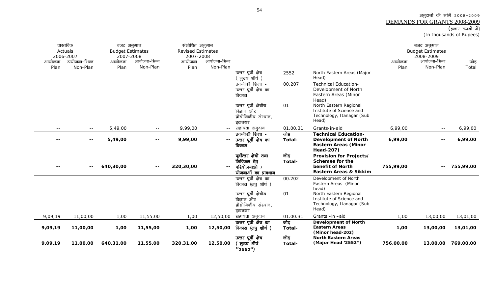## अनुदानों की मांगें २००८-२००९ <u>DEMANDS FOR GRANTS 2008-2009</u><br>(हजार रुपयों में)

(In thousands of Rupees)

| आयोजना<br>Plan                    | वास्तविक<br>Actuals<br>2006-2007<br>टायोजना–भिन्न<br>Non-Plan | बजट अनुमान<br><b>Budget Estimates</b><br>2007-2008<br>आयोजना<br>Plan | आयोजना-भिन्न<br>Non-Plan         | संशोधित अनुमान<br><b>Revised Estimates</b><br>2007-2008<br>आयोजना<br>Plan | आयोजना-भिन्न<br>Non-Plan | उत्तर पूर्वी क्षेत्र<br>( मुख्य शीर्ष )<br>तकनीकी शिक्षा -<br>उत्तर पूर्वी क्षेत्र का<br>विकास<br>उत्तर पूर्वी क्षेत्रीय<br>विज्ञान और<br>प्रौद्योगिकीय संस्थान, | 2552<br>00.207<br>01       | North Eastern Areas (Major<br>Head)<br><b>Technical Education-</b><br>Development of North<br>Eastern Areas (Minor<br>Head)<br>North Eastern Regional<br>Institute of Science and<br>Technology, Itanagar (Sub | आयोजना<br>Plan     | बजट अनुमान<br><b>Budget Estimates</b><br>2008-2009<br>आयोजना-भिन्न<br>Non-Plan | जोड़<br>Total      |
|-----------------------------------|---------------------------------------------------------------|----------------------------------------------------------------------|----------------------------------|---------------------------------------------------------------------------|--------------------------|------------------------------------------------------------------------------------------------------------------------------------------------------------------|----------------------------|----------------------------------------------------------------------------------------------------------------------------------------------------------------------------------------------------------------|--------------------|--------------------------------------------------------------------------------|--------------------|
|                                   |                                                               |                                                                      |                                  |                                                                           |                          | इटानगर                                                                                                                                                           |                            | Head)<br>Grants-in-aid                                                                                                                                                                                         |                    |                                                                                |                    |
| $- -$<br>$\overline{\phantom{a}}$ | $\sim$ $-$<br>$\sim$ $\sim$                                   | 5,49,00<br>5,49,00                                                   | $ -$<br>$\overline{\phantom{a}}$ | 9,99,00<br>9,99,00                                                        | $\sim$ $-$               | सहायता अनुदान<br>तकनीकी शिक्षा -<br>उत्तर पूर्वी क्षेत्र का<br>विकास                                                                                             | 01.00.31<br>जोड़<br>Total- | <b>Technical Education-</b><br><b>Development of North</b><br><b>Eastern Areas (Minor</b><br><b>Head-207)</b>                                                                                                  | 6,99,00<br>6,99,00 | $\sim$ $\sim$<br>$\overline{\phantom{a}}$                                      | 6,99,00<br>6,99,00 |
|                                   | $\overline{\phantom{a}}$                                      | 640,30,00                                                            | $\overline{\phantom{a}}$         | 320,30,00                                                                 | $-$                      | पूर्वोत्तर क्षेत्रों तथा<br>सिक्किम हेतू<br>परियोजनाओँ /<br>योजनाओं का प्रावधान                                                                                  | जोड़<br>Total-             | Provision for Projects/<br>Schemes for the<br>benefit of North<br><b>Eastern Areas &amp; Sikkim</b>                                                                                                            | 755,99,00          | $\sim$ $\sim$                                                                  | 755,99,00          |
|                                   |                                                               |                                                                      |                                  |                                                                           |                          | उत्तर पूर्वी क्षेत्र का<br>विकास (लघु शीर्ष)<br>उत्तर पूर्वी क्षेत्रीय<br>विज्ञान और<br>प्रौद्योगिकीय संस्थान,<br>इटानगर                                         | 00.202<br>01               | Development of North<br>Eastern Areas (Minor<br>head)<br>North Eastern Regional<br>Institute of Science and<br>Technology, Itanagar (Sub<br>Head)                                                              |                    |                                                                                |                    |
| 9,09,19                           | 11,00,00                                                      | 1,00                                                                 | 11,55,00                         | 1,00                                                                      | 12,50,00                 | सहायता अनुदान                                                                                                                                                    | 01.00.31                   | Grants-in-aid                                                                                                                                                                                                  | 1,00               | 13,00,00                                                                       | 13,01,00           |
| 9,09,19                           | 11,00,00                                                      | 1,00                                                                 | 11,55,00                         | 1,00                                                                      | 12,50,00                 | उत्तर पूर्वी क्षेत्र का<br>विकास (लघु शीर्ष)                                                                                                                     | जोड़<br>Total-             | <b>Development of North</b><br><b>Eastern Areas</b><br>(Minor head-202)                                                                                                                                        | 1,00               | 13,00,00                                                                       | 13,01,00           |
| 9,09,19                           | 11,00,00                                                      | 640,31,00                                                            | 11,55,00                         | 320,31,00                                                                 | 12,50,00                 | उत्तर पूर्वी क्षेत्र<br><sup>'</sup> मुख्य शीर्ष<br>(2552")                                                                                                      | जोड़<br>Total-             | <b>North Eastern Areas</b><br>(Major Head '2552")                                                                                                                                                              | 756,00,00          |                                                                                | 13,00,00 769,00,00 |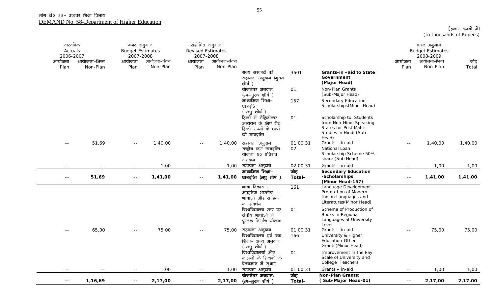| वास्तविक<br>Actuals<br>2006-2007 |              | बजट अनुमान<br><b>Budget Estimates</b><br>2007-2008 |              | संशोधित अनुमान<br><b>Revised Estimates</b><br>2007-2008 |                          |                                                                                             |                |                                                                                                                       |                          | बजट अनुमान<br><b>Budget Estimates</b><br>2008-2009 |         |
|----------------------------------|--------------|----------------------------------------------------|--------------|---------------------------------------------------------|--------------------------|---------------------------------------------------------------------------------------------|----------------|-----------------------------------------------------------------------------------------------------------------------|--------------------------|----------------------------------------------------|---------|
| आयोजना                           | आयोजना-भिन्न | आयोजना                                             | आयोजना-भिन्न | आयोजना                                                  | आयोजना-भिन्न<br>Non-Plan |                                                                                             |                |                                                                                                                       | आयोजना                   | आयोजना-भिन्न                                       | जोड़    |
| Plan                             | Non-Plan     | Plan                                               | Non-Plan     | Plan                                                    |                          | राज्य सरकारों को<br>सहायता अनुदान (मुख्य<br>शीर्ष )                                         | 3601           | Grants-in-aid to State<br>Government<br>(Major Head)                                                                  | Plan                     | Non-Plan                                           | Total   |
|                                  |              |                                                    |              |                                                         |                          | योजनेतर अनुदान<br>(उप–मुख्य शीर्ष)                                                          | 01             | Non-Plan Grants<br>(Sub-Major Head)                                                                                   |                          |                                                    |         |
|                                  |              |                                                    |              |                                                         |                          | माध्यमिक शिक्षा–<br>छात्रवृत्ति<br>लघुशीर्ष)                                                | 157            | Secondary Education -<br>Scholarships (Minor Head)                                                                    |                          |                                                    |         |
|                                  |              |                                                    |              |                                                         |                          | हिन्दी में मैट्रिकोत्तर<br>अध्ययन के लिए गैर<br>हिन्दी राज्यों के छात्रों<br>को छात्रवृत्ति | 01             | Scholarship to Students<br>from Non-Hindi Speaking<br><b>States for Post Matric</b><br>Studies in Hindi (Sub<br>Head) |                          |                                                    |         |
| $\sim$ $\sim$                    | 51,69        | $\sim$ $\sim$                                      | 1,40,00      | $- -$                                                   | 1,40,00                  | सहायता अनुदान                                                                               | 01.00.31       | Grants - in-aid                                                                                                       |                          | 1,40,00                                            | 1,40,00 |
|                                  |              |                                                    |              |                                                         |                          | राष्ट्रीय ऋण छात्रवृत्ति<br>योजना 50 प्रतिशत<br>अंशदान                                      | 02             | National Loan<br>Scholarship Scheme 50%<br>share (Sub Head)                                                           |                          |                                                    |         |
| $\sim$ $\sim$                    | $- -$        | $- -$                                              | 1,00         | $  \,$                                                  | 1,00                     | सहायता अनुदान                                                                               | 02.00.31       | Grants - in-aid                                                                                                       | $\sim$ $\sim$            | 1,00                                               | 1,00    |
| $\sim$ $\sim$                    | 51,69        | $\sim$ $\sim$                                      | 1,41,00      | $\sim$ $\sim$                                           | 1,41,00                  | माध्यमिक शिक्षा-<br>छात्रवृत्ति (लघु शीर्ष )                                                | जोड़<br>Total- | <b>Secondary Education</b><br>-Scholarships<br>(Minor Head-157)                                                       | $\overline{\phantom{a}}$ | 1,41,00                                            | 1,41,00 |
|                                  |              |                                                    |              |                                                         |                          | भाषा विकास –<br>आधुनिक भारतीय<br>भाषाओं और साहित्य<br>का संवर्धन                            | 161            | Language Development-<br>Promo-tion of Modern<br>Indian Languages and<br>Literatures (Minor Head)                     |                          |                                                    |         |
|                                  |              |                                                    |              |                                                         |                          | विश्वविद्यालय स्तर पर<br>क्षेत्रीय भाषाओं में<br>पुस्तक निर्माण योजना                       | 01             | Scheme of Production of<br>Books in Regional<br>Languages at University<br>Level                                      |                          |                                                    |         |
| $\sim$ $-$                       | 65,00        | $\sim$ $-$                                         | 75,00        | $\sim$ $-$                                              | 75,00                    | सहायता अनुदान                                                                               | 01.00.31       | Grants - in-aid                                                                                                       | $- -$                    | 75,00                                              | 75,00   |
|                                  |              |                                                    |              |                                                         |                          | विश्वविद्यालय एवं उच्च<br>शिक्षा- अन्य अनुदान<br><sup>(</sup> लघुशीर्ष )                    | 166            | University & Higher<br>Education-Other<br>Grants (Minor Head)                                                         |                          |                                                    |         |
|                                  |              |                                                    |              |                                                         |                          | विश्वविद्यालयों और<br>कालेजों के शिक्षकों के<br>वेतनमान में सुधार                           | 01             | Improvement in the Pay<br>Scale of University and<br>College Teachers                                                 |                          |                                                    |         |
| $\sim$ $\sim$                    | $- -$        | $\sim$ $-$                                         | 1,00         | $- -$                                                   | 1,00                     | सहायता अनुदान                                                                               | 01.00.31       | Grants - in-aid                                                                                                       | $\sim$ $-$               | 1,00                                               | 1,00    |
| $- -$                            | 1,16,69      | $\sim$ $\sim$                                      | 2,17,00      | $\overline{\phantom{a}}$                                | 2,17,00                  | योजनेतर अनुदानः<br>(उप–मुख्य शीर्ष )                                                        | जोड़<br>Total- | <b>Non-Plan Grants:</b><br>(Sub-Major Head-01)                                                                        | $- -$                    | 2,17,00                                            | 2,17,00 |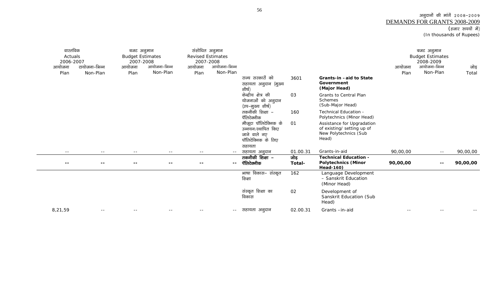#### अनुदानों की मांगें 2008-2009 DEMANDS FOR GRANTS 2008-2009(हजार रूपयों में) (In thousands of Rupees)

वास्तविक Actuals 2006-2007 टायोजना–भिन्न बजट अनुमान Budget Estimates 2007-2008 संशोधित अनुमान Revised Estimates 2007-2008 आयोजना–भिन्न बजट अनुमान Budget Estimates 2008-2009 आयोजना Plan Non-Plan आयोजना Plan आयोजना-भिन्न Non-Planआयोजना PlanNon-Plan आयोजना Plan आयोजना-भिन्न Non-Plan जोड़ Total राज्य सरकारों को सहायता अनुदान (मुख्य शीर्ष) 3601 **Grants-in –aid to State Government (Major Head)**   $\overrightarrow{a}$ केन्द्रीय क्षेत्र की योजनाओं को अनुदान (उप–मुख्य शीर्ष) 03 Grants to Central Plan Schemes (Sub-Major Head) तकनीकी शिक्षा – पॅलिटेक्नीक .<br>मौजूदा पॉलिटेक्निक के 160 Technical Education - Polytechnics (Minor Head) ्<br>उन्नयन/स्थापित किाग जाने वाले नए पॉलिटेक्निक के लिए सहायता 01 Assistance for Upgradation of existing/ setting up of New Polytechnics (Sub Head) -- -- -- -- -- -- lgk;rk vuqnku 01.00.31 Grants-in-aid 90,00,00 -- 90,00,00 **-- -- -- -- -- --**   $\overline{a}$ तकनीकी शिक्षा – पॅलिटेक्नीक जोड़ **Total-Technical Education - Polytechnics (Minor Head-160) 90,00,00 -- 90,00,00**  भाषा विकास– संस्कृत शिक्षा 162 Language Development – Sanskrit Education (Minor Head) संस्कृत शिक्षा का विकास 02 Development of Sanskrit Education (Sub Head) 8,21,59 -- -- - -- -- -- -- -- -- -- सहायता अनुदान 02.00.31 Grants –in-aid -- --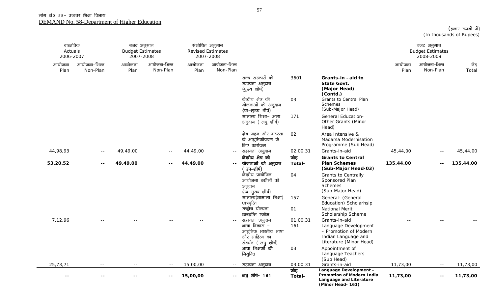| वास्तविक<br>Actuals<br>2006-2007 |                          | बजट अनुमान<br><b>Budget Estimates</b><br>2007-2008 |                          | संशोधित अनुमान | <b>Revised Estimates</b><br>2007-2008         |                                                                                                                  |                 |                                                                                                                                        |                | बजट अनुमान<br><b>Budget Estimates</b><br>2008-2009 |               |
|----------------------------------|--------------------------|----------------------------------------------------|--------------------------|----------------|-----------------------------------------------|------------------------------------------------------------------------------------------------------------------|-----------------|----------------------------------------------------------------------------------------------------------------------------------------|----------------|----------------------------------------------------|---------------|
| आयोजना<br>Plan                   | आयोजना-भिन्न<br>Non-Plan | आयोजना<br>Plan                                     | आयोजना-भिन्न<br>Non-Plan | आयोजना<br>Plan | आयोजना-भिन्न<br>Non-Plan                      |                                                                                                                  |                 |                                                                                                                                        | आयोजना<br>Plan | आयोजना-भिन्न<br>Non-Plan                           | जेड़<br>Total |
|                                  |                          |                                                    |                          |                |                                               | राज्य सरकारों को<br>सहायता अनुदान<br>(मुख्य शीर्ष)                                                               | 3601            | Grants-in-aid to<br><b>State Govt.</b><br>(Major Head)<br>(Contd.)                                                                     |                |                                                    |               |
|                                  |                          |                                                    |                          |                |                                               | केन्द्रीय क्षेत्र की<br>योजनाओं को अनुदान<br>(उप-मुख्य शीर्ष)                                                    | 03              | Grants to Central Plan<br><b>Schemes</b><br>(Sub-Major Head)                                                                           |                |                                                    |               |
|                                  |                          |                                                    |                          |                |                                               | सामान्य शिक्षा- अन्य<br>अनुदान (लघु शीर्ष)                                                                       | 171             | <b>General Education-</b><br>Other Grants (Minor<br>Head)                                                                              |                |                                                    |               |
|                                  |                          |                                                    |                          |                |                                               | क्षेत्र गहन और मदरसा<br>के आधुनिकीकरण के<br>लिए कार्यक्रम                                                        | 02              | Area Intensive &<br>Madarsa Modernisation<br>Programme (Sub Head)                                                                      |                |                                                    |               |
| 44,98,93                         | $\sim$ $-$               | 49,49,00                                           | $\sim$ $-$               | 44,49,00       | $ -$                                          | सहायता अनुदान                                                                                                    | 02.00.31        | Grants-in-aid                                                                                                                          | 45,44,00       | $\sim$ $-$                                         | 45,44,00      |
| 53,20,52                         | $\sim$ $\sim$            | 49,49,00                                           | $- -$                    | 44,49,00       | $-$                                           | केन्द्रीय क्षेत्र की<br>योजनाओं को अनुदान<br>उप–शीर्ष)                                                           | जोड़<br>Total-  | <b>Grants to Central</b><br><b>Plan Schemes</b><br>(Sub-Major Head-03)                                                                 | 135,44,00      | $- -$                                              | 135,44,00     |
|                                  |                          |                                                    |                          |                |                                               | केन्द्रीय प्रायोजित<br>आयोजना स्कीमों को<br>अनुदान<br>(उप–मुख्य शीर्ष)<br>सामान्य(सामान्य शिक्षा)<br>छात्रवृत्ति | 04<br>157       | <b>Grants to Centrally</b><br>Sponsored Plan<br><b>Schemes</b><br>(Sub-Major Head)<br>General- (General<br>Education) Scholarhsip      |                |                                                    |               |
|                                  |                          |                                                    |                          |                |                                               | राष्ट्रीय योग्यता                                                                                                | 01              | National Merit                                                                                                                         |                |                                                    |               |
| 7,12,96                          |                          |                                                    |                          |                | $\mathord{\hspace{1pt}\text{--}\hspace{1pt}}$ | छात्रवृत्ति स्कीम<br>सहायता अनुदान<br>भाषा विकास –<br>आधुनिक भारतीय भाषा<br>और साहित्य का<br>संवर्धन (लघुशीर्ष)  | 01.00.31<br>161 | Scholarship Scheme<br>Grants-in-aid<br>Language Development<br>- Promotion of Modern<br>Indian Language and<br>Literature (Minor Head) |                |                                                    |               |
|                                  |                          |                                                    |                          |                |                                               | भाषा शिक्षकोँ की<br>नियुक्ति                                                                                     | 03              | Appointment of<br>Language Teachers<br>(Sub Head)                                                                                      |                |                                                    |               |
| 25,73,71                         |                          |                                                    | $- -$                    | 15,00,00       | $\sim$ $-$                                    | सहायता अनुदान                                                                                                    | 03.00.31        | Grants-in-aid                                                                                                                          | 11,73,00       | $\sim$ $-$                                         | 11,73,00      |
| $-$                              | $ -$                     |                                                    | $\sim$ $\sim$            | 15,00,00       | $\sim$ $\sim$                                 | लघु शीर्ष- 161                                                                                                   | जोड़<br>Total-  | Language Development -<br>Promotion of Modern India<br>Language and Literature<br>(Minor Head- 161)                                    | 11,73,00       | $\sim$ $\sim$                                      | 11,73,00      |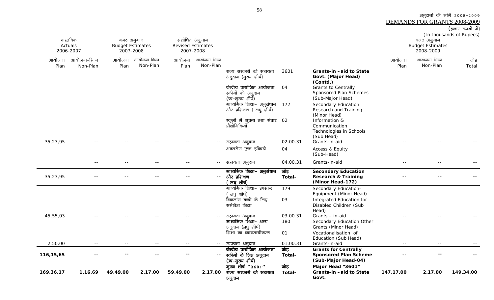(हजार रुपयों में) (In thousands of Rupees) वास्तविक Actuals 2006-2007 बजट अनुमान Budget Estimates 2007-2008 संशोधित अनुमान Revised Estimates 2007-2008 बजट अनुमान Budget Estimates 2008-2009 आयोजना Plan आयोजना–भिन्न Non-Plan आयोजना Planआयोजना-भिन्न Non-Planआयोजना Planआयोजना-भिन्न Non-Planआयोजना Plan आयोजना-भिन्न Non-Plan जोड़ Total राज्य सरकारों को सहायता अनुदान (मुख्य शीर्ष) 3601 **Grants-in –aid to State Govt. (Major Head) (Contd.)**  केन्द्रीय प्रायोजित आयोजना रकीमों को अनुदान (उप–मुख्य शीर्ष) 04 Grants to Centrally Sponsored Plan Schemes (Sub-Major Head) माध्यमिक शिक्षा– अनुसंधान 172 और प्रशिक्षण (लघु शीर्ष) Secondary Education Research and Training (Minor Head) स्कूलों में सूचना तथा संचार 02 पौद्योगिकियाँ 02 Information & Communication Technologies in Schools (Sub Head) 35,23,95 -- -- -- -- -- -- -- -- -- -- -- सहायता अनुदान 02.00.31 Grants-in-aid -- --अक्ससेस एण्ड इक्विटी 04 Access & Equity (Sub-Head) -- -- -- -- -- lgk;rk vuqnku 04.00.31 Grants-in-aid -- -- -- 35,23,95 **-- -- -- -- --** माध्यमिक शिक्षा– अनुसंधान और प्रशिक्षण लघ शीर्ष) ंजोड **Total-Secondary Education Research & Training (Minor Head-172) -- -- --** माध्यमिक शिक्षा– उपस्कर लघ शीर्ष) 179 Secondary Education-Equipment (Minor Head) विकलांग बच्चों के लिए समेकित शिक्षा 03 Integrated Education for Disabled Children (Sub Head) 45,55,03 -- -- -- -- -- -- -- -- -- -- -- सहायता अनुदान 03.00.31 Grants – in-aid -- - -- -- -- -माध्यमिक शिक्षा- अन्य अनुदान (लघु शीर्ष) 180 **Secondary Education Other** Grants (Minor Head) f'k{kk dk O;kolk;hdj.k 01 Vocationalisation of Education (Sub Head) 2,50,00 -- -- -- -- -- -- -- -- -- -- सहायता अनुदान 01.00.31 Grants-in-aid -- --**116,15,65 -- -- -- -- --**  $\frac{1}{2}$ केन्द्रीय प्रायोजित आयोजना स्कीमों के लिए अनुदान (उप-मुख्य शीर्ष) जोड़ **Total-Grants for Centrally Sponsored Plan Scheme (Sub-Major Head-04) -- -- -- 169,36,17 1,16,69 49,49,00 2,17,00 59,49,00 2,17,00** मुख्य शीर्ष "3601" राज्य सरकारों को सहायता जोड़ **Total-Major Head "3601" Grants-in –aid to State 147,17,00 2,17,00 149,34,00** 

**Govt.** 

अनुदान

58

3ानुदानों की मांगें 2008-2009

DEMANDS FOR GRANTS 2008-2009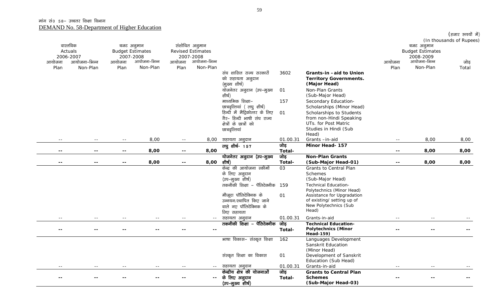|        |                            |                                       |              |                          |                                            |                                    |                |                                         |        |                                       | (हजार रुपयों में)        |
|--------|----------------------------|---------------------------------------|--------------|--------------------------|--------------------------------------------|------------------------------------|----------------|-----------------------------------------|--------|---------------------------------------|--------------------------|
|        | वास्तविक<br>Actuals        | बजट अनुमान<br><b>Budget Estimates</b> |              |                          | संशोधित अनुमान<br><b>Revised Estimates</b> |                                    |                |                                         |        | बजट अनुमान<br><b>Budget Estimates</b> | (In thousands of Rupees) |
| आयोजना | 2006-2007<br>आयोजना-भिन्न  | 2007-2008<br>आयोजना                   | आयोजना-भिन्न | आयोजना                   | 2007-2008<br>आयोजना-भिन्न                  |                                    |                |                                         | आयोजना | 2008-2009<br>आयोजना-भिन्न             | जोड़                     |
| Plan   | Non-Plan                   | Plan                                  | Non-Plan     | Plan                     | Non-Plan                                   |                                    |                |                                         | Plan   | Non-Plan                              | Total                    |
|        |                            |                                       |              |                          |                                            | संघ शासित राज्य सरकारों            | 3602           | Grants-in -aid to Union                 |        |                                       |                          |
|        |                            |                                       |              |                          |                                            | को सहायता अनुदान                   |                | <b>Territory Governments.</b>           |        |                                       |                          |
|        |                            |                                       |              |                          |                                            | (मुख्य शीर्ष)                      |                | (Major Head)                            |        |                                       |                          |
|        |                            |                                       |              |                          |                                            | योजनेतर अनुदान (उप-मुख्य           | 01             | Non-Plan Grants                         |        |                                       |                          |
|        |                            |                                       |              |                          |                                            | शीर्ष)                             |                | (Sub-Major Head)                        |        |                                       |                          |
|        |                            |                                       |              |                          |                                            | माध्यमिक शिक्षा–                   | 157            | Secondary Education-                    |        |                                       |                          |
|        |                            |                                       |              |                          |                                            | छात्रवृत्तियां ( लघु शीर्ष)        |                | Scholarships (Minor Head)               |        |                                       |                          |
|        |                            |                                       |              |                          |                                            | हिन्दी में मैट्रिकोत्तर के लिए     | 01             | Scholarships to Students                |        |                                       |                          |
|        |                            |                                       |              |                          |                                            | गैर- हिन्दी भाषी संघ राज्य         |                | from non-Hindi Speaking                 |        |                                       |                          |
|        |                            |                                       |              |                          |                                            | क्षेत्रों के छात्रों को            |                | UTs. for Post Matric                    |        |                                       |                          |
|        |                            |                                       |              |                          |                                            | छात्रवृत्तियां                     |                | Studies in Hindi (Sub                   |        |                                       |                          |
|        |                            |                                       |              |                          |                                            |                                    |                | Head)                                   |        |                                       |                          |
| $- -$  | $- -$                      |                                       | 8,00         | $\sim$ $\sim$            | 8,00                                       | सहायता अनुदान                      | 01.00.31       | Grants-in-aid                           |        | 8,00                                  | 8,00                     |
|        |                            |                                       |              |                          |                                            | लघु शीर्ष- 157                     | जोड़           | Minor Head- 157                         |        |                                       |                          |
| --     | --                         | $\overline{\phantom{m}}$              | 8,00         | $\sim$ $\sim$            | 8,00                                       |                                    | Total-<br>जोड़ | <b>Non-Plan Grants</b>                  |        | 8,00                                  | 8,00                     |
| $-$    | $\overline{\phantom{a}}$ . | $\overline{\phantom{a}}$              | 8,00         | $\overline{\phantom{a}}$ | 8,00                                       | योजनेतर अनुदान (उप-मुख्य<br>शीर्ष) | Total-         | (Sub-Major Head-01)                     |        | 8,00                                  | 8,00                     |
|        |                            |                                       |              |                          |                                            | केन्द्र की आयोजना स्कीमों          | 03             | Grants to Central Plan                  |        |                                       |                          |
|        |                            |                                       |              |                          |                                            | के लिए अनुदान                      |                | Schemes                                 |        |                                       |                          |
|        |                            |                                       |              |                          |                                            | (उप-मुख्य शीर्ष)                   |                | (Sub-Major Head)                        |        |                                       |                          |
|        |                            |                                       |              |                          |                                            | तकनीकी शिक्षा – पॅलिटेक्नीक 159    |                | <b>Technical Education-</b>             |        |                                       |                          |
|        |                            |                                       |              |                          |                                            |                                    |                | Polytechnics (Minor Head)               |        |                                       |                          |
|        |                            |                                       |              |                          |                                            | मौजूदा पॉलिटेक्निक के              | 01             | Assistance for Upgradation              |        |                                       |                          |
|        |                            |                                       |              |                          |                                            | उन्नयन/स्थापित किए जाने            |                | of existing/ setting up of              |        |                                       |                          |
|        |                            |                                       |              |                          |                                            | वाले नए पॉलिटेक्निक के             |                | New Polytechnics (Sub                   |        |                                       |                          |
|        |                            |                                       |              |                          |                                            | लिए सहायता                         |                | Head)                                   |        |                                       |                          |
| $- -$  |                            |                                       |              |                          | $\sim$ $-$                                 | सहायता अनुदान                      | 01.00.31       | Grants-in-aid                           |        |                                       |                          |
|        |                            |                                       |              |                          |                                            | तकनीकी शिक्षा – पॅलिटेक्नीक        | जोड़           | <b>Technical Education-</b>             |        |                                       |                          |
| --     | $ -$                       |                                       |              |                          | $\sim$ $\sim$                              |                                    | Total-         | <b>Polytechnics (Minor</b>              |        |                                       |                          |
|        |                            |                                       |              |                          |                                            |                                    |                | Head-159)                               |        |                                       |                          |
|        |                            |                                       |              |                          |                                            | भाषा विकास– संस्कृत शिक्षा         | 162            | Languages Development                   |        |                                       |                          |
|        |                            |                                       |              |                          |                                            |                                    |                | Sanskrit Education                      |        |                                       |                          |
|        |                            |                                       |              |                          |                                            | संस्कृत शिक्षा का विकास            | 01             | (Minor Head)<br>Development of Sanskrit |        |                                       |                          |
|        |                            |                                       |              |                          |                                            |                                    |                | Education (Sub Head)                    |        |                                       |                          |
|        |                            |                                       |              |                          | $  \,$                                     | सहायता अनुदान                      | 01.00.31       | Grants-in-aid                           |        |                                       |                          |
|        |                            |                                       |              |                          |                                            | केन्द्रीय क्षेत्र की योजनाओं       | जोड़           | <b>Grants to Central Plan</b>           |        |                                       |                          |
|        |                            |                                       |              |                          | $--$                                       | के लिए अनुदान                      | Total-         | <b>Schemes</b>                          |        |                                       |                          |
|        |                            |                                       |              |                          |                                            | (उप-मुख्य शीर्ष)                   |                | (Sub-Major Head-03)                     |        |                                       |                          |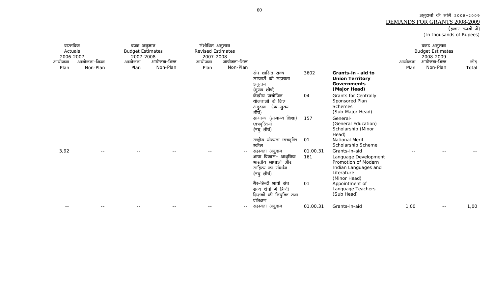## अनुदानों की मांगें २००८–२००९ <u>DEMANDS FOR GRANTS 2008-2009</u><br>(हजार रुपयों में)

(In thousands of Rupees)

| वास्तविक<br>Actuals<br>2006-2007 |                          | बजट अनुमान<br><b>Budget Estimates</b><br>2007-2008 |                          | संशोधित अनुमान<br><b>Revised Estimates</b><br>2007-2008 |                          |                                                                                              |                 |                                                                                                                    |                | बजट अनुमान<br><b>Budget Estimates</b><br>2008-2009 |               |
|----------------------------------|--------------------------|----------------------------------------------------|--------------------------|---------------------------------------------------------|--------------------------|----------------------------------------------------------------------------------------------|-----------------|--------------------------------------------------------------------------------------------------------------------|----------------|----------------------------------------------------|---------------|
| आयोजना<br>Plan                   | आयोजना-भिन्न<br>Non-Plan | आयोजना<br>Plan                                     | आयोजना-भिन्न<br>Non-Plan | आयोजना<br>Plan                                          | आयोजना-भिन्न<br>Non-Plan |                                                                                              |                 |                                                                                                                    | आयोजना<br>Plan | आयोजना-भिन्न<br>Non-Plan                           | जोड़<br>Total |
|                                  |                          |                                                    |                          |                                                         |                          | संघ शासित राज्य<br>सरकारों को सहायता<br>अनुदान<br>(मुख्य शीर्ष)                              | 3602            | Grants-in-aid to<br><b>Union Territory</b><br><b>Governments</b><br>(Major Head)                                   |                |                                                    |               |
|                                  |                          |                                                    |                          |                                                         |                          | केन्द्रीय प्रायोजित<br>योजनाओं के लिए<br>(उप–मुख्य<br>अनुदान<br>शीर्ष)                       | 04              | <b>Grants for Centrally</b><br>Sponsored Plan<br><b>Schemes</b><br>(Sub-Major Head)                                |                |                                                    |               |
|                                  |                          |                                                    |                          |                                                         |                          | सामान्य (सामान्य शिक्षा)<br>छात्रवृत्तियां<br>(लघु शीर्ष)                                    | 157             | General-<br>(General Education)<br>Scholarship (Minor<br>Head)                                                     |                |                                                    |               |
|                                  |                          |                                                    |                          |                                                         |                          | राष्ट्रीय योग्यता छात्रवृत्ति<br>स्कीम                                                       | 01              | National Merit<br>Scholarship Scheme                                                                               |                |                                                    |               |
| 3,92                             |                          |                                                    |                          |                                                         | $ -$                     | सहायता अनुदान<br>भाषा विकास– आधुनिक<br>भारतीय भाषाओं और<br>साहित्य का संवर्धन<br>(लघु शीर्ष) | 01.00.31<br>161 | Grants-in-aid<br>Language Development<br>Promotion of Modern<br>Indian Languages and<br>Literature<br>(Minor Head) |                |                                                    |               |
|                                  |                          |                                                    |                          |                                                         |                          | गैर-हिन्दी भाषी संघ<br>राज्य क्षेत्रों में हिन्दी<br>शिक्षकों की नियुक्ति तथा<br>प्रशिक्षण   | 01              | Appointment of<br>Language Teachers<br>(Sub Head)                                                                  |                |                                                    |               |
| $ -$                             |                          |                                                    |                          |                                                         | $ -$                     | सहायता अनुदान                                                                                | 01.00.31        | Grants-in-aid                                                                                                      | 1,00           | $ -$                                               | 1,00          |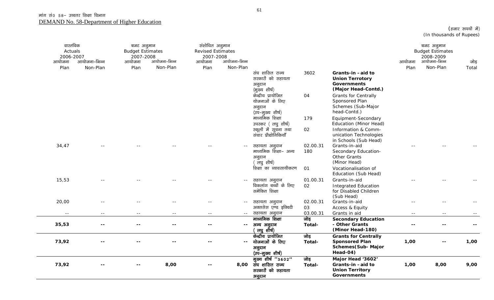| वास्तविक<br>Actuals<br>2006-2007<br>आयोजना<br>Plan | आयोजना–भिन्न<br>Non-Plan | बजट अनुमान<br><b>Budget Estimates</b><br>2007-2008<br>आयोजना<br>Plan | आयोजना-भिन्न<br>Non-Plan | संशोधित अनुमान<br><b>Revised Estimates</b><br>2007-2008<br>आयोजना<br>Plan | आयोजना-भिन्न<br>Non-Plan |                                                                      |                 |                                                                                         | आयोजना<br>Plan             | बजट अनुमान<br><b>Budget Estimates</b><br>2008-2009<br>आयोजना-भिन्न<br>Non-Plan | जोड़<br>Total |
|----------------------------------------------------|--------------------------|----------------------------------------------------------------------|--------------------------|---------------------------------------------------------------------------|--------------------------|----------------------------------------------------------------------|-----------------|-----------------------------------------------------------------------------------------|----------------------------|--------------------------------------------------------------------------------|---------------|
|                                                    |                          |                                                                      |                          |                                                                           |                          | संघ शासित राज्य<br>सरकारों को सहायता<br>अनुदान<br>(मुख्य शीर्ष)      | 3602            | Grants-in-aid to<br><b>Union Terrotory</b><br><b>Governments</b><br>(Major Head-Contd.) |                            |                                                                                |               |
|                                                    |                          |                                                                      |                          |                                                                           |                          | केन्द्रीय प्रायोजित<br>योजनाओं के लिए<br>अनुदान<br>(उप–मुख्य शीर्ष)  | 04              | <b>Grants for Centrally</b><br>Sponsored Plan<br>Schemes (Sub-Major<br>head-Contd.)     |                            |                                                                                |               |
|                                                    |                          |                                                                      |                          |                                                                           |                          | माध्यमिक शिक्षा<br>उपस्कर (लघु शीर्ष)                                | 179             | Equipment-Secondary<br>Education (Minor Head)                                           |                            |                                                                                |               |
|                                                    |                          |                                                                      |                          |                                                                           |                          | स्कूलों में सूचना तथा<br>संचार प्रौद्योगिकियाँ                       | 02              | Information & Comm-<br>unication Technologies<br>in Schools (Sub Head)                  |                            |                                                                                |               |
| 34,47                                              |                          |                                                                      |                          |                                                                           |                          | सहायता अनुदान<br>माध्यमिक शिक्षा– अन्य<br>अनुदान<br>ं लघु शीर्ष)     | 02.00.31<br>180 | Grants-in-aid<br>Secondary Education-<br>Other Grants<br>(Minor Head)                   |                            |                                                                                |               |
|                                                    |                          |                                                                      |                          |                                                                           |                          | शिक्षा का व्यावसायीकरण                                               | 01              | Vocationalisation of<br>Education (Sub Head)                                            |                            |                                                                                |               |
| 15,53                                              |                          |                                                                      |                          |                                                                           | $\sim$ $-$               | सहायता अनुदान<br>विकलांग बच्चों के लिए<br>समेकित शिक्षा              | 01.00.31<br>02  | Grants-in-aid<br><b>Integrated Education</b><br>for Disabled Children<br>(Sub Head)     |                            |                                                                                |               |
| 20,00                                              |                          |                                                                      |                          |                                                                           | $\sim$ $-$               | सहायता अनुदान<br>अक्ससेस एण्ड इक्विटी                                | 02.00.31<br>03  | Grants-in-aid<br>Access & Equity                                                        |                            |                                                                                |               |
| $- -$                                              | $=$ $-$                  | $=$ $-$                                                              | $- -$                    | $\sim$ $-$                                                                | $\sim$ $-$               | सहायता अनुदान                                                        | 03.00.31        | Grants in aid                                                                           | $\sim$ $-$                 |                                                                                |               |
| 35,53                                              | $ -$                     | --                                                                   | --                       | ۰.                                                                        | $\sim$ $\sim$            | माध्यमिक शिक्षा<br>अन्य अनुदान<br>लघु शीर्ष)                         | जोड़<br>Total-  | <b>Secondary Education</b><br>- Other Grants<br>(Minor Head-180)                        | $\overline{\phantom{a}}$ . |                                                                                |               |
| 73,92                                              |                          |                                                                      |                          |                                                                           | $\mathbf{u}$             | केन्द्रीय प्रायोजित<br>योजनाओं के लिए<br>अनुदान<br>(उप-मुख्य शीर्ष)  | जोड़<br>Total-  | <b>Grants for Centrally</b><br><b>Sponsored Plan</b><br>Schemes(Sub-Major<br>Head-04)   | 1,00                       |                                                                                | 1,00          |
| 73,92                                              |                          |                                                                      | 8,00                     |                                                                           | 8,00                     | मुख्य शीर्ष "3602"<br>संघ शासित राज्य<br>सरकारों को सहायता<br>अनुदान | जोड़<br>Total-  | Major Head '3602'<br>Grants-in-aid to<br><b>Union Territory</b><br><b>Governments</b>   | 1,00                       | 8,00                                                                           | 9,00          |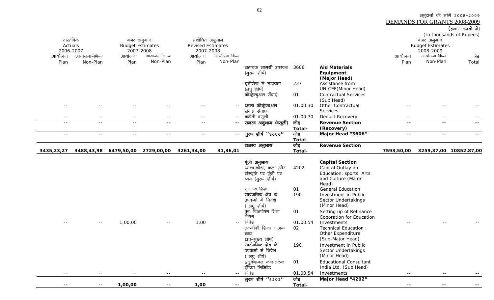| 3435,23,27          | 3488,43,98    | 6479,50,00              | 2729,00,00   | 3261,34,00               | 31,36,01     |                                        | Total-   |                               | 7593,50,00     | 3259,37,00                   | 10852,87,00              |
|---------------------|---------------|-------------------------|--------------|--------------------------|--------------|----------------------------------------|----------|-------------------------------|----------------|------------------------------|--------------------------|
|                     |               |                         |              |                          |              | राजस्व अनुभाग                          | जोड़     | <b>Revenue Section</b>        |                |                              |                          |
|                     |               |                         |              |                          |              |                                        | Total-   |                               |                |                              |                          |
| $- -$               | $\sim$ $\sim$ | $- -$                   | --           | $- -$                    | $-  \,$      | मुख्य शीर्ष "3606"                     | जोड़     | Major Head "3606"             | $- -$          | $\qquad \qquad -$            | --                       |
| $- -$               | $\sim$ $\sim$ | $- -$                   | --           | $- -$                    | $- -$        |                                        | Total-   | (Recovery)                    |                | $\qquad \qquad -$            | --                       |
| $- -$               | $\sim$ $-$    | $- -$                   | $- -$        | $- -$                    | $\sim$ $-$   | राजस्व अनुभाग (वसूली)                  | जोड़     | <b>Revenue Section</b>        | $- -$<br>$- -$ | $- -$                        | $- -$                    |
|                     |               |                         |              |                          |              | कटौती वसूली                            | 01.00.70 | Deduct Recovery               |                |                              |                          |
|                     |               |                         |              |                          | $\sim$ $-$   | (अन्य कौन्ट्रेक्चुअल<br>सेंवाएं सेवाएं | 01.00.30 | Other Contractual<br>Services |                |                              |                          |
|                     |               |                         |              |                          |              |                                        |          | (Sub Head)                    |                |                              |                          |
|                     |               |                         |              |                          |              | कौन्ट्रेक्चुअल सेंवाएं                 | 01       | <b>Contractual Services</b>   |                |                              |                          |
|                     |               |                         |              |                          |              | (लघु शीर्ष)                            |          | <b>UNICEF</b> (Minor Head)    |                |                              |                          |
|                     |               |                         |              |                          |              | यूनीसेफ से सहायता                      | 237      | Assistance from               |                |                              |                          |
|                     |               |                         |              |                          |              |                                        |          | (Major Head)                  |                |                              |                          |
|                     |               |                         |              |                          |              | (मुख्य शीर्ष)                          |          | Equipment                     |                |                              |                          |
| Plan                | Non-Plan      | Plan                    |              | Plan                     |              | सहायक सामग्री उपस्कर                   | 3606     | <b>Aid Materials</b>          | Plan           |                              | Total                    |
|                     |               | आयोजना                  | Non-Plan     | आयोजना                   | Non-Plan     |                                        |          |                               | आयोजना         | Non-Plan                     | जेड़                     |
| 2006-2007<br>आयोजना | आयोजना-भिन्न  | 2007-2008               | आयोजना-भिन्न | 2007-2008                | आयोजना-भिन्न |                                        |          |                               |                | 2008-2009<br>आयोजना-भिन्न    |                          |
| Actuals             |               | <b>Budget Estimates</b> |              | <b>Revised Estimates</b> |              |                                        |          |                               |                | <b>Budget Estimates</b>      |                          |
| वास्तविक            |               | बजट अनुमान              |              | संशोधित अनुमान           |              |                                        |          |                               |                | बजट अनुमान                   |                          |
|                     |               |                         |              |                          |              |                                        |          |                               |                |                              | (In thousands of Rupees) |
|                     |               |                         |              |                          |              |                                        |          |                               |                |                              | (हजार रुपयों में)        |
|                     |               |                         |              |                          |              |                                        |          |                               |                | DEMANDS FOR GRANTS 2008-2009 |                          |

|                     |         |        |       |            | पूंजी अनुभाग           |          | <b>Capital Section</b>        |                          |            |       |
|---------------------|---------|--------|-------|------------|------------------------|----------|-------------------------------|--------------------------|------------|-------|
|                     |         |        |       |            | थ्शक्षा,क्रीडा, कला और | 4202     | Capital Outlay on             |                          |            |       |
|                     |         |        |       |            | संस्कृति पर पूंजी पर   |          | Education, sports, Arts       |                          |            |       |
|                     |         |        |       |            | व्यय (मुख्य शीर्ष)     |          | and Culture (Major            |                          |            |       |
|                     |         |        |       |            |                        |          | Head)                         |                          |            |       |
|                     |         |        |       |            | सामान्य शिक्षा         | 01       | <b>General Education</b>      |                          |            |       |
|                     |         |        |       |            | सार्वजनिक क्षेत्र के   | 190      | Investment in Public          |                          |            |       |
|                     |         |        |       |            | उपक्रमों में निवेश     |          | Sector Undertakings           |                          |            |       |
|                     |         |        |       |            | लघु शीर्ष)             |          | (Minor Head)                  |                          |            |       |
|                     |         |        |       |            | पुनः वित्तपोषण शिक्षा  | 01       | Setting up of Refinance       |                          |            |       |
|                     |         |        |       |            | निगम                   |          | Coporation for Education      |                          |            |       |
| $- -$<br>$\sim$ $-$ | 1,00,00 | $  \,$ | 1,00  | $\sim$ $-$ | निवेश                  | 01.00.54 | Investments                   | $- -$                    | $\sim$ $-$ |       |
|                     |         |        |       |            | तकनीकी शिक्षा : अन्य   | 02       | Technical Education :         |                          |            |       |
|                     |         |        |       |            | व्यय                   |          | Other Expenditure             |                          |            |       |
|                     |         |        |       |            | (उप–मुख्य शीर्ष)       |          | (Sub-Major Head)              |                          |            |       |
|                     |         |        |       |            | सार्वजनिक क्षेत्र के   | 190      | Investment in Public          |                          |            |       |
|                     |         |        |       |            | उपक्रमों में निवेश     |          | Sector Undertakings           |                          |            |       |
|                     |         |        |       |            | लघु शीर्ष)             |          | (Minor Head)                  |                          |            |       |
|                     |         |        |       |            | एजुकेशनल कन्सलटेन्ट    | 01       | <b>Educational Consultant</b> |                          |            |       |
|                     |         |        |       |            | इंडिया लिमिटेड         |          | India Ltd. (Sub Head)         |                          |            |       |
| $- -$<br>$- -$      | $- -$   | $- -$  | $- -$ | $\sim$ $-$ | निवेश                  | 01.00.54 | Investments                   | $- -$                    | $- -$      | $- -$ |
|                     |         |        |       |            | मुख्य शीर्ष "4202"     | जोड़     | Major Head "4202"             |                          |            |       |
| $- -$<br>$- -$      | 1,00,00 | $- -$  | 1,00  | $- -$      |                        | Total-   |                               | $\overline{\phantom{m}}$ | $- -$      | --    |

अनुदानों की मांगें २००८-२००९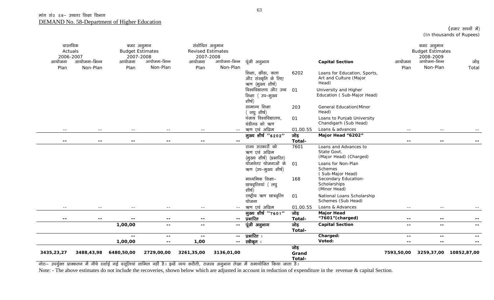| (हजार रुपयों में)        |  |
|--------------------------|--|
| (In thousands of Rupees) |  |

| वास्तविक<br>Actuals<br>2006-2007<br>आयोजना<br>Plan | आयोजना-भिन्न<br>Non-Plan | बजट अनुमान<br>2007-2008<br>आयोजना<br>Plan | <b>Budget Estimates</b><br>आयोजना-भिन्न<br>Non-Plan | संशोधित अनुमान<br><b>Revised Estimates</b><br>2007-2008<br>आयोजना<br>Plan | आयोजना-भिन्न<br>Non-Plan | पूंजी अनुभाग                                                  |                         | <b>Capital Section</b>                                          | आयोजना<br>Plan           | बजट अनुमान<br><b>Budget Estimates</b><br>2008-2009<br>आयोजना-भिन्न<br>Non-Plan | जोड़<br>Total            |
|----------------------------------------------------|--------------------------|-------------------------------------------|-----------------------------------------------------|---------------------------------------------------------------------------|--------------------------|---------------------------------------------------------------|-------------------------|-----------------------------------------------------------------|--------------------------|--------------------------------------------------------------------------------|--------------------------|
|                                                    |                          |                                           |                                                     |                                                                           |                          | शिक्षा, क्रीडा, कला<br>और संस्कृति के लिए<br>ऋण (मुख्य शीर्ष) | 6202                    | Loans for Education, Sports,<br>Art and Culture (Major<br>Head) |                          |                                                                                |                          |
|                                                    |                          |                                           |                                                     |                                                                           |                          | विश्वविद्यालय और उच्च<br>शिक्षा (उप-मुख्य<br>शीर्ष)           | 01                      | University and Higher<br>Education (Sub-Major Head)             |                          |                                                                                |                          |
|                                                    |                          |                                           |                                                     |                                                                           |                          | सामान्य शिक्षा<br>लघु शीर्ष)                                  | 203                     | <b>General Education</b> (Minor<br>Head)                        |                          |                                                                                |                          |
|                                                    |                          |                                           |                                                     |                                                                           |                          | पंजाब विश्वविद्यालय,<br>चंडीगढ को ऋण                          | 01                      | Loans to Punjab University<br>Chandigarh (Sub Head)             |                          |                                                                                |                          |
| $- -$                                              | $\sim$ $-$               | $- -$                                     | $\sim$ $-$                                          | $- -$                                                                     |                          | ऋण एवं अग्रिम                                                 | 01.00.55                | Loans & advances                                                | $ -$                     | $- -$                                                                          |                          |
|                                                    |                          |                                           |                                                     |                                                                           |                          | मुख्य शीर्ष "6202"                                            | जोड़                    | Major Head "6202"                                               |                          |                                                                                |                          |
| $- -$                                              | $\overline{\phantom{m}}$ | $\overline{\phantom{m}}$                  | $- -$                                               | $- -$                                                                     | $\overline{\phantom{m}}$ |                                                               | Total-                  |                                                                 | $\overline{\phantom{m}}$ | $- -$                                                                          |                          |
|                                                    |                          |                                           |                                                     |                                                                           |                          | राज्य सरकारों को<br>ऋण एवं अग्रिम<br>(मुख्य शीर्ष) (प्रभारित) | 7601                    | Loans and Advances to<br>State Govt.<br>(Major Head) (Charged)  |                          |                                                                                |                          |
|                                                    |                          |                                           |                                                     |                                                                           |                          | योजनेतर योजनाओं के<br>ऋण (उप-मुख्य शीर्ष)                     | 01                      | Loans for Non-Plan<br>Schemes<br>(Sub-Major Head)               |                          |                                                                                |                          |
|                                                    |                          |                                           |                                                     |                                                                           |                          | माध्यमिक शिक्षा–<br>छात्रवृत्तियां (लघु<br>शीर्ष)             | 168                     | Secondary Education-<br>Scholarships<br>(Minor Head)            |                          |                                                                                |                          |
|                                                    |                          |                                           |                                                     |                                                                           |                          | राष्ट्रीय ऋण छात्रवृत्ति<br>योजना                             | 01                      | National Loans Scholarship<br>Schemes (Sub Head)                |                          |                                                                                |                          |
| $- -$                                              | $- -$                    | $- -$                                     | $- -$                                               | $  \,$                                                                    | $\sim$ $-$               | ऋण एवं अग्रिम                                                 | 01.00.55                | Loans & Advances                                                | $- -$                    | $- -$                                                                          | $  \,$                   |
|                                                    |                          |                                           |                                                     |                                                                           |                          | मुख्य शीर्ष "7601"                                            | जोड़                    | <b>Major Head</b>                                               |                          |                                                                                |                          |
| $- -$                                              | $\overline{\phantom{a}}$ | $\overline{\phantom{m}}$                  | $\sim$ $-$                                          | $\sim$ $-$                                                                | $- -$                    | प्रभारित                                                      | Total-                  | "7601" (charged)                                                | $\sim$ $\sim$            | $- -$                                                                          | $\overline{\phantom{m}}$ |
|                                                    |                          | 1,00,00                                   | $\overline{\phantom{a}}$                            | $\sim$ $-$                                                                | $\sim$ $\sim$            | पूंजी अनुभाग                                                  | जोड़<br>Total-          | <b>Capital Section</b>                                          | $\overline{\phantom{a}}$ | $- -$                                                                          | $- -$                    |
|                                                    |                          | $\overline{\phantom{a}}$                  | $\overline{\phantom{a}}$                            | $\overline{\phantom{m}}$                                                  | $\sim$ $\sim$            | प्रभारित <b>ः</b>                                             |                         | Charged:                                                        | $\overline{\phantom{a}}$ | $- -$                                                                          | $\overline{\phantom{m}}$ |
|                                                    |                          | 1,00,00                                   | $\sim$ $\sim$                                       | 1,00                                                                      | $\sim$ $\sim$            | स्वीकृत :                                                     |                         | Voted:                                                          | --                       | $\qquad \qquad -$                                                              | $- -$                    |
| 3435,23,27                                         | 3488,43,98               | 6480,50,00                                | 2729,00,00                                          | 3261,35,00                                                                | 3136,01,00               |                                                               | जोड़<br>Grand<br>Total- |                                                                 | 7593,50,00               |                                                                                | 3259,37,00 10852,87,00   |

नोटः– उपर्युक्त प्राक्कलन में नीचे दर्शाई गई वसूलियां शामिल नहीं है। इन्हें व्यय कटौती, राजस्व अनुभाग लेखा में समायोजित किया जाता है।

Note: - The above estimates do not include the recoveries, shown below which are adjusted in account in reduction of expenditure in the revenue & capital Section.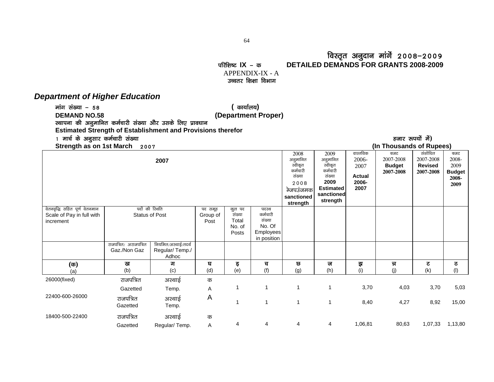#### faस्तृत अनुदान मांगें २००८–२००९<br>DETAILED DEMANDS FOR GRANTS 2008-2009 परिशिष्ट IX – क DETAILED DEMANDS FOR GRANTS 2008-2009

 APPENDIX-IX - A उच्चतर शिक्षा विभाग

#### *Department of Higher Education*

ekax la[;k & 58 **(** dk;kZy;**)**

**DEMAND NO.58 (Department Proper)** 

स्थापना की अनुमानित कर्मचारी संख्या और उसके लिए प्रावधान

**Estimated Strength of Establishment and Provisions therefor** 

### 1 मार्च के अनुसार कर्मचारी संख्या<br>Compared to vulking in the sealed with the sealed with the sealed with the sealed with the sealed with the sea

| Strength as on 1st March<br>2007                                        |                                        |                                                |                             |                                              |                                                                          |                                                                                                  |                                                                                                         |                                                             | (In Thousands of Rupees)                       |                                                     |                                                        |
|-------------------------------------------------------------------------|----------------------------------------|------------------------------------------------|-----------------------------|----------------------------------------------|--------------------------------------------------------------------------|--------------------------------------------------------------------------------------------------|---------------------------------------------------------------------------------------------------------|-------------------------------------------------------------|------------------------------------------------|-----------------------------------------------------|--------------------------------------------------------|
|                                                                         |                                        | 2007                                           |                             |                                              |                                                                          | 2008<br>अनुमानित<br>स्वीकृत<br>कर्मचारी<br>संख्या<br>2008<br>केजपउंजमक<br>sanctioned<br>strength | 2009<br>अनुमानित<br>स्वीकृत<br>कर्मचारी<br>संख्या<br>2009<br><b>Estimated</b><br>sanctioned<br>strength | वास्तविक<br>2006-<br>2007<br><b>Actual</b><br>2006-<br>2007 | बजट<br>2007-2008<br><b>Budget</b><br>2007-2008 | संशोधित<br>2007-2008<br><b>Revised</b><br>2007-2008 | बजट<br>2008-<br>2009<br><b>Budget</b><br>2008-<br>2009 |
| वेतनवृद्धि सहित पूर्ण वेतनमान<br>Scale of Pay in full with<br>increment | पदों की रिथति<br><b>Status of Post</b> |                                                | पद समूह<br>Group of<br>Post | कुल पद<br>संख्या<br>Total<br>No. of<br>Posts | पदस्थ<br>कर्मचारी<br>संख्या<br>No. Of<br><b>Employees</b><br>in position |                                                                                                  |                                                                                                         |                                                             |                                                |                                                     |                                                        |
|                                                                         | राजपत्रित/ अराजपत्रित<br>Gaz./Non Gaz  | नियमित/अस्थाई/तदर्थ<br>Regular/Temp./<br>Adhoc |                             |                                              |                                                                          |                                                                                                  |                                                                                                         |                                                             |                                                |                                                     |                                                        |
| $(\overline{a})$                                                        | ख<br>(b)                               | ग<br>(c)                                       | घ<br>(d)                    | इ                                            | च<br>(f)                                                                 | छ                                                                                                | ज<br>(h)                                                                                                | झ<br>(i)                                                    | न्न<br>(j)                                     | ट<br>(k)                                            | ठ<br>(1)                                               |
| (a)<br>26000(fixed)                                                     | राजपत्रित                              | अस्थाई                                         |                             | (e)                                          |                                                                          | (g)                                                                                              |                                                                                                         |                                                             |                                                |                                                     |                                                        |
|                                                                         | Gazetted                               | Temp.                                          | क<br>Α                      |                                              | 1                                                                        |                                                                                                  | 1                                                                                                       | 3,70                                                        | 4,03                                           | 3,70                                                | 5,03                                                   |
| 22400-600-26000                                                         | राजपत्रित<br>Gazetted                  | अस्थाई<br>Temp.                                | A                           |                                              | 1                                                                        | 1                                                                                                | 1                                                                                                       | 8,40                                                        | 4,27                                           | 8,92                                                | 15,00                                                  |
| 18400-500-22400                                                         | राजपत्रित<br>Gazetted                  | अस्थाई<br>Regular/Temp.                        | क<br>A                      | 4                                            | $\overline{4}$                                                           | 4                                                                                                | 4                                                                                                       | 1,06,81                                                     | 80,63                                          | 1,07,33                                             | 1,13,80                                                |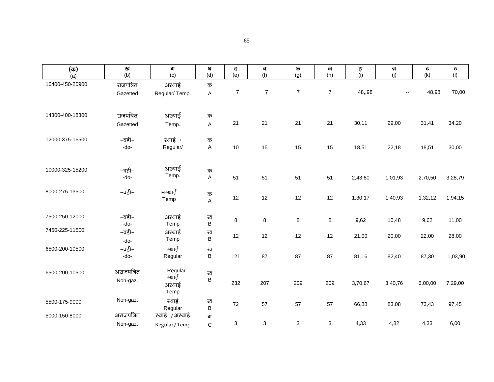| $(\overline{\sigma})$ | ख             | ग                        | घ            | इ                | च                         | $\overline{\mathbf{G}}$   | ज                | इा      | त्र     | ट       | ठ                         |
|-----------------------|---------------|--------------------------|--------------|------------------|---------------------------|---------------------------|------------------|---------|---------|---------|---------------------------|
| (a)                   | (b)           | (c)                      | (d)          | (e)              | (f)                       | (g)                       | (h)              | (i)     | (j)     | (k)     | $\left(\mathsf{I}\right)$ |
| 16400-450-20900       | राजपत्रित     | अस्थाई                   | क            |                  |                           |                           |                  |         |         |         |                           |
|                       | Gazetted      | Regular/Temp.            | $\sf A$      | $\boldsymbol{7}$ | $\overline{\mathcal{I}}$  | $\boldsymbol{7}$          | $\boldsymbol{7}$ | 48,,98  |         | 48,98   | 70,00                     |
|                       |               |                          |              |                  |                           |                           |                  |         |         |         |                           |
| 14300-400-18300       | राजपत्रित     | अस्थाई                   | क            |                  |                           |                           |                  |         |         |         |                           |
|                       | Gazetted      | Temp.                    | A            | 21               | 21                        | 21                        | 21               | 30,11   | 29,00   | 31,41   | 34,20                     |
| 12000-375-16500       | –वही–         | स्थाई /                  | क            |                  |                           |                           |                  |         |         |         |                           |
|                       | $-do-$        | Regular/                 | $\sf A$      | 10               | 15                        | 15                        | 15               | 18,51   | 22,18   | 18,51   | 30,00                     |
|                       |               |                          |              |                  |                           |                           |                  |         |         |         |                           |
|                       |               | अस्थाई                   |              |                  |                           |                           |                  |         |         |         |                           |
| 10000-325-15200       | –वही–         | Temp.                    | क            |                  |                           |                           |                  |         |         |         |                           |
|                       | -do-          |                          | $\mathsf A$  | 51               | 51                        | 51                        | 51               | 2,43,80 | 1,01,93 | 2,70,50 | 3,28,79                   |
| 8000-275-13500        | –वही–         | अस्थाई                   | क            |                  |                           |                           |                  |         |         |         |                           |
|                       |               | Temp                     | A            | 12               | 12                        | 12                        | 12               | 1,30,17 | 1,40,93 | 1,32,12 | 1,94,15                   |
|                       |               |                          |              |                  |                           |                           |                  |         |         |         |                           |
| 7500-250-12000        | –वही–<br>-do- | अस्थाई<br>Temp           | ख<br>$\sf B$ | 8                | 8                         | $\bf 8$                   | 8                | 9,62    | 10,48   | 9,62    | 11,00                     |
| 7450-225-11500        | –वही–         | अस्थाई                   | ख            |                  |                           |                           |                  |         |         |         |                           |
|                       | -do-          | Temp                     | B            | 12               | 12                        | 12                        | 12               | 21,00   | 20,00   | 22,00   | 28,00                     |
| 6500-200-10500        | –वही–         | स्थाई                    | ख            |                  |                           |                           |                  |         |         |         |                           |
|                       | -do-          | Regular                  | B            | 121              | 87                        | 87                        | 87               | 81,16   | 82,40   | 87,30   | 1,03,90                   |
| 6500-200-10500        | अराजपत्रित    | Regular                  | ख            |                  |                           |                           |                  |         |         |         |                           |
|                       | Non-gaz.      | स्थाई                    | $\sf B$      |                  |                           |                           |                  |         |         |         |                           |
|                       |               | अस्थाई                   |              | 232              | 207                       | 209                       | 209              | 3,70,67 | 3,40,76 | 6,00,00 | 7,29,00                   |
|                       |               | Temp                     |              |                  |                           |                           |                  |         |         |         |                           |
| 5500-175-9000         | Non-gaz.      | स्थाई                    | ख            | 72               | 57                        | 57                        | 57               | 66,88   | 83,08   | 73,43   | 97,45                     |
| 5000-150-8000         | अराजपत्रित    | Regular<br>स्थाई /अस्थाई | B<br>ग       |                  |                           |                           |                  |         |         |         |                           |
|                       | Non-gaz.      | Regular/Temp             | $\mathsf C$  | 3                | $\ensuremath{\mathsf{3}}$ | $\ensuremath{\mathsf{3}}$ | 3                | 4,33    | 4,82    | 4,33    | 6,00                      |
|                       |               |                          |              |                  |                           |                           |                  |         |         |         |                           |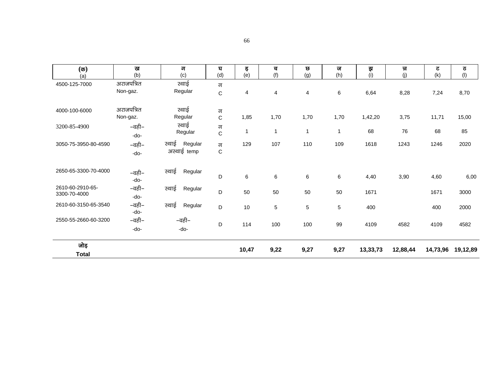| $(\overline{\mathfrak{a}})$      | ख             | ग                               | घ                | इ     | च            | छ              | ज    | इ        | न्न      | ट        | ठ        |
|----------------------------------|---------------|---------------------------------|------------------|-------|--------------|----------------|------|----------|----------|----------|----------|
| (a)                              | (b)           | (c)                             | (d)              | (e)   | (f)          | (g)            | (h)  | (i)      | (j)      | (k)      | (1)      |
| 4500-125-7000                    | अराजपत्रित    | स्थाई                           | ग                |       |              |                |      |          |          |          |          |
|                                  | Non-gaz.      | Regular                         | $\mathbf C$      | 4     | 4            | 4              | 6    | 6,64     | 8,28     | 7,24     | 8,70     |
| 4000-100-6000                    | अराजपत्रित    | स्थाई                           | ग                |       |              |                |      |          |          |          |          |
|                                  | Non-gaz.      | Regular                         | $\mathbf C$      | 1,85  | 1,70         | 1,70           | 1,70 | 1,42,20  | 3,75     | 11,71    | 15,00    |
| 3200-85-4900                     | –वही–<br>-do- | स्थाई<br>Regular                | ग<br>$\mathbf C$ |       | $\mathbf{1}$ | $\overline{1}$ | 1    | 68       | 76       | 68       | 85       |
| 3050-75-3950-80-4590             | –वही–<br>-do- | स्थाई<br>Regular<br>अस्थाई temp | ग<br>$\mathbf C$ | 129   | 107          | 110            | 109  | 1618     | 1243     | 1246     | 2020     |
| 2650-65-3300-70-4000             | –वही–<br>-do- | स्थाई<br>Regular                | D                | 6     | 6            | 6              | 6    | 4,40     | 3,90     | 4,60     | 6,00     |
| 2610-60-2910-65-<br>3300-70-4000 | –वही–<br>-do- | स्थाई<br>Regular                | D                | 50    | 50           | 50             | 50   | 1671     |          | 1671     | 3000     |
| 2610-60-3150-65-3540             | –वही–<br>-do- | स्थाई<br>Regular                | D                | 10    | 5            | $\sqrt{5}$     | 5    | 400      |          | 400      | 2000     |
| 2550-55-2660-60-3200             | –वही–<br>-do- | –वही–<br>-do-                   | D                | 114   | 100          | 100            | 99   | 4109     | 4582     | 4109     | 4582     |
| जोड़<br><b>Total</b>             |               |                                 |                  | 10,47 | 9,22         | 9,27           | 9,27 | 13,33,73 | 12,88,44 | 14,73,96 | 19,12,89 |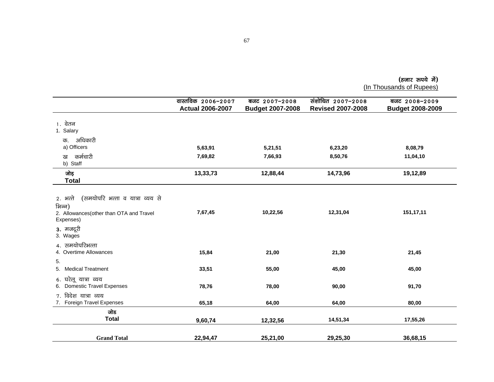|  | (हजार रुपये में)                             |  |
|--|----------------------------------------------|--|
|  | ۱ - - - - - - - - <b>۱ -</b> - - - - - - - - |  |

(In Thousands of Rupees)

|                                                                                                                | वास्तविक 2006-2007      | बजट $2007 - 2008$       | संशोधित 2007-2008        | बजट 2008-2009           |
|----------------------------------------------------------------------------------------------------------------|-------------------------|-------------------------|--------------------------|-------------------------|
|                                                                                                                | <b>Actual 2006-2007</b> | <b>Budget 2007-2008</b> | <b>Revised 2007-2008</b> | <b>Budget 2008-2009</b> |
| 1. वेतन<br>1. Salary                                                                                           |                         |                         |                          |                         |
| अधिकारी<br>क.                                                                                                  |                         |                         |                          |                         |
| a) Officers                                                                                                    | 5,63,91                 | 5,21,51                 | 6,23,20                  | 8,08,79                 |
| कर्मचारी<br>ख<br>b) Staff                                                                                      | 7,69,82                 | 7,66,93                 | 8,50,76                  | 11,04,10                |
| जोड<br><b>Total</b>                                                                                            | 13,33,73                | 12,88,44                | 14,73,96                 | 19,12,89                |
|                                                                                                                |                         |                         |                          |                         |
| (समयोपरि भत्ता व यात्रा व्यय से<br>2. भत्ते<br>भिन्न)<br>2. Allowances (other than OTA and Travel<br>Expenses) | 7,67,45                 | 10,22,56                | 12,31,04                 | 151,17,11               |
| 3. मजदूरी<br>3. Wages                                                                                          |                         |                         |                          |                         |
| 4. समयोपरिभत्ता<br>4. Overtime Allowances<br>5.                                                                | 15,84                   | 21,00                   | 21,30                    | 21,45                   |
| 5. Medical Treatment                                                                                           | 33,51                   | 55,00                   | 45,00                    | 45,00                   |
| 6. घरेलू यात्रा व्यय<br>6. Domestic Travel Expenses                                                            | 78,76                   | 78,00                   | 90,00                    | 91,70                   |
| 7. विदेश यात्रा व्यय<br>7. Foreign Travel Expenses                                                             | 65,18                   | 64,00                   | 64,00                    | 80,00                   |
| जोड<br><b>Total</b>                                                                                            | 9,60,74                 | 12,32,56                | 14,51,34                 | 17,55,26                |
| <b>Grand Total</b>                                                                                             | 22,94,47                | 25,21,00                | 29,25,30                 | 36,68,15                |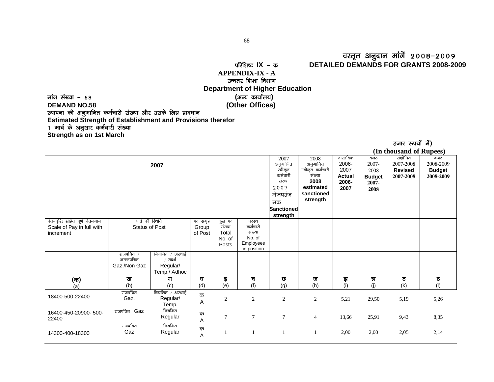#### oLr`r vuqnku ekaxsa 2008&2009 ifjf'k"V **IX** & d **DETAILED DEMANDS FOR GRANTS 2008-2009**

## **APPENDIX-IX - A** उच्चतर शिक्षा विभा**ग Department of Higher Education**

ekax la[;k & 58 **(**vU; dk;kZy;**) DEMAND NO.58 (Other Offices)**  स्थापना की अनुमानित कर्मचारी संख्या और उसके लिए प्रावधान **Estimated Strength of Establishment and Provisions therefor**  1 मार्च के अनुसार कर्मचारी संख्या **Strength as on 1st March**

| (In thousand of Rupees)                                                 |                                                  |                                                       |                              |                           |                                    |                                                                                                      |                                                                                               |                                                             |                                                           |                                                     |                                                |
|-------------------------------------------------------------------------|--------------------------------------------------|-------------------------------------------------------|------------------------------|---------------------------|------------------------------------|------------------------------------------------------------------------------------------------------|-----------------------------------------------------------------------------------------------|-------------------------------------------------------------|-----------------------------------------------------------|-----------------------------------------------------|------------------------------------------------|
|                                                                         |                                                  | 2007                                                  |                              |                           |                                    | 2007<br>अनुमानित<br>स्वीकृत<br>कर्मचारी<br>संख्या<br>2007<br>मेजपउंज<br>मक<br>Sanctioned<br>strength | 2008<br>अनुमानित<br>स्वीकृत कर्मचारी<br>संख्या<br>2008<br>estimated<br>sanctioned<br>strength | वास्तविक<br>2006-<br>2007<br><b>Actual</b><br>2006-<br>2007 | बजट<br>2007-<br>2008<br><b>Budget</b><br>$2007 -$<br>2008 | संशोधित<br>2007-2008<br><b>Revised</b><br>2007-2008 | बजट<br>2008-2009<br><b>Budget</b><br>2008-2009 |
| वेतनवृद्धि सहित पूर्ण वेतनमान<br>Scale of Pay in full with<br>increment | पदों की रिथति<br><b>Status of Post</b>           |                                                       | पद समूह<br>Group<br>of Post  | कुल पद<br>संख्या<br>Total | पदस्थ<br>कर्मचारी<br>संख्या        |                                                                                                      |                                                                                               |                                                             |                                                           |                                                     |                                                |
|                                                                         |                                                  |                                                       |                              | No. of<br>Posts           | No. of<br>Employees<br>in position |                                                                                                      |                                                                                               |                                                             |                                                           |                                                     |                                                |
|                                                                         | राजपत्रित $\prime$<br>अराजपत्रित<br>Gaz./Non Gaz | नियमित / अस्थाई<br>∕तदर्थ<br>Regular/<br>Temp./ Adhoc |                              |                           |                                    |                                                                                                      |                                                                                               |                                                             |                                                           |                                                     |                                                |
| $(\overline{\mathfrak{G}})$                                             | ख                                                | ग                                                     | घ                            | इ                         | च                                  | छ                                                                                                    | ज                                                                                             | इा                                                          | न्न                                                       | ट                                                   | ਠ                                              |
| (a)                                                                     | (b)                                              | (c)                                                   | (d)                          | (e)                       | (f)                                | (g)                                                                                                  | (h)                                                                                           | (i)                                                         | (j)                                                       | (k)                                                 | (1)                                            |
| 18400-500-22400                                                         | राजपत्रित<br>Gaz.                                | नियमित / अस्थाई<br>Regular/<br>Temp.                  | क<br>$\mathsf A$             | $\mathbf{2}$              | $\boldsymbol{2}$                   | $\overline{c}$                                                                                       | $\sqrt{2}$                                                                                    | 5,21                                                        | 29,50                                                     | 5,19                                                | 5,26                                           |
| 16400-450-20900-500-<br>22400                                           | राजपत्रित Gaz                                    | नियमित<br>Regular                                     | क<br>$\overline{\mathsf{A}}$ | $\overline{7}$            | $\tau$                             | $\overline{7}$                                                                                       | $\overline{4}$                                                                                | 13,66                                                       | 25,91                                                     | 9,43                                                | 8,35                                           |
| 14300-400-18300                                                         | राजपत्रित<br>Gaz                                 | नियमित<br>Regular                                     | क<br>$\mathsf A$             | $\mathbf{1}$              |                                    |                                                                                                      |                                                                                               | 2,00                                                        | 2,00                                                      | 2,05                                                | 2,14                                           |

हजार रूपयों में)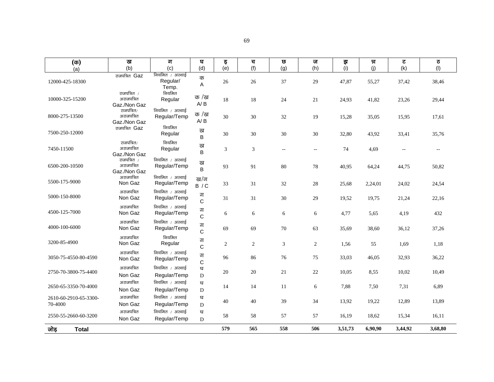| ٦ |  |
|---|--|
|   |  |
| I |  |

| $(\overline{\sigma})$            | ख                                           | ग                                    | घ                 | इ   | च   | छ                        | ज            | ਭ੍ਰਾ    | न्न     | ट            | ठ                        |
|----------------------------------|---------------------------------------------|--------------------------------------|-------------------|-----|-----|--------------------------|--------------|---------|---------|--------------|--------------------------|
| (a)                              | (b)                                         | (c)                                  | (d)               | (e) | (f) | (g)                      | (h)          | (i)     | (j)     | (k)          | (1)                      |
| 12000-425-18300                  | राजपत्रित Gaz                               | नियमित / अस्थाई<br>Regular/<br>Temp. | क<br>Α            | 26  | 26  | 37                       | 29           | 47,87   | 55,27   | 37,42        | 38,46                    |
| 10000-325-15200                  | राजपत्रित $/$<br>अराजपत्रित<br>Gaz./Non Gaz | नियमित<br>Regular                    | क /ख<br>A/B       | 18  | 18  | 24                       | 21           | 24,93   | 41,82   | 23,26        | 29,44                    |
| 8000-275-13500                   | राजपत्रित/<br>अराजपत्रित<br>Gaz./Non Gaz    | नियमित / अस्थाई<br>Regular/Temp      | क /ख<br>A/B       | 30  | 30  | 32                       | 19           | 15,28   | 35,05   | 15,95        | 17,61                    |
| 7500-250-12000                   | राजपत्रित Gaz                               | नियमित<br>Regular                    | ख<br>B            | 30  | 30  | 30                       | 30           | 32,80   | 43,92   | 33,41        | 35,76                    |
| 7450-11500                       | राजपत्रित/<br>अराजपत्रित<br>Gaz./Non Gaz    | नियमित<br>Regular                    | ख<br>B            | 3   | 3   | $\overline{\phantom{a}}$ | $\mathbf{u}$ | 74      | 4,69    | $\mathbf{L}$ | $\overline{\phantom{a}}$ |
| 6500-200-10500                   | राजपत्रित /<br>अराजपत्रित<br>Gaz./Non Gaz   | नियमित / अस्थाई<br>Regular/Temp      | ख<br>B            | 93  | 91  | 80                       | 78           | 40,95   | 64,24   | 44,75        | 50,82                    |
| 5500-175-9000                    | अराजपत्रित<br>Non Gaz                       | नियमित / अस्थाई<br>Regular/Temp      | ख/ग<br>B / C      | 33  | 31  | 32                       | $28\,$       | 25,68   | 2,24,01 | 24,02        | 24,54                    |
| 5000-150-8000                    | अराजपत्रित<br>Non Gaz                       | नियमित / अस्थाई<br>Regular/Temp      | ग<br>$\mathsf{C}$ | 31  | 31  | $30\,$                   | 29           | 19,52   | 19,75   | 21,24        | 22,16                    |
| 4500-125-7000                    | अराजपत्रित<br>Non Gaz                       | नियमित / अस्थाई<br>Regular/Temp      | ग<br>$\mathsf{C}$ | 6   | 6   | 6                        | 6            | 4,77    | 5,65    | 4,19         | 432                      |
| 4000-100-6000                    | अराजपत्रित<br>Non Gaz                       | नियमित / अस्थाई<br>Regular/Temp      | ग<br>C            | 69  | 69  | 70                       | 63           | 35,69   | 38,60   | 36,12        | 37,26                    |
| 3200-85-4900                     | अराजपत्रित<br>Non Gaz                       | नियमित<br>Regular                    | ग<br>C            | 2   | 2   | 3                        | 2            | 1,56    | 55      | 1,69         | 1,18                     |
| 3050-75-4550-80-4590             | अराजपत्रित<br>Non Gaz                       | नियमित / अस्थाई<br>Regular/Temp      | ग<br>C            | 96  | 86  | 76                       | 75           | 33,03   | 46,05   | 32,93        | 36,22                    |
| 2750-70-3800-75-4400             | अराजपत्रित<br>Non Gaz                       | नियमित / अस्थाई<br>Regular/Temp      | घ<br>D            | 20  | 20  | 21                       | 22           | 10,05   | 8,55    | 10,02        | 10,49                    |
| 2650-65-3350-70-4000             | अराजपत्रित<br>Non Gaz                       | नियमित / अस्थाई<br>Regular/Temp      | घ<br>D            | 14  | 14  | 11                       | 6            | 7,88    | 7,50    | 7,31         | 6,89                     |
| 2610-60-2910-65-3300-<br>70-4000 | अराजपत्रित<br>Non Gaz                       | नियमित / अस्थाई<br>Regular/Temp      | घ<br>D            | 40  | 40  | 39                       | 34           | 13,92   | 19,22   | 12,89        | 13,89                    |
| 2550-55-2660-60-3200             | अराजपत्रित<br>Non Gaz                       | नियमित / अस्थाई<br>Regular/Temp      | घ<br>D            | 58  | 58  | 57                       | 57           | 16,19   | 18,62   | 15,34        | 16,11                    |
| जोड़<br><b>Total</b>             |                                             |                                      |                   | 579 | 565 | 558                      | 506          | 3,51,73 | 6,90,90 | 3,44,92      | 3,68,80                  |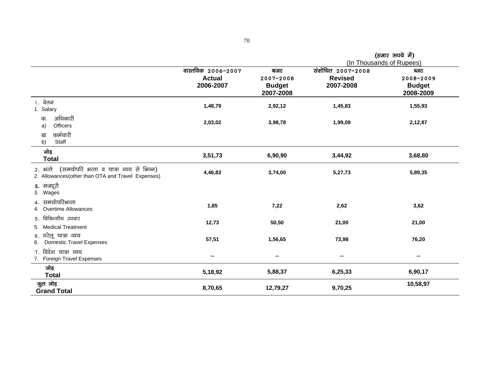|                                                                                                      |                                                  |                                                | (In Thousands of Rupees)                                                                                                                                                                                                                                                                                                                                                                                                                                          |                                                 |  |
|------------------------------------------------------------------------------------------------------|--------------------------------------------------|------------------------------------------------|-------------------------------------------------------------------------------------------------------------------------------------------------------------------------------------------------------------------------------------------------------------------------------------------------------------------------------------------------------------------------------------------------------------------------------------------------------------------|-------------------------------------------------|--|
|                                                                                                      | वास्तविक 2006-2007<br><b>Actual</b><br>2006-2007 | बजट<br>2007-2008<br><b>Budget</b><br>2007-2008 | $\overline{x}$ $\overline{x}$ $\overline{x}$ $\overline{x}$ $\overline{x}$ $\overline{x}$ $\overline{x}$ $\overline{x}$ $\overline{x}$ $\overline{x}$ $\overline{x}$ $\overline{x}$ $\overline{x}$ $\overline{x}$ $\overline{x}$ $\overline{x}$ $\overline{x}$ $\overline{x}$ $\overline{x}$ $\overline{x}$ $\overline{x}$ $\overline{x}$ $\overline{x}$ $\overline{x}$ $\overline{x}$ $\overline{x}$ $\overline{x}$ $\overline{x$<br><b>Revised</b><br>2007-2008 | ब्जट<br>2008-2009<br><b>Budget</b><br>2008-2009 |  |
| 1. वेतन<br>1. Salary                                                                                 | 1,48,79                                          | 2,92,12                                        | 1,45,83                                                                                                                                                                                                                                                                                                                                                                                                                                                           | 1,55,93                                         |  |
| अधिकारी<br>क.<br>Officers<br>a)                                                                      | 2,03,02                                          | 3,98,78                                        | 1,99,09                                                                                                                                                                                                                                                                                                                                                                                                                                                           | 2,12,87                                         |  |
| कर्मचारी<br>ख<br>b)<br>Staff                                                                         |                                                  |                                                |                                                                                                                                                                                                                                                                                                                                                                                                                                                                   |                                                 |  |
| जोड़<br><b>Total</b>                                                                                 | 3,51,73                                          | 6,90,90                                        | 3,44,92                                                                                                                                                                                                                                                                                                                                                                                                                                                           | 3,68,80                                         |  |
| 2. भत्ते (समयोपरि भत्ता व यात्रा व्यय से भिन्न)<br>2. Allowances(other than OTA and Travel Expenses) | 4,46,83                                          | 3,74,00                                        | 5,27,73                                                                                                                                                                                                                                                                                                                                                                                                                                                           | 5,89,35                                         |  |
| 3. मजदूरी<br>3. Wages                                                                                |                                                  |                                                |                                                                                                                                                                                                                                                                                                                                                                                                                                                                   |                                                 |  |
| 4. समयोपरिभत्ता<br><b>Overtime Allowances</b><br>4.                                                  | 1,85                                             | 7,22                                           | 2,62                                                                                                                                                                                                                                                                                                                                                                                                                                                              | 3,62                                            |  |
| 5. चिकित्सीय उपचार<br><b>Medical Treatment</b><br>5.                                                 | 12,73                                            | 50,50                                          | 21,00                                                                                                                                                                                                                                                                                                                                                                                                                                                             | 21,00                                           |  |
| घरेलू यात्रा व्यय<br>6.<br><b>Domestic Travel Expenses</b><br>6.                                     | 57,51                                            | 1,56,65                                        | 73,98                                                                                                                                                                                                                                                                                                                                                                                                                                                             | 76,20                                           |  |
| विदेश यात्रा व्यय<br>7.<br>7. Foreign Travel Expenses                                                |                                                  | --                                             | --                                                                                                                                                                                                                                                                                                                                                                                                                                                                | $\overline{\phantom{a}}$                        |  |
| जोड़<br><b>Total</b>                                                                                 | 5,18,92                                          | 5,88,37                                        | 6,25,33                                                                                                                                                                                                                                                                                                                                                                                                                                                           | 6,90,17                                         |  |
| कुल जोड़<br><b>Grand Total</b>                                                                       | 8,70,65                                          | 12,79,27                                       | 9,70,25                                                                                                                                                                                                                                                                                                                                                                                                                                                           | 10,58,97                                        |  |

 $($ हजार रुपये में)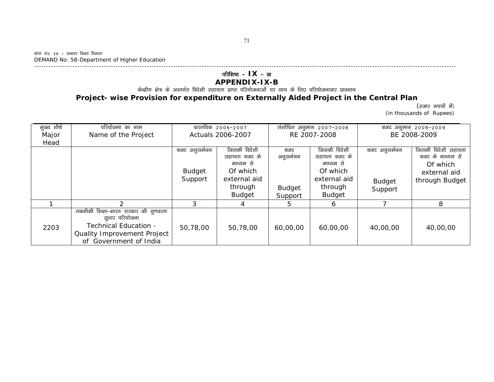# परिशिष्ट - **IX** - ख

### **APPENDIX-IX-B**

.<br>केन्द्रीय क्षेत्र के अन्तर्गत विदेशी सहायता प्राप्त परियोजनाओं पर व्यय के लिए परियोजनावार प्रावधान

### **Project- wise Provision for expenditure on Externally Aided Project in the Central Plan**

(हजार रूपयों में) (in thousands of Rupees)

| मुख्य शीर्ष | परियोजना का नाम                                                                                                |                   | वास्तविक 2006–2007 |               | संशोधित अनुमान 2007-2008 |               | बजट अनुमान 2008-2009 |
|-------------|----------------------------------------------------------------------------------------------------------------|-------------------|--------------------|---------------|--------------------------|---------------|----------------------|
| Major       | Name of the Project                                                                                            | Actuals 2006-2007 |                    |               | RE 2007-2008             | BE 2008-2009  |                      |
| Head        |                                                                                                                |                   |                    |               |                          |               |                      |
|             |                                                                                                                | बजट अनुसर्मथन     | जिसकी विदेशी       | बजट           | जिसकी विदेशी             | बजट अनुसर्मथन | जिसकी विदेशी सहायता  |
|             |                                                                                                                |                   | सहायता बजट के      | अनूसमेथन      | सहायता बजट के            |               | बजट के माध्यम से     |
|             |                                                                                                                |                   | माध्यम से          |               | माध्यम से                |               | Of which             |
|             |                                                                                                                | <b>Budget</b>     | Of which           |               | Of which                 |               | external aid         |
|             |                                                                                                                | Support           | external aid       |               | external aid             | <b>Budget</b> | through Budget       |
|             |                                                                                                                |                   | through            | <b>Budget</b> | through                  | Support       |                      |
|             |                                                                                                                |                   | <b>Budget</b>      | Support       | <b>Budget</b>            |               |                      |
|             |                                                                                                                |                   | 4                  | 5.            | 6                        |               | 8                    |
| 2203        | तकनीकी शिक्षा–भारत सरकार की गुणवत्ता<br>सूधार परियोजना<br>Technical Education -<br>Quality Improvement Project | 50,78,00          | 50,78,00           | 60,00,00      | 60,00,00                 | 40,00,00      | 40,00,00             |
|             | of Government of India                                                                                         |                   |                    |               |                          |               |                      |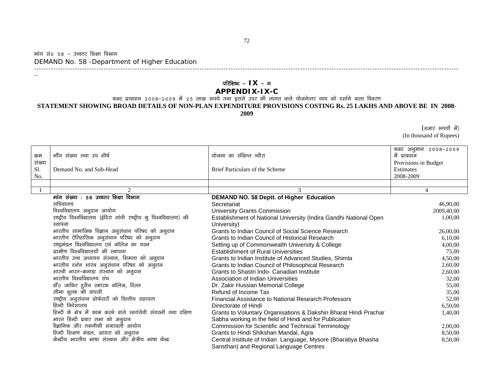#### मांग सं० 58 – उच्चतर शिक्षा विभाग DEMAND No. 58 -Department of Higher Education ---------------------------------------------------------------------------------------------------------------------------------------------------------------------------------

--

### परिशिष्ट – **IX** – ग **APPENDIX-IX-C**

बजट प्रावधान 2008–2009 में 25 लाख रूपये तथा इससे उपर की लागत वाले योजनेत्तर व्यय को दर्शाने वाला विवरण **STATEMENT SHOWING BROAD DETAILS OF NON-PLAN EXPENDITURE PROVISIONS COSTING Rs. 25 LAKHS AND ABOVE BE IN 2008-**

**2009** 

(हजार रुपयों में) (In thousand of Rupees)

|        |                                                                      |                                                                   | बजट अनुमान 2008-2009 |
|--------|----------------------------------------------------------------------|-------------------------------------------------------------------|----------------------|
| कुम    | मॉॅंग संख्या तथा उप शीर्ष                                            | योजना का संक्षिप्त ब्यौरा                                         | में प्रावधान         |
| संख्या |                                                                      |                                                                   | Provisions in Budget |
| Sl.    | Demand No. and Sub-Head                                              | <b>Brief Particulars of the Scheme</b>                            | Estimates            |
| No.    |                                                                      |                                                                   | 2008-2009            |
|        |                                                                      |                                                                   |                      |
|        | $\overline{2}$                                                       | 3                                                                 | 4                    |
|        | मांग संख्या : 58 उच्चतर शिक्षा विभाग                                 | DEMAND NO. 58 Deptt. of Higher Education                          |                      |
|        | सचिवालय                                                              | Secretariat                                                       | 46,90,00             |
|        | विश्वविद्यालय अनुदान आयोग                                            | <b>University Grants Commission</b>                               | 2009,40,00           |
|        | राष्ट्रीय विश्वविद्यालय (इंदिरा गांधी राष्ट्रीय मु विश्वविद्यालय) की | Establishment of National University (Indira Gandhi National Open | 1,00,00              |
|        | स्थापना                                                              | University)                                                       |                      |
|        | भारतीय सामाजिक विज्ञान अनुसंधान परिषद को अनुदान                      | Grants to Indian Council of Social Science Research               | 26,00,00             |
|        | भारतीय ऐतिहासिक अनुसंधान परिषद को अनुदान                             | Grants to Indian Council of Historical Research                   | 6,10,00              |
|        | राष्ट्रमंडल विश्वविद्यालय एवं कॉलेज का गठन                           | Setting up of Commonwealth University & College                   | 4,00,00              |
|        | ग्रामीण विश्वविद्यालयों की स्थापना                                   | <b>Establishment of Rural Universities</b>                        | 75,00                |
|        | भारतीय उच्च अध्ययन संस्थान, शिमला को अनुदान                          | Grants to Indian Institute of Advanced Studies, Shimla            | 4,50,00              |
|        | भारतीय दर्शन शास्त्र अनुसंधान परिषद को अनुदान                        | Grants to Indian Council of Philosophical Research                | 2,60,00              |
|        | शास्त्री भारत–कनाडा संस्थान को अनुदान                                | Grants to Shastri Indo- Canadian Institute                        | 2,60,00              |
|        | भारतीय विश्वविद्यालय संघ                                             | Association of Indian Universities                                | 32,00                |
|        | डाँ० जाकिर हुसैन स्मारक कॉलेज, दिल्ल                                 | Dr. Zakir Hussian Memorial College                                | 55,00                |
|        | सीमा शुल्क की वापसी                                                  | Refund of Income Tax                                              | 35,00                |
|        | राष्ट्रीय अनुसंधान प्रोफेसरों को वित्तीय सहायता                      | Financial Assistance to National Research Professors              | 52,00                |
|        | हिन्दी निदेशालय                                                      | Directorate of Hindi                                              | 6,50,00              |
|        | हिन्दी के क्षेत्र में काम करने वाले स्वयंसेवी संगठनों तथा दक्षिण     | Grants to Voluntary Organisations & Dakshin Bharat Hindi Prachar  | 1,40,00              |
|        | भारत हिन्दी प्रचार सभा को अनुदान                                     | Sabha working in the field of Hindi and for Publication           |                      |
|        | वैज्ञानिक और तकनीकी शब्दावली आयोग                                    | Commission for Scientific and Technical Terminology               | 2,00,00              |
|        | हिन्दी शिक्षण मंडल, आगरा को अनुदान                                   | Grants to Hindi Shikshan Mandal, Agra                             | 8,50,00              |
|        | केन्द्रीय भारतीय भाषा संस्थान और क्षेत्रीय भाषा केन्द्र              | Central Institute of Indian Language, Mysore (Bharatiya Bhasha    | 8,50,00              |
|        |                                                                      | Sansthan) and Regional Language Centres                           |                      |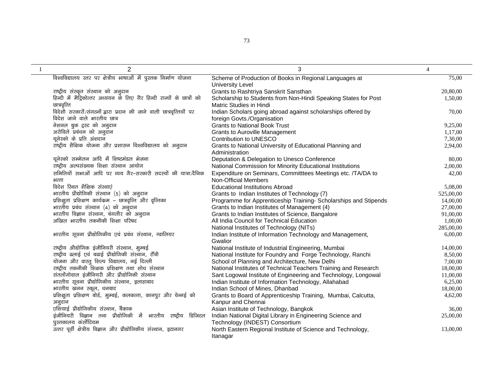| $\overline{2}$                                                         | 3                                                                | $\overline{4}$ |
|------------------------------------------------------------------------|------------------------------------------------------------------|----------------|
| विश्वविद्यालय स्तर पर क्षेत्रीय भाषाओं में पुस्तक निर्माण योजना        | Scheme of Production of Books in Regional Languages at           | 75,00          |
|                                                                        | <b>University Level</b>                                          |                |
| राष्ट्रीय संस्कृत संस्थान को अनुदान                                    | Grants to Rashtriya Sanskrit Sansthan                            | 20,80,00       |
| हिन्दी में मैट्रिकोत्तर अध्ययन के लिए गैर हिन्दी राज्यों के छात्रों को | Scholarship to Students from Non-Hindi Speaking States for Post  | 1,50,00        |
| छात्रवृत्ति                                                            | Matric Studies in Hindi                                          |                |
| विदेशी सरकारों/संगठनों द्वारा प्रदान की जाने वाली छात्रवृत्तियों पर    | Indian Scholars going abroad against scholarships offered by     | 70,00          |
| विदेश जाने वाले भारतीय छात्र                                           | foreign Govts./Organisation                                      |                |
| नेशनल बुक ट्रस्ट को अनुदान                                             | <b>Grants to National Book Trust</b>                             | 9,25,00        |
| अरोविले प्रबंधन को अनुदान                                              | <b>Grants to Auroville Management</b>                            | 1,17,00        |
| यूनेस्को के प्रति अंशदान                                               | Contribution to UNESCO                                           | 7,30,00        |
| राष्ट्रीय शैक्षिक योजना और प्रशासन विश्वविद्यालय को अनुदान             | Grants to National University of Educational Planning and        | 2,94,00        |
|                                                                        | Administration                                                   |                |
| यूनेस्को सम्मेलन आदि में शिष्टमंडल भेजना                               | Deputation & Delegation to Unesco Conference                     | 80,00          |
| राष्ट्रीय अल्पसंख्यक शिक्षा संस्थान आयोग                               | National Commission for Minority Educational Institutions        | 2,00,00        |
| समितियों सभाओं आदि पर व्यय गैर-सरकारी सदस्यों की यात्रा/दैनिक          | Expenditure on Seminars, Committtees Meetings etc. /TA/DA to     | 42,00          |
| भत्ता                                                                  | Non-Official Members                                             |                |
| विदेश रिथत शैक्षिक संस्थाएं                                            | <b>Educational Institutions Abroad</b>                           | 5,08,00        |
| भारतीय प्रौद्योगिकी संस्थान (5) को अनुदान                              | Grants to Indian Institutes of Technology (7)                    | 525,00,00      |
| प्रशिक्षुता प्रशिक्षण कार्यक्रम - छात्रवृत्ति और वृत्तिका              | Programme for Apprenticeship Training- Scholarships and Stipends | 14,00,00       |
| भारतीय प्रबंध संस्थान (4) को अनुदान                                    | Grants to Indian Institutes of Management (4)                    | 27,00,00       |
| भारतीय विज्ञान संस्थान, बंगलौर को अनुदान                               | Grants to Indian Institutes of Science, Bangalore                | 91,00,00       |
| अखिल भारतीय तकनीकी शिक्षा परिषद                                        | All India Council for Technical Education                        | 1,00,00        |
|                                                                        | National Institutes of Technology (NITs)                         | 285,00,00      |
| भारतीय सूचना प्रौद्योगिकीय एवं प्रबंध संस्थान, ग्वालियर                | Indian Institute of Information Technology and Management,       | 6,00,00        |
|                                                                        | Gwalior                                                          |                |
| राष्ट्रीय औद्योगिक इंजीनियरी संस्थान, मुम्बई                           | National Institute of Industrial Engineering, Mumbai             | 14,00,00       |
| राष्ट्रीय ढलाई एवं बढाई प्रौद्योगिकी संस्थान, राँची                    | National Institute for Foundry and Forge Technology, Ranchi      | 8,50,00        |
| योजना और वास्तु शिल्प विद्यालय, नई दिल्ली                              | School of Planning and Architecture, New Delhi                   | 7,00,00        |
| राष्ट्रीय तकनीकी शिक्षक प्रशिक्षण तथा शोध संस्थान                      | National Institutes of Technical Teachers Training and Research  | 18,00,00       |
| संतलोंगोवाल इंजीनियरी और प्रौद्योगिकी संस्थान                          | Sant Logowal Institute of Engineering and Technology, Longowal   | 11,00,00       |
| भारतीय सूचना प्रौद्योगिकीय संस्थान, इलाहाबाद                           | Indian Institute of Information Technology, Allahabad            | 6,25,00        |
| भारतीय खनन स्कूल, धनबाद                                                | Indian School of Mines, Dhanbad                                  | 18,00,00       |
| प्रशिक्षुता प्रशिक्षण बोर्ड, मुम्बई, कलकत्ता, कानपुर और चेन्नई को      | Grants to Board of Apprenticeship Training, Mumbai, Calcutta,    | 4,62,00        |
| अनुदान                                                                 | Kanpur and Chennai                                               |                |
| एशियाई प्रौद्योगिकीय संस्थान, बैंकाक                                   | Asian Institute of Technology, Bangkok                           | 36,00          |
| इंजीनियरी विज्ञान तथा प्रौद्योगिकी में भारतीय राष्ट्रीय डिजिटल         | Indian National Digital Library in Engineering Science and       | 25,00,00       |
| पुस्तकालय कंर्सोटियम                                                   | Technology (INDEST) Consortium                                   |                |
| उत्तर पूर्वी क्षेत्रीय विज्ञान और प्रौद्योगिकीय संस्थान, इटानगर        | North Eastern Regional Institute of Science and Technology,      | 13,00,00       |
|                                                                        | Itanagar                                                         |                |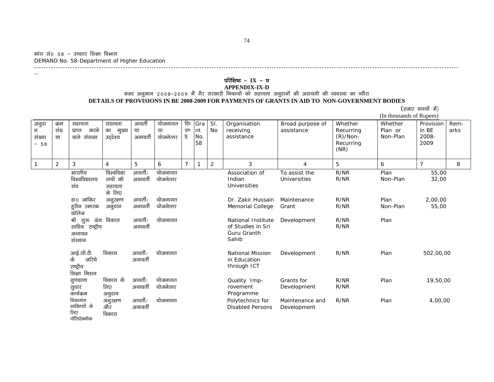मांग सं० 58 – उच्चतर शिक्षा विभाग DEMAND No. 58-Department of Higher Education ---------------------------------------------------------------------------------------------------------------------------------------------------------------------------------

--

### **परिशिष्ट - IX - घ**

### **APPENDIX-IX-D**<br>बजट अनुमान २००८–२००९ में गैर सरकारी निकायों को सहायता अनुदानों की अदायगी की व्यवस्था का ब्यौरा **DETAILS OF PROVISIONS IN BE 2008-2009 FOR PAYMENTS OF GRANTS IN AID TO NON-GOVERNMENT BODIES**  (हजार रूपयों में)

|                                                        |                  |                                                            |                                            |                        |                            |                                 |                         |                  |                                                                        |                                      |                                                         | (In thousands of Rupees)       |                                     |              |
|--------------------------------------------------------|------------------|------------------------------------------------------------|--------------------------------------------|------------------------|----------------------------|---------------------------------|-------------------------|------------------|------------------------------------------------------------------------|--------------------------------------|---------------------------------------------------------|--------------------------------|-------------------------------------|--------------|
| अनुदा<br>न<br>संख्या<br>58<br>$\overline{\phantom{0}}$ | कुम<br>संख<br>या | सहायता<br>करने<br>प्राप्त<br>वाले संगठन                    | सहायता<br>का<br>मुख्य<br>उद्देश्य          | आवती<br>या<br>अनावर्ती | योजनागत<br>या<br>योजनेत्तर | टिप<br>पण<br>$\hat{\mathsf{n}}$ | Gra<br>Int<br>No.<br>58 | SI.<br><b>No</b> | Organisation<br>receiving<br>assistance                                | Broad purpose of<br>assistance       | Whether<br>Recurring<br>$(R)/Non-$<br>Recurring<br>(NR) | Whether<br>Plan or<br>Non-Plan | Provision<br>in BE<br>2008-<br>2009 | Rem-<br>arks |
| $\overline{1}$                                         | 2                | 3                                                          | 4                                          | 5                      | 6                          | $\overline{7}$                  |                         | $\overline{a}$   | 3                                                                      | $\overline{4}$                       | 5                                                       | 6                              | $\overline{7}$                      | 8            |
|                                                        |                  | भारतीय<br>विश्वविद्यालय<br>संघ                             | विश्वविद्या<br>लयों की<br>सहायता<br>के लिए | आवर्ती/<br>अनावर्ती    | योजनागत<br>योजनेत्तर       |                                 |                         |                  | Association of<br>Indian<br>Universities                               | To assist the<br><b>Universities</b> | R/NR<br>R/NR                                            | Plan<br>Non-Plan               | 55,00<br>32,00                      |              |
|                                                        |                  | डा0 जाकिर<br>हुसैन स्मारक<br>कॉलेज                         | अनुरक्षण<br>अनुदान                         | आवर्ती/<br>अनावर्ती    | योजनागत<br>योजनेत्तर       |                                 |                         |                  | Dr. Zakir Hussain<br>Memorial College                                  | Maintenance<br>Grant                 | R/NR<br>R/NR                                            | Plan<br>Non-Plan               | 2,00,00<br>55,00                    |              |
|                                                        |                  | श्री गुरु<br>ग्रंथ<br>साहिब राष्ट्रीय<br>अध्ययन<br>संस्थान | विकास                                      | आवर्ती/<br>अनावर्ती    | योजनागत                    |                                 |                         |                  | National Institute<br>of Studies in Sri<br><b>Guru Granth</b><br>Sahib | Development                          | R/NR<br>R/NR                                            | Plan                           |                                     |              |
|                                                        |                  | आई.सी.टी.<br>के<br>जरिये<br>राष्ट्रीय<br>शिक्षा मिशन       | विकास                                      | आवर्ती/<br>अनावर्ती    | योजनागत                    |                                 |                         |                  | <b>National Mission</b><br>in Education<br>through ICT                 | Development                          | R/NR                                                    | Plan                           | 502,00,00                           |              |
|                                                        |                  | गुणवत्ता<br>सुधार<br>कार्यक्रम                             | विकास के<br>लिए<br>अनुदान                  | आवर्ती/<br>अनावर्ती    | योजनागत<br>योजनेत्तर       |                                 |                         |                  | Quality Imp-<br>rovement<br>Programme                                  | Grants for<br>Development            | R/NR<br>R/NR                                            | Plan                           | 19,50,00                            |              |
|                                                        |                  | विकलांग<br>व्यक्तियों के<br>लिए<br>पॉलिटेक्नीक             | अनुरक्षण<br>और<br>विकास                    | आवर्ती/<br>अनावर्ती    | योजनागत                    |                                 |                         |                  | Polytechnics for<br><b>Disabled Persons</b>                            | Maintenance and<br>Development       | R/NR                                                    | Plan                           | 4,00,00                             |              |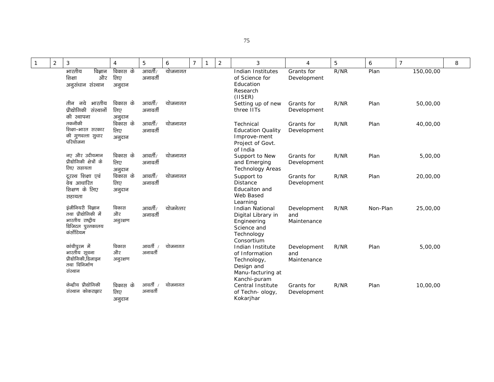| $\mathbf{1}$ | $\overline{2}$ | $\mathbf{3}$                                                                                    | $\overline{4}$            | 5                   | 6         | $\overline{7}$ | 1 | $\overline{2}$ | 3                                                                                                      | 4                                 | 5    | 6        | $\overline{7}$ | 8 |
|--------------|----------------|-------------------------------------------------------------------------------------------------|---------------------------|---------------------|-----------|----------------|---|----------------|--------------------------------------------------------------------------------------------------------|-----------------------------------|------|----------|----------------|---|
|              |                | भारतीय<br>विज्ञान<br>और<br>शिक्षा<br>अनूसंधान संस्थान                                           | विकास के<br>लिए<br>अनुदान | आवर्ती/<br>अनावर्ती | योजनागत   |                |   |                | Indian Institutes<br>of Science for<br>Education<br>Research<br>$($ IISER $)$                          | Grants for<br>Development         | R/NR | Plan     | 150,00,00      |   |
|              |                | तीन नये भारतीय<br>प्रौद्योगिकी संस्थानों<br>की स्थापना                                          | विकास के<br>लिए<br>अनुदान | आवर्ती/<br>अनावर्ती | योजनागत   |                |   |                | Setting up of new<br>three IITs                                                                        | Grants for<br>Development         | R/NR | Plan     | 50,00,00       |   |
|              |                | तकनीकी<br>शिक्षा-भारत सरकार<br>की गुणवत्ता सुधार<br>परियोजना                                    | विकास के<br>लिए<br>अनुदान | आवर्ती/<br>अनावर्ती | योजनागत   |                |   |                | Technical<br><b>Education Quality</b><br>Improve-ment<br>Project of Govt.<br>of India                  | Grants for<br>Development         | R/NR | Plan     | 40,00,00       |   |
|              |                | नए और उदीयमान<br>प्रौद्योगिकी क्षेत्रों के<br>लिए सहायता                                        | विकास के<br>लिए<br>अनुदान | आवर्ती/<br>अनावर्ती | योजनागत   |                |   |                | Support to New<br>and Emerging<br><b>Technology Areas</b>                                              | Grants for<br>Development         | R/NR | Plan     | 5,00,00        |   |
|              |                | दूरस्थ शिक्षा एवं<br>वेब आधारित<br>शिक्षण के लिए<br>सहायता                                      | विकास के<br>लिए<br>अनुदान | आवर्ती/<br>अनावर्ती | योजनागत   |                |   |                | Support to<br><b>Distance</b><br>Educaiton and<br>Web Based<br>Learning                                | Grants for<br>Development         | R/NR | Plan     | 20,00,00       |   |
|              |                | इंजीनियरी विज्ञान<br>तथा प्रौद्योगिकी में<br>भारतीय राष्ट्रीय<br>डिजिटल पुस्तकालय<br>कंर्सोटियम | विकास<br>और<br>अनूरक्षण   | आवर्ती/<br>अनावर्ती | योजनेत्तर |                |   |                | <b>Indian National</b><br>Digital Library in<br>Engineering<br>Science and<br>Technology<br>Consortium | Development<br>and<br>Maintenance | R/NR | Non-Plan | 25,00,00       |   |
|              |                | कांचीपुरम में<br>भारतीय सूचना<br>प्रौद्योगिकी,डिजाइन<br>तथा विनिर्माण<br>संस्थान                | विकास<br>और<br>अनूरक्षण   | आवर्ती<br>अनावर्ती  | योजनागत   |                |   |                | Indian Institute<br>of Information<br>Technology,<br>Design and<br>Manu-facturing at<br>Kanchi-puram   | Development<br>and<br>Maintenance | R/NR | Plan     | 5,00,00        |   |
|              |                | केन्द्रीय प्रौद्योगिकी<br>संस्थान कोकराझार                                                      | विकास के<br>लिए<br>अनुदान | आवर्ती<br>अनावर्ती  | योजनागत   |                |   |                | Central Institute<br>of Techn- ology,<br>Kokarjhar                                                     | Grants for<br>Development         | R/NR | Plan     | 10,00,00       |   |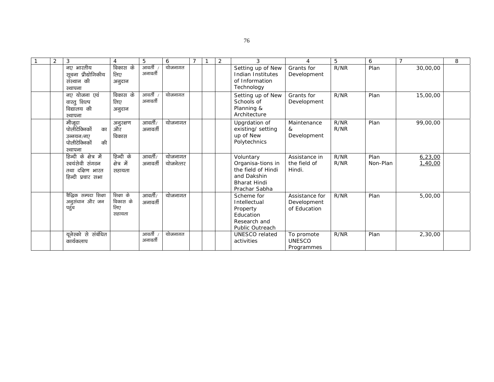| 2 | 3                                                                                | 4                                      | 5                   | 6                    |  | 2 | 3                                                                                                           | $\overline{4}$                                | 5            | 6                | $\overline{7}$     | 8 |
|---|----------------------------------------------------------------------------------|----------------------------------------|---------------------|----------------------|--|---|-------------------------------------------------------------------------------------------------------------|-----------------------------------------------|--------------|------------------|--------------------|---|
|   | नए भारतीय<br>सूचना प्रौद्योगिकीय<br>संस्थान की<br>स्थापना                        | विकास के<br>लिए<br>अनुदान              | आवर्ती<br>अनावर्ती  | योजनागत              |  |   | Setting up of New<br>Indian Institutes<br>of Information<br>Technology                                      | Grants for<br>Development                     | R/NR         | Plan             | 30,00,00           |   |
|   | नए योजना एवं<br>वास्तु शिल्प<br>विद्यालय की<br>स्थापना                           | विकास के<br>लिए<br>अनुदान              | आवर्ती<br>अनावर्ती  | योजनागत              |  |   | Setting up of New<br>Schools of<br>Planning &<br>Architecture                                               | Grants for<br>Development                     | R/NR         | Plan             | 15,00,00           |   |
|   | मौजूदा<br>पोलीटेक्निकों<br>का<br>उन्नयन/नाग<br>की<br>पोलीटेक्निकों<br>स्थापना    | अनुरक्षण<br>और<br>विकास                | आवर्ती/<br>अनावर्ती | योजनागत              |  |   | Upgrdation of<br>existing/ setting<br>up of New<br>Polytechnics                                             | Maintenance<br>&<br>Development               | R/NR<br>R/NR | Plan             | 99,00,00           |   |
|   | हिन्दी के क्षेत्र में<br>स्वयंसेवी संगठन<br>तथा दक्षिण भारत<br>हिन्दी प्रचार सभा | हिन्दी के<br>क्षेत्र में<br>सहायता     | आवर्ती/<br>अनावर्ती | योजनागत<br>योजनेत्तर |  |   | Voluntary<br>Organisa-tions in<br>the field of Hindi<br>and Dakshin<br><b>Bharat Hindi</b><br>Prachar Sabha | Assistance in<br>the field of<br>Hindi.       | R/NR<br>R/NR | Plan<br>Non-Plan | 6,23,00<br>1,40,00 |   |
|   | बैद्धिक सम्पदा शिक्षा<br>अनुसंधान और जन<br>पहुंच                                 | शिक्षा के<br>विकास के<br>लिए<br>सहायता | आवर्ती/<br>अनावर्ती | योजनागत              |  |   | Scheme for<br>Intellectual<br>Property<br>Education<br>Research and<br>Public Outreach                      | Assistance for<br>Development<br>of Education | R/NR         | Plan             | 5,00,00            |   |
|   | यूनेस्को से संबंधित<br>कार्यकलाप                                                 |                                        | आवर्ती<br>अनावर्ती  | योजनागत              |  |   | <b>UNESCO</b> related<br>activities                                                                         | To promote<br><b>UNESCO</b><br>Programmes     | R/NR         | Plan             | 2,30,00            |   |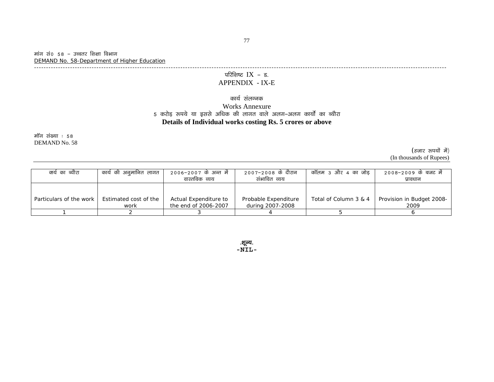मांग सं० 58 – उच्चतर शिक्षा विभाग DEMAND No. 58-Department of Higher Education

----------------------------------------------------------------------------------------------------------------------------------------------------------------------------

# परिशिष्ट $IX - s$ .

#### APPENDIX - IX-E

#### कार्य संलग्नक

### Works Annexure 5 करोड़ रूपये या इससे अधिक की लागत वाले अलग–अलग कार्यों का ब्यौरा **Details of Individual works costing Rs. 5 crores or above**

मॉग संख्या : 58 DEMAND No. 58

> (हजार रूपयों में) (In thousands of Rupees)

| क्ये का ब्यौरा          | कार्य की अनुमानित लागत        | 2006-2007 के अन्त में<br>वास्तविक व्यय        | 2007–2008 के दौरान<br>संभावित व्यय       | कॉलम ३ और ४ का जोड    | 2008–2009 के बजट में<br>प्रावधान  |
|-------------------------|-------------------------------|-----------------------------------------------|------------------------------------------|-----------------------|-----------------------------------|
| Particulars of the work | Estimated cost of the<br>work | Actual Expenditure to<br>the end of 2006-2007 | Probable Expenditure<br>during 2007-2008 | Total of Column 3 & 4 | Provision in Budget 2008-<br>2009 |
|                         |                               |                                               |                                          |                       |                                   |

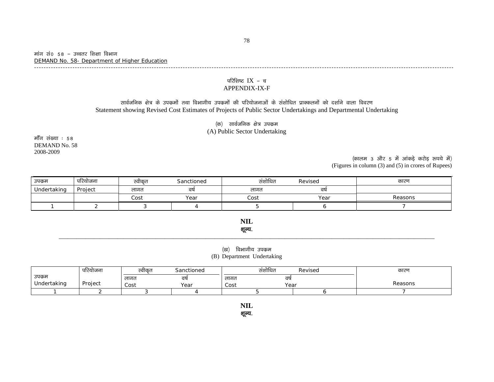मांग सं० 58 – उच्चतर शिक्षा विभाग DEMAND No. 58- Department of Higher Education -------------------------------------------------------------------------------------------------------------------------------------------------------------------------------

#### परिशिष्ट  $\text{IX}$  – च APPENDIX-IX-F

### सार्वजनिक क्षेत्र के उपक्रमों तथा विभागीय उपक्रमों की परियोजनाओं के संशोधित प्राक्कलनों को दर्शाने वाला विवरण Statement showing Revised Cost Estimates of Projects of Public Sector Undertakings and Departmental Undertaking

(क) सार्वजनिक क्षेत्र उपक्रम (A) Public Sector Undertaking

मॉॅंग संख्या : 58 DEMAND No. 58 2008-2009

 $($ कालम 3 और 5 में आंकड़े करोड़ रूपये में) (Figures in column (3) and (5) in crores of Rupees)

| उपक्रम      | $\sim$<br>परियोजना | स्वीकत | Sanctioned | संशोधित<br>Revised |      | कारण    |
|-------------|--------------------|--------|------------|--------------------|------|---------|
| Undertaking | Project            | लागत   | वर्ष       | लागत               | वर्ष |         |
|             |                    | Cost   | Year       | Cost               | Year | Reasons |
|             |                    |        |            |                    |      |         |

**NIL**  शूल्य.

#### (ख) विभागीय उपकम (B) Department Undertaking

\_\_\_\_\_\_\_\_\_\_\_\_\_\_\_\_\_\_\_\_\_\_\_\_\_\_\_\_\_\_\_\_\_\_\_\_\_\_\_\_\_\_\_\_\_\_\_\_\_\_\_\_\_\_\_\_\_\_\_\_\_\_\_\_\_\_\_\_\_\_\_\_\_\_\_\_\_\_\_\_\_\_\_\_\_\_\_\_\_\_\_\_\_\_\_\_\_\_\_\_\_\_\_\_\_\_\_\_\_\_\_\_\_\_\_\_\_\_\_\_\_\_\_\_\_\_\_\_

|             | र्गारयोजन । | स्वीकट | Sanctioned | संशोधित | Revised | कारण    |
|-------------|-------------|--------|------------|---------|---------|---------|
| उपक्रम      |             | लागत   | d۵         | लागत    | वष      |         |
| Undertaking | Project     | Cost   | Year       | Cost    | Year    | Reasons |
|             |             |        |            |         |         |         |

**NIL** 

शूल्य.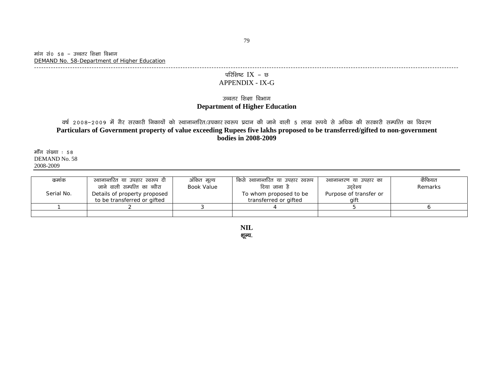### परिशिष्ट $IX - v$ APPENDIX - IX-G

#### उच्चतर शिक्षा विभाग **Department of Higher Education**

वर्ष 2008–2009 में गैर सरकारी निकायों को स्थानान्तरित/उपकार स्वरूप प्रदान की जाने वाली 5 लाख रूपये से अधिक की सरकारी सम्पत्ति का विवरण **Particulars of Government property of value exceeding Rupees five lakhs proposed to be transferred/gifted to non-government bodies in 2008-2009** 

मॉॅंग संख्या $:58$ DEMAND No. 58 2008-2009

| कमाक       | स्थानान्तरित या उपहार स्वरूप दी | अंकित मूल्य | । किसे स्थानान्तरित या उपहार स्वरूप ' | स्थानान्तरण या उपहार का | कैफियत  |
|------------|---------------------------------|-------------|---------------------------------------|-------------------------|---------|
|            | जाने वाली सम्पत्ति का ब्यौरा    | Book Value  | दिया जाना है                          | उददेश्य                 | Remarks |
| Serial No. | Details of property proposed    |             | To whom proposed to be                | Purpose of transfer or  |         |
|            | to be transferred or gifted     |             | transferred or gifted                 | aift                    |         |
|            |                                 |             |                                       |                         |         |
|            |                                 |             |                                       |                         |         |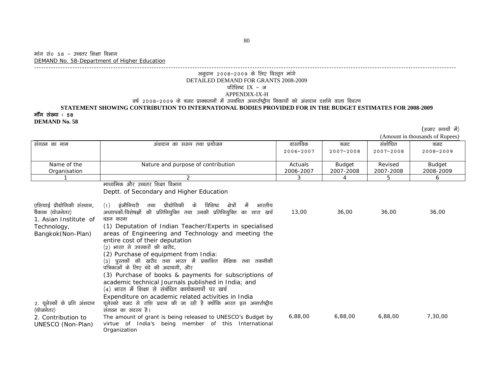#### अनुदान 2008–2009 के लिए विस्तृत मांगे DETAILED DEMAND FOR GRANTS 2008-2009 परिशिष्ट $IX$  - ज APPENDIX-IX-H aर्ष 2008–2009 के बजट प्राक्कलनों में उपबधित अन्तर्राष्ट्रीय निकायों को अंशदान दर्शाने वाला विवरण

## **STATEMENT SHOWING CONTRIBUTION TO INTERNATIONAL BODIES PROVIDED FOR IN THE BUDGET ESTIMATES FOR 2008-2009**  मॉॅंग संख्या : 58

--------------------------------------------------------------------------------------------------------------------------------------------------------------------------------

**DEMAND No. 58** 

(हजार रुपयों में)

(Amount in thousands of Rupees)

|                                                                                                               |                                                                                                                                                                                                                                                                                                                                                                                                                                                                                                                                                                                                                                    |           |               |               | $(2 \text{ min}$ and $\text{ min}$ and $\text{ max}$ of $\text{ range}$ |
|---------------------------------------------------------------------------------------------------------------|------------------------------------------------------------------------------------------------------------------------------------------------------------------------------------------------------------------------------------------------------------------------------------------------------------------------------------------------------------------------------------------------------------------------------------------------------------------------------------------------------------------------------------------------------------------------------------------------------------------------------------|-----------|---------------|---------------|-------------------------------------------------------------------------|
| संगठन का नाम                                                                                                  | अंशदान का स्व्रूप तथा प्रयोजन                                                                                                                                                                                                                                                                                                                                                                                                                                                                                                                                                                                                      | वास्तविक  | बजट           | संशोधित       | बजट                                                                     |
|                                                                                                               |                                                                                                                                                                                                                                                                                                                                                                                                                                                                                                                                                                                                                                    | 2006-2007 | $2007 - 2008$ | $2007 - 2008$ | 2008-2009                                                               |
|                                                                                                               |                                                                                                                                                                                                                                                                                                                                                                                                                                                                                                                                                                                                                                    |           |               |               |                                                                         |
| Name of the                                                                                                   | Nature and purpose of contribution                                                                                                                                                                                                                                                                                                                                                                                                                                                                                                                                                                                                 | Actuals   | <b>Budget</b> | Revised       | <b>Budget</b>                                                           |
| Organisation                                                                                                  |                                                                                                                                                                                                                                                                                                                                                                                                                                                                                                                                                                                                                                    | 2006-2007 | 2007-2008     | 2007-2008     | 2008-2009                                                               |
|                                                                                                               | 2                                                                                                                                                                                                                                                                                                                                                                                                                                                                                                                                                                                                                                  | 3         | 4             | 5             | 6                                                                       |
|                                                                                                               | माध्यमिक और उच्चतर शिक्षा विभाग                                                                                                                                                                                                                                                                                                                                                                                                                                                                                                                                                                                                    |           |               |               |                                                                         |
|                                                                                                               | Deptt. of Secondary and Higher Education                                                                                                                                                                                                                                                                                                                                                                                                                                                                                                                                                                                           |           |               |               |                                                                         |
| एशियाई प्रौद्योगिकी संस्थान,<br>बैंकाक (योजनेतर)<br>1. Asian Institute of<br>Technology,<br>Bangkok(Non-Plan) | प्रौद्योगिकी<br>विशिष्ट क्षेत्रों<br>$(1)$ इंजीनियरी<br>के<br>में<br>भारतीय<br>तथा<br>अध्यापकों/विशेषज्ञों की प्रतिनियुक्ति तथा उनकी प्रतिनियुक्ति का सारा खर्च<br>वहन करना<br>(1) Deputation of Indian Teacher/Experts in specialised<br>areas of Engineering and Technology and meeting the<br>entire cost of their deputation<br>(2) भारत से उपस्करों की खरीद,<br>(2) Purchase of equipment from India:<br>(३) पुस्तकों की खरीद तथा भारत में प्रकाशित शैक्षिक तथा तकनीकी<br>पत्रिकाओं के लिए चंदे की अदायगी, और<br>(3) Purchase of books & payments for subscriptions of<br>academic technical Journals published in India; and | 13,00     | 36,00         | 36,00         | 36,00                                                                   |
|                                                                                                               | (4) भारत में शिक्षा से संबंधित कार्यकलापों पर खर्च                                                                                                                                                                                                                                                                                                                                                                                                                                                                                                                                                                                 |           |               |               |                                                                         |
| 2. यूनेस्कों के प्रति अंशदान<br>(योजनेतर)                                                                     | Expenditure on academic related activities in India<br>यूनेस्को बजट से राशि प्रदान की जा रही है क्योंकि भारत इस अन्तर्राष्ट्रीय<br>संगठन का सदस्य है।                                                                                                                                                                                                                                                                                                                                                                                                                                                                              |           |               |               |                                                                         |
| 2. Contribution to<br>UNESCO (Non-Plan)                                                                       | The amount of grant is being released to UNESCO's Budget by<br>virtue of India's being member of this International<br>Organization                                                                                                                                                                                                                                                                                                                                                                                                                                                                                                | 6,88,00   | 6,88,00       | 6,88,00       | 7,30,00                                                                 |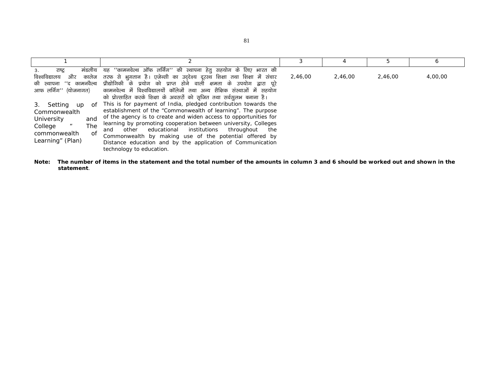|                                                                                                                            |                                                                                                                                                                                                                                                                                                                                                                                                                                                                                     |         |         |         | o       |
|----------------------------------------------------------------------------------------------------------------------------|-------------------------------------------------------------------------------------------------------------------------------------------------------------------------------------------------------------------------------------------------------------------------------------------------------------------------------------------------------------------------------------------------------------------------------------------------------------------------------------|---------|---------|---------|---------|
| मंडलीय<br>राष्ट्र<br>3.<br>आफ लर्निंग'' (योजनागत)                                                                          | यह ''कामनवेल्थ ऑफ लर्निंग'' की स्थापना हेतु सहयोग के लिए भारत की<br>विश्वविद्यालय और कालेज तरफ से भुगतान है। एजेन्सी का उद्देश्य दूरस्थ शिक्षा तथा शिक्षा में संचार<br>की स्थापना ''द कामनवैल्थ प्रौद्योगिकी के प्रयोग को प्राप्त होने वाली क्षमता के उपयोग द्वारा पूरे<br>कामनवेल्थ में विश्वविद्यालयों कॉलेजों तथा अन्य शैक्षिक संस्थाओं में सहयोग<br>को प्रोत्साहित करके शिक्षा के अवसरों को सृजित तथा सर्वसुलभ बनाना है।                                                        | 2,46,00 | 2,46,00 | 2,46,00 | 4,00,00 |
| Setting<br>3.<br>up<br>of<br>Commonwealth<br>University<br>and<br>The<br>College<br>of<br>commonwealth<br>Learning" (Plan) | This is for payment of India, pledged contribution towards the<br>establishment of the "Commonwealth of learning". The purpose<br>of the agency is to create and widen access to opportunities for<br>learning by promoting cooperation between university, Colleges<br>and other educational institutions<br>throughout<br>the<br>Commonwealth by making use of the potential offered by<br>Distance education and by the application of Communication<br>technology to education. |         |         |         |         |

**Note: The number of items in the statement and the total number of the amounts in column 3 and 6 should be worked out and shown in the statement**.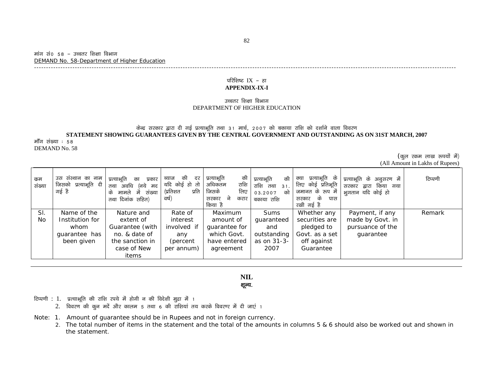#### मांग सं० 58 – उच्चतर शिक्षा विभाग DEMAND No. 58-Department of Higher Education

#### परिशिष्ट $IX$  – हा **APPENDIX-IX-I**

--------------------------------------------------------------------------------------------------------------------------------------------------------------------------------

#### उच्चतर शिक्षा विभाग DEPARTMENT OF HIGHER EDUCATION

#### केन्द्र सरकार द्वारा दी गई प्रत्याभूति तथा 31 मार्च, 2007 को बकाया राशि को दर्शाने वाला विवरण **STATEMENT SHOWING GUARANTEES GIVEN BY THE CENTRAL GOVERNMENT AND OUTSTANDING AS ON 31ST MARCH, 2007**

मॉॅंग संख्या : 58 DEMAND No. 58

> (कूल रकम लाख रुपयों में) (All Amount in Lakhs of Rupees)

| कम<br>संख्या   | उस संस्थान का नाम<br>जिसको प्रत्याभूति दी<br>गई है | प्रत्याभूति<br>प्रकार<br>का<br>अवधि<br>(नये<br>तथा<br>मद<br>में<br>संख्या<br>मामले<br>के<br>तथा दिनांक सहित) | की<br>दर<br>ब्याज<br>यदि कोई हो तो  <br>(प्रतिशत<br>प्रति<br>वर्ष) | की<br>प्रत्याभूति<br>राशि<br>अधिकतम<br>लिए<br>जिसके<br>ने<br>सरकार<br>करार<br>किया है | की<br>प्रत्याभूति<br>राशि तथा<br>31.<br>को<br>03.2007<br>बकाया राशि | प्रत्याभूति के<br>क्या<br>लिए कोई प्रतिभूति<br>जमानत के रूप में<br>के<br>सरकार<br>पास<br>रखी गई है | प्रत्याभूति के अनुसरण में<br>सरकार द्वारा<br>किया गया<br>भूगतान यदि कोई हो | टिप्पणी |
|----------------|----------------------------------------------------|--------------------------------------------------------------------------------------------------------------|--------------------------------------------------------------------|---------------------------------------------------------------------------------------|---------------------------------------------------------------------|----------------------------------------------------------------------------------------------------|----------------------------------------------------------------------------|---------|
| SI.            | Name of the                                        | Nature and                                                                                                   | Rate of                                                            | Maximum                                                                               | <b>Sums</b>                                                         | Whether any                                                                                        | Payment, if any                                                            | Remark  |
| N <sub>O</sub> | Institution for                                    | extent of                                                                                                    | interest                                                           | amount of                                                                             | guaranteed                                                          | securities are                                                                                     | made by Govt. in                                                           |         |
|                | whom                                               | Guarantee (with                                                                                              | involved if                                                        | guarantee for                                                                         | and                                                                 | pledged to                                                                                         | pursuance of the                                                           |         |
|                | guarantee has                                      | no. & date of                                                                                                | any                                                                | which Govt.                                                                           | outstanding                                                         | Govt. as a set                                                                                     | guarantee                                                                  |         |
|                | been given                                         | the sanction in                                                                                              | (percent)                                                          | have entered                                                                          | as on 31-3-                                                         | off against                                                                                        |                                                                            |         |
|                |                                                    | case of New                                                                                                  | per annum)                                                         | agreement                                                                             | 2007                                                                | Guarantee                                                                                          |                                                                            |         |
|                |                                                    | items                                                                                                        |                                                                    |                                                                                       |                                                                     |                                                                                                    |                                                                            |         |

### **NIL**  शूल्य.

- टिप्पणी : 1. प्रत्याभूति की राशि रपये में होगी न की विदेशी मुद्रा में 1
	- $2.$  विवरण की कुन मदें और कालम 5 तथा 6 की राशियां तय करके विवरण्ट में दी जाएं 1

Note: 1. Amount of guarantee should be in Rupees and not in foreign currency.

2. The total number of items in the statement and the total of the amounts in columns 5 & 6 should also be worked out and shown inthe statement.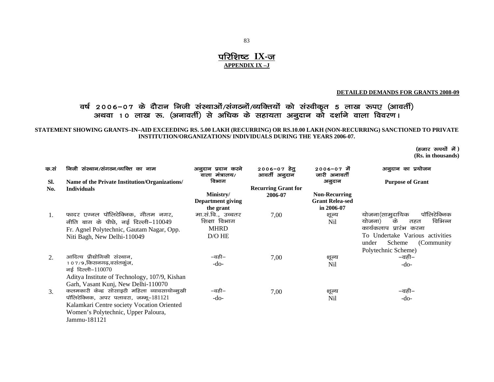### **परिशिष्ट IX-ज APPENDIX IX –J**

#### **DETAILED DEMANDS FOR GRANTS 2008-09**

### वर्ष २००६–०७ के दौरान निजी संस्थाओं/संगठनों/व्यक्तियों को संस्वीकृत 5 लाख रूपए (आवर्ती) अथवा 10 लाख रू. (अनावर्ती) से अधिक के सहायता अनुदान को दर्शाने वाला विवरण।

**STATEMENT SHOWING GRANTS–IN–AID EXCEEDING RS. 5.00 LAKH (RECURRING) OR RS.10.00 LAKH (NON-RECURRING) SANCTIONED TO PRIVATE INSTITUTION/ORGANIZATIONS/ INDIVIDUALS DURING THE YEARS 2006-07.** 

#### **(हजार रूपयों में)**

**(Rs. in thousands)** 

| क.सं | निजी संस्थान/संगठन/व्यक्ति का नाम              | अनुदान प्रदान करने<br>वाला मंत्रालय/ | 2006-07 हेत्<br>आवर्ती अनुदान | 2006-07 में<br>जारी अनावर्ती | अनुदान का प्रयोजन               |
|------|------------------------------------------------|--------------------------------------|-------------------------------|------------------------------|---------------------------------|
| SI.  | Name of the Private Institution/Organizations/ | विभाग                                |                               | अनुदान                       | <b>Purpose of Grant</b>         |
| No.  | <b>Individuals</b>                             |                                      | <b>Recurring Grant for</b>    |                              |                                 |
|      |                                                | Ministry/                            | 2006-07                       | <b>Non-Recurring</b>         |                                 |
|      |                                                | <b>Department giving</b>             |                               | <b>Grant Relea-sed</b>       |                                 |
|      |                                                | the grant                            |                               | in 2006-07                   |                                 |
| 1.   | फादर एग्नल पॉलिटेक्निक, गौतम नगर,              | मा.सं.वि., उच्चतर                    | 7,00                          | शूल्य                        | पॉलिटेक्निक<br>योजना(सामुदायिक  |
|      | नीति बाग के पीछे, नई दिल्ली-110049             | शिक्षा विभाग                         |                               | Nil                          | विभिन्न<br>के<br>योजना)<br>तहत  |
|      | Fr. Agnel Polytechnic, Gautam Nagar, Opp.      | <b>MHRD</b>                          |                               |                              | कार्यकलाप प्रारंभ करना          |
|      | Niti Bagh, New Delhi-110049                    | $D/O$ HE                             |                               |                              | To Undertake Various activities |
|      |                                                |                                      |                               |                              | (Community)<br>Scheme<br>under  |
|      |                                                |                                      |                               |                              | Polytechnic Scheme)             |
| 2.   | आदित्य प्रौद्योगिकी संस्थान,                   | –वही–                                | 7,00                          | शूल्य                        | –वही–                           |
|      | १०७/९,किसनगढ़,वसंतकुंज,                        | -do-                                 |                               | Nil                          | $-do-$                          |
|      | नई दिल्ली-110070                               |                                      |                               |                              |                                 |
|      | Aditya Institute of Technology, 107/9, Kishan  |                                      |                               |                              |                                 |
|      | Garh, Vasant Kunj, New Delhi-110070            |                                      |                               |                              |                                 |
| 3.   | कलमकारी केन्द्र सोसाइटी महिला व्यावसायोन्मुखी  | –वही–                                | 7,00                          | शूल्य                        | –वही–                           |
|      | पॉलिटेक्निक, अपर पलावरा, जम्मू–181121          | -do-                                 |                               | Nil                          | -do-                            |
|      | Kalamkari Centre society Vocation Oriented     |                                      |                               |                              |                                 |
|      | Women's Polytechnic, Upper Paloura,            |                                      |                               |                              |                                 |
|      | Jammu-181121                                   |                                      |                               |                              |                                 |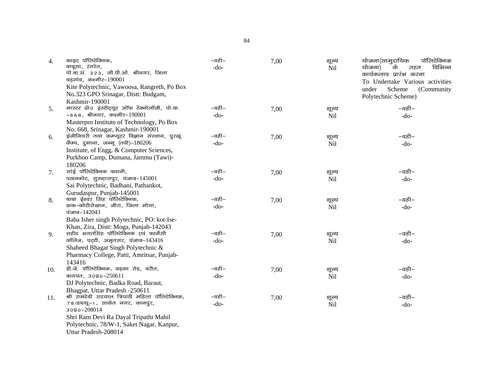| 4.  | काइट पॉलिटेक्निक,<br>बाबूसा, रंगरेत,<br>पो.बा.सं. 323, जी.पी.ओ. श्रीनगर, जिला<br>बड़गांव, कश्मीर-190001 | –वही–<br>$-do-$        | 7,00 | शूल्य<br><b>Nil</b> | योजना(सामुदायिक<br>पॉलिटेक्निक<br>के<br>विभिन्न<br>योजना)<br>तहत<br>कार्यकलाप प्रारंभ करना |
|-----|---------------------------------------------------------------------------------------------------------|------------------------|------|---------------------|--------------------------------------------------------------------------------------------|
|     | Kite Polytechnic, Vawoosa, Rangreth, Po Box                                                             |                        |      |                     | To Undertake Various activities                                                            |
|     | No.323 GPO Srinagar, Distt: Budgam,                                                                     |                        |      |                     | under<br>Scheme<br>(Community)                                                             |
|     | Kashmir-190001                                                                                          |                        |      |                     | Polytechnic Scheme)                                                                        |
| 5.  | मास्टर प्रो0 इंस्टीट्यूट ऑफ टेक्नोलॉजी, पो.बा.                                                          | –वही–                  | 7,00 | शूल्य               | –वही–                                                                                      |
|     | $-668$ , श्रीनगर, कश्मीर-190001                                                                         | $-do-$                 |      | Nil                 | $-do-$                                                                                     |
|     | Masterpro Institute of Technology, Po Box                                                               |                        |      |                     |                                                                                            |
|     | No. 668, Srinagar, Kashmir-190001                                                                       |                        |      |                     |                                                                                            |
| 6.  | इंजीनियरी तथा कम्प्यूटर विज्ञान संस्थान, पुरखू                                                          | $-\overline{a}$ ही $-$ | 7,00 | शूल्य               | –वही–                                                                                      |
|     | कैम्प, दुमाना, जम्मू (तवी)-180206                                                                       | $-do-$                 |      | Nil                 | $-do-$                                                                                     |
|     | Institute, of Engg. & Computer Sciences,                                                                |                        |      |                     |                                                                                            |
|     | Purkhoo Camp, Dumana, Jammu (Tawi)-                                                                     |                        |      |                     |                                                                                            |
|     | 180206                                                                                                  |                        |      |                     |                                                                                            |
| 7.  | सांई पॉलिटेक्निक बधानी,                                                                                 | –वही–                  | 7,00 | शूल्य               | –वही–                                                                                      |
|     | पठानकोट, गुरुदासपुर, पंजाब-145001                                                                       | $-do-$                 |      | Nil                 | $-do-$                                                                                     |
|     | Sai Polytechnic, Badhani, Pathankot,                                                                    |                        |      |                     |                                                                                            |
|     | Gurudaspur, Punjab-145001                                                                               |                        |      |                     |                                                                                            |
| 8.  | बाबा ईश्वर सिंह पॉलिटेक्निक,                                                                            | –वही–                  | 7,00 | शूल्य               | –वही–                                                                                      |
|     | डाक-कोटीसेखान, जीरा, जिला मोगा,                                                                         | $-do-$                 |      | Nil                 | $-do-$                                                                                     |
|     | पंजाब-142043                                                                                            |                        |      |                     |                                                                                            |
|     | Baba Isher singh Polytechnic, PO: kot-Ise-                                                              |                        |      |                     |                                                                                            |
|     | Khan, Zira, Distt: Moga, Punjab-142043                                                                  |                        |      |                     |                                                                                            |
| 9.  | शहीद भगतसिंह पॉलिटेक्निक एवं फार्मेसी                                                                   | –वही–                  | 7,00 | शूल्य               | –वही–                                                                                      |
|     | कॉलेज, पर्ट्टी, अमृतसर, पंजाब-143416                                                                    | $-do-$                 |      | Nil                 | $-do-$                                                                                     |
|     | Shaheed Bhagat Singh Polytechnic &                                                                      |                        |      |                     |                                                                                            |
|     | Pharmacy College, Patti, Amritsar, Punjab-                                                              |                        |      |                     |                                                                                            |
|     | 143416                                                                                                  |                        |      |                     |                                                                                            |
| 10. | डी.जे. पॉलिटेक्निक, बड़का रोड, बरौत,                                                                    | $-$ वही $-$            | 7,00 | शूल्य               | –वही–                                                                                      |
|     | बागपत, उ०प्र0-250611                                                                                    | $-do-$                 |      | Nil                 | $-do-$                                                                                     |
|     | DJ Polytechnic, Badka Road, Baraut,                                                                     |                        |      |                     |                                                                                            |
|     | Bhagpat, Uttar Pradesh -250611<br>श्री रामदेवी रादयाल त्रिपाठी महिला पॉलिटेक्निक,                       | –वही–                  |      |                     |                                                                                            |
| 11. | 78/डब्ल्यू-1, साकेत नगर, कानपुर,                                                                        | $-do-$                 | 7,00 | शूल्य               | –वही–                                                                                      |
|     | зодо-208014                                                                                             |                        |      | Nil                 | $-do-$                                                                                     |
|     | Shri Ram Devi Ra Dayal Tripathi Mahil                                                                   |                        |      |                     |                                                                                            |
|     | Polytechnic, 78/W-1, Saket Nagar, Kanpur,                                                               |                        |      |                     |                                                                                            |
|     | Uttar Pradesh-208014                                                                                    |                        |      |                     |                                                                                            |
|     |                                                                                                         |                        |      |                     |                                                                                            |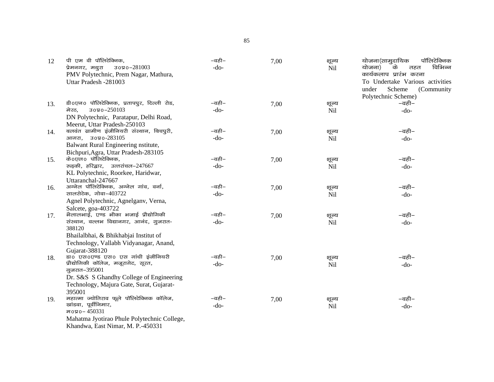| 12  | पी एम वी पॉलिटेक्निक,                             | –वही–  | 7,00 | शूल्य | योजना(सामुदायिक<br>पॉलिटेक्निक  |
|-----|---------------------------------------------------|--------|------|-------|---------------------------------|
|     | 3090-281003<br>प्रेमनगर, मथुरा                    | $-do-$ |      | Nil   | के<br>विभिन्न<br>योजना)<br>तहत  |
|     | PMV Polytechnic, Prem Nagar, Mathura,             |        |      |       | कार्यकलाप प्रारंभ करना          |
|     | Uttar Pradesh -281003                             |        |      |       | To Undertake Various activities |
|     |                                                   |        |      |       | Scheme<br>under<br>(Community)  |
|     |                                                   |        |      |       | Polytechnic Scheme)             |
| 13. | डी0एन0 पॉलिटेक्निक, प्रतापपुर, दिल्ली रोड,        | –वही–  | 7,00 | शूल्य | –वही–                           |
|     | зояо-250103<br>मेरठ.                              | $-do-$ |      | Nil   | $-do-$                          |
|     | DN Polytechnic, Paratapur, Delhi Road,            |        |      |       |                                 |
|     | Meerut, Uttar Pradesh-250103                      |        |      |       |                                 |
| 14. | बलवंत ग्रामीण इंजीनियरी संस्थान, बिचपुरी,         | –वही–  | 7,00 | शूल्य | –वही–                           |
|     | आगरा, उ०प्र०-283105                               | $-do-$ |      | Nil   | $-do-$                          |
|     | Balwant Rural Engineering nstitute,               |        |      |       |                                 |
|     | Bichpuri, Agra, Uttar Pradesh-283105              |        |      |       |                                 |
| 15. | के0एल0 पॉलिटेक्निक,                               | –वही–  | 7,00 | शूल्य | –वही–                           |
|     | रुड़की, हरिद्वार, उत्तरांचल-247667                | $-do-$ |      | Nil   | $-do-$                          |
|     | KL Polytechnic, Roorkee, Haridwar,                |        |      |       |                                 |
|     | Uttaranchal-247667                                |        |      |       |                                 |
| 16. | अग्नेल पॉलिटेक्निक, अग्नेल गांव, वर्ना,           | –वही–  | 7,00 | शूल्य | –वही–                           |
|     | सालसेटेक, गोवा-403722                             | $-do-$ |      | Nil   | $-do-$                          |
|     | Agnel Polytechnic, Agnelganv, Verna,              |        |      |       |                                 |
|     | Salcete, goa-403722                               |        |      |       |                                 |
| 17. | भैलालभाई, एण्ड भीका भजाई प्रौद्योगिकी             | –वही–  | 7,00 | शूल्य | –वही–                           |
|     | संस्थान, वल्लभ विद्यानगर, आनंद, गुजरात-<br>388120 | $-do-$ |      | Nil   | $-do-$                          |
|     | Bhailalbhai, & Bhikhabjai Institut of             |        |      |       |                                 |
|     | Technology, Vallabh Vidyanagar, Anand,            |        |      |       |                                 |
|     | Gujarat-388120                                    |        |      |       |                                 |
| 18. | डा0 एस0एण्ड एस0 एस गांधी इंजीनियरी                | –वही–  | 7,00 | शूल्य | –वही–                           |
|     | प्रौद्योगिकी कॉलेज, मजूरागेट, सूरत,               | $-do-$ |      | Nil   | $-do-$                          |
|     | गुजरात-395001                                     |        |      |       |                                 |
|     | Dr. S&S S Ghandhy College of Engineering          |        |      |       |                                 |
|     | Technology, Majura Gate, Surat, Gujarat-          |        |      |       |                                 |
|     | 395001                                            |        |      |       |                                 |
| 19. | महात्मा ज्योतिराव फूले पॉलिटेक्निक कॉलेज,         | –वही–  | 7,00 | शूल्य | –वही–                           |
|     | खांडवा, पूर्वीनिमार,                              | $-do-$ |      | Nil   | $-do-$                          |
|     | म0प्र0-450331                                     |        |      |       |                                 |
|     | Mahatma Jyotirao Phule Polytechnic College,       |        |      |       |                                 |
|     | Khandwa, East Nimar, M. P.-450331                 |        |      |       |                                 |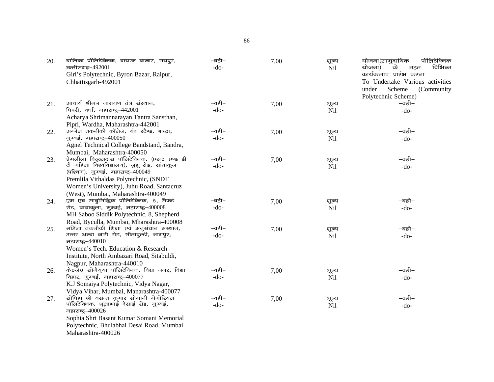| 20. | बालिका पॉलिटेक्निक, वायरन बाजार, रायपुर,<br>छत्तीसगढ़-492001                          | –वही–<br>$-do-$ | 7,00 | शूल्य<br>Nil | योजना(सामुदायिक<br>पॉलिटेक्निक<br>विभिन्न<br>के<br>योजना)<br>तहत |
|-----|---------------------------------------------------------------------------------------|-----------------|------|--------------|------------------------------------------------------------------|
|     | Girl's Polytechnic, Byron Bazar, Raipur,                                              |                 |      |              | कार्यकलाप प्रारंभ करना                                           |
|     | Chhattisgarh-492001                                                                   |                 |      |              | To Undertake Various activities<br>under<br>Scheme<br>(Community |
|     |                                                                                       |                 |      |              | Polytechnic Scheme)                                              |
| 21. | आचार्य श्रीमन नारायण तंत्र संस्थान,                                                   | –वही–           | 7,00 | शूल्य        | –वही–                                                            |
|     | पिपरी, वर्धा, महाराष्ट्र-442001                                                       | $-do-$          |      | <b>Nil</b>   | $-do-$                                                           |
|     | Acharya Shrimannarayan Tantra Sansthan,                                               |                 |      |              |                                                                  |
|     | Pipri, Wardha, Maharashtra-442001                                                     |                 |      |              |                                                                  |
| 22. | अग्नेल तकनीकी कॉलेज, बंद स्टैण्ड, बान्द्रा,                                           | –वही–           | 7,00 | शूल्य        | –वही–                                                            |
|     | मुम्बई, महाराष्ट्र-400050                                                             | $-do-$          |      | Nil          | $-do-$                                                           |
|     | Agnel Technical College Bandstand, Bandra,                                            |                 |      |              |                                                                  |
|     | Mumbai, Maharashtra-400050                                                            |                 |      |              |                                                                  |
| 23. | प्रेमलीला विठ्ठलदास पॉलिटेक्निक, (एस0 एण्ड डी                                         | –वही–           | 7,00 | शूल्य        | –वही–                                                            |
|     | टी महिला विश्वविद्यालय), जुहू रोड, सांताकुज                                           | $-do-$          |      | Nil          | $-do-$                                                           |
|     | (पश्चिम), मुम्बई, महाराष्ट्र-400049                                                   |                 |      |              |                                                                  |
|     | Premlila Vithaldas Polytechnic, (SNDT                                                 |                 |      |              |                                                                  |
|     | Women's University), Juhu Road, Santacruz                                             |                 |      |              |                                                                  |
|     | (West), Mumbai, Maharashtra-400049                                                    |                 |      |              |                                                                  |
| 24. | एम एच साबुसिद्धिक पॉलिटेक्निक, 8, सैफर्ड                                              | –वही–           | 7,00 | शूल्य        | –वही–                                                            |
|     | रोड, बायाकुला, मुम्बई, महाराष्ट्र-400008<br>MH Saboo Siddik Polytechnic, 8, Shepherd  | $-do-$          |      | <b>Nil</b>   | $-do-$                                                           |
|     |                                                                                       |                 |      |              |                                                                  |
|     | Road, Byculla, Mumbai, Mharashtra-400008<br>महिला तकनीकी शिक्षा एवं अनुसंधान संस्थान, | –वही–           |      |              | –वही–                                                            |
| 25. | उत्तर अम्बा जारी रोड, सीताबुल्डी, नागपुर,                                             | $-do-$          | 7,00 | शूल्य<br>Nil | $-do-$                                                           |
|     | महाराष्ट्र-440010                                                                     |                 |      |              |                                                                  |
|     | Women's Tech. Education & Research                                                    |                 |      |              |                                                                  |
|     | Institute, North Ambazari Road, Sitabuldi,                                            |                 |      |              |                                                                  |
|     | Nagpur, Maharashtra-440010                                                            |                 |      |              |                                                                  |
| 26. | के0जे0 सोमैय्या पॉलिटेक्निक, विद्या नगर, विद्या                                       | –वही–           | 7,00 | शूल्य        | –वही–                                                            |
|     | विहार, मुम्बई, महाराष्ट्र-400077                                                      | $-do-$          |      | Nil          | $-do-$                                                           |
|     | K.J Somaiya Polytechnic, Vidya Nagar,                                                 |                 |      |              |                                                                  |
|     | Vidya Vihar, Mumbai, Manarashtra-400077                                               |                 |      |              |                                                                  |
| 27. | सोपिहा श्री बसन्त कुमार सोमानी मेमोरियल                                               | –वही–           | 7,00 | शूल्य        | –वही–                                                            |
|     | पॉलिटेक्निक, भूलाभाई देसाई रोड, मुम्बई,                                               | $-do-$          |      | Nil          | $-do-$                                                           |
|     | महाराष्ट्र-400026                                                                     |                 |      |              |                                                                  |
|     | Sophia Shri Basant Kumar Somani Memorial                                              |                 |      |              |                                                                  |
|     | Polytechnic, Bhulabhai Desai Road, Mumbai                                             |                 |      |              |                                                                  |
|     | Maharashtra-400026                                                                    |                 |      |              |                                                                  |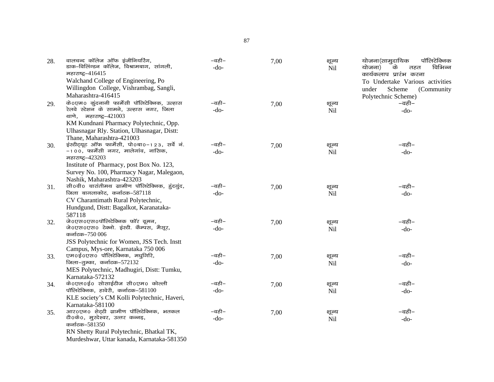| 28. | वालचन्द कॉलेज ऑफ इंजीनियरिंग,<br>डाक-विलिंग्डन कॉलेज, विश्रामबाग, सांगली,               | –वही–<br>$-do-$ | 7,00 | शूल्य      | योजना(सामुदायिक<br>पॉलिटेक्निक<br>विभिन्न<br>योजना)<br>के |
|-----|-----------------------------------------------------------------------------------------|-----------------|------|------------|-----------------------------------------------------------|
|     | महाराष्ट्र-416415                                                                       |                 |      | Nil        | तहत<br>कार्यकलाप प्रारंभ करना                             |
|     | Walchand College of Engineering, Po                                                     |                 |      |            | To Undertake Various activities                           |
|     | Willingdon College, Vishrambag, Sangli,                                                 |                 |      |            |                                                           |
|     | Maharashtra-416415                                                                      |                 |      |            | Scheme<br>(Community<br>under                             |
|     |                                                                                         | –वही–           |      |            | Polytechnic Scheme)                                       |
| 29. | के0एम0 कुंदनानी फार्मेसी पॉलिटेक्निक, उल्हास<br>रेलवे स्टेशन के सामने, उल्हास नगर, जिला |                 | 7,00 | शूल्य      | –वही–                                                     |
|     | थाणे, महाराष्ट्र-421003                                                                 | $-do-$          |      | Nil        | $-do-$                                                    |
|     | KM Kundnani Pharmacy Polytechnic, Opp.                                                  |                 |      |            |                                                           |
|     | Ulhasnagar Rly. Station, Ulhasnagar, Distt:                                             |                 |      |            |                                                           |
|     | Thane, Maharashtra-421003                                                               |                 |      |            |                                                           |
| 30. | इंस्टीट्यूट ऑफ फार्मेसी, पो0बा0-123, सर्वे नं.                                          | –वही–           | 7,00 | शूल्य      | –वही–                                                     |
|     | $-100$ , फार्मेसी नगर, मालेगांव, नासिक,                                                 | $-do-$          |      | <b>Nil</b> | $-do-$                                                    |
|     | महाराष्ट्र-423203                                                                       |                 |      |            |                                                           |
|     | Institute of Pharmacy, post Box No. 123,                                                |                 |      |            |                                                           |
|     | Survey No. 100, Pharmacy Nagar, Malegaon,                                               |                 |      |            |                                                           |
|     | Nashik, Maharashtra-423203                                                              |                 |      |            |                                                           |
| 31. | सी0वी0 चारांतीमथ ग्रामीण पॉलिटेक्निक, हुंदगुंद,                                         | –वही–           | 7,00 | शूल्य      | –वही–                                                     |
|     | जिला बागलाकोट, कर्नाटक-587118                                                           | $-do-$          |      | Nil        | $-do-$                                                    |
|     | CV Charantimath Rural Polytechnic,                                                      |                 |      |            |                                                           |
|     | Hundgund, Distt: Bagalkot, Karanataka-                                                  |                 |      |            |                                                           |
|     | 587118                                                                                  |                 |      |            |                                                           |
| 32. | जे0एस0एस0पॉलिटेक्निक फॉर वूमन,                                                          | –वही–           | 7,00 | शूल्य      | –वही–                                                     |
|     | जे0एस0एस0 टेक्नो. इंस्टी. कैम्पस, मैसूर,                                                | $-do-$          |      | Nil        | $-do-$                                                    |
|     | कर्नाटक-750 006                                                                         |                 |      |            |                                                           |
|     | JSS Polytechnic for Women, JSS Tech. Instt                                              |                 |      |            |                                                           |
|     | Campus, Mys-ore, Karnataka 750 006                                                      |                 |      |            |                                                           |
| 33. | एम0ई0एस0 पॉलिटेक्निक, मधुगिरि,                                                          | –वही–           | 7,00 | शूल्य      | –वही–                                                     |
|     | जिला-तुम्का, कर्नाटक-572132                                                             | $-do-$          |      | Nil        | $-do-$                                                    |
|     | MES Polytechnic, Madhugiri, Distt: Tumku,                                               |                 |      |            |                                                           |
|     | Karnataka-572132                                                                        |                 |      |            |                                                           |
| 34. | के0एल0ई0 सोसाईटीज सी0एम0 कोल्ली                                                         | –वही–           | 7,00 | शूल्य      | –वही–                                                     |
|     | पॉलिटेक्निक, हावेरी, कर्नाटक- $581100$                                                  | $-do-$          |      | Nil        | $-do-$                                                    |
|     | KLE society's CM Kolli Polytechnic, Haveri,                                             |                 |      |            |                                                           |
|     | Karnataka-581100                                                                        |                 |      |            |                                                           |
| 35. | आर0एन0 शेट्टी ग्रामीण पॉलिटेक्निक, भतकल                                                 | –वही–           | 7,00 | शूल्य      | –वही–                                                     |
|     | टी0के0, मुरदेश्वर, उत्तर कन्नड़,                                                        | $-do-$          |      | Nil        | $-do-$                                                    |
|     | कर्नाटक–581350                                                                          |                 |      |            |                                                           |
|     | RN Shetty Rural Polytechnic, Bhatkal TK,                                                |                 |      |            |                                                           |
|     | Murdeshwar, Uttar kanada, Karnataka-581350                                              |                 |      |            |                                                           |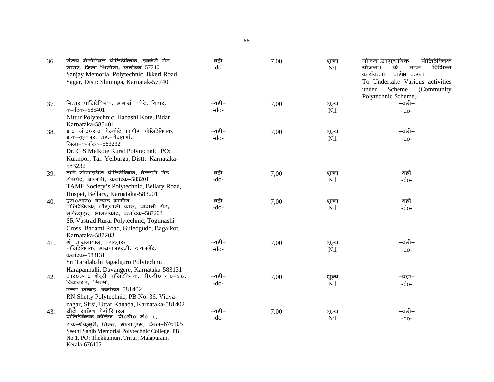| 36. | संजय मेमोरियल पॉलिटेक्निक, इक्केरी रोड,<br>सागर, जिला शिमोगा, कर्नाटक-577401<br>Sanjay Memorial Polytechnic, Ikkeri Road,<br>Sagar, Distt: Shimoga, Karnatak-577401 | –वही–<br>$-do-$ | 7,00 | शूल्य<br>Nil        | पॉलिटेक्निक<br>योजना(सामुदायिक<br>के<br>विभिन्न<br>योजना)<br>तहत<br>कार्यकलाप प्रारंभ करना<br>To Undertake Various activities<br>Scheme<br>(Community<br>under<br>Polytechnic Scheme) |
|-----|---------------------------------------------------------------------------------------------------------------------------------------------------------------------|-----------------|------|---------------------|---------------------------------------------------------------------------------------------------------------------------------------------------------------------------------------|
| 37. | नित्तूर पॉलिटेक्निक, हाबासी कोटे, बिदार,                                                                                                                            | –वही–           | 7,00 | शूल्य               | –वही–                                                                                                                                                                                 |
|     | कर्नाटक–585401                                                                                                                                                      | $-do-$          |      | Nil                 | $-do-$                                                                                                                                                                                |
|     | Nittur Polytechnic, Habashi Kote, Bidar,                                                                                                                            |                 |      |                     |                                                                                                                                                                                       |
|     | Karnataka-585401                                                                                                                                                    |                 |      |                     |                                                                                                                                                                                       |
| 38. | डा0 जी0एस0 मेल्कोटे ग्रामीण पॉलिटेक्निक,                                                                                                                            | –वही–           | 7,00 | शूल्य               | –वही–                                                                                                                                                                                 |
|     | डाक-कुकनूर, तह.-येलबुर्गा,                                                                                                                                          | $-do-$          |      | <b>Nil</b>          | $-do-$                                                                                                                                                                                |
|     | जिला-कर्नाटक-583232                                                                                                                                                 |                 |      |                     |                                                                                                                                                                                       |
|     | Dr. G S Melkote Rural Polytechnic, PO:<br>Kuknoor, Tal: Yelburga, Distt.: Karnataka-                                                                                |                 |      |                     |                                                                                                                                                                                       |
|     | 583232                                                                                                                                                              |                 |      |                     |                                                                                                                                                                                       |
| 39. | तामे सोसाईटीज पॉलिटेक्निक, बेल्लारी रोड,                                                                                                                            | –वही–           | 7,00 | शूल्य               | –वही–                                                                                                                                                                                 |
|     | होसपेट, बेल्लारी, कर्नाटक-583201                                                                                                                                    | $-do-$          |      | Nil                 | $-do-$                                                                                                                                                                                |
|     | TAME Society's Polytechnic, Bellary Road,                                                                                                                           |                 |      |                     |                                                                                                                                                                                       |
|     | Hospet, Bellary, Karnataka-583201                                                                                                                                   |                 |      |                     |                                                                                                                                                                                       |
| 40. | एस0आर0 वस्त्रांड ग्रामीण                                                                                                                                            | –वही–           | 7,00 | शूल्य               | –वही–                                                                                                                                                                                 |
|     | पॉलिटेक्निक, तोंगुनासी कास, बादामी रोड,                                                                                                                             | $-do-$          |      | <b>Nil</b>          | $-do-$                                                                                                                                                                                |
|     | गुलेडगुड्ड, भागलकोट, कर्नाटक-587203                                                                                                                                 |                 |      |                     |                                                                                                                                                                                       |
|     | SR Vastrad Rural Polytechnic, Togunashi                                                                                                                             |                 |      |                     |                                                                                                                                                                                       |
|     | Cross, Badami Road, Guledgudd, Bagalkot,                                                                                                                            |                 |      |                     |                                                                                                                                                                                       |
|     | Karnataka-587203<br>श्री तारालाबालू जगदगुरू                                                                                                                         | –वही–           |      |                     | –वही–                                                                                                                                                                                 |
| 41. | पॉलिटेक्निक, हारापानहल्ली, दावनगेरे,                                                                                                                                | $-do-$          | 7,00 | शूल्य<br><b>Nil</b> | $-do-$                                                                                                                                                                                |
|     | कर्नाटक–583131                                                                                                                                                      |                 |      |                     |                                                                                                                                                                                       |
|     | Sri Taralabalu Jagadguru Polytechnic,                                                                                                                               |                 |      |                     |                                                                                                                                                                                       |
|     | Harapanhalli, Davangere, Karnataka-583131                                                                                                                           |                 |      |                     |                                                                                                                                                                                       |
| 42. | आर0एन0 शेट्टी पॉलिटेक्निक, पी0बी0 नं0−36,                                                                                                                           | –वही–           | 7,00 | शूल्य               | –वही–                                                                                                                                                                                 |
|     | विद्यानगर, सिरसी,                                                                                                                                                   | $-do-$          |      | <b>Nil</b>          | $-do-$                                                                                                                                                                                |
|     | उत्तर कन्नड़, कर्नाटक-581402                                                                                                                                        |                 |      |                     |                                                                                                                                                                                       |
|     | RN Shetty Polytechnic, PB No. 36, Vidya-                                                                                                                            |                 |      |                     |                                                                                                                                                                                       |
|     | nagar, Sirsi, Uttar Kanada, Karnataka-581402<br>सीठी साहिब मेमोरियरल                                                                                                | –वही–           |      |                     | –वही–                                                                                                                                                                                 |
| 43. | पॉलिटेक्निक कॉलेज, पी0बी0 नं0-1,                                                                                                                                    | $-do-$          | 7,00 | शूल्य<br>Nil        |                                                                                                                                                                                       |
|     | $\sigma$ डाक-थेकुमुरी, तिरूर, मालापुरम, केरल-676105                                                                                                                 |                 |      |                     | $-do-$                                                                                                                                                                                |
|     | Seethi Sahib Memorial Polytechnic College, PB                                                                                                                       |                 |      |                     |                                                                                                                                                                                       |
|     | No.1, PO: Thekkumuri, Trirur, Malapuram,                                                                                                                            |                 |      |                     |                                                                                                                                                                                       |
|     | Kerala-676105                                                                                                                                                       |                 |      |                     |                                                                                                                                                                                       |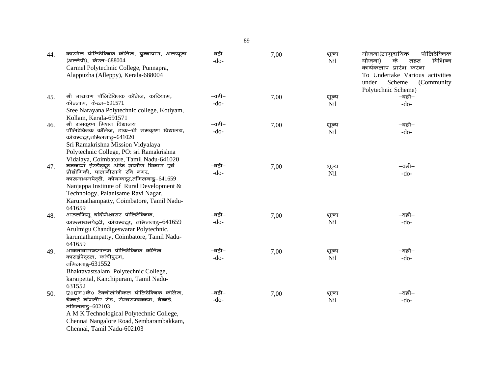| 44. | कारमेल पॉलिटेक्निक कॉलेज, पुन्नापारा, अलप्पूजा<br>(अल्लेपी), केरल-688004<br>Carmel Polytechnic College, Punnapra,<br>Alappuzha (Alleppy), Kerala-688004                                                                                                                                                                                   | –वही–<br>$-do-$ | 7,00 | शूल्य<br>Nil | पॉलिटेक्निक<br>योजना(सामुदायिक<br>के<br>विभिन्न<br>योजना)<br>तहत<br>कार्यकलाप प्रारंभ करना<br>To Undertake Various activities<br>under<br>Scheme<br>(Community<br>Polytechnic Scheme) |
|-----|-------------------------------------------------------------------------------------------------------------------------------------------------------------------------------------------------------------------------------------------------------------------------------------------------------------------------------------------|-----------------|------|--------------|---------------------------------------------------------------------------------------------------------------------------------------------------------------------------------------|
| 45. | श्री नारायण पॉलिटेक्निक कॉलेज, काटियाम,<br>कोल्लाम. केरल-691571                                                                                                                                                                                                                                                                           | –वही–<br>$-do-$ | 7,00 | शूल्य<br>Nil | –वही–<br>$-do-$                                                                                                                                                                       |
|     | Sree Narayana Polytechnic college, Kotiyam,<br>Kollam, Kerala-691571                                                                                                                                                                                                                                                                      |                 |      |              |                                                                                                                                                                                       |
| 46. | श्री रामकृष्ण मिशन विद्यालय<br>पॉलिटेक्निक कॉलेज, डाक-श्री रामकृष्ण विद्यालय,<br>कोयम्बटूर,तमिलनाडु-641020                                                                                                                                                                                                                                | –वही–<br>$-do-$ | 7,00 | शूल्य<br>Nil | –वही–<br>$-do-$                                                                                                                                                                       |
| 47. | Sri Ramakrishna Mission Vidyalaya<br>Polytechnic College, PO: sri Ramakrishna<br>Vidalaya, Coimbatore, Tamil Nadu-641020<br>ननजप्पा इंस्टीट्यूट ऑफ ग्रामीण विकास एवं<br>प्रौद्योगिकी, पालानीसामे रवि नगर,<br>कारूमाथमपेट्टी, कोयम्बटूर,तमिलनाडु-641659<br>Nanjappa Institute of Rural Development &<br>Technology, Palanisame Ravi Nagar, | –वही–<br>$-do-$ | 7,00 | शूल्य<br>Nil | –वही–<br>$-do-$                                                                                                                                                                       |
|     | Karumathampatty, Coimbatore, Tamil Nadu-<br>641659                                                                                                                                                                                                                                                                                        |                 |      |              |                                                                                                                                                                                       |
| 48. | अरुलमिगू चांदीगेश्वरार पॉलिटेक्निक,<br>कारुमाथमपेट्टी, कोयम्बटूर, तमिलनाडु-641659<br>Arulmigu Chandigeswarar Polytechnic,<br>karumathampatty, Coimbatore, Tamil Nadu-<br>641659                                                                                                                                                           | –वही–<br>$-do-$ | 7,00 | शूल्य<br>Nil | –वही–<br>$-do-$                                                                                                                                                                       |
| 49. | भाकतावासष्टसालम पॉलिटेक्निक कॉलेज<br>काराईपेट्टल, कांचीपुरम,<br>तमिलनाडु-631552<br>Bhaktavastsalam Polytechnic College,<br>karaipettal, Kanchipuram, Tamil Nadu-<br>631552                                                                                                                                                                | –वही–<br>$-do-$ | 7,00 | शूल्य<br>Nil | –वही–<br>$-do-$                                                                                                                                                                       |
| 50. | ए०एम०के० टेक्नोलॉजीकल पॉलिटेक्निक कॉलेज,<br>चेन्नई नांगलौर रोड, सेम्बराम्बक्कम, चेन्नई,<br>तमिलनाडु-602103<br>A M K Technological Polytechnic College,<br>Chennai Nangalore Road, Sembarambakkam,<br>Chennai, Tamil Nadu-602103                                                                                                           | –वही–<br>$-do-$ | 7,00 | शूल्य<br>Nil | –वही–<br>$-do-$                                                                                                                                                                       |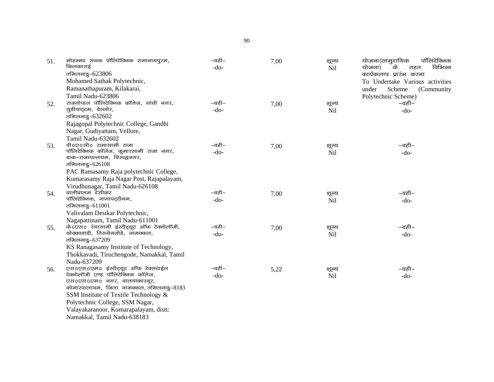| 51. | मोहम्मद सथक पॉलिटेक्निक रामानाथपुरम,       | –वही–  | 7,00 | शूल्य      | पॉलिटेक्निक<br>योजना(सामुदायिक  |
|-----|--------------------------------------------|--------|------|------------|---------------------------------|
|     | किलकाराई                                   | $-do-$ |      | Nil        | विभिन्न<br>के<br>योजना)<br>तहत  |
|     | तमिलनाडु-623806                            |        |      |            | कार्यकलाप प्रारंभ करना          |
|     | Mohamed Sathak Polytechnic,                |        |      |            | To Undertake Various activities |
|     | Ramanathapuram, Kilakarai,                 |        |      |            | Scheme<br>(Community<br>under   |
|     | Tamil Nadu-623806                          |        |      |            | Polytechnic Scheme)             |
| 52. | राजगोपाल पॉलिटेक्निक कॉलेज, गांधी नगर,     | –वही–  | 7,00 | शूल्य      | –वही–                           |
|     | गुडीयाट्टम, वेल्लोर,                       | $-do-$ |      | Nil        | $-do-$                          |
|     | तमिलनाडु-632602                            |        |      |            |                                 |
|     | Rajagopal Polytechnic College, Gandhi      |        |      |            |                                 |
|     | Nagar, Gudiyattam, Vellore,                |        |      |            |                                 |
|     | Tamil Nadu-632602                          |        |      |            |                                 |
| 53. | पी०ए०सी० रामासामी राजा                     | –वही–  | 7,00 | शूल्य      | –वही–                           |
|     | पॉलिटेक्निक कॉलेज, कुमारसामी राजा नगर,     | $-do-$ |      | Nil        | $-do-$                          |
|     | डाक-राजापल्लयम, विरुद्धनगर,                |        |      |            |                                 |
|     | तमिलनाडु- $626108$                         |        |      |            |                                 |
|     | PAC Ramasamy Raja polytechnic College,     |        |      |            |                                 |
|     | Kumarasamy Raja Nagar Post, Rajapalayam,   |        |      |            |                                 |
|     | Virudhunagar, Tamil Nadu-626108            |        |      |            |                                 |
| 54. | वालीवालम देसीकर                            | –वही–  | 7,00 | शूल्य      | –वही–                           |
|     | पॉलिटेक्निक, नागापट्टीनम,                  | $-do-$ |      | Nil        | $-do-$                          |
|     | तमिलनाडु- $611001$                         |        |      |            |                                 |
|     | Valivalam Desikar Polytechnic,             |        |      |            |                                 |
|     | Nagapattinam, Tamil Nadu-611001            |        |      |            |                                 |
| 55. | के0एस0 रंगासामी इंस्टीट्यूट ऑफ टेक्नोलॉजी, | –वही–  | 7,00 | शूल्य      | –वही–                           |
|     | थोक्कावाडी, तिरुचेनगोडे, नामक्कल,          | $-do-$ |      | <b>Nil</b> | $-do-$                          |
|     | तमिलनाडु-637209                            |        |      |            |                                 |
|     | KS Ranagasamy Institute of Technology,     |        |      |            |                                 |
|     | Thokkavadi, Tiruchengode, Namakkal, Tamil  |        |      |            |                                 |
|     | Nadu-637209                                |        |      |            |                                 |
| 56. | एस0एस0एम0 इंस्टीट्यूट ऑफ टेक्सटाईल         | –वही–  | 5,22 | शूल्य      | –वही–                           |
|     | टेक्नोलॉजी एण्ड पॉलिटेक्निक कॉलेज,         | $-do-$ |      | Nil        | $-do-$                          |
|     | एस0एस0एम0 नगर, वालयाकारनूर,                |        |      |            |                                 |
|     | कोमारपालायम, जिला नामक्कल, तमिलनाडु-8183   |        |      |            |                                 |
|     | SSM Institute of Textile Technology &      |        |      |            |                                 |
|     | Polytechnic College, SSM Nagar,            |        |      |            |                                 |
|     | Valayakaranoor, Komarapalayam, distt:      |        |      |            |                                 |
|     | Namakkal, Tamil Nadu-638183                |        |      |            |                                 |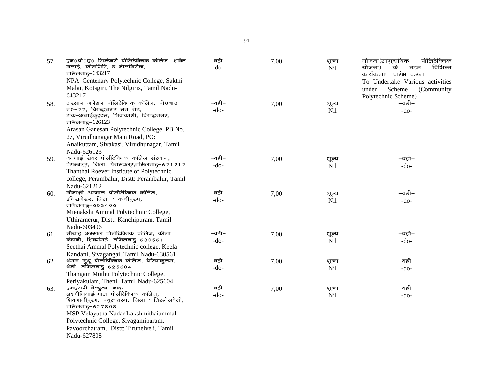| 57. | एन0पी0ए0 सिन्टेनरी पॉलिटेक्निक कॉलेज, शक्ति<br>मलाई, कोटागिरि, द नीलगिरीज,<br>तमिलनाडु-643217<br>NPA Centenary Polytechnic College, Sakthi | –वही–<br>$-do-$ | 7,00 | शूल्य<br>Nil | पॉलिटेक्निक<br>योजना(सामुदायिक<br>के<br>विभिन्न<br>योजना)<br>तहत<br>कार्यकलाप प्रारंभ करना |
|-----|--------------------------------------------------------------------------------------------------------------------------------------------|-----------------|------|--------------|--------------------------------------------------------------------------------------------|
|     | Malai, Kotagiri, The Nilgiris, Tamil Nadu-<br>643217                                                                                       |                 |      |              | To Undertake Various activities<br>Scheme<br>under<br>(Community)<br>Polytechnic Scheme)   |
| 58. | अरसान गनेशन पॉलिटेक्निक कॉलेज, पो0बा0                                                                                                      | –वही–           | 7,00 | शूल्य        | –वही–                                                                                      |
|     | $\vec{a}$ 0-27, विरुद्धनगर मेन रोड,<br>डाक-अनाईकुट्टम, शिवाकाशी, विरुद्धनगर,<br>तमिलनाडु-626123                                            | $-do-$          |      | Nil          | $-do-$                                                                                     |
|     | Arasan Ganesan Polytechnic College, PB No.                                                                                                 |                 |      |              |                                                                                            |
|     | 27, Virudhunagar Main Road, PO:                                                                                                            |                 |      |              |                                                                                            |
|     | Anaikuttam, Sivakasi, Virudhunagar, Tamil                                                                                                  |                 |      |              |                                                                                            |
|     | Nadu-626123                                                                                                                                |                 |      |              |                                                                                            |
| 59. | थनथाई रोवर पोलीटेक्निक कॉलेज संस्थान,                                                                                                      | $-$ वही $-$     | 7,00 | शूल्य        | –वही–                                                                                      |
|     | पेराम्बलूर, जिलाः पेरामबलूर,तमिलनाडु-621212                                                                                                | $-do-$          |      | Nil          | $-do-$                                                                                     |
|     | Thanthai Roever Institute of Polytechnic                                                                                                   |                 |      |              |                                                                                            |
|     | college, Perambalur, Distt: Perambalur, Tamil                                                                                              |                 |      |              |                                                                                            |
|     | Nadu-621212                                                                                                                                |                 |      |              |                                                                                            |
| 60. | मीनाक्षी अम्माल पोलीटेक्निक कॉलेज,<br>उथिरामेरूर, जिला : कांचीपुरम,                                                                        | –वही–           | 7,00 | शूल्य        | –वही–                                                                                      |
|     | तमिलनाडु–६०३४०६                                                                                                                            | $-do-$          |      | Nil          | $-do-$                                                                                     |
|     | Mienakshi Ammal Polytechnic College,                                                                                                       |                 |      |              |                                                                                            |
|     | Uthiramerur, Distt: Kanchipuram, Tamil                                                                                                     |                 |      |              |                                                                                            |
|     | Nadu-603406                                                                                                                                |                 |      |              |                                                                                            |
| 61. | सीथाई अम्माल पोलीटेक्निक कॉलेज, कीला                                                                                                       | –वही–           | 7,00 | शूल्य        | –वही–                                                                                      |
|     | कंदानी, शिवगंगई, तमिलनाडु-630561                                                                                                           | $-do-$          |      | Nil          | $-do-$                                                                                     |
|     | Seethai Ammal Polytechnic college, Keela                                                                                                   |                 |      |              |                                                                                            |
|     | Kandani, Sivagangai, Tamil Nadu-630561                                                                                                     |                 |      |              |                                                                                            |
| 62. | थंगम मुथू पोलीटेक्निक कॉलेज, पेरियाकुलम,                                                                                                   | –वही–           | 7,00 | शूल्य        | –वही–                                                                                      |
|     | थेनी, तमिलनाडु-625604                                                                                                                      | $-do-$          |      | Nil          | $-do-$                                                                                     |
|     | Thangam Muthu Polytechnic College,                                                                                                         |                 |      |              |                                                                                            |
|     | Periyakulam, Theni. Tamil Nadu-625604                                                                                                      | –वही–           |      |              |                                                                                            |
| 63. | एमएसपी वेल्यूत्था नादर,<br>लक्ष्मीथियाईम्माल पोलीटेक्निक कॉलेज,                                                                            | $-do-$          | 7,00 | शूल्य        | –वही–                                                                                      |
|     | शिवगामीपुरम, पवूरचतरम, जिला : तिरुनेलवेली,                                                                                                 |                 |      | Nil          | $-do-$                                                                                     |
|     | तमिलनाडु–६२७८०८                                                                                                                            |                 |      |              |                                                                                            |
|     | MSP Velayutha Nadar Lakshmithaiammal                                                                                                       |                 |      |              |                                                                                            |
|     | Polytechnic College, Sivagamipuram,                                                                                                        |                 |      |              |                                                                                            |
|     | Pavoorchatram, Distt: Tirunelveli, Tamil                                                                                                   |                 |      |              |                                                                                            |
|     | Nadu-627808                                                                                                                                |                 |      |              |                                                                                            |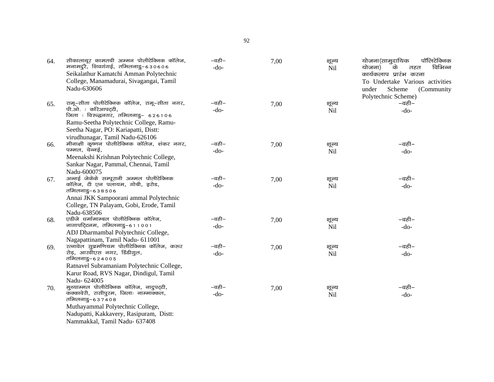| 64. | सीकालाथूर कामतची अम्मन पोलीटेक्निक कॉलेज,<br>मनामदुरै, शिवगंगई, तमिलनाडु-630606<br>Seikalathur Kamatchi Amman Polytechnic<br>College, Manamadurai, Sivagangai, Tamil<br>Nadu-630606                                           | –वही–<br>$-do-$       | 7,00 | शूल्य<br><b>Nil</b> | योजना(सामुदायिक<br>पॉलिटेक्निक<br>विभिन्न<br>के<br>योजना)<br>तहत<br>कार्यकलाप प्रारंभ करना<br>To Undertake Various activities<br>Scheme<br>(Community<br>under<br>Polytechnic Scheme) |
|-----|-------------------------------------------------------------------------------------------------------------------------------------------------------------------------------------------------------------------------------|-----------------------|------|---------------------|---------------------------------------------------------------------------------------------------------------------------------------------------------------------------------------|
| 65. | रामू-सीता पोलीटेक्निक कॉलेज, रामू-सीता नगर,<br>पी.ओ. : करिआपट्टी,<br>जिला : विरुद्धनगर, तमिलनाडु- 626106<br>Ramu-Seetha Polytechnic College, Ramu-<br>Seetha Nagar, PO: Kariapatti, Distt:<br>virudhunagar, Tamil Nadu-626106 | –वही–<br>$-do-$       | 7,00 | शूल्य<br>Nil        | –वही–<br>$-do-$                                                                                                                                                                       |
| 66. | मीनाक्षी कृष्णन पोलीटेक्निक कॉलेज, शंकर नगर,<br>पम्मल, चेन्नई,<br>Meenakshi Krishnan Polytechnic College,<br>Sankar Nagar, Pammal, Chennai, Tamil<br>Nadu-600075                                                              | –वही–<br>$-do-$       | 7,00 | शूल्य<br>Nil        | –वही–<br>$-do-$                                                                                                                                                                       |
| 67. | अन्नई जेकेके सम्पूरानी अम्मल पोलीटेक्निक<br>कॉलेज, टी एन पलायम, गोबी, इरोड,<br>तमिलनाडु–६३८५०६<br>Annai JKK Sampoorani ammal Polytechnic<br>College, TN Palayam, Gobi, Erode, Tamil<br>Nadu-638506                            | –वही–<br>$-do-$       | 7,00 | शूल्य<br>Nil        | –वही–<br>$-do-$                                                                                                                                                                       |
| 68. | एडीजे धर्मामाम्बल पोलीटेक्निक कॉलेज,<br>नागापट्टिनम, तमिलनाडु-611001<br>ADJ Dharmambal Polytechnic College,<br>Nagapattinam, Tamil Nadu- 611001                                                                               | $-$ वही $-$<br>$-do-$ | 7,00 | शूल्य<br>Nil        | –वही–<br>$-do-$                                                                                                                                                                       |
| 69. | रत्नावेल सुब्रमणियम पोलीटेक्निक कॉलेज, करूर<br>रोड़, आरवीएस नगर, डिंडीगुल,<br>तमिलनाडु–६२४००५<br>Ratnavel Subramaniam Polytechnic College,<br>Karur Road, RVS Nagar, Dindigul, Tamil<br>Nadu-624005                           | –वही–<br>$-do-$       | 7,00 | शूल्य<br><b>Nil</b> | –वही–<br>$-do-$                                                                                                                                                                       |
| 70. | मुथ्याम्मल पोलीटेक्निक कॉलेज, नादुपट्टी,<br>कक्कावेरी, रासीपुरम, जिलाः नाम्माक्कल,<br>तमिलनाडु–६३७४०८<br>Muthayammal Polytechnic College,<br>Nadupatti, Kakkavery, Rasipuram, Distt:<br>Nammakkal, Tamil Nadu- 637408         | –वही–<br>$-do-$       | 7,00 | शून्य<br>Nil        | –वही–<br>$-do-$                                                                                                                                                                       |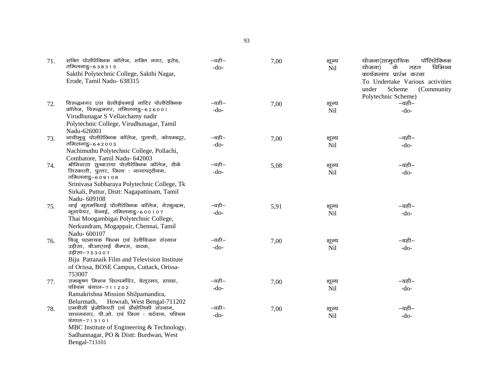| 71. | शक्ति पोलीटेक्निक कॉलेज, शक्ति नगर, इरोड,<br>तमिलनाडु–६३८३१५<br>Sakthi Polytechnic College, Sakthi Nagar,<br>Erode, Tamil Nadu- 638315 | –वही–<br>$-do-$ | 7,00 | शूल्य<br>Nil | योजना(सामुदायिक<br>पॉलिटेक्निक<br>विभिन्न<br>के<br>योजना)<br>तहत<br>कार्यकलाप प्रारंभ करना<br>To Undertake Various activities<br>Scheme<br>under<br>(Community)<br>Polytechnic Scheme) |
|-----|----------------------------------------------------------------------------------------------------------------------------------------|-----------------|------|--------------|----------------------------------------------------------------------------------------------------------------------------------------------------------------------------------------|
| 72. | विरुद्धनगर एस वेल्लैईचमाई नादिर पोलीटेक्निक                                                                                            | –वही–           | 7,00 | शूल्य        | –वही–                                                                                                                                                                                  |
|     | कॉलेज, विरुद्धनगर, तमिलनाडु-626001                                                                                                     | $-do-$          |      | Nil          | $-do-$                                                                                                                                                                                 |
|     | Virudhunagar S Vellaichamy nadir                                                                                                       |                 |      |              |                                                                                                                                                                                        |
|     | Polytechnic College, Virudhunagar, Tamil                                                                                               |                 |      |              |                                                                                                                                                                                        |
|     | Nadu-626001<br>नाचीमुथु पोलीटेक्निक कॉलेज, पुलाची, कोयम्बटूर,                                                                          | –वही–           |      |              | –वही–                                                                                                                                                                                  |
| 73. | तमिलनाडु–६४२००३                                                                                                                        | $-do-$          | 7,00 | शूल्य<br>Nil | $-do-$                                                                                                                                                                                 |
|     | Nachimuthu Polytechnic College, Pollachi,                                                                                              |                 |      |              |                                                                                                                                                                                        |
|     | Combatore, Tamil Nadu- 642003                                                                                                          |                 |      |              |                                                                                                                                                                                        |
| 74. | श्रीनिवासा सुब्बाराया पोलीटेक्निक कॉलेज, टीके                                                                                          | –वही–           | 5,08 | शूल्य        | –वही–                                                                                                                                                                                  |
|     | सिरकाली, पुत्तर, जिला : नागापट्टीनम,                                                                                                   | $-do-$          |      | Nil          | $-do-$                                                                                                                                                                                 |
|     | तमिलनाडु–६०९१०८<br>Srinivasa Subbaraya Polytechnic College, Tk                                                                         |                 |      |              |                                                                                                                                                                                        |
|     | Sirkali, Puttur, Distt: Nagapattinam, Tamil                                                                                            |                 |      |              |                                                                                                                                                                                        |
|     | Nadu-609108                                                                                                                            |                 |      |              |                                                                                                                                                                                        |
| 75. | थाई मूगमबिगई पोलीटेक्निक कॉलेज, नेरकुन्द्रम,                                                                                           | –वही–           | 5,91 | शूल्य        | –वही–                                                                                                                                                                                  |
|     | मूगापेयर, चेन्नई, तमिलनाडु-600107                                                                                                      | $-do-$          |      | <b>Nil</b>   | $-do-$                                                                                                                                                                                 |
|     | Thai Moogambigai Polytechnic College,                                                                                                  |                 |      |              |                                                                                                                                                                                        |
|     | Nerkundram, Mogappair, Chennai, Tamil                                                                                                  |                 |      |              |                                                                                                                                                                                        |
|     | Nadu-600107                                                                                                                            |                 |      |              |                                                                                                                                                                                        |
| 76. | बिजू पटनायक फिल्म एवं टेलीविजन संस्थान<br>उड़ीसा, बीआएसई कैम्पस, कटक,                                                                  | –वही–<br>$-do-$ | 7,00 | शूल्य        | –वही–                                                                                                                                                                                  |
|     | उड़ीसा-753007                                                                                                                          |                 |      | Nil          | $-do-$                                                                                                                                                                                 |
|     | Biju Pattanaik Film and Television Institute                                                                                           |                 |      |              |                                                                                                                                                                                        |
|     | of Orissa, BOSE Campus, Cuttack, Orissa-                                                                                               |                 |      |              |                                                                                                                                                                                        |
|     | 753007                                                                                                                                 |                 |      |              |                                                                                                                                                                                        |
| 77. | रामकृष्ण मिशन शिल्पमंदिर, बेलूरमठ, हावडा,                                                                                              | –वही–           | 7,00 | शूल्य        | –वही–                                                                                                                                                                                  |
|     | पश्चिम बंगाल-711202<br>Ramakrishna Mission Shilpamandira,                                                                              | $-do-$          |      | Nil          | $-do-$                                                                                                                                                                                 |
|     | Howrah, West Bengal-711202<br>Belurmath,                                                                                               |                 |      |              |                                                                                                                                                                                        |
| 78. | एमबीसी इंजीनियरी एवं प्रौद्योगिकी संस्थान,                                                                                             | –वही–           | 7,00 | शूल्य        | –वही–                                                                                                                                                                                  |
|     | साधननगर, पी.ओ. एवं जिला : बर्दवान, पश्चिम                                                                                              | $-do-$          |      | Nil          | $-do-$                                                                                                                                                                                 |
|     | बंगाल–713101                                                                                                                           |                 |      |              |                                                                                                                                                                                        |
|     | MBC Institute of Engineering & Technology,                                                                                             |                 |      |              |                                                                                                                                                                                        |
|     | Sadhannagar, PO & Distt: Burdwan, West                                                                                                 |                 |      |              |                                                                                                                                                                                        |
|     | Bengal-713101                                                                                                                          |                 |      |              |                                                                                                                                                                                        |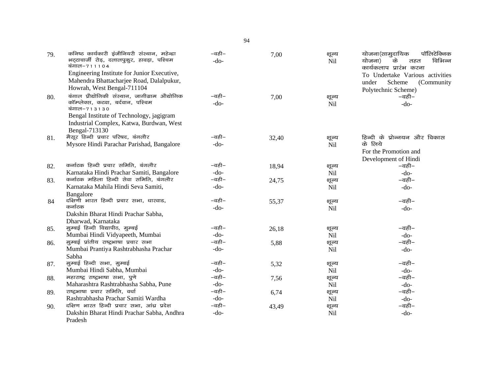| 79. | कनिष्ठ कार्यकारी इंजीनियरी संस्थान, महेन्द्रा<br>भट्टाचार्जी रोड़, दलालपुकुर, हावड़ा, पश्चिम<br>बंगाल-711104 | –वही–<br>$-do-$ | 7,00  | शूल्य<br><b>Nil</b> | योजना(सामुदायिक<br>पॉलिटेक्निक<br>विभिन्न<br>के<br>योजना)<br>तहत<br>कार्यकलाप प्रारंभ करना |
|-----|--------------------------------------------------------------------------------------------------------------|-----------------|-------|---------------------|--------------------------------------------------------------------------------------------|
|     | Engineering Institute for Junior Executive,                                                                  |                 |       |                     | To Undertake Various activities                                                            |
|     | Mahendra Bhattacharjee Road, Dalalpukur,                                                                     |                 |       |                     | Scheme<br>under<br>(Community                                                              |
|     | Howrah, West Bengal-711104                                                                                   |                 |       |                     | Polytechnic Scheme)                                                                        |
| 80. | बंगाल प्रौद्योगिकी संस्थान, जागीग्राम औद्योगिक                                                               | –वही–           | 7,00  | शूल्य               | –वही–                                                                                      |
|     | कॉम्प्लेक्स, कटवा, बर्दवान, पश्चिम                                                                           | $-do-$          |       | Nil                 | $-do-$                                                                                     |
|     | बंगाल-713130                                                                                                 |                 |       |                     |                                                                                            |
|     | Bengal Institute of Technology, jagigram                                                                     |                 |       |                     |                                                                                            |
|     | Industrial Complex, Katwa, Burdwan, West                                                                     |                 |       |                     |                                                                                            |
|     | Bengal-713130                                                                                                | –वही–           |       |                     |                                                                                            |
| 81. | मैसूर हिन्दी प्रचार परिषद, बंगलौर                                                                            | $-do-$          | 32,40 | शूल्य               | हिन्दी के प्रोन्नयन और विकास<br>के लिये                                                    |
|     | Mysore Hindi Parachar Parishad, Bangalore                                                                    |                 |       | <b>Nil</b>          | For the Promotion and                                                                      |
|     |                                                                                                              |                 |       |                     |                                                                                            |
|     | कर्नाटक हिन्दी प्रचार समिति, बंगलौर                                                                          | –वही–           |       |                     | Development of Hindi<br>–वही–                                                              |
| 82. | Karnataka Hindi Prachar Samiti, Bangalore                                                                    | $-do-$          | 18,94 | शूल्य<br>Nil        | $-do-$                                                                                     |
| 83. | कर्नाटक महिला हिन्दी सेवा समिति, बंगलौर                                                                      | –वही–           | 24,75 |                     | –वही–                                                                                      |
|     | Karnataka Mahila Hindi Seva Samiti,                                                                          | $-do-$          |       | शूल्य<br><b>Nil</b> | $-do-$                                                                                     |
|     | Bangalore                                                                                                    |                 |       |                     |                                                                                            |
| 84  | दक्षिणी भारत हिन्दी प्रचार सभा, धारवाड,                                                                      | –वही–           | 55,37 | शूल्य               | –वही–                                                                                      |
|     | कर्नाटक                                                                                                      | $-do-$          |       | <b>Nil</b>          | $-do-$                                                                                     |
|     | Dakshin Bharat Hindi Prachar Sabha,                                                                          |                 |       |                     |                                                                                            |
|     | Dharwad, Karnataka                                                                                           |                 |       |                     |                                                                                            |
| 85. | मुम्बई हिन्दी विद्यापीठ, मुम्बई                                                                              | –वही–           | 26,18 | शूल्य               | $-\overline{a}\overline{b}$ –                                                              |
|     | Mumbai Hindi Vidyapeeth, Mumbai                                                                              | $-do-$          |       | Nil                 | $-do-$                                                                                     |
| 86. | मुम्बई प्रांतीय राष्ट्रभाषा प्रचार सभा                                                                       | –वही–           | 5,88  | शूल्य               | –वही–                                                                                      |
|     | Mumbai Prantiya Rashtrabhasha Prachar                                                                        | $-do-$          |       | Nil                 | $-do-$                                                                                     |
|     | Sabha                                                                                                        |                 |       |                     |                                                                                            |
| 87. | मुम्बई हिन्दी सभा, मुम्बई                                                                                    | –वही–           | 5,32  | शूल्य               | –वही–                                                                                      |
|     | Mumbai Hindi Sabha, Mumbai                                                                                   | $-do-$          |       | Nil                 | $-do-$                                                                                     |
| 88. | महाराष्ट्र राष्ट्रभाषा सभा, पुणे                                                                             | –वही–           | 7,56  | शूल्य               | –वही–                                                                                      |
|     | Maharashtra Rashtrabhasha Sabha, Pune                                                                        | $-do-$          |       | Nil                 | $-do-$                                                                                     |
| 89. | राष्ट्रभाषा प्रचार समिति, वर्धा                                                                              | –वही–           | 6,74  | शूल्य               | –वही–                                                                                      |
|     | Rashtrabhasha Prachar Samiti Wardha                                                                          | $-do-$          |       | <b>Nil</b>          | $-do-$                                                                                     |
| 90. | दक्षिण भारत हिन्दी प्रचार सभा, आंध्र प्रदेश                                                                  | –वही–           | 43,49 | शूल्य               | –वही–                                                                                      |
|     | Dakshin Bharat Hindi Prachar Sabha, Andhra                                                                   | $-do-$          |       | Nil                 | $-do-$                                                                                     |
|     | Pradesh                                                                                                      |                 |       |                     |                                                                                            |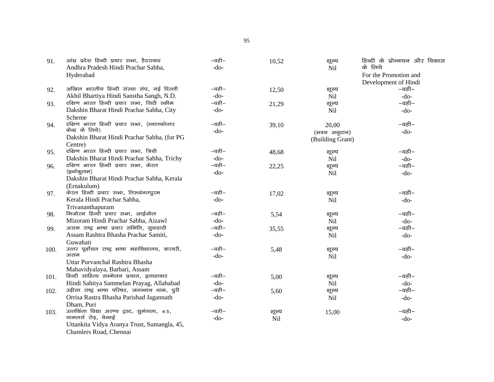| 91.  | आंध्र प्रदेश हिन्दी प्रचार सभा, हैदराबाद                            | –वही–                  | 10,52 | शूल्य            | हिन्दी के प्रोन्नयन और विकास |
|------|---------------------------------------------------------------------|------------------------|-------|------------------|------------------------------|
|      | Andhra Pradesh Hindi Prachar Sabha,                                 | $-do-$                 |       | Nil              | के लिये                      |
|      | Hyderabad                                                           |                        |       |                  | For the Promotion and        |
|      |                                                                     |                        |       |                  | Development of Hindi         |
| 92.  | अखिल भारतीय हिन्दी संस्था संघ, नई दिल्ली                            | –वही–                  | 12,50 | शूल्य            | –वही–                        |
|      | Akhil Bhartiya Hindi Sanstha Sangh, N.D.                            | $-do-$                 |       | Nil              | $-do-$                       |
| 93.  | दक्षिण भारत हिन्दी प्रचार सभा, सिटी स्कीम                           | –वही–                  | 21,29 | शूल्य            | –वही–                        |
|      | Dakshin Bharat Hindi Prachar Sabha, City                            | $-do-$                 |       | Nil              | $-do-$                       |
|      | Scheme                                                              |                        |       |                  |                              |
| 94.  | दक्षिण भारत हिन्दी प्रचार सभा, (स्नातकोत्तर                         | –वही–                  | 39,10 | 20,00            | –वही–                        |
|      | केन्द्र के लिये)                                                    | $-do-$                 |       | (भवन अनुदान)     | $-do-$                       |
|      | Dakshin Bharat Hindi Prachar Sabha, (for PG                         |                        |       | (Building Grant) |                              |
|      | Centre)                                                             |                        |       |                  |                              |
| 95.  | दक्षिण भारत हिन्दी प्रचार सभा, त्रिची                               | –वही–                  | 48,68 | शूल्य            | –वही–                        |
|      | Dakshin Bharat Hindi Prachar Sabha, Trichy                          | $-do-$                 |       | Nil              | $-do-$                       |
| 96.  | दक्षिण भारत हिन्दी प्रचार सभा, केरल                                 | –वही–                  | 22,25 | शूल्य            | –वही–                        |
|      | (इर्नाकुलम)                                                         | $-do-$                 |       | Nil              | $-do-$                       |
|      | Dakshin Bharat Hindi Prachar Sabha, Kerala                          |                        |       |                  |                              |
|      | (Ernakulum)                                                         |                        |       |                  |                              |
| 97.  | केरल हिन्दी प्रचार सभा, तिरुवंनतपुरम                                | –वही–                  | 17,02 | शूल्य            | –वही–                        |
|      | Kerala Hindi Prachar Sabha,                                         | $-do-$                 |       | <b>Nil</b>       | $-do-$                       |
|      | Trivananthapuram                                                    |                        |       |                  |                              |
| 98.  | मिजोरम हिन्दी प्रचार सभा, आईजोल                                     | –वही–                  | 5,54  | शूल्य            | –वही–                        |
|      | Mizoram Hindi Prachar Sabha, Aizawl                                 | $-do-$                 |       | Nil              | $-do-$                       |
| 99.  | असम राष्ट्र भाषा प्रचार समिति, गुवाहाटी                             | $-\overline{a}$ ही $-$ | 35,55 | शूल्य            | –वही–                        |
|      | Assam Rashtra Bhasha Prachar Samiti,                                | $-do-$                 |       | Nil              | $-do-$                       |
|      | Guwahati                                                            |                        |       |                  |                              |
| 100. | उत्तर पूर्वांचल राष्ट्र भाषा महाविद्यालय, बारबरी,                   | –वही–                  | 5,48  | शूल्य            | –वही–                        |
|      | असम                                                                 | $-do-$                 |       | Nil              | $-do-$                       |
|      | Uttar Purvanchal Rashtra Bhasha                                     |                        |       |                  |                              |
|      | Mahavidyalaya, Barbari, Assam                                       |                        |       |                  |                              |
| 101. | हिन्दी साहित्य सम्मेलन प्रयाग, इलाहाबाद                             | –वही–                  | 5,00  | शूल्य            | –वही–                        |
|      | Hindi Sahitya Sammelan Prayag, Allahabad                            | $-do-$                 |       | Nil              | $-do-$                       |
| 102. | उड़ीसा राष्ट्र भाषा परिषद, जगन्नाथ धाम, पुरी                        | –वही–                  | 5,60  | शूल्य            | –वही–                        |
|      | Orrisa Rastra Bhasha Parishad Jagannath                             | $-do-$                 |       | Nil              | $-do-$                       |
|      | Dham, Puri                                                          |                        |       |                  |                              |
| 103. | उत्तकिंता विद्या अरण्य ट्रस्ट, सुमंगला, 45,<br>चामलर्स रोड़, चेन्नई | –वही–                  | शूल्य | 15,00            | –वही–                        |
|      |                                                                     | $-do-$                 | Nil   |                  | $-do-$                       |
|      | Uttankita Vidya Aranya Trust, Sumangla, 45,                         |                        |       |                  |                              |
|      | Chamlers Road, Chennai                                              |                        |       |                  |                              |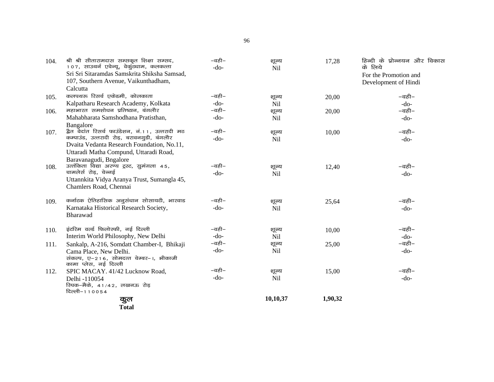| 104. | श्री श्री सीतारामदास सम्सकृत शिक्षा सम्सद,<br>107, साउथर्न एवेन्यू, वेकुंठधाम, कलकत्ता         | –वही–                  | शूल्य               | 17,28   | हिन्दी के प्रोन्नयन और विकास |
|------|------------------------------------------------------------------------------------------------|------------------------|---------------------|---------|------------------------------|
|      | Sri Sri Sitaramdas Samskrita Shiksha Samsad,                                                   | $-do-$                 | <b>Nil</b>          |         | के लिये                      |
|      | 107, Southern Avenue, Vaikunthadham,                                                           |                        |                     |         | For the Promotion and        |
|      | Calcutta                                                                                       |                        |                     |         | Development of Hindi         |
|      | कलपथरू रिसर्च एकेडमी, कोलकाता                                                                  | –वही–                  |                     |         | –वही–                        |
| 105. |                                                                                                | $-do-$                 | शूल्य               | 20,00   |                              |
|      | Kalpatharu Research Academy, Kolkata                                                           | –वही–                  | Nil                 |         | $-do-$                       |
| 106. | महाभारत समशोधन प्रतिष्ठान, बंगलौर                                                              |                        | शूल्य               | 20,00   | –वही–                        |
|      | Mahabharata Samshodhana Pratisthan,                                                            | $-do-$                 | <b>Nil</b>          |         | $-do-$                       |
|      | Bangalore                                                                                      | $-\overline{a}$ ही $-$ |                     |         |                              |
| 107. | द्वैत वेदांत रिसर्च फाउंडेशन, नं.11, उत्तरादी मठ<br>कम्पाउंड, उत्तरादी रोड़, बरावनगुडी, बंगलौर |                        | शूल्य               | 10,00   | –वही–                        |
|      | Dvaita Vedanta Research Foundation, No.11,                                                     | $-do-$                 | <b>Nil</b>          |         | $-do-$                       |
|      | Uttaradi Matha Compund, Uttaradi Road,                                                         |                        |                     |         |                              |
|      | Baravanagudi, Bngalore                                                                         |                        |                     |         |                              |
|      | उत्तंकिता विद्या अरण्य ट्रस्ट, सुमंगला 45,                                                     | –वही–                  |                     |         | –वही–                        |
| 108. | चामलेर्स रोड़, चेन्नई                                                                          | $-do-$                 | शूल्य<br><b>Nil</b> | 12,40   | $-do-$                       |
|      | Uttannkita Vidya Aranya Trust, Sumangla 45,                                                    |                        |                     |         |                              |
|      | Chamlers Road, Chennai                                                                         |                        |                     |         |                              |
|      |                                                                                                |                        |                     |         |                              |
| 109. | कर्नाटक ऐतिहासिक अनुसंधान सोसायटी, भारवाड                                                      | –वही–                  | शूल्य               | 25,64   | –वही–                        |
|      | Karnataka Historical Research Society,                                                         | $-do-$                 | <b>Nil</b>          |         | $-do-$                       |
|      | Bharawad                                                                                       |                        |                     |         |                              |
|      |                                                                                                |                        |                     |         |                              |
| 110. | इंटरिम वर्ल्ड फिलोस्फी, नई दिल्ली                                                              | $-$ वही $-$            | शूल्य               | 10,00   | –वही–                        |
|      | Interim World Philosophy, New Delhi                                                            | $-do-$                 | N <sub>il</sub>     |         | $-do-$                       |
| 111. | Sankalp, A-216, Somdatt Chamber-I, Bhikaji                                                     | –वही–                  | शूल्य               | 25,00   | –वही–                        |
|      | Cama Place, New Delhi.                                                                         | $-do-$                 | <b>Nil</b>          |         | $-do-$                       |
|      | संकल्प, ए−216, सोमदत्त चेम्बर−।, भीकाजी                                                        |                        |                     |         |                              |
|      | कामा प्लेस, नई दिल्ली                                                                          |                        |                     |         |                              |
| 112. | SPIC MACAY. 41/42 Lucknow Road,                                                                | $-$ वही $-$            | शूल्य               | 15,00   | –वही–                        |
|      | Delhi -110054                                                                                  | $-do-$                 | <b>Nil</b>          |         | $-do-$                       |
|      | रिपक-मैके, 41/42, लखनऊ रोड़                                                                    |                        |                     |         |                              |
|      | दिल्ली–110054                                                                                  |                        |                     |         |                              |
|      | कुल                                                                                            |                        | 10,10,37            | 1,90,32 |                              |
|      | <b>Total</b>                                                                                   |                        |                     |         |                              |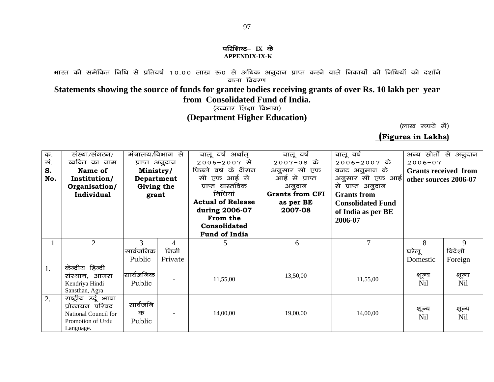#### परिशिष्ट– IX के **APPENDIX-IX-K**

भारत की समेकित निधि से प्रतिवर्ष 10.00 लाख रू0 से अधिक अनुदान प्राप्त करने वाले निकायों की निधियों को दर्शाने वाला विवरण

### **Statements showing the source of funds for grantee bodies receiving grants of over Rs. 10 lakh per year from Consolidated Fund of India.**

(उच्चतर शिक्षा विभाग) **(Department Higher Education)**

(लाख रुपये में)

 **(Figures in Lakhs)**

| क.<br>सं.<br>S.<br>No. | संस्था/संगठन/<br>व्यक्ति का नाम<br>Name of<br>Institution/<br>Organisation/<br><b>Individual</b>  | मंत्रालय/विभाग से<br>प्राप्त अनुदान<br>Ministry/<br>Department<br>Giving the<br>grant |                 | चालू वर्ष अर्थात्<br>$2006 - 2007$ से<br>पिछले वर्ष के दौरान<br>सी एफ आई से<br>प्राप्त वास्तविक<br>निधियां<br><b>Actual of Release</b><br>during 2006-07<br>From the<br>Consolidated<br>Fund of India | चालू वर्ष<br>$2007 - 08$ के<br>अनुसार सी एफ<br>आई से प्राप्त<br>अनुदान<br><b>Grants from CFI</b><br>as per BE<br>2007-08 | चालू वर्ष<br>2006-2007 के<br>बजट अनुमान के<br>अनुसार सी एफ आई<br>से प्राप्त अनुदान<br><b>Grants</b> from<br><b>Consolidated Fund</b><br>of India as per BE<br>2006-07 | अन्य स्रोतों से अनुदान<br>$2006 - 07$<br><b>Grants received from</b><br>other sources 2006-07 |                     |
|------------------------|---------------------------------------------------------------------------------------------------|---------------------------------------------------------------------------------------|-----------------|-------------------------------------------------------------------------------------------------------------------------------------------------------------------------------------------------------|--------------------------------------------------------------------------------------------------------------------------|-----------------------------------------------------------------------------------------------------------------------------------------------------------------------|-----------------------------------------------------------------------------------------------|---------------------|
|                        | $\overline{2}$                                                                                    | 3                                                                                     | 4               | 5                                                                                                                                                                                                     | 6                                                                                                                        | 7                                                                                                                                                                     | 8                                                                                             | 9                   |
|                        |                                                                                                   | सार्वजनिक<br>Public                                                                   | निजी<br>Private |                                                                                                                                                                                                       |                                                                                                                          |                                                                                                                                                                       | घरेलू<br>Domestic                                                                             | विदेशी<br>Foreign   |
| 1.                     | केन्द्रीय हिन्दी<br>संस्थान, आगरा<br>Kendriya Hindi<br>Sansthan, Agra                             | सार्वजनिक<br>Public                                                                   |                 | 11,55,00                                                                                                                                                                                              | 13,50,00                                                                                                                 | 11,55,00                                                                                                                                                              | शूल्य<br><b>Nil</b>                                                                           | शून्य<br>Nil        |
| 2.                     | राष्ट्रीय उर्दू भाषा<br>प्रोन्नयन परिषद<br>National Council for<br>Promotion of Urdu<br>Language. | सार्वजनि<br>क<br>Public                                                               |                 | 14,00,00                                                                                                                                                                                              | 19,00,00                                                                                                                 | 14,00,00                                                                                                                                                              | शूल्य<br><b>Nil</b>                                                                           | शूल्य<br><b>Nil</b> |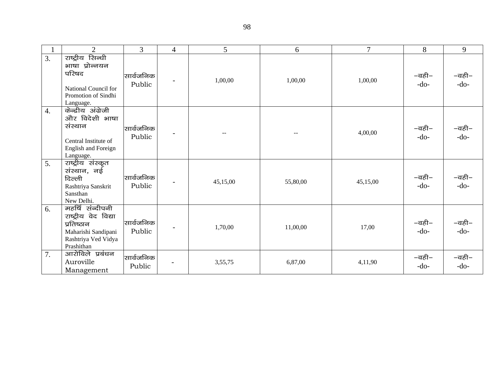|                  | $\overline{2}$                                                                                                     | 3                   | $\overline{4}$               | 5        | 6                        | $\tau$   | 8               | 9               |
|------------------|--------------------------------------------------------------------------------------------------------------------|---------------------|------------------------------|----------|--------------------------|----------|-----------------|-----------------|
| 3.               | राष्ट्रीय सिन्धी<br>भाषा प्रोन्नयन<br>परिषद<br>National Council for<br>Promotion of Sindhi<br>Language.            | सार्वजनिक<br>Public | $\qquad \qquad \blacksquare$ | 1,00,00  | 1,00,00                  | 1,00,00  | –वही–<br>$-do-$ | –वही–<br>$-do-$ |
| $\overline{4}$ . | केन्द्रीय अंग्रेजी<br>और विदेशी भाषा<br>संस्थान<br>Central Institute of<br><b>English and Foreign</b><br>Language. | सार्वजनिक<br>Public | $\overline{\phantom{a}}$     |          | $\overline{\phantom{m}}$ | 4,00,00  | –वही–<br>$-do-$ | −वही−<br>-do-   |
| 5.               | राष्ट्रीय संस्कृत<br>संस्थान, नई<br>दिल्ली<br>Rashtriya Sanskrit<br>Sansthan<br>New Delhi.                         | सार्वजनिक<br>Public | $\overline{\phantom{a}}$     | 45,15,00 | 55,80,00                 | 45,15,00 | –वही–<br>$-do-$ | –वही–<br>-do-   |
| 6.               | महर्षि संन्दीपनी<br>राष्ट्रीय वेद विद्या<br>प्रतिष्ठान<br>Maharishi Sandipani<br>Rashtriya Ved Vidya<br>Prashithan | सार्वजनिक<br>Public | $\overline{a}$               | 1,70,00  | 11,00,00                 | 17,00    | –वही–<br>$-do-$ | –वही–<br>$-do-$ |
| 7.               | आरोविले प्रबंधन<br>Auroville<br>Management                                                                         | सार्वजनिक<br>Public |                              | 3,55,75  | 6,87,00                  | 4,11,90  | –वही–<br>$-do-$ | –वही–<br>$-do-$ |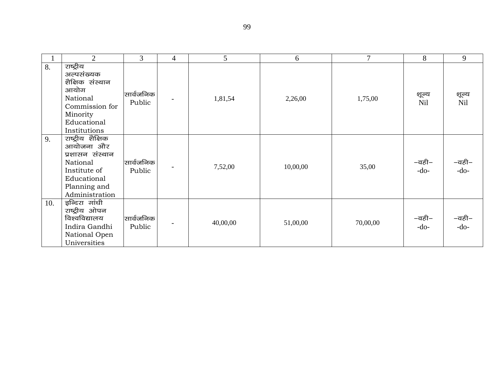|     | $\overline{2}$                                                                                                                 | 3                   | $\overline{4}$           | 5        | 6        | $\tau$   | 8                   | 9             |
|-----|--------------------------------------------------------------------------------------------------------------------------------|---------------------|--------------------------|----------|----------|----------|---------------------|---------------|
| 8.  | राष्ट्रीय<br>अल्पसंख्यक<br>शैक्षिक संस्थान<br>आयोग<br>National<br>Commission for<br>Minority<br>Educational<br>Institutions    | सार्वजनिक<br>Public | $\overline{\phantom{a}}$ | 1,81,54  | 2,26,00  | 1,75,00  | शूल्य<br><b>Nil</b> | शून्य<br>Nil  |
| 9.  | राष्ट्रीय शैक्षिक<br>आयोजना और<br>प्रशासन संस्थान<br>National<br>Institute of<br>Educational<br>Planning and<br>Administration | सार्वजनिक<br>Public |                          | 7,52,00  | 10,00,00 | 35,00    | –वही–<br>$-do-$     | –वही–<br>-do- |
| 10. | इन्दिरा गांधी<br>राष्ट्रीय ओपन<br>विश्वविद्यालय<br>Indira Gandhi<br>National Open<br>Universities                              | सार्वजनिक<br>Public | $\qquad \qquad$          | 40,00,00 | 51,00,00 | 70,00,00 | –वही–<br>$-do-$     | –वही–<br>-do- |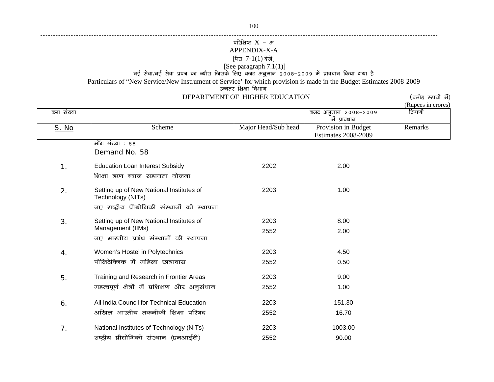------------------------------------------------------------------------------------------------------------------------------------------------------------

### परिशिष्ट $X$  - अ APPENDIX-X-A [पैरा 7-1(1) देखें]

#### [See paragraph 7.1(1)]

नई सेवा/नई सेवा प्रपत्र का ब्यौरा जिसके लिए बजट अनुमान 2008–2009 में प्रावधान किया गया है

Particulars of "New Service/New Instrument of Service' for which provision is made in the Budget Estimates 2008-2009

उच्चतर शिक्षा विभाग

### DEPARTMENT OF HIGHER EDUCATION (करोड़ रुपयों में)

(Rupees in crores)

| कम संख्या    |                                                               |                     | बजट अनुमान 2008-2009<br>में प्रावधान              | टिप्पणी |
|--------------|---------------------------------------------------------------|---------------------|---------------------------------------------------|---------|
| <u>S. No</u> | Scheme                                                        | Major Head/Sub head | Provision in Budget<br><b>Estimates 2008-2009</b> | Remarks |
|              | मॉॅंग संख्या : 58                                             |                     |                                                   |         |
|              | Demand No. 58                                                 |                     |                                                   |         |
| 1.           | <b>Education Loan Interest Subsidy</b>                        | 2202                | 2.00                                              |         |
|              | शिक्षा ऋण ब्याज सहायता योजना                                  |                     |                                                   |         |
| 2.           | Setting up of New National Institutes of<br>Technology (NITs) | 2203                | 1.00                                              |         |
|              | नए राष्ट्रीय प्रौद्योगिकी संस्थानों की स्थापना                |                     |                                                   |         |
| 3.           | Setting up of New National Institutes of                      | 2203                | 8.00                                              |         |
|              | Management (IIMs)                                             | 2552                | 2.00                                              |         |
|              | नए भारतीय प्रबंध संस्थानों की स्थापना                         |                     |                                                   |         |
| 4.           | Women's Hostel in Polytechnics                                | 2203                | 4.50                                              |         |
|              | पोलिटेक्निक में महिला छात्रावास                               | 2552                | 0.50                                              |         |
| 5.           | Training and Research in Frontier Areas                       | 2203                | 9.00                                              |         |
|              | महत्वपूर्ण क्षेत्रों में प्रशिक्षण और अनुसंधान                | 2552                | 1.00                                              |         |
| 6.           | All India Council for Technical Education                     | 2203                | 151.30                                            |         |
|              | अखिल भारतीय तकनीकी शिक्षा परिषद                               | 2552                | 16.70                                             |         |
| 7.           | National Institutes of Technology (NITs)                      | 2203                | 1003.00                                           |         |
|              | राष्ट्रीय प्रौद्योगिकी संस्थान (एनआईटी)                       | 2552                | 90.00                                             |         |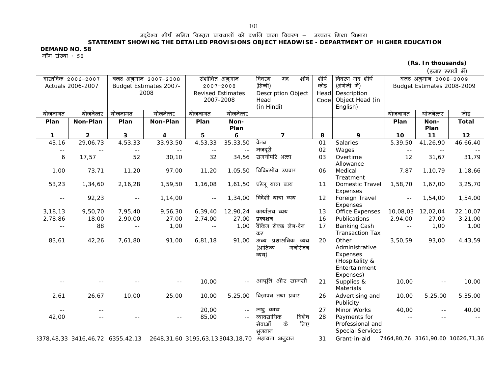उद्देश्य शीर्ष सहित विस्तृत प्रावधानों को दर्शाने वाला विवरण – उच्चतर शिक्षा विभाग

#### **STATEMENT SHOWING THE DETAILED PROVISIONS OBJECT HEADWISE - DEPARTMENT OF HIGHER EDUCATION**

**DEMAND NO. 58** 

मॉॅंग संख्या : 58

|  | (Rs. In thousands) |  |
|--|--------------------|--|
|--|--------------------|--|

| (हजार रूपयों में) |  |
|-------------------|--|
|                   |  |

|               | वास्तविक 2006-2007 |                         | बजट अनुमान 2007-2008    |                | संशोधित अनुमान                 | शीर्ष<br>विवरण<br>मद                                                            | शीर्ष    | विवरण मद शीर्ष                                                                      |                | बजट अनुमान 2008-2009       |                                   |
|---------------|--------------------|-------------------------|-------------------------|----------------|--------------------------------|---------------------------------------------------------------------------------|----------|-------------------------------------------------------------------------------------|----------------|----------------------------|-----------------------------------|
|               | Actuals 2006-2007  |                         | Budget Estimates 2007-  |                | $2007 - 2008$                  | (हिन्दी)                                                                        | कोड      | (अंगेजी में)                                                                        |                | Budget Estimates 2008-2009 |                                   |
|               |                    |                         | 2008                    |                | <b>Revised Estimates</b>       | <b>Description Object</b>                                                       | Head     | Description                                                                         |                |                            |                                   |
|               |                    |                         |                         |                | 2007-2008                      | Head                                                                            | Code     | Object Head (in                                                                     |                |                            |                                   |
|               |                    |                         |                         |                |                                | (in Hindi)                                                                      |          | English)                                                                            |                |                            |                                   |
| योजनागत       | योजनेत्तर          | योजनागत                 | योजनेत्तर               | योजनागत        | योजनेत्तर                      |                                                                                 |          |                                                                                     | योजनागत        | योजनेत्तर                  | जोड़                              |
| Plan          | Non-Plan           | Plan                    | Non-Plan                | Plan           | Non-<br>Plan                   |                                                                                 |          |                                                                                     | Plan           | Non-<br>Plan               | <b>Total</b>                      |
| $\mathbf{1}$  | $\overline{2}$     | $\overline{\mathbf{3}}$ | $\overline{\mathbf{4}}$ | 5              | 6                              | $\overline{7}$                                                                  | 8        | 9                                                                                   | 10             | 11                         | 12                                |
| 43,16         | 29,06,73           | 4,53,33                 | 33,93,50                | 4,53,33        | 35, 33, 50                     | वेतन                                                                            | 01       | Salaries                                                                            | 5,39,50        | 41,26,90                   | 46,66,40                          |
| $\sim$ $-$    |                    |                         |                         |                | $\sim$ $\sim$                  | मजदूरी                                                                          | 02       | Wages                                                                               | $\sim$ $-$     |                            |                                   |
| 6             | 17,57              | 52                      | 30, 10                  | 32             | 34,56                          | समयोपरि भत्ता                                                                   | 03       | Overtime<br>Allowance                                                               | 12             | 31,67                      | 31,79                             |
| 1,00          | 73,71              | 11,20                   | 97,00                   | 11,20          | 1,05,50                        | चिकित्सीय उपचार                                                                 | 06       | Medical<br>Treatment                                                                | 7,87           | 1,10,79                    | 1,18,66                           |
| 53,23         | 1,34,60            | 2,16,28                 | 1,59,50                 | 1,16,08        | 1,61,50                        | घरेलू यात्रा व्यय                                                               | 11       | Domestic Travel<br>Expenses                                                         | 1,58,70        | 1,67,00                    | 3,25,70                           |
| $\sim$ $-$    | 92,23              | $\sim$ $-$              | 1,14,00                 | $\sim$ $\sim$  | 1,34,00                        | विदेशी यात्रा व्यय                                                              | 12       | Foreign Travel<br>Expenses                                                          | $\sim$ $-$     | 1,54,00                    | 1,54,00                           |
| 3,18,13       | 9,50,70            | 7,95,40                 | 9,56,30                 | 6, 39, 40      | 12,90,24                       | कार्यालय व्यय                                                                   | 13       | Office Expenses                                                                     | 10,08,03       | 12,02,04                   | 22,10,07                          |
| 2,78,86       | 18,00              | 2,90,00                 | 27,00                   | 2,74,00        | 27,00                          | प्रकाशन                                                                         | 16       | Publications                                                                        | 2,94,00        | 27,00                      | 3,21,00                           |
| $ -$          | 88                 | $\sim$ $\sim$           | 1,00                    | $\overline{a}$ | 1,00                           | वैकिंग रोकड लेन-देन<br>कर                                                       | 17       | <b>Banking Cash</b><br><b>Transaction Tax</b>                                       | $\overline{a}$ | 1,00                       | 1,00                              |
| 83,61         | 42,26              | 7,61,80                 | 91,00                   | 6,81,18        | 91,00                          | अन्य प्रशासनिक व्यय<br>(आतिथ्य<br>मनोरंजन<br>व्यय)                              | 20       | Other<br>Administrative<br>Expenses<br>(Hospitality &<br>Entertainment<br>Expenses) | 3,50,59        | 93,00                      | 4,43,59                           |
| $\sim$ $\sim$ |                    |                         | $- -$                   | 10,00          | $\sim$ $-$                     | आपूर्ति और सामग्री                                                              | 21       | Supplies &<br>Materials                                                             | 10,00          | $- -$                      | 10,00                             |
| 2,61          | 26,67              | 10,00                   | 25,00                   | 10,00          | 5,25,00                        | विज्ञापन तथा प्रचार                                                             | 26       | Advertising and<br>Publicity                                                        | 10,00          | 5,25,00                    | 5,35,00                           |
| 42,00         | $- -$              |                         | $- -$                   | 20,00<br>85,00 | $\sim$ $\sim$<br>$\sim$ $\sim$ | लघु काय<br>व्यावसायिक<br>विशेष<br>के<br>लिए<br>सेवाओं<br>भूगतान                 | 27<br>28 | Minor Works<br>Payments for<br>Professional and<br><b>Special Services</b>          | 40,00<br>$ -$  | $- -$                      | 40,00                             |
|               |                    |                         |                         |                |                                | 3378,48,33 3416,46,72 6355,42,13 2648,31,60 3195,63,13 3043,18,70 सहायता अनुदान | 31       | Grant-in-aid                                                                        |                |                            | 7464,80,76 3161,90,60 10626,71,36 |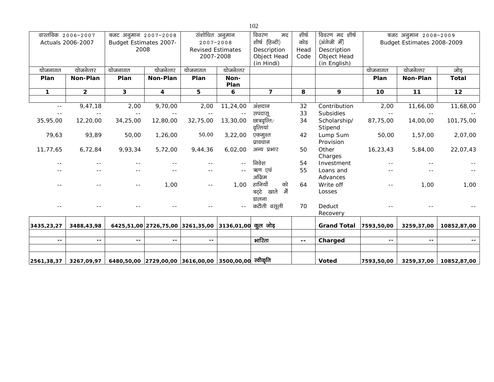|               | वास्तविक 2006-2007<br>Actuals 2006-2007 |                                                                 | बजट अनुमान 2007-2008<br>Budget Estimates 2007- |                                                      | संशोधित अनुमान<br>$2007 - 2008$ |                               | शीर्ष<br>कोड | विवरण मद शीर्ष<br>(अंगेजी में) |            | बजट अनुमान 2008-2009<br>Budget Estimates 2008-2009 |              |
|---------------|-----------------------------------------|-----------------------------------------------------------------|------------------------------------------------|------------------------------------------------------|---------------------------------|-------------------------------|--------------|--------------------------------|------------|----------------------------------------------------|--------------|
|               |                                         | 2008                                                            |                                                | <b>Revised Estimates</b>                             |                                 | शीर्ष (हिन्दी)<br>Description | Head         | Description                    |            |                                                    |              |
|               |                                         |                                                                 |                                                | 2007-2008                                            |                                 | Object Head                   | Code         | Object Head                    |            |                                                    |              |
|               |                                         |                                                                 |                                                |                                                      |                                 | (in Hindi)                    |              | (in English)                   |            |                                                    |              |
| योजनागत       | योजनेत्तर                               | योजनागत                                                         | योजनेत्तर                                      | योजनागत                                              | योजनेत्तर                       |                               |              |                                | योजनागत    | योजनेत्तर                                          | जोड़         |
| Plan          | Non-Plan                                | Plan                                                            | Non-Plan                                       | Plan                                                 | Non-<br>Plan                    |                               |              |                                | Plan       | Non-Plan                                           | <b>Total</b> |
| $\mathbf{1}$  | $\overline{2}$                          | 3                                                               | 4                                              | 5                                                    | 6                               | $\overline{7}$                | 8            | 9                              | 10         | $11$                                               | 12           |
|               |                                         |                                                                 |                                                |                                                      |                                 |                               |              |                                |            |                                                    |              |
| $\sim$ $\sim$ | 9,47,18                                 | 2,00                                                            | 9,70,00                                        | 2,00                                                 | 11,24,00                        | अंशदान                        | 32           | Contribution                   | 2,00       | 11,66,00                                           | 11,68,00     |
| $\sim$ $-$    |                                         | $\sim$ $-$                                                      |                                                | $\sim$ $\sim$                                        | $\overline{a}$                  | सपदास्                        | 33           | Subsidies                      |            |                                                    |              |
| 35,95,00      | 12,20,00                                | 34,25,00                                                        | 12,80,00                                       | 32,75,00                                             | 13,30,00                        | छात्रवृत्ति/<br>वृत्तियां     | 34           | Scholarship/<br>Stipend        | 87,75,00   | 14,00,00                                           | 101,75,00    |
| 79,63         | 93,89                                   | 50,00                                                           | 1,26,00                                        | 50,00                                                | 3,22,00                         | एकमुश्त<br>प्रावधान           | 42           | Lump Sum<br>Provision          | 50,00      | 1,57,00                                            | 2,07,00      |
| 11,77,65      | 6,72,84                                 | 9,93,34                                                         | 5,72,00                                        | 9,44,36                                              | 6,02,00                         | अन्य प्रभार                   | 50           | Other<br>Charges               | 16,23,43   | 5,84,00                                            | 22,07,43     |
| $- -$         |                                         |                                                                 |                                                |                                                      | $\sim$ $\sim$                   | निवेश                         | 54           | Investment                     |            |                                                    |              |
|               |                                         |                                                                 |                                                |                                                      |                                 | ऋण एवं<br>अग्रिम              | 55           | Loans and<br>Advances          |            |                                                    |              |
|               |                                         | $- -$                                                           | 1,00                                           | $\sim$ $\sim$                                        | 1,00                            | हानियों<br>को                 | 64           | Write off                      | $- -$      | 1,00                                               | 1,00         |
|               |                                         |                                                                 |                                                |                                                      |                                 | बट्टे खाते<br>ਜੇਂ<br>डालना    |              | Losses                         |            |                                                    |              |
|               |                                         |                                                                 |                                                |                                                      | --                              | कटौती वसूली                   | 70           | Deduct<br>Recovery             |            |                                                    |              |
| 3435,23,27    | 3488,43,98                              |                                                                 |                                                | 6425,51,00 2726,75,00 3261,35,00 3136,01,00 कूल जोड़ |                                 |                               |              | <b>Grand Total</b>             | 7593,50,00 | 3259,37,00                                         | 10852,87,00  |
|               |                                         |                                                                 |                                                |                                                      |                                 |                               |              |                                |            |                                                    |              |
| $-$           | $\sim$ $-$                              | $\sim$ $-$                                                      | $\sim$ $-$                                     | $\sim$ $-$                                           |                                 | भारिता                        | ۰.           | Charged                        | $\sim$ $-$ | $\sim$ $-$                                         | $\sim$ $-$   |
| 2561,38,37    | 3267,09,97                              | <u>6480,50,00  2729,00,00  3616,00,00  3500,0</u> 0,00 स्वीकृति |                                                |                                                      |                                 |                               |              | <b>Voted</b>                   | 7593,50,00 | 3259,37,00                                         | 10852,87,00  |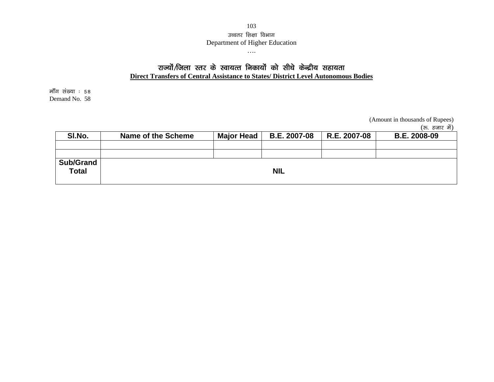### 103उच्चतर शिक्षा विभाग Department of Higher Education

….

# राज्यों/जिला स्तर के स्वायत्त निकायों को सीधे केन्द्रीय सहायता

**Direct Transfers of Central Assistance to States/ District Level Autonomous Bodies**

मॉॅंग संख्या : 58 Demand No. 58

(Amount in thousands of Rupees)

(रु. हजार में)

| SI.No.                           | Name of the Scheme | <b>Major Head</b> | <b>B.E. 2007-08</b> | R.E. 2007-08 | <b>B.E. 2008-09</b> |
|----------------------------------|--------------------|-------------------|---------------------|--------------|---------------------|
|                                  |                    |                   |                     |              |                     |
|                                  |                    |                   |                     |              |                     |
| <b>Sub/Grand</b><br><b>Total</b> |                    |                   | <b>NIL</b>          |              |                     |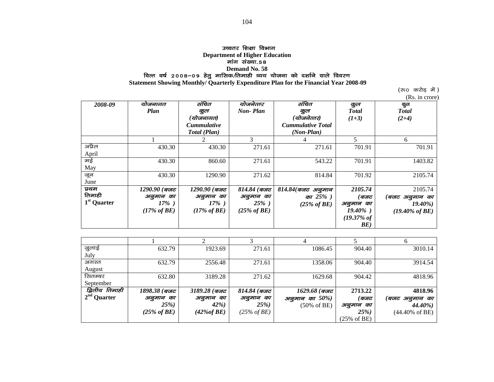#### उच्चतर शिक्षा विभा**ग**

**Department of Higher Education** 

मांग संख्या.58

# Demand No. 58<br>वित्त वर्ष २००८–०९ हेतु मासिक/तिमाही व्यय योजना को दर्शाने वाले विवरण

 **Statement Showing Monthly/ Quarterly Expenditure Plan for the Financial Year 2008-09**

 $(\overline{x}$ 0 करोड़ में)

(Rs. in crore)

| 2008-09                 | योजनागत                 | संचित                   | योजनेत्तर               | संचित                    | कुल                    | कुल                        |
|-------------------------|-------------------------|-------------------------|-------------------------|--------------------------|------------------------|----------------------------|
|                         | Plan                    | कुल                     | <b>Non-Plan</b>         | कुल                      | <b>Total</b>           | <b>Total</b>               |
|                         |                         | (योजनागत)               |                         | (योजनेत्तर)              | $(1+3)$                | $(2+4)$                    |
|                         |                         | <b>Cummulative</b>      |                         | <b>Cummulative Total</b> |                        |                            |
|                         |                         | Total (Plan)            |                         | $(Non-Plan)$             |                        |                            |
|                         |                         |                         | 3                       |                          | 5                      | 6                          |
| अप्रैल                  | 430.30                  | 430.30                  | 271.61                  | 271.61                   | 701.91                 | 701.91                     |
| April                   |                         |                         |                         |                          |                        |                            |
| मई                      | 430.30                  | 860.60                  | 271.61                  | 543.22                   | 701.91                 | 1403.82                    |
| May                     |                         |                         |                         |                          |                        |                            |
| जून                     | 430.30                  | 1290.90                 | 271.62                  | 814.84                   | 701.92                 | 2105.74                    |
| June                    |                         |                         |                         |                          |                        |                            |
| प्रथम                   | $1290.90$ (ਕਰਟ          | 1290.90 (ਕਰਵ            | $814.84$ (बजट           | $814.84$ (बजट अनुमान     | 2105.74                | 2105.74                    |
| तिमाही                  | अनुमान का               | अनुमान का               | अनुमान का               | का $25%$ )               | (बजट                   | (बजट अनुमान का             |
| 1 <sup>st</sup> Quarter | $17\%$ )                | $17\%$ )                | $25\%$ )                | $(25\% \text{ of } BE)$  | अनुमान का              | $19.40\%$                  |
|                         | $(17\% \text{ of } BE)$ | $(17\% \text{ of } BE)$ | $(25\% \text{ of } BE)$ |                          | $19.40\%$ )            | $(19.40\% \text{ of } BE)$ |
|                         |                         |                         |                         |                          | $(19.37\% \text{ of }$ |                            |
|                         |                         |                         |                         |                          | BE)                    |                            |

|                |                         |                |                         |                        |                        | <sub>0</sub>              |
|----------------|-------------------------|----------------|-------------------------|------------------------|------------------------|---------------------------|
| जुलाई          | 632.79                  | 1923.69        | 271.61                  | 1086.45                | 904.40                 | 3010.14                   |
| July           |                         |                |                         |                        |                        |                           |
| अगस्त          | 632.79                  | 2556.48        | 271.61                  | 1358.06                | 904.40                 | 3914.54                   |
| August         |                         |                |                         |                        |                        |                           |
| सितम्बर        | 632.80                  | 3189.28        | 271.62                  | 1629.68                | 904.42                 | 4818.96                   |
| September      |                         |                |                         |                        |                        |                           |
| द्वितीय तिमाही | 1898.38 (बजट            | $3189.28$ (बजट | $814.84$ (बजट           | $1629.68$ (बजट         | 2713.22                | 4818.96                   |
| $2nd$ Quarter  | अनुमान का               | अनुमान का      | अनुमान का               | अनुमान का $50\%$ )     | (बजट                   | 'बजट अनुमान का            |
|                | <b>25%</b> )            | $42\%$         | <b>25%</b> )            | $(50\% \text{ of BE})$ | अनुमान का              | $44.40\%$                 |
|                | $(25\% \text{ of } BE)$ | $(42\% of BE)$ | $(25\% \text{ of } BE)$ |                        | <b>25%</b> )           | $(44.40\% \text{ of BE})$ |
|                |                         |                |                         |                        | $(25\% \text{ of BE})$ |                           |